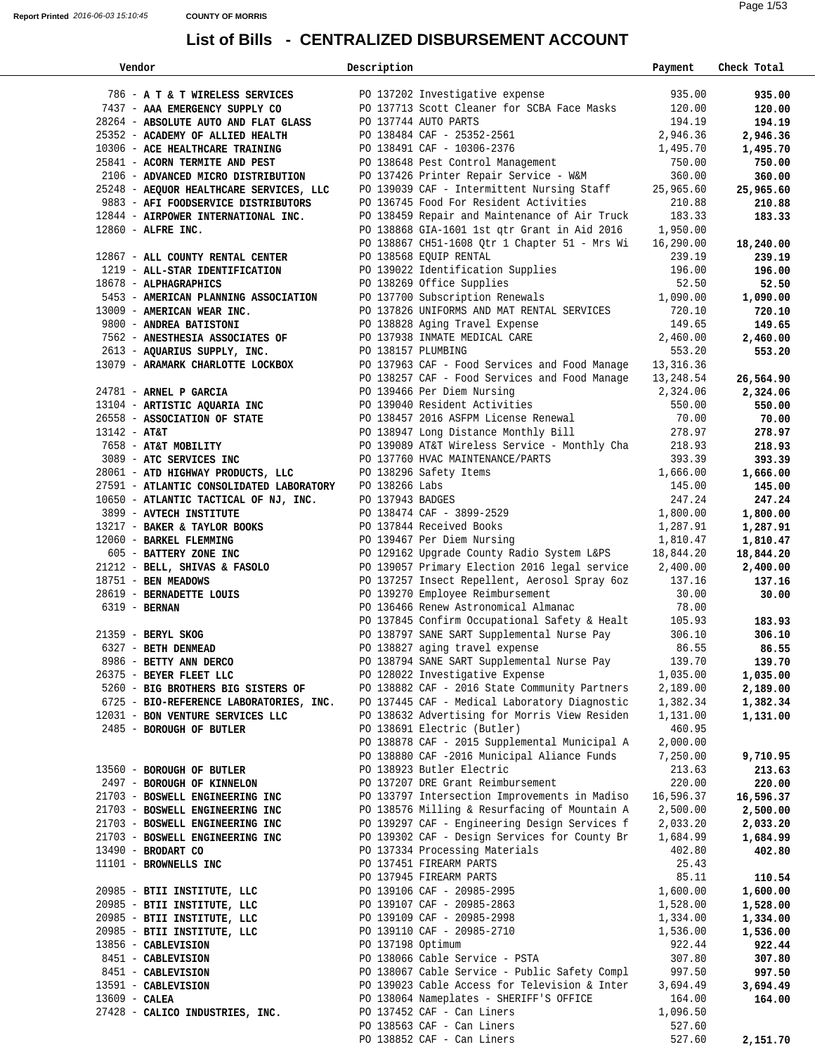| Vendor                                                                                                                                                                                     | Description       |                                                                                                                                                                               | Payment   | Check Total |  |
|--------------------------------------------------------------------------------------------------------------------------------------------------------------------------------------------|-------------------|-------------------------------------------------------------------------------------------------------------------------------------------------------------------------------|-----------|-------------|--|
|                                                                                                                                                                                            |                   |                                                                                                                                                                               |           |             |  |
| 786 - <b>A T &amp; T WIRELESS SERVICES</b> PO 137202 Investigative expense                     935.00<br>7437 - <b>AAA EMERGENCY SUPPLY CO</b> PO 137713 Scott Cleaner for SCBA Face Masks |                   |                                                                                                                                                                               | 935.00    | 935.00      |  |
| 7437 - AAA EMERGENCY SUPPLY CO                                                                                                                                                             |                   |                                                                                                                                                                               |           | 120.00      |  |
| 28264 - ABSOLUTE AUTO AND FLAT GLASS PO 137744 AUTO PARTS                                                                                                                                  |                   |                                                                                                                                                                               | 194.19    | 194.19      |  |
| 25352 - ACADEMY OF ALLIED HEALTH                                                                                                                                                           |                   |                                                                                                                                                                               | 2,946.36  | 2,946.36    |  |
| 10306 - ACE HEALTHCARE TRAINING                                                                                                                                                            |                   | PO 138484 CAF - 25352-2561<br>PO 138491 CAF - 10306-2376                                                                                                                      | 1,495.70  | 1,495.70    |  |
| 25841 - ACORN TERMITE AND PEST                                                                                                                                                             |                   | PO 138648 Pest Control Management                                                                                                                                             | 750.00    | 750.00      |  |
| 2106 - ADVANCED MICRO DISTRIBUTION                                                                                                                                                         |                   | PO 137426 Printer Repair Service - W&M 360.00<br>PO 139039 CAF - Intermittent Nursing Staff 25,965.60                                                                         |           | 360.00      |  |
| 25248 - AEQUOR HEALTHCARE SERVICES, LLC                                                                                                                                                    |                   |                                                                                                                                                                               |           | 25,965.60   |  |
| 9883 - AFI FOODSERVICE DISTRIBUTORS                                                                                                                                                        |                   | PO 136745 Food For Resident Activities                                                                                                                                        | 210.88    | 210.88      |  |
| 12844 - AIRPOWER INTERNATIONAL INC.                                                                                                                                                        |                   | PO 138459 Repair and Maintenance of Air Truck 183.33                                                                                                                          |           | 183.33      |  |
| $12860$ - ALFRE INC.                                                                                                                                                                       |                   | PO 138868 GIA-1601 1st qtr Grant in Aid 2016 1,950.00<br>PO 138867 CH51-1608 Qtr 1 Chapter 51 - Mrs Wi 16,290.00                                                              |           |             |  |
|                                                                                                                                                                                            |                   |                                                                                                                                                                               |           | 18,240.00   |  |
| 12867 - ALL COUNTY RENTAL CENTER                                                                                                                                                           |                   | PO 138568 EQUIP RENTAL                                                                                                                                                        | 239.19    | 239.19      |  |
| 1219 - ALL-STAR IDENTIFICATION                                                                                                                                                             |                   | PO 139022 Identification Supplies                                                                                                                                             | 196.00    | 196.00      |  |
| 18678 - ALPHAGRAPHICS                                                                                                                                                                      |                   | PO 138269 Office Supplies                                                                                                                                                     | 52.50     | 52.50       |  |
| 5453 - AMERICAN PLANNING ASSOCIATION                                                                                                                                                       |                   | PO 137700 Subscription Renewals 1,090.00                                                                                                                                      |           | 1,090.00    |  |
| 13009 - AMERICAN WEAR INC.                                                                                                                                                                 |                   | PO 137826 UNIFORMS AND MAT RENTAL SERVICES                                                                                                                                    | 720.10    | 720.10      |  |
| 9800 - ANDREA BATISTONI                                                                                                                                                                    |                   |                                                                                                                                                                               | 149.65    | 149.65      |  |
| 7562 - ANESTHESIA ASSOCIATES OF                                                                                                                                                            |                   |                                                                                                                                                                               | 2,460.00  | 2,460.00    |  |
| 2613 - AQUARIUS SUPPLY, INC. PO 138157 PLUMBING                                                                                                                                            |                   | PO 138828 Aging Travel Expense<br>PO 137938 INMATE MEDICAL CARE<br>PO 138157 PLUMBING                                                                                         | 553.20    | 553.20      |  |
|                                                                                                                                                                                            |                   |                                                                                                                                                                               |           |             |  |
| 13079 - ARAMARK CHARLOTTE LOCKBOX                                                                                                                                                          |                   | PO 137963 CAF - Food Services and Food Manage 13,316.36<br>PO 138257 CAF - Food Services and Food Manage 13 248 54<br>PO 138257 CAF - Food Services and Food Manage 13,248.54 |           | 26,564.90   |  |
| 24781 - ARNEL P GARCIA                                                                                                                                                                     |                   |                                                                                                                                                                               |           | 2,324.06    |  |
| 13104 - ARTISTIC AQUARIA INC                                                                                                                                                               |                   | PU 139466 Per Diem Nursing<br>PO 139040 Resident Activities<br>550.00                                                                                                         |           | 550.00      |  |
| 26558 - ASSOCIATION OF STATE                                                                                                                                                               |                   | PO 138457 2016 ASFPM License Renewal                                                                                                                                          | 70.00     | 70.00       |  |
| $13142 - AT&T$                                                                                                                                                                             |                   | PO 138947 Long Distance Monthly Bill 278.97                                                                                                                                   |           | 278.97      |  |
| 7658 - AT&T MOBILITY                                                                                                                                                                       |                   | PO 139089 AT&T Wireless Service - Monthly Cha 218.93                                                                                                                          |           | 218.93      |  |
| 3089 - ATC SERVICES INC                                                                                                                                                                    |                   | PO 137760 HVAC MAINTENANCE/PARTS                                                                                                                                              | 393.39    | 393.39      |  |
| 28061 - ATD HIGHWAY PRODUCTS, LLC                                                                                                                                                          |                   |                                                                                                                                                                               | 1,666.00  | 1,666.00    |  |
| 27591 - ATLANTIC CONSOLIDATED LABORATORY                                                                                                                                                   |                   |                                                                                                                                                                               | 145.00    | 145.00      |  |
| 10650 - ATLANTIC TACTICAL OF NJ, INC.                                                                                                                                                      |                   | PO 138296 Safety Items<br>PO 138266 Labs<br>PO 137943 BADGES<br>PO 138474 CAF - 3899-2529                                                                                     | 247.24    | 247.24      |  |
| 3899 - AVTECH INSTITUTE                                                                                                                                                                    |                   |                                                                                                                                                                               | 1,800.00  | 1,800.00    |  |
| 13217 - BAKER & TAYLOR BOOKS                                                                                                                                                               |                   |                                                                                                                                                                               | 1,287.91  | 1,287.91    |  |
| 12060 - BARKEL FLEMMING                                                                                                                                                                    |                   | PO 137844 Received Books<br>PO 139467 Per Diem Nursing                                                                                                                        | 1,810.47  | 1,810.47    |  |
| 605 - BATTERY ZONE INC                                                                                                                                                                     |                   | PO 129162 Upgrade County Radio System L&PS 18,844.20                                                                                                                          |           | 18,844.20   |  |
| 21212 - BELL, SHIVAS & FASOLO                                                                                                                                                              |                   | PO 139057 Primary Election 2016 legal service 2,400.00                                                                                                                        |           | 2,400.00    |  |
| 18751 - BEN MEADOWS                                                                                                                                                                        |                   | PO 137257 Insect Repellent, Aerosol Spray 6oz 137.16                                                                                                                          |           | 137.16      |  |
| 28619 - BERNADETTE LOUIS                                                                                                                                                                   |                   | PO 139270 Employee Reimbursement                                                                                                                                              | 30.00     | 30.00       |  |
| 6319 - BERNAN                                                                                                                                                                              |                   | PO 136466 Renew Astronomical Almanac                                                                                                                                          | 78.00     |             |  |
|                                                                                                                                                                                            |                   |                                                                                                                                                                               |           | 183.93      |  |
| 21359 - BERYL SKOG<br>6327 - BETH DENMEAD                                                                                                                                                  |                   | PO 137845 Confirm Occupational Safety & Healt 105.93<br>PO 138797 SANE SART Supplemental Nurse Pay 306.10                                                                     |           | 306.10      |  |
|                                                                                                                                                                                            |                   | PO 138827 aging travel expense                                                                                                                                                | 86.55     | 86.55       |  |
| 8986 - BETTY ANN DERCO                                                                                                                                                                     |                   | PO 138794 SANE SART Supplemental Nurse Pay                                                                                                                                    | 139.70    | 139.70      |  |
| 26375 - BEYER FLEET LLC                                                                                                                                                                    |                   | PO 128022 Investigative Expense                                                                                                                                               | 1,035.00  | 1,035.00    |  |
| 5260 - BIG BROTHERS BIG SISTERS OF                                                                                                                                                         |                   | PO 138882 CAF - 2016 State Community Partners                                                                                                                                 | 2,189.00  | 2,189.00    |  |
| 6725 - BIO-REFERENCE LABORATORIES, INC.                                                                                                                                                    |                   | PO 137445 CAF - Medical Laboratory Diagnostic                                                                                                                                 | 1,382.34  | 1,382.34    |  |
| 12031 - BON VENTURE SERVICES LLC                                                                                                                                                           |                   | PO 138632 Advertising for Morris View Residen                                                                                                                                 | 1,131.00  | 1,131.00    |  |
| 2485 - BOROUGH OF BUTLER                                                                                                                                                                   |                   | PO 138691 Electric (Butler)                                                                                                                                                   | 460.95    |             |  |
|                                                                                                                                                                                            |                   | PO 138878 CAF - 2015 Supplemental Municipal A                                                                                                                                 | 2,000.00  |             |  |
|                                                                                                                                                                                            |                   | PO 138880 CAF -2016 Municipal Aliance Funds                                                                                                                                   | 7,250.00  | 9,710.95    |  |
| 13560 - BOROUGH OF BUTLER                                                                                                                                                                  |                   | PO 138923 Butler Electric                                                                                                                                                     | 213.63    | 213.63      |  |
| 2497 - BOROUGH OF KINNELON                                                                                                                                                                 |                   | PO 137207 DRE Grant Reimbursement                                                                                                                                             | 220.00    | 220.00      |  |
| 21703 - BOSWELL ENGINEERING INC                                                                                                                                                            |                   | PO 133797 Intersection Improvements in Madiso                                                                                                                                 | 16,596.37 | 16,596.37   |  |
| 21703 - BOSWELL ENGINEERING INC                                                                                                                                                            |                   | PO 138576 Milling & Resurfacing of Mountain A                                                                                                                                 | 2,500.00  | 2,500.00    |  |
| 21703 - BOSWELL ENGINEERING INC                                                                                                                                                            |                   | PO 139297 CAF - Engineering Design Services f                                                                                                                                 | 2,033.20  | 2,033.20    |  |
| 21703 - BOSWELL ENGINEERING INC                                                                                                                                                            |                   | PO 139302 CAF - Design Services for County Br                                                                                                                                 | 1,684.99  | 1,684.99    |  |
| $13490$ - BRODART CO                                                                                                                                                                       |                   | PO 137334 Processing Materials                                                                                                                                                | 402.80    | 402.80      |  |
| 11101 - BROWNELLS INC                                                                                                                                                                      |                   | PO 137451 FIREARM PARTS                                                                                                                                                       | 25.43     |             |  |
|                                                                                                                                                                                            |                   | PO 137945 FIREARM PARTS                                                                                                                                                       | 85.11     | 110.54      |  |
| 20985 - BTII INSTITUTE, LLC                                                                                                                                                                |                   | PO 139106 CAF - 20985-2995                                                                                                                                                    | 1,600.00  | 1,600.00    |  |
| 20985 - BTII INSTITUTE, LLC                                                                                                                                                                |                   | PO 139107 CAF - 20985-2863                                                                                                                                                    | 1,528.00  | 1,528.00    |  |
| 20985 - BTII INSTITUTE, LLC                                                                                                                                                                |                   | PO 139109 CAF - 20985-2998                                                                                                                                                    | 1,334.00  | 1,334.00    |  |
| 20985 - BTII INSTITUTE, LLC                                                                                                                                                                |                   | PO 139110 CAF - 20985-2710                                                                                                                                                    | 1,536.00  | 1,536.00    |  |
| 13856 - CABLEVISION                                                                                                                                                                        | PO 137198 Optimum |                                                                                                                                                                               | 922.44    | 922.44      |  |
| 8451 - CABLEVISION                                                                                                                                                                         |                   | PO 138066 Cable Service - PSTA                                                                                                                                                | 307.80    | 307.80      |  |
| 8451 - CABLEVISION                                                                                                                                                                         |                   | PO 138067 Cable Service - Public Safety Compl                                                                                                                                 | 997.50    | 997.50      |  |
| 13591 - CABLEVISION                                                                                                                                                                        |                   | PO 139023 Cable Access for Television & Inter                                                                                                                                 | 3,694.49  | 3,694.49    |  |
| $13609 - CALEA$                                                                                                                                                                            |                   | PO 138064 Nameplates - SHERIFF'S OFFICE                                                                                                                                       | 164.00    | 164.00      |  |
| 27428 - CALICO INDUSTRIES, INC.                                                                                                                                                            |                   | PO 137452 CAF - Can Liners                                                                                                                                                    | 1,096.50  |             |  |
|                                                                                                                                                                                            |                   | PO 138563 CAF - Can Liners                                                                                                                                                    | 527.60    |             |  |
|                                                                                                                                                                                            |                   | PO 138852 CAF - Can Liners                                                                                                                                                    | 527.60    | 2,151.70    |  |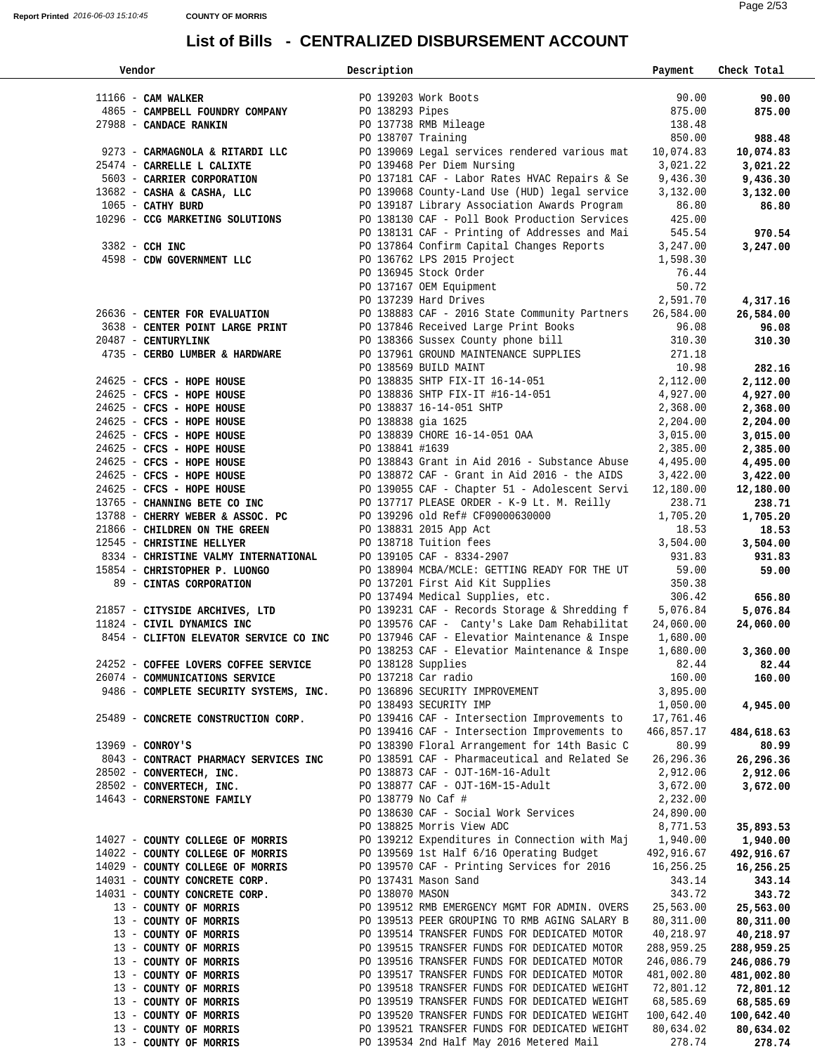| Vendor                                                 | Description        |                                                                                                                            | Payment             | Check Total         |
|--------------------------------------------------------|--------------------|----------------------------------------------------------------------------------------------------------------------------|---------------------|---------------------|
|                                                        |                    |                                                                                                                            |                     |                     |
| 11166 - CAM WALKER                                     |                    | PO 139203 Work Boots                                                                                                       | 90.00               | 90.00               |
| 4865 - CAMPBELL FOUNDRY COMPANY PO 138293 Pipes        |                    | PO 139203 Work Boots<br>PO 138293 Pipes<br>PO 137738 RMB Mileage<br>PO 138707 Training                                     | 875.00              | 875.00              |
| 27988 - CANDACE RANKIN                                 |                    |                                                                                                                            |                     |                     |
|                                                        |                    |                                                                                                                            | 138.48              |                     |
|                                                        |                    |                                                                                                                            | 850.00              | 988.48              |
| 9273 - CARMAGNOLA & RITARDI LLC                        |                    | PO 139069 Legal services rendered various mat 10,074.83                                                                    |                     | 10,074.83           |
| 25474 - CARRELLE L CALIXTE                             |                    | PO 139468 Per Diem Nursing<br>PO 137181 CAF - Labor Rates                                                                  | 3,021.22            | 3,021.22            |
| 5603 - CARRIER CORPORATION                             |                    | PO 137181 CAF - Labor Rates HVAC Repairs & Se                                                                              | 9,436.30            | 9,436.30            |
| 13682 - CASHA & CASHA, LLC                             |                    | PO 139068 County-Land Use (HUD) legal service                                                                              | 3,132.00            |                     |
|                                                        |                    |                                                                                                                            |                     | 3,132.00            |
| 1065 - CATHY BURD                                      |                    | PO 139187 Library Association Awards Program 86.80                                                                         |                     | 86.80               |
| 10296 - CCG MARKETING SOLUTIONS                        |                    | PO 138130 CAF - Poll Book Production Services                                                                              | 425.00              |                     |
|                                                        |                    | PO 138131 CAF - Printing of Addresses and Mai 545.54                                                                       |                     | 970.54              |
| $3382 - CCH$ INC                                       |                    | PO 137864 Confirm Capital Changes Reports                                                                                  | 3,247.00            | 3,247.00            |
| 4598 - CDW GOVERNMENT LLC                              |                    |                                                                                                                            | 1,598.30            |                     |
|                                                        |                    | PO 136762 LPS 2015 Project<br>PO 136945 Stock Order                                                                        | 76.44               |                     |
|                                                        |                    |                                                                                                                            |                     |                     |
|                                                        |                    | PO 136945 Stock viust<br>PO 137167 OEM Equipment                                                                           | 50.72               |                     |
|                                                        |                    |                                                                                                                            | 2,591.70            | 4,317.16            |
| 26636 - CENTER FOR EVALUATION                          |                    | PO 138883 CAF - 2016 State Community Partners 26,584.00                                                                    |                     | 26,584.00           |
| 3638 - CENTER POINT LARGE PRINT                        |                    | PO 137846 Received Large Print Books 96.08                                                                                 |                     | 96.08               |
| 20487 - CENTURYLINK                                    |                    |                                                                                                                            | 310.30              | 310.30              |
| 4735 - CERBO LUMBER & HARDWARE                         |                    |                                                                                                                            | 271.18              |                     |
|                                                        |                    | PO 138366 Sussex County phone bill<br>PO 137961 GROUND MAINTENANCE SUPPLIES<br>PO 138569 PUILD MAINT                       |                     |                     |
|                                                        |                    | PO 138569 BUILD MAINT                                                                                                      | 10.98               | 282.16              |
| $24625$ - CFCS - HOPE HOUSE                            |                    | PO 138835 SHTP FIX-IT 16-14-051 2,112.00<br>PO 138836 SHTP FIX-IT #16-14-051 4,927.00<br>PO 138837 16-14-051 SHTP 2,368.00 |                     | 2,112.00            |
| 24625 - CFCS - HOPE HOUSE                              |                    | PO 138836 SHTP FIX-IT #16-14-051<br>PO 138837 16-14-051 SHTP                                                               |                     | 4,927.00            |
| $24625$ - CFCS - HOPE HOUSE                            |                    |                                                                                                                            | 2,368.00            | 2,368.00            |
| 24625 - CFCS - HOPE HOUSE                              | PO 138838 gia 1625 |                                                                                                                            | 2,204.00            | 2,204.00            |
|                                                        |                    | PO 138839 CHORE 16-14-051 OAA                                                                                              | 3,015.00            | 3,015.00            |
| 24625 - CFCS - HOPE HOUSE<br>24625 - CFCS - HOPE HOUSE |                    |                                                                                                                            |                     |                     |
|                                                        | PO 138841 #1639    |                                                                                                                            | 2,385.00            | 2,385.00            |
| 24625 - CFCS - HOPE HOUSE                              |                    | PO 138843 Grant in Aid 2016 - Substance Abuse 4,495.00                                                                     |                     | 4,495.00            |
| 24625 - CFCS - HOPE HOUSE                              |                    | PO 138872 CAF - Grant in Aid 2016 - the AIDS 3,422.00<br>PO 139055 CAF - Chapter 51 - Adolescent Servi 12,180.00           |                     | 3,422.00            |
| 24625 - CFCS - HOPE HOUSE                              |                    |                                                                                                                            |                     | 12,180.00           |
|                                                        |                    | 13765 - CHANNING BETE CO INC PO 137717 PLEASE ORDER - K-9 Lt. M. Reilly                                                    | 238.71              | 238.71              |
|                                                        |                    |                                                                                                                            |                     | 1,705.20            |
|                                                        |                    |                                                                                                                            |                     |                     |
|                                                        |                    |                                                                                                                            |                     | 18.53               |
|                                                        |                    |                                                                                                                            | 3,504.00            | 3,504.00            |
| 8334 - CHRISTINE VALMY INTERNATIONAL                   |                    | - ALLANTICES<br>PO 139105 CAF - 8334-2907<br>PO 138904 MODA (115                                                           | 931.83              | 931.83              |
| 15854 - CHRISTOPHER P. LUONGO                          |                    | PO 138904 MCBA/MCLE: GETTING READY FOR THE UT 59.00<br>PO 137201 First Aid Kit Supplies 350.38                             |                     | 59.00               |
| 89 - CINTAS CORPORATION                                |                    |                                                                                                                            |                     |                     |
|                                                        |                    | PO 137494 Medical Supplies, etc. 306.42                                                                                    |                     | 656.80              |
|                                                        |                    |                                                                                                                            |                     | 5,076.84            |
|                                                        |                    | 21857 - CITYSIDE ARCHIVES, LTD $21857 - CITYSIDE$ ARCHIVES, LTD $21854 - CIVIL$ DYNAMICS INC $24.060.00$                   |                     |                     |
|                                                        |                    |                                                                                                                            |                     | 24,060.00           |
| 8454 - CLIFTON ELEVATOR SERVICE CO INC                 |                    | PO 137946 CAF - Elevatior Maintenance & Inspe 1,680.00                                                                     |                     |                     |
|                                                        |                    | PO 138253 CAF - Elevatior Maintenance & Inspe                                                                              | 1,680.00            | 3,360.00            |
| 24252 - COFFEE LOVERS COFFEE SERVICE                   |                    | 82.44 82.44<br>PO 138128 Supplies                                                                                          |                     |                     |
| 26074 - COMMUNICATIONS SERVICE                         |                    | PO 137218 Car radio                                                                                                        | 160.00              | 160.00              |
|                                                        |                    | 9486 - COMPLETE SECURITY SYSTEMS, INC. PO 136896 SECURITY IMPROVEMENT                                                      | 3,895.00            |                     |
|                                                        |                    | PO 138493 SECURITY IMP                                                                                                     | 1,050.00            | 4,945.00            |
| 25489 - CONCRETE CONSTRUCTION CORP.                    |                    | PO 139416 CAF - Intersection Improvements to 17,761.46                                                                     |                     |                     |
|                                                        |                    |                                                                                                                            |                     |                     |
|                                                        |                    | PO 139416 CAF - Intersection Improvements to                                                                               | 466,857.17          | 484,618.63          |
| $13969 - CONROY'S$                                     |                    | PO 138390 Floral Arrangement for 14th Basic C                                                                              | 80.99               | 80.99               |
| 8043 - CONTRACT PHARMACY SERVICES INC                  |                    | PO 138591 CAF - Pharmaceutical and Related Se                                                                              | 26,296.36           | 26,296.36           |
| 28502 - CONVERTECH, INC.                               |                    | PO 138873 CAF - OJT-16M-16-Adult                                                                                           | 2,912.06            | 2,912.06            |
| 28502 - CONVERTECH, INC.                               |                    | PO 138877 CAF - OJT-16M-15-Adult                                                                                           | 3,672.00            | 3,672.00            |
| 14643 - CORNERSTONE FAMILY                             |                    | PO 138779 No Caf #                                                                                                         | 2,232.00            |                     |
|                                                        |                    | PO 138630 CAF - Social Work Services                                                                                       | 24,890.00           |                     |
|                                                        |                    |                                                                                                                            |                     |                     |
|                                                        |                    | PO 138825 Morris View ADC                                                                                                  | 8,771.53            | 35,893.53           |
| 14027 - COUNTY COLLEGE OF MORRIS                       |                    | PO 139212 Expenditures in Connection with Maj 1,940.00                                                                     |                     | 1,940.00            |
| 14022 - COUNTY COLLEGE OF MORRIS                       |                    | PO 139569 1st Half 6/16 Operating Budget 492,916.67                                                                        |                     | 492,916.67          |
| 14029 - COUNTY COLLEGE OF MORRIS                       |                    | PO 139570 CAF - Printing Services for 2016                                                                                 | 16,256.25           | 16,256.25           |
| 14031 - COUNTY CONCRETE CORP.                          |                    | PO 137431 Mason Sand                                                                                                       | 343.14              | 343.14              |
| 14031 - COUNTY CONCRETE CORP.                          | PO 138070 MASON    |                                                                                                                            | 343.72              | 343.72              |
| 13 - COUNTY OF MORRIS                                  |                    | PO 139512 RMB EMERGENCY MGMT FOR ADMIN. OVERS                                                                              | 25,563.00           | 25,563.00           |
|                                                        |                    |                                                                                                                            |                     |                     |
| 13 - COUNTY OF MORRIS                                  |                    | PO 139513 PEER GROUPING TO RMB AGING SALARY B                                                                              | 80,311.00           | 80,311.00           |
| 13 - COUNTY OF MORRIS                                  |                    | PO 139514 TRANSFER FUNDS FOR DEDICATED MOTOR                                                                               | 40,218.97           | 40,218.97           |
| 13 - COUNTY OF MORRIS                                  |                    | PO 139515 TRANSFER FUNDS FOR DEDICATED MOTOR                                                                               | 288,959.25          | 288,959.25          |
| 13 - COUNTY OF MORRIS                                  |                    | PO 139516 TRANSFER FUNDS FOR DEDICATED MOTOR                                                                               | 246,086.79          | 246,086.79          |
|                                                        |                    |                                                                                                                            |                     |                     |
| 13 - COUNTY OF MORRIS                                  |                    | PO 139517 TRANSFER FUNDS FOR DEDICATED MOTOR                                                                               | 481,002.80          |                     |
|                                                        |                    |                                                                                                                            |                     | 481,002.80          |
| 13 - COUNTY OF MORRIS                                  |                    | PO 139518 TRANSFER FUNDS FOR DEDICATED WEIGHT                                                                              | 72,801.12           | 72,801.12           |
| 13 - COUNTY OF MORRIS                                  |                    | PO 139519 TRANSFER FUNDS FOR DEDICATED WEIGHT                                                                              | 68,585.69           | 68,585.69           |
| 13 - COUNTY OF MORRIS                                  |                    | PO 139520 TRANSFER FUNDS FOR DEDICATED WEIGHT                                                                              | 100,642.40          | 100,642.40          |
| 13 - COUNTY OF MORRIS<br>13 - COUNTY OF MORRIS         |                    | PO 139521 TRANSFER FUNDS FOR DEDICATED WEIGHT<br>PO 139534 2nd Half May 2016 Metered Mail                                  | 80,634.02<br>278.74 | 80,634.02<br>278.74 |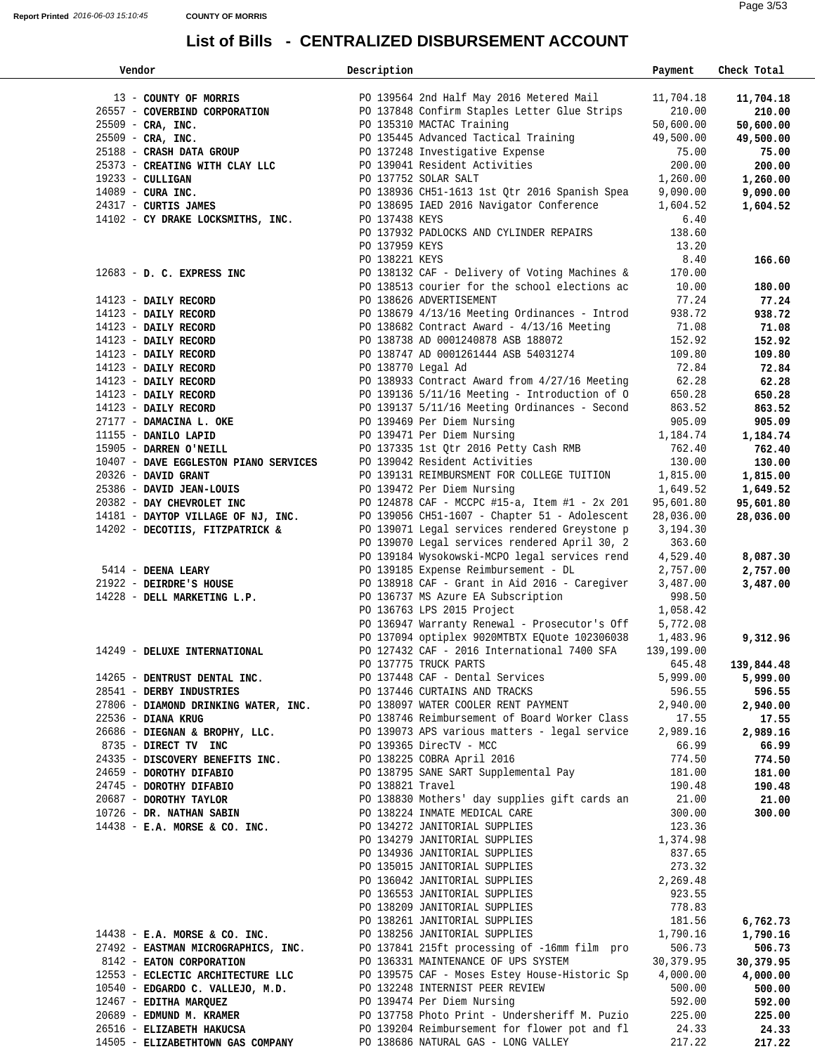| Vendor                                                                                                                                                                                                                       | Description        |                                                                | Payment    | Check Total |  |
|------------------------------------------------------------------------------------------------------------------------------------------------------------------------------------------------------------------------------|--------------------|----------------------------------------------------------------|------------|-------------|--|
|                                                                                                                                                                                                                              |                    | PO 139564 2nd Half May 2016 Metered Mail                       |            |             |  |
| 13 - COUNTY OF MORRIS                                                                                                                                                                                                        |                    |                                                                | 11,704.18  | 11,704.18   |  |
| 26557 - COVERBIND CORPORATION                                                                                                                                                                                                |                    | PO 137848 Confirm Staples Letter Glue Strips                   | 210.00     | 210.00      |  |
| $25509$ - CRA, INC.                                                                                                                                                                                                          |                    | PO 135310 MACTAC Training                                      | 50,600.00  | 50,600.00   |  |
| $25509$ - CRA, INC.                                                                                                                                                                                                          |                    | PO 135445 Advanced Tactical Training                           | 49,500.00  | 49,500.00   |  |
| 25188 - CRASH DATA GROUP                                                                                                                                                                                                     |                    | PO 137248 Investigative Expense                                | 75.00      | 75.00       |  |
| 25373 - CREATING WITH CLAY LLC                                                                                                                                                                                               |                    | PO 139041 Resident Activities                                  | 200.00     | 200.00      |  |
| $19233 - \text{CULLIGAN}$                                                                                                                                                                                                    |                    | PO 137752 SOLAR SALT                                           | 1,260.00   | 1,260.00    |  |
| $14089$ - CURA INC.                                                                                                                                                                                                          |                    | PO 138936 CH51-1613 1st Qtr 2016 Spanish Spea                  | 9,090.00   | 9,090.00    |  |
| 24317 - CURTIS JAMES                                                                                                                                                                                                         |                    | PO 138695 IAED 2016 Navigator Conference                       | 1,604.52   | 1,604.52    |  |
| 14102 - CY DRAKE LOCKSMITHS, INC.                                                                                                                                                                                            | PO 137438 KEYS     |                                                                | 6.40       |             |  |
|                                                                                                                                                                                                                              |                    | PO 137932 PADLOCKS AND CYLINDER REPAIRS                        | 138.60     |             |  |
|                                                                                                                                                                                                                              | PO 137959 KEYS     |                                                                | 13.20      |             |  |
|                                                                                                                                                                                                                              | PO 138221 KEYS     |                                                                | 8.40       | 166.60      |  |
| 12683 - D. C. EXPRESS INC                                                                                                                                                                                                    |                    | PO 138132 CAF - Delivery of Voting Machines &                  | 170.00     |             |  |
|                                                                                                                                                                                                                              |                    | PO 138513 courier for the school elections ac                  | 10.00      | 180.00      |  |
| $14123$ - DAILY RECORD                                                                                                                                                                                                       |                    | PO 138626 ADVERTISEMENT                                        | 77.24      | 77.24       |  |
| 14123 - DAILY RECORD                                                                                                                                                                                                         |                    | PO 138679 4/13/16 Meeting Ordinances - Introd                  | 938.72     | 938.72      |  |
| 14123 - DAILY RECORD                                                                                                                                                                                                         |                    | PO 138682 Contract Award - $4/13/16$ Meeting                   | 71.08      | 71.08       |  |
| 14123 - DAILY RECORD                                                                                                                                                                                                         |                    | PO 138738 AD 0001240878 ASB 188072                             | 152.92     | 152.92      |  |
| 14123 - DAILY RECORD                                                                                                                                                                                                         |                    | PO 138747 AD 0001261444 ASB 54031274                           | 109.80     | 109.80      |  |
| 14123 - DAILY RECORD                                                                                                                                                                                                         | PO 138770 Legal Ad |                                                                | 72.84      | 72.84       |  |
| 14123 - DAILY RECORD                                                                                                                                                                                                         |                    | PO 138933 Contract Award from 4/27/16 Meeting                  | 62.28      | 62.28       |  |
| 14123 - DAILY RECORD                                                                                                                                                                                                         |                    | PO 139136 5/11/16 Meeting - Introduction of O                  | 650.28     | 650.28      |  |
| 14123 - DAILY RECORD                                                                                                                                                                                                         |                    | PO 139137 5/11/16 Meeting Ordinances - Second                  | 863.52     | 863.52      |  |
| 27177 - DAMACINA L. OKE                                                                                                                                                                                                      |                    | PO 139469 Per Diem Nursing                                     | 905.09     | 905.09      |  |
| 11155 - DANILO LAPID                                                                                                                                                                                                         |                    | PO 139471 Per Diem Nursing                                     | 1,184.74   | 1,184.74    |  |
| 15905 - DARREN O'NEILL                                                                                                                                                                                                       |                    | PO 137335 1st Qtr 2016 Petty Cash RMB                          | 762.40     | 762.40      |  |
| 10407 - DAVE EGGLESTON PIANO SERVICES                                                                                                                                                                                        |                    | PO 139042 Resident Activities                                  | 130.00     | 130.00      |  |
| $20326$ - DAVID GRANT                                                                                                                                                                                                        |                    | PO 139131 REIMBURSMENT FOR COLLEGE TUITION                     | 1,815.00   | 1,815.00    |  |
| 25386 - DAVID JEAN-LOUIS                                                                                                                                                                                                     |                    | PO 139472 Per Diem Nursing                                     | 1,649.52   | 1,649.52    |  |
| 20382 - DAY CHEVROLET INC                                                                                                                                                                                                    |                    | PO 124878 CAF - MCCPC #15-a, Item #1 - 2x 201                  | 95,601.80  | 95,601.80   |  |
| 14181 - DAYTOP VILLAGE OF NJ, INC.                                                                                                                                                                                           |                    | PO 139056 CH51-1607 - Chapter 51 - Adolescent                  | 28,036.00  | 28,036.00   |  |
| 14202 - DECOTIIS, FITZPATRICK &                                                                                                                                                                                              |                    | PO 139071 Legal services rendered Greystone p                  | 3,194.30   |             |  |
|                                                                                                                                                                                                                              |                    | PO 139070 Legal services rendered April 30, 2                  | 363.60     |             |  |
|                                                                                                                                                                                                                              |                    | PO 139184 Wysokowski-MCPO legal services rend                  | 4,529.40   | 8,087.30    |  |
| 5414 - DEENA LEARY                                                                                                                                                                                                           |                    | PO 139185 Expense Reimbursement - DL                           | 2,757.00   | 2,757.00    |  |
| 21922 - DEIRDRE'S HOUSE                                                                                                                                                                                                      |                    | PO 138918 CAF - Grant in Aid 2016 - Caregiver                  | 3,487.00   | 3,487.00    |  |
| 14228 - DELL MARKETING L.P.                                                                                                                                                                                                  |                    | PO 136737 MS Azure EA Subscription                             | 998.50     |             |  |
|                                                                                                                                                                                                                              |                    | PO 136763 LPS 2015 Project                                     | 1,058.42   |             |  |
|                                                                                                                                                                                                                              |                    | PO 136947 Warranty Renewal - Prosecutor's Off                  | 5,772.08   |             |  |
|                                                                                                                                                                                                                              |                    | PO 137094 optiplex 9020MTBTX EQuote 102306038                  | 1,483.96   | 9,312.96    |  |
| 14249 - DELUXE INTERNATIONAL                                                                                                                                                                                                 |                    | PO 127432 CAF - 2016 International 7400 SFA                    | 139,199.00 |             |  |
|                                                                                                                                                                                                                              |                    |                                                                | 645.48     | 139,844.48  |  |
| PO 137775 TRUCK PARTS<br>14265 - <b>DENTRUST DENTAL INC.</b><br>2001 - PO 137448 CAF - Dental Services                                                                                                                       |                    |                                                                | 5,999.00   | 5,999.00    |  |
|                                                                                                                                                                                                                              |                    |                                                                |            | 596.55      |  |
| 28541 - DERBY INDUSTRIES<br>27806 - DIAMOND DRINKING WATER, INC. PO 138097 WATER COOLER RENT PAYMENT 2,940.00<br>22536 - DIANA KRUG PO 138746 Reimbursement of Board Worker Class 17.55                                      |                    |                                                                |            | 2,940.00    |  |
|                                                                                                                                                                                                                              |                    |                                                                |            | 17.55       |  |
|                                                                                                                                                                                                                              |                    |                                                                |            | 2,989.16    |  |
| 26686 - DIEGNAN & BROPHY, LLC.<br>8735 - DIRECT TV INC CONSECT OF A DO 139365 DirecTV - MCC 66.99                                                                                                                            |                    |                                                                |            | 66.99       |  |
| 24335 - DISCOVERY BENEFITS INC. PO 138225 COBRA April 2016                                                                                                                                                                   |                    |                                                                | 774.50     | 774.50      |  |
| 24659 - DOROTHY DIFABIO                                                                                                                                                                                                      |                    |                                                                | 181.00     | 181.00      |  |
|                                                                                                                                                                                                                              |                    | PO 138795 SANE SART Supplemental Pay<br>PO 138821 Travel       | 190.48     | 190.48      |  |
| 24745 - <b>DOROTHY DIFABIO</b><br>20687 - <b>DOROTHY TAYLOR</b><br>20687 - <b>DOROTHY TAYLOR</b><br>20726 - DR. NATHAN SABIN<br>20138224 INMATE MEDICAL CARE<br>20138224 INMATE MEDICAL CARE<br>20138224 INMATE MEDICAL CARE |                    |                                                                | 21.00      | 21.00       |  |
|                                                                                                                                                                                                                              |                    |                                                                | 300.00     | 300.00      |  |
| $14438$ - E.A. MORSE & CO. INC.                                                                                                                                                                                              |                    | PO 134272 JANITORIAL SUPPLIES                                  | 123.36     |             |  |
|                                                                                                                                                                                                                              |                    | PO 134279 JANITORIAL SUPPLIES                                  | 1,374.98   |             |  |
|                                                                                                                                                                                                                              |                    | PO 134936 JANITORIAL SUPPLIES                                  | 837.65     |             |  |
|                                                                                                                                                                                                                              |                    |                                                                | 273.32     |             |  |
|                                                                                                                                                                                                                              |                    | PO 136042 JANITORIAL SUPPLIES<br>PO 136042 JANITORIAL SUPPLIES | 2,269.48   |             |  |
|                                                                                                                                                                                                                              |                    | PO 136553 JANITORIAL SUPPLIES                                  | 923.55     |             |  |
|                                                                                                                                                                                                                              |                    | PO 138209 JANITORIAL SUPPLIES                                  | 778.83     |             |  |
|                                                                                                                                                                                                                              |                    | PO 138261 JANITORIAL SUPPLIES                                  | 181.56     | 6,762.73    |  |
| 14438 - E.A. MORSE & CO. INC. PO 138256 JANITORIAL SUPPLIES 1,790.16                                                                                                                                                         |                    |                                                                |            | 1,790.16    |  |
| 27492 - EASTMAN MICROGRAPHICS, INC. PO 137841 215ft processing of -16mm film pro 506.73                                                                                                                                      |                    |                                                                |            | 506.73      |  |
| 8142 - EATON CORPORATION                                                                                                                                                                                                     |                    | PO 136331 MAINTENANCE OF UPS SYSTEM 30,379.95                  |            | 30,379.95   |  |
| 12553 - ECLECTIC ARCHITECTURE LLC                                                                                                                                                                                            |                    | PO 139575 CAF - Moses Estey House-Historic Sp 4,000.00         |            | 4,000.00    |  |
| 12333 - BULBUIL ANUNISIUS 2002<br>10540 - EDGARDO C. VALLEJO, M.D. PO 132248 INTERNIST PEER REVIEW                                                                                                                           |                    |                                                                | 500.00     | 500.00      |  |
| 12467 - EDITHA MARQUEZ                                                                                                                                                                                                       |                    | PO 139474 Per Diem Nursing                                     | 592.00     | 592.00      |  |
| 20689 - EDMUND M. KRAMER                                                                                                                                                                                                     |                    | PO 137758 Photo Print - Undersheriff M. Puzio 225.00           |            | 225.00      |  |
| 26516 - ELIZABETH HAKUCSA PO 139204 Reimbursement for flower pot and fl 24.33                                                                                                                                                |                    |                                                                |            | 24.33       |  |
| 14505 - ELIZABETHTOWN GAS COMPANY                                                                                                                                                                                            |                    | PO 138686 NATURAL GAS - LONG VALLEY                            | 217.22     | 217.22      |  |
|                                                                                                                                                                                                                              |                    |                                                                |            |             |  |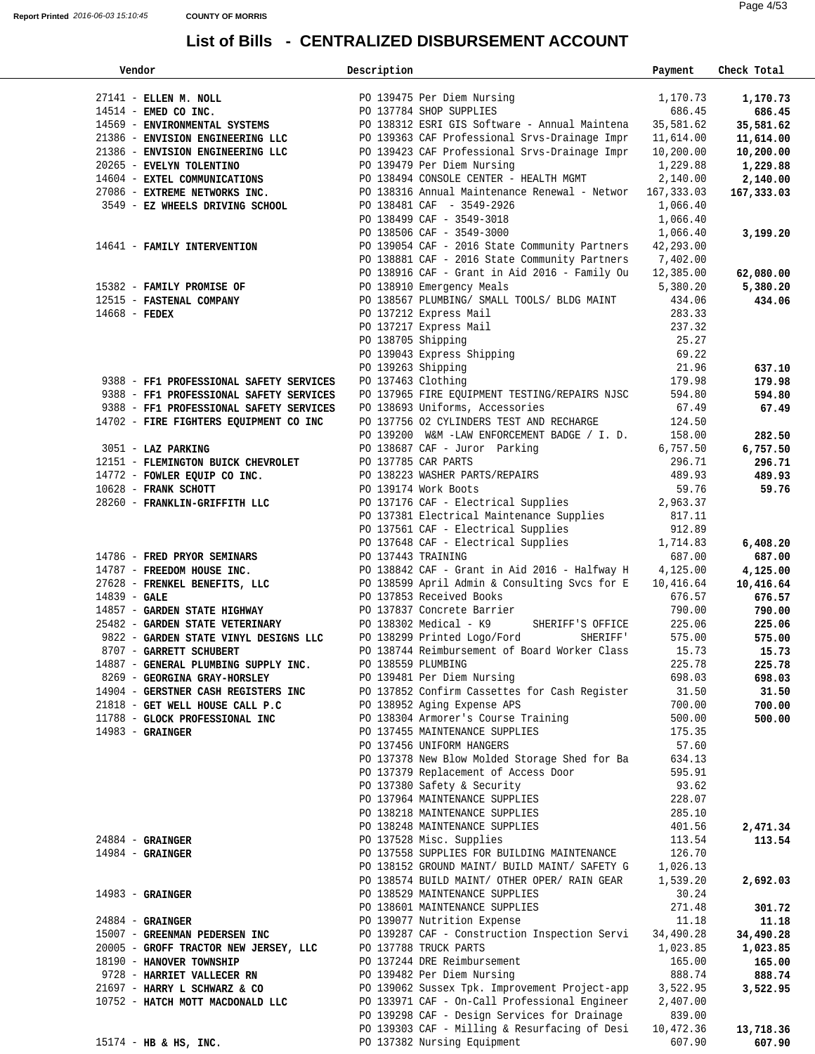| Vendor                                                                                                                                                                                                                      | Description        |                                                                                            | Payment   | Check Total |
|-----------------------------------------------------------------------------------------------------------------------------------------------------------------------------------------------------------------------------|--------------------|--------------------------------------------------------------------------------------------|-----------|-------------|
|                                                                                                                                                                                                                             |                    |                                                                                            |           |             |
| 27141 - ELLEN M. NOLL PO 139475 Per Diem Nursi<br>14514 - EMED CO INC. PO 137784 SHOP SUPPLIES                                                                                                                              |                    | PO 139475 Per Diem Nursing                                                                 | 1,170.73  | 1,170.73    |
|                                                                                                                                                                                                                             |                    |                                                                                            | 686.45    | 686.45      |
|                                                                                                                                                                                                                             |                    |                                                                                            |           | 35,581.62   |
| 14569 - ENVIRONMENTAL SYSTEMS<br>21386 - ENVISION ENGINEERING LLC<br>21386 - ENVISION ENGINEERING LLC<br>21386 - ENVISION ENGINEERING LLC<br>21386 - ENVISION ENGINEERING LLC<br>21386 - ENVISION ENGINEERING LLC<br>200.00 |                    |                                                                                            |           | 11,614.00   |
|                                                                                                                                                                                                                             |                    |                                                                                            |           | 10,200.00   |
| 20265 - EVELYN TOLENTINO                                                                                                                                                                                                    |                    | PO 139479 Per Diem Nursing                                                                 | 1,229.88  | 1,229.88    |
| 14604 - EXTEL COMMUNICATIONS                                                                                                                                                                                                |                    | PO 138494 CONSOLE CENTER - HEALTH MGMT                                                     | 2,140.00  | 2,140.00    |
| 27086 - EXTREME NETWORKS INC.                                                                                                                                                                                               |                    | PO 138316 Annual Maintenance Renewal - Networ 167,333.03                                   |           | 167,333.03  |
| 3549 - EZ WHEELS DRIVING SCHOOL                                                                                                                                                                                             |                    | PO 138481 CAF - 3549-2926                                                                  | 1,066.40  |             |
|                                                                                                                                                                                                                             |                    |                                                                                            |           |             |
|                                                                                                                                                                                                                             |                    | PO 138499 CAF - 3549-3018<br>PO 138506 CAF - 3549-3000                                     | 1,066.40  |             |
|                                                                                                                                                                                                                             |                    |                                                                                            | 1,066.40  | 3,199.20    |
| 14641 - FAMILY INTERVENTION                                                                                                                                                                                                 |                    | PO 139054 CAF - 2016 State Community Partners                                              | 42,293.00 |             |
|                                                                                                                                                                                                                             |                    | PO 138881 CAF - 2016 State Community Partners 7,402.00                                     |           |             |
|                                                                                                                                                                                                                             |                    | PO 138916 CAF - Grant in Aid 2016 - Family Ou 12,385.00                                    |           | 62,080.00   |
| 15382 - FAMILY PROMISE OF                                                                                                                                                                                                   |                    | PO 138910 Emergency Meals                                                                  | 5,380.20  | 5,380.20    |
| 12515 - FASTENAL COMPANY                                                                                                                                                                                                    |                    | PO 138567 PLUMBING/ SMALL TOOLS/ BLDG MAINT 434.06                                         |           | 434.06      |
| $14668$ - FEDEX                                                                                                                                                                                                             |                    | PO 137212 Express Mail                                                                     | 283.33    |             |
|                                                                                                                                                                                                                             |                    | PO 137217 Express Mail                                                                     | 237.32    |             |
|                                                                                                                                                                                                                             |                    |                                                                                            | 25.27     |             |
|                                                                                                                                                                                                                             |                    | PO 138705 Shipping<br>PO 138705 Shipping<br>PO 139043 Express Shipping                     | 69.22     |             |
|                                                                                                                                                                                                                             |                    | PO 139263 Shipping                                                                         | 21.96     | 637.10      |
| 9388 - FF1 PROFESSIONAL SAFETY SERVICES                                                                                                                                                                                     |                    | PO 137463 Clothing                                                                         | 179.98    | 179.98      |
| 9388 - FF1 PROFESSIONAL SAFETY SERVICES                                                                                                                                                                                     |                    | PO 137965 FIRE EQUIPMENT TESTING/REPAIRS NJSC                                              | 594.80    | 594.80      |
|                                                                                                                                                                                                                             |                    | PO 138693 Uniforms, Accessories                                                            | 67.49     |             |
| 9388 - FF1 PROFESSIONAL SAFETY SERVICES                                                                                                                                                                                     |                    |                                                                                            |           | 67.49       |
| 14702 - FIRE FIGHTERS EQUIPMENT CO INC                                                                                                                                                                                      |                    | PO 137756 O2 CYLINDERS TEST AND RECHARGE                                                   | 124.50    |             |
|                                                                                                                                                                                                                             |                    | PO 139200 W&M -LAW ENFORCEMENT BADGE / I.D. 158.00                                         |           | 282.50      |
| 3051 - LAZ PARKING                                                                                                                                                                                                          |                    | PO 138687 CAF - Juror Parking                                                              | 6,757.50  | 6,757.50    |
| 12151 - FLEMINGTON BUICK CHEVROLET                                                                                                                                                                                          |                    | PO 137785 CAR PARTS                                                                        | 296.71    | 296.71      |
| 14772 - FOWLER EQUIP CO INC.                                                                                                                                                                                                |                    | PO 138223 WASHER PARTS/REPAIRS                                                             | 489.93    | 489.93      |
| 10628 - FRANK SCHOTT                                                                                                                                                                                                        |                    | PO 139174 Work Boots                                                                       | 59.76     | 59.76       |
| 28260 - FRANKLIN-GRIFFITH LLC                                                                                                                                                                                               |                    | PO 137176 CAF - Electrical Supplies 2,963.37                                               |           |             |
|                                                                                                                                                                                                                             |                    | PO 137381 Electrical Maintenance Supplies 817.11                                           |           |             |
|                                                                                                                                                                                                                             |                    | PO 137561 CAF - Electrical Supplies 912.89<br>PO 137648 CAF - Electrical Supplies 1,714.83 |           |             |
|                                                                                                                                                                                                                             |                    |                                                                                            |           | 6,408.20    |
| 14786 - FRED PRYOR SEMINARS                                                                                                                                                                                                 | PO 137443 TRAINING |                                                                                            | 687.00    | 687.00      |
| 14787 - FREEDOM HOUSE INC.                                                                                                                                                                                                  |                    | PO 138842 CAF - Grant in Aid 2016 - Halfway H 4, 125.00                                    |           | 4,125.00    |
| $27628$ - FRENKEL BENEFITS, LLC<br>14939 CHIL                                                                                                                                                                               |                    | PO 138599 April Admin & Consulting Svcs for E 10,416.64                                    |           | 10,416.64   |
| $14839 - GALE$                                                                                                                                                                                                              |                    | PO 137853 Received Books                                                                   | 676.57    | 676.57      |
|                                                                                                                                                                                                                             |                    | PO 137837 Concrete Barrier                                                                 | 790.00    | 790.00      |
| 14857 - GARDEN STATE HIGHWAY<br>25482 - GARDEN STATE VETERINARY                                                                                                                                                             |                    | SHERIFF'S OFFICE<br>PO 138302 Medical - K9                                                 | 225.06    | 225.06      |
| 9822 - GARDEN STATE VINYL DESIGNS LLC                                                                                                                                                                                       |                    | PO 138299 Printed Logo/Ford<br>SHERIFF'                                                    | 575.00    | 575.00      |
|                                                                                                                                                                                                                             |                    | PO 138744 Reimbursement of Board Worker Class                                              |           |             |
| 8707 - GARRETT SCHUBERT                                                                                                                                                                                                     |                    |                                                                                            | 15.73     | 15.73       |
| 14887 - GENERAL PLUMBING SUPPLY INC. PO 138559 PLUMBING                                                                                                                                                                     |                    |                                                                                            | 225.78    | 225.78      |
| 8269 - GEORGINA GRAY-HORSLEY                                                                                                                                                                                                |                    | PO 139481 Per Diem Nursing                                                                 | 698.03    | 698.03      |
| 14904 - GERSTNER CASH REGISTERS INC                                                                                                                                                                                         |                    | PO 137852 Confirm Cassettes for Cash Register                                              | 31.50     | 31.50       |
| 21818 - GET WELL HOUSE CALL P.C                                                                                                                                                                                             |                    | PO 138952 Aging Expense APS                                                                | 700.00    | 700.00      |
| 11788 - GLOCK PROFESSIONAL INC                                                                                                                                                                                              |                    | PO 138304 Armorer's Course Training                                                        | 500.00    | 500.00      |
| $14983 -$ GRAINGER                                                                                                                                                                                                          |                    | PO 137455 MAINTENANCE SUPPLIES                                                             | 175.35    |             |
|                                                                                                                                                                                                                             |                    | PO 137456 UNIFORM HANGERS                                                                  | 57.60     |             |
|                                                                                                                                                                                                                             |                    | PO 137378 New Blow Molded Storage Shed for Ba                                              | 634.13    |             |
|                                                                                                                                                                                                                             |                    | PO 137379 Replacement of Access Door                                                       | 595.91    |             |
|                                                                                                                                                                                                                             |                    | PO 137380 Safety & Security                                                                | 93.62     |             |
|                                                                                                                                                                                                                             |                    | PO 137964 MAINTENANCE SUPPLIES                                                             | 228.07    |             |
|                                                                                                                                                                                                                             |                    | PO 138218 MAINTENANCE SUPPLIES                                                             | 285.10    |             |
|                                                                                                                                                                                                                             |                    | PO 138248 MAINTENANCE SUPPLIES                                                             | 401.56    | 2,471.34    |
| $24884 -$ GRAINGER                                                                                                                                                                                                          |                    | PO 137528 Misc. Supplies                                                                   | 113.54    | 113.54      |
| $14984 -$ GRAINGER                                                                                                                                                                                                          |                    | PO 137558 SUPPLIES FOR BUILDING MAINTENANCE                                                | 126.70    |             |
|                                                                                                                                                                                                                             |                    | PO 138152 GROUND MAINT/ BUILD MAINT/ SAFETY G                                              | 1,026.13  |             |
|                                                                                                                                                                                                                             |                    | PO 138574 BUILD MAINT/ OTHER OPER/ RAIN GEAR                                               | 1,539.20  | 2,692.03    |
| $14983 -$ GRAINGER                                                                                                                                                                                                          |                    | PO 138529 MAINTENANCE SUPPLIES                                                             | 30.24     |             |
|                                                                                                                                                                                                                             |                    | PO 138601 MAINTENANCE SUPPLIES                                                             | 271.48    |             |
|                                                                                                                                                                                                                             |                    | PO 139077 Nutrition Expense                                                                | 11.18     | 301.72      |
| $24884 -$ GRAINGER                                                                                                                                                                                                          |                    |                                                                                            |           | 11.18       |
| 15007 - GREENMAN PEDERSEN INC                                                                                                                                                                                               |                    | PO 139287 CAF - Construction Inspection Servi                                              | 34,490.28 | 34,490.28   |
| 20005 - GROFF TRACTOR NEW JERSEY, LLC                                                                                                                                                                                       |                    | PO 137788 TRUCK PARTS                                                                      | 1,023.85  | 1,023.85    |
| 18190 - HANOVER TOWNSHIP                                                                                                                                                                                                    |                    | PO 137244 DRE Reimbursement                                                                | 165.00    | 165.00      |
| 9728 - HARRIET VALLECER RN                                                                                                                                                                                                  |                    | PO 139482 Per Diem Nursing                                                                 | 888.74    | 888.74      |
| 21697 - HARRY L SCHWARZ & CO                                                                                                                                                                                                |                    | PO 139062 Sussex Tpk. Improvement Project-app                                              | 3,522.95  | 3,522.95    |
| 10752 - HATCH MOTT MACDONALD LLC                                                                                                                                                                                            |                    | PO 133971 CAF - On-Call Professional Engineer                                              | 2,407.00  |             |
|                                                                                                                                                                                                                             |                    | PO 139298 CAF - Design Services for Drainage                                               | 839.00    |             |
|                                                                                                                                                                                                                             |                    | PO 139303 CAF - Milling & Resurfacing of Desi                                              | 10,472.36 | 13,718.36   |
| $15174$ - HB & HS, INC.                                                                                                                                                                                                     |                    | PO 137382 Nursing Equipment                                                                | 607.90    | 607.90      |
|                                                                                                                                                                                                                             |                    |                                                                                            |           |             |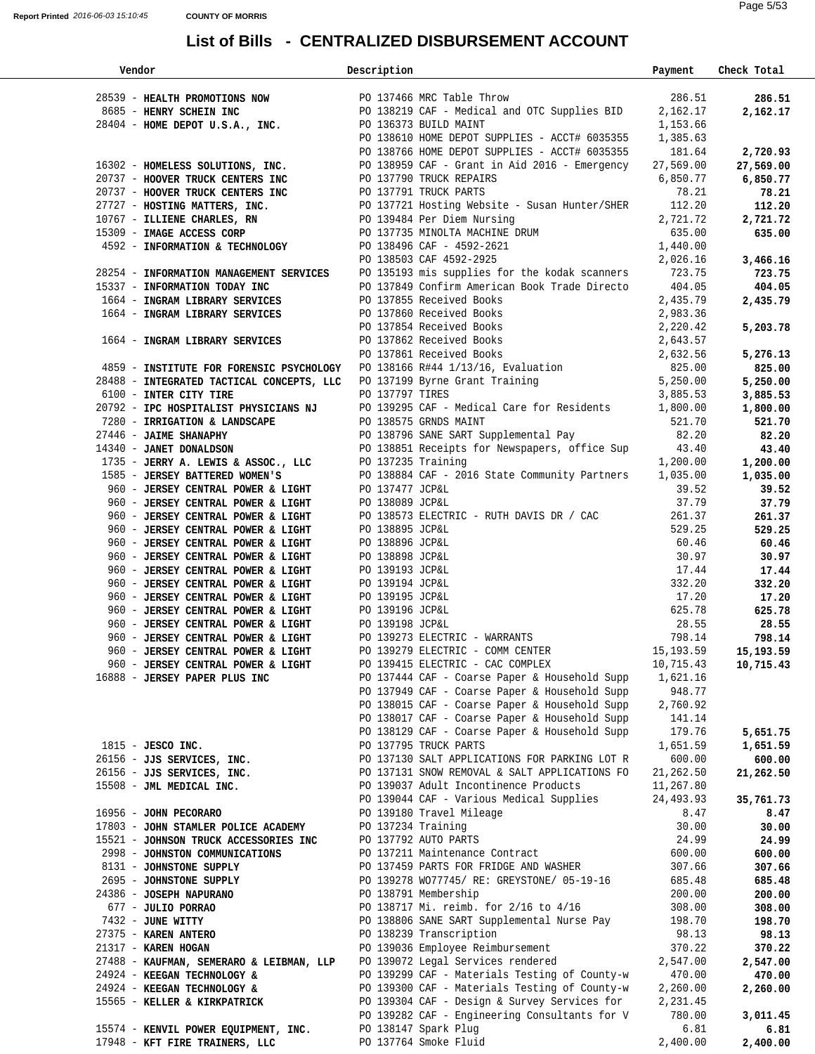| Vendor                                                                                                                                                                                                                                                                                                                                                                                                                                                                                                                                | Description     |                                                                                                                                                      | Payment            | Check Total           |
|---------------------------------------------------------------------------------------------------------------------------------------------------------------------------------------------------------------------------------------------------------------------------------------------------------------------------------------------------------------------------------------------------------------------------------------------------------------------------------------------------------------------------------------|-----------------|------------------------------------------------------------------------------------------------------------------------------------------------------|--------------------|-----------------------|
|                                                                                                                                                                                                                                                                                                                                                                                                                                                                                                                                       |                 |                                                                                                                                                      |                    |                       |
|                                                                                                                                                                                                                                                                                                                                                                                                                                                                                                                                       |                 |                                                                                                                                                      |                    |                       |
|                                                                                                                                                                                                                                                                                                                                                                                                                                                                                                                                       |                 |                                                                                                                                                      |                    |                       |
|                                                                                                                                                                                                                                                                                                                                                                                                                                                                                                                                       |                 |                                                                                                                                                      |                    |                       |
|                                                                                                                                                                                                                                                                                                                                                                                                                                                                                                                                       |                 |                                                                                                                                                      |                    |                       |
|                                                                                                                                                                                                                                                                                                                                                                                                                                                                                                                                       |                 |                                                                                                                                                      |                    |                       |
|                                                                                                                                                                                                                                                                                                                                                                                                                                                                                                                                       |                 |                                                                                                                                                      |                    |                       |
|                                                                                                                                                                                                                                                                                                                                                                                                                                                                                                                                       |                 |                                                                                                                                                      |                    |                       |
|                                                                                                                                                                                                                                                                                                                                                                                                                                                                                                                                       |                 |                                                                                                                                                      |                    |                       |
|                                                                                                                                                                                                                                                                                                                                                                                                                                                                                                                                       |                 |                                                                                                                                                      |                    |                       |
|                                                                                                                                                                                                                                                                                                                                                                                                                                                                                                                                       |                 |                                                                                                                                                      |                    |                       |
|                                                                                                                                                                                                                                                                                                                                                                                                                                                                                                                                       |                 |                                                                                                                                                      |                    |                       |
| 4592 - INFORMATION & TECHNOLOGY<br>4592 - INFORMATION & TECHNOLOGY<br>28254 - INFORMATION MANAGEMENT SERVICES<br>28254 - INFORMATION MANAGEMENT SERVICES<br>28254 - INFORMATION MANAGEMENT SERVICES<br>29254 - INFORMATION MANAGEMENT SE                                                                                                                                                                                                                                                                                              |                 |                                                                                                                                                      |                    |                       |
|                                                                                                                                                                                                                                                                                                                                                                                                                                                                                                                                       |                 |                                                                                                                                                      |                    |                       |
|                                                                                                                                                                                                                                                                                                                                                                                                                                                                                                                                       |                 |                                                                                                                                                      |                    |                       |
|                                                                                                                                                                                                                                                                                                                                                                                                                                                                                                                                       |                 |                                                                                                                                                      |                    |                       |
|                                                                                                                                                                                                                                                                                                                                                                                                                                                                                                                                       |                 |                                                                                                                                                      |                    |                       |
|                                                                                                                                                                                                                                                                                                                                                                                                                                                                                                                                       |                 |                                                                                                                                                      |                    |                       |
|                                                                                                                                                                                                                                                                                                                                                                                                                                                                                                                                       |                 |                                                                                                                                                      |                    |                       |
|                                                                                                                                                                                                                                                                                                                                                                                                                                                                                                                                       |                 |                                                                                                                                                      |                    |                       |
|                                                                                                                                                                                                                                                                                                                                                                                                                                                                                                                                       |                 |                                                                                                                                                      |                    |                       |
|                                                                                                                                                                                                                                                                                                                                                                                                                                                                                                                                       |                 |                                                                                                                                                      |                    |                       |
|                                                                                                                                                                                                                                                                                                                                                                                                                                                                                                                                       |                 |                                                                                                                                                      |                    |                       |
|                                                                                                                                                                                                                                                                                                                                                                                                                                                                                                                                       |                 |                                                                                                                                                      |                    |                       |
| 28294 - INFORMATION MANAGEMENT SERVICES<br>15337 - INFORMATION TODAY INC<br>1664 - INGRAN LIBRARY SERVICES<br>1664 - INGRAN LIBRARY SERVICES<br>1664 - INGRAN LIBRARY SERVICES<br>1664 - INGRAN LIBRARY SERVICES<br>2,435.79<br>1664 - INGRA<br>9100 - <b>INTER CITY TIRE</b><br>20792 - <b>IPC HOSPITALIST PHYSICIANS NJ</b><br>2792 - <b>IPC HOSPITALIST PHYSICIANS NJ</b><br>279446 - <b>JAIME SHANAPHY</b><br>27446 - <b>JAIME SHANAPHY</b><br>27446 - <b>JAIME SHANAPHY</b><br>27446 - <b>JAIME SHANAPHY</b><br>27446 - <b>J</b> |                 |                                                                                                                                                      |                    |                       |
|                                                                                                                                                                                                                                                                                                                                                                                                                                                                                                                                       |                 |                                                                                                                                                      |                    | 1,800.00              |
|                                                                                                                                                                                                                                                                                                                                                                                                                                                                                                                                       |                 |                                                                                                                                                      |                    | 521.70                |
|                                                                                                                                                                                                                                                                                                                                                                                                                                                                                                                                       |                 |                                                                                                                                                      |                    | 82.20                 |
|                                                                                                                                                                                                                                                                                                                                                                                                                                                                                                                                       |                 |                                                                                                                                                      |                    | 43.40                 |
|                                                                                                                                                                                                                                                                                                                                                                                                                                                                                                                                       |                 |                                                                                                                                                      |                    | 1,200.00              |
|                                                                                                                                                                                                                                                                                                                                                                                                                                                                                                                                       |                 |                                                                                                                                                      |                    | 1,035.00              |
|                                                                                                                                                                                                                                                                                                                                                                                                                                                                                                                                       |                 |                                                                                                                                                      |                    | 39.52                 |
| 960 - JERSEY CENTRAL POWER & LIGHT                                                                                                                                                                                                                                                                                                                                                                                                                                                                                                    | PO 138089 JCP&L |                                                                                                                                                      | 37.79              | 37.79                 |
|                                                                                                                                                                                                                                                                                                                                                                                                                                                                                                                                       |                 | PO 138573 ELECTRIC - RUTH DAVIS DR / CAC $261.37$                                                                                                    |                    | 261.37                |
| 960 - JERSEY CENTRAL POWER & LIGHT<br>960 - JERSEY CENTRAL POWER & LIGHT<br>960 - JERSEY CENTRAL POWER & LIGHT                                                                                                                                                                                                                                                                                                                                                                                                                        | PO 138895 JCP&L |                                                                                                                                                      | 529.25             | 529.25                |
|                                                                                                                                                                                                                                                                                                                                                                                                                                                                                                                                       |                 |                                                                                                                                                      | 60.46              | 60.46                 |
| 960 - JERSEY CENTRAL POWER & LIGHT                                                                                                                                                                                                                                                                                                                                                                                                                                                                                                    |                 |                                                                                                                                                      | 30.97              | 30.97                 |
| 960 - JERSEY CENTRAL POWER & LIGHT                                                                                                                                                                                                                                                                                                                                                                                                                                                                                                    |                 | PO 138895 JCP&L<br>PO 138896 JCP&L<br>PO 138898 JCP&L<br>PO 139193 JCP&L<br>PO 139195 JCP&L<br>PO 139196 JCP&L<br>PO 139196 JCP&L<br>PO 139198 JCP&L | 17.44              | 17.44                 |
| 960 - JERSEY CENTRAL POWER & LIGHT                                                                                                                                                                                                                                                                                                                                                                                                                                                                                                    |                 |                                                                                                                                                      | 332.20             | 332.20                |
| 960 - JERSEY CENTRAL POWER & LIGHT                                                                                                                                                                                                                                                                                                                                                                                                                                                                                                    |                 |                                                                                                                                                      | 17.20              |                       |
|                                                                                                                                                                                                                                                                                                                                                                                                                                                                                                                                       |                 |                                                                                                                                                      |                    | 17.20                 |
|                                                                                                                                                                                                                                                                                                                                                                                                                                                                                                                                       |                 |                                                                                                                                                      | 625.78             | 625.78                |
|                                                                                                                                                                                                                                                                                                                                                                                                                                                                                                                                       |                 | PO 139273 ELECTRIC - WARRANTS 798.14                                                                                                                 | 28.55              | 28.55                 |
|                                                                                                                                                                                                                                                                                                                                                                                                                                                                                                                                       |                 |                                                                                                                                                      |                    | 798.14                |
| 960 - JERSEY CENTRAL POWER & LIGHT                                                                                                                                                                                                                                                                                                                                                                                                                                                                                                    |                 | PO 139279 ELECTRIC - COMM CENTER 15,193.59                                                                                                           |                    | 15,193.59             |
| 960 - JERSEY CENTRAL POWER & LIGHT PO 139415 ELECTRIC - CAC COMPLEX                                                                                                                                                                                                                                                                                                                                                                                                                                                                   |                 |                                                                                                                                                      |                    | 10,715.43   10,715.43 |
| 16888 - JERSEY PAPER PLUS INC                                                                                                                                                                                                                                                                                                                                                                                                                                                                                                         |                 | PO 137444 CAF - Coarse Paper & Household Supp                                                                                                        | 1,621.16           |                       |
|                                                                                                                                                                                                                                                                                                                                                                                                                                                                                                                                       |                 | PO 137949 CAF - Coarse Paper & Household Supp                                                                                                        | 948.77             |                       |
|                                                                                                                                                                                                                                                                                                                                                                                                                                                                                                                                       |                 | PO 138015 CAF - Coarse Paper & Household Supp                                                                                                        | 2,760.92           |                       |
|                                                                                                                                                                                                                                                                                                                                                                                                                                                                                                                                       |                 | PO 138017 CAF - Coarse Paper & Household Supp                                                                                                        | 141.14             |                       |
|                                                                                                                                                                                                                                                                                                                                                                                                                                                                                                                                       |                 | PO 138129 CAF - Coarse Paper & Household Supp                                                                                                        | 179.76             | 5,651.75              |
| $1815$ - JESCO INC.                                                                                                                                                                                                                                                                                                                                                                                                                                                                                                                   |                 | PO 137795 TRUCK PARTS                                                                                                                                | 1,651.59           | 1,651.59              |
| 26156 - JJS SERVICES, INC.                                                                                                                                                                                                                                                                                                                                                                                                                                                                                                            |                 | PO 137130 SALT APPLICATIONS FOR PARKING LOT R                                                                                                        | 600.00             | 600.00                |
| 26156 - JJS SERVICES, INC.                                                                                                                                                                                                                                                                                                                                                                                                                                                                                                            |                 | PO 137131 SNOW REMOVAL & SALT APPLICATIONS FO                                                                                                        | 21,262.50          | 21,262.50             |
| 15508 - JML MEDICAL INC.                                                                                                                                                                                                                                                                                                                                                                                                                                                                                                              |                 | PO 139037 Adult Incontinence Products                                                                                                                | 11,267.80          |                       |
|                                                                                                                                                                                                                                                                                                                                                                                                                                                                                                                                       |                 | PO 139044 CAF - Various Medical Supplies                                                                                                             | 24,493.93          | 35,761.73             |
| 16956 - JOHN PECORARO                                                                                                                                                                                                                                                                                                                                                                                                                                                                                                                 |                 | PO 139180 Travel Mileage                                                                                                                             | 8.47               | 8.47                  |
| 17803 - JOHN STAMLER POLICE ACADEMY                                                                                                                                                                                                                                                                                                                                                                                                                                                                                                   |                 | PO 137234 Training                                                                                                                                   | 30.00              | 30.00                 |
| 15521 - JOHNSON TRUCK ACCESSORIES INC                                                                                                                                                                                                                                                                                                                                                                                                                                                                                                 |                 | PO 137792 AUTO PARTS                                                                                                                                 | 24.99              | 24.99                 |
| 2998 - JOHNSTON COMMUNICATIONS                                                                                                                                                                                                                                                                                                                                                                                                                                                                                                        |                 | PO 137211 Maintenance Contract                                                                                                                       | 600.00             | 600.00                |
| 8131 - JOHNSTONE SUPPLY                                                                                                                                                                                                                                                                                                                                                                                                                                                                                                               |                 | PO 137459 PARTS FOR FRIDGE AND WASHER                                                                                                                | 307.66             | 307.66                |
| 2695 - JOHNSTONE SUPPLY                                                                                                                                                                                                                                                                                                                                                                                                                                                                                                               |                 | PO 139278 WO77745/ RE: GREYSTONE/ 05-19-16                                                                                                           | 685.48             | 685.48                |
| 24386 - JOSEPH NAPURANO                                                                                                                                                                                                                                                                                                                                                                                                                                                                                                               |                 | PO 138791 Membership                                                                                                                                 | 200.00             | 200.00                |
| 677 - JULIO PORRAO                                                                                                                                                                                                                                                                                                                                                                                                                                                                                                                    |                 | PO 138717 Mi. reimb. for 2/16 to 4/16                                                                                                                | 308.00             | 308.00                |
| 7432 - JUNE WITTY                                                                                                                                                                                                                                                                                                                                                                                                                                                                                                                     |                 | PO 138806 SANE SART Supplemental Nurse Pay                                                                                                           | 198.70             | 198.70                |
| 27375 - KAREN ANTERO                                                                                                                                                                                                                                                                                                                                                                                                                                                                                                                  |                 | PO 138239 Transcription                                                                                                                              | 98.13              | 98.13                 |
| 21317 - KAREN HOGAN                                                                                                                                                                                                                                                                                                                                                                                                                                                                                                                   |                 | PO 139036 Employee Reimbursement                                                                                                                     | 370.22             | 370.22                |
| 27488 - KAUFMAN, SEMERARO & LEIBMAN, LLP                                                                                                                                                                                                                                                                                                                                                                                                                                                                                              |                 | PO 139072 Legal Services rendered                                                                                                                    | 2,547.00           | 2,547.00              |
| 24924 - KEEGAN TECHNOLOGY &                                                                                                                                                                                                                                                                                                                                                                                                                                                                                                           |                 | PO 139299 CAF - Materials Testing of County-w                                                                                                        | 470.00             | 470.00                |
| 24924 - KEEGAN TECHNOLOGY &                                                                                                                                                                                                                                                                                                                                                                                                                                                                                                           |                 | PO 139300 CAF - Materials Testing of County-w                                                                                                        | 2,260.00           | 2,260.00              |
|                                                                                                                                                                                                                                                                                                                                                                                                                                                                                                                                       |                 | PO 139304 CAF - Design & Survey Services for                                                                                                         |                    |                       |
| 15565 - KELLER & KIRKPATRICK                                                                                                                                                                                                                                                                                                                                                                                                                                                                                                          |                 | PO 139282 CAF - Engineering Consultants for V                                                                                                        | 2,231.45<br>780.00 |                       |
|                                                                                                                                                                                                                                                                                                                                                                                                                                                                                                                                       |                 |                                                                                                                                                      |                    | 3,011.45              |
| 15574 - KENVIL POWER EQUIPMENT, INC.                                                                                                                                                                                                                                                                                                                                                                                                                                                                                                  |                 | PO 138147 Spark Plug                                                                                                                                 | 6.81               | 6.81                  |
| 17948 - KFT FIRE TRAINERS, LLC                                                                                                                                                                                                                                                                                                                                                                                                                                                                                                        |                 | PO 137764 Smoke Fluid                                                                                                                                | 2,400.00           | 2,400.00              |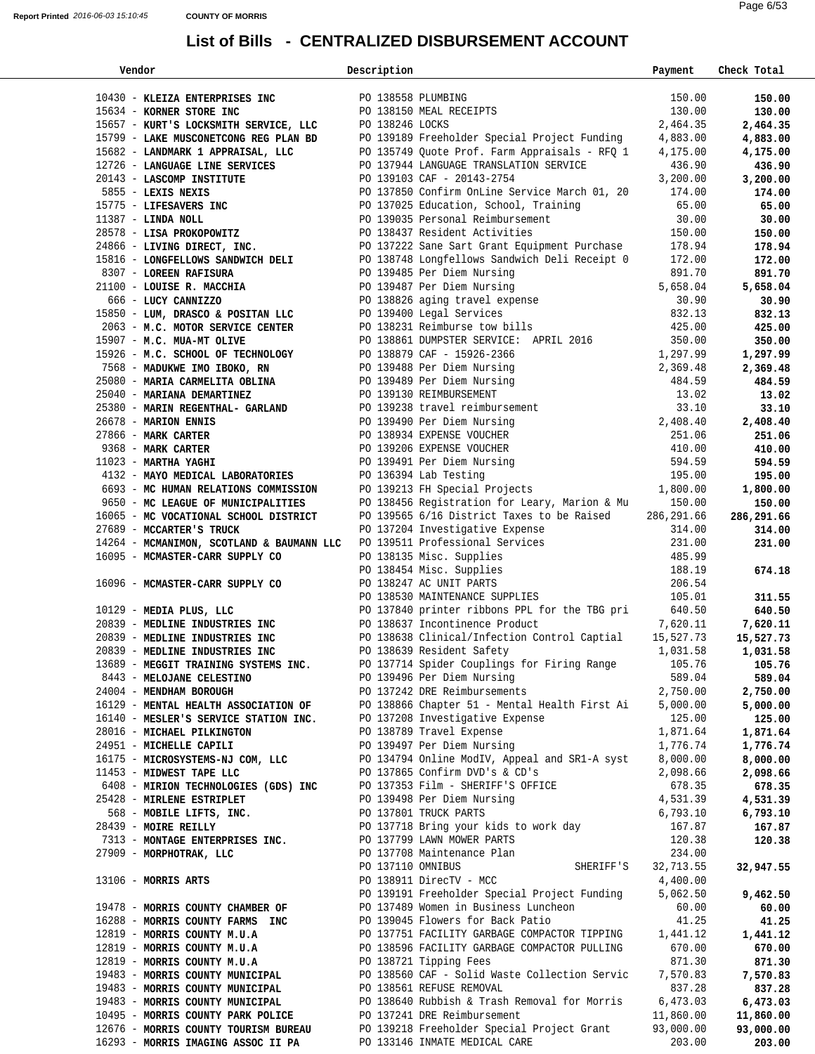| Vendor                                                                                                                                                                                                                                           | Description       |                                                                                                                                                       | Payment             | Check Total |  |
|--------------------------------------------------------------------------------------------------------------------------------------------------------------------------------------------------------------------------------------------------|-------------------|-------------------------------------------------------------------------------------------------------------------------------------------------------|---------------------|-------------|--|
| 10430 - KLEIZA ENTERPRISES INC<br>10430 - KLEIZA ENTERPRISES INC<br>10431 - KONER STORE INC<br>10444 104558 PLUMBING                                                                                                                             |                   |                                                                                                                                                       |                     |             |  |
|                                                                                                                                                                                                                                                  |                   |                                                                                                                                                       | 150.00              | 150.00      |  |
|                                                                                                                                                                                                                                                  |                   |                                                                                                                                                       | 130.00              | 130.00      |  |
| 15657 - KURT'S LOCKSMITH SERVICE, LLC<br>15799 - LAKE MUSCONETCONG REG PLAN BD<br>15682 - LANDMARK 1 APPRAISAL, LLC<br>17726 - LANGUAGE LINE SERVICES<br>17726 - LANGUAGE LINE SERVICES<br>1888.90                                               |                   |                                                                                                                                                       | 2,464.35            | 2,464.35    |  |
|                                                                                                                                                                                                                                                  |                   |                                                                                                                                                       |                     | 4,883.00    |  |
|                                                                                                                                                                                                                                                  |                   |                                                                                                                                                       |                     | 4,175.00    |  |
|                                                                                                                                                                                                                                                  |                   |                                                                                                                                                       |                     | 436.90      |  |
|                                                                                                                                                                                                                                                  |                   |                                                                                                                                                       |                     |             |  |
|                                                                                                                                                                                                                                                  |                   |                                                                                                                                                       |                     |             |  |
| 20143 - LASCOMP INSTITUTE<br>20143 - LASCOMP INSTITUTE<br>2013-103 CAF - 20143-2754<br>2855 - LEXIS NEXIS<br>28575 - LIFESAVERS INC<br>28578 - LIFESAVERS INC<br>28578 - LIFESAVERS INC<br>28578 - LIFESAVERS INC<br>28578 - LIFESAVERS INC<br>2 |                   |                                                                                                                                                       |                     |             |  |
|                                                                                                                                                                                                                                                  |                   |                                                                                                                                                       |                     |             |  |
|                                                                                                                                                                                                                                                  |                   |                                                                                                                                                       |                     |             |  |
| 24866 - LIVING DIRECT, INC. PO 137222 Sane Sart Grant Equipment Purchase 178.94                                                                                                                                                                  |                   |                                                                                                                                                       |                     | 178.94      |  |
|                                                                                                                                                                                                                                                  |                   |                                                                                                                                                       |                     |             |  |
| 15816 - LONGFELLOWS SANDWICH DELI<br>PO 138748 Longfellows Sandwich Deli Receipt 0 172.00                                                                                                                                                        |                   |                                                                                                                                                       |                     | 172.00      |  |
| 8307 - LOREEN RAFISURA                                                                                                                                                                                                                           |                   | PO 139485 Per Diem Nursing<br>PO 139487 Per Diem Nursing                                                                                              | 891.70              | 891.70      |  |
| 21100 - LOUISE R. MACCHIA                                                                                                                                                                                                                        |                   |                                                                                                                                                       | 5,658.04            | 5,658.04    |  |
| 666 - LUCY CANNIZZO<br>15850 - LUM, DRASCO & POSITAN LLC PO 139400 Legal Services<br>2063 - M.C. MOTOR SERVICE CENTER PO 138231 Reimburse tow bills (2003 - 2005)                                                                                |                   |                                                                                                                                                       | $30.90$<br>$832.13$ | 30.90       |  |
| 15850 - LUM, DRASCO & POSITAN LLC                                                                                                                                                                                                                |                   |                                                                                                                                                       |                     | 832.13      |  |
|                                                                                                                                                                                                                                                  |                   |                                                                                                                                                       |                     | 425.00      |  |
| 15907 - M.C. MUA-MT OLIVE<br>15926 - M.C. SCHOOL OF TECHNOLOGY<br>15926 - MADUKWE IMO IBOKO, RN 1,297.99<br>2,369.48 PO 139488 Per Diem Nursing<br>2,369.48                                                                                      |                   |                                                                                                                                                       |                     | 350.00      |  |
|                                                                                                                                                                                                                                                  |                   |                                                                                                                                                       | 1,297.99            | 1,297.99    |  |
|                                                                                                                                                                                                                                                  |                   |                                                                                                                                                       | 2,369.48            | 2,369.48    |  |
|                                                                                                                                                                                                                                                  |                   |                                                                                                                                                       | 484.59              | 484.59      |  |
| 3508 - MADUKWE IMO IBOKO, RN<br>2508 - MARIA CARMELITA OBLINA PO 139488 Per Diem Nursing<br>25080 - MARIAN DEMARTINEZ PO 139488 Per Diem Nursing<br>26678 - MARIAN DEMARTINEZ PO 139238 travel reinbursement<br>26678 - MARION ENNIS<br>         |                   |                                                                                                                                                       |                     | 13.02       |  |
|                                                                                                                                                                                                                                                  |                   |                                                                                                                                                       |                     | 33.10       |  |
|                                                                                                                                                                                                                                                  |                   |                                                                                                                                                       |                     | 2,408.40    |  |
|                                                                                                                                                                                                                                                  |                   |                                                                                                                                                       |                     | 251.06      |  |
|                                                                                                                                                                                                                                                  |                   |                                                                                                                                                       |                     | 410.00      |  |
|                                                                                                                                                                                                                                                  |                   |                                                                                                                                                       |                     | 594.59      |  |
|                                                                                                                                                                                                                                                  |                   |                                                                                                                                                       |                     | 195.00      |  |
|                                                                                                                                                                                                                                                  |                   |                                                                                                                                                       |                     | 1,800.00    |  |
| 9650 - MC LEAGUE OF MUNICIPALITIES                                                                                                                                                                                                               |                   | PO 138456 Registration for Leary, Marion & Mu                                                                                                         | 150.00              |             |  |
|                                                                                                                                                                                                                                                  |                   |                                                                                                                                                       |                     | 150.00      |  |
| 16065 - MC VOCATIONAL SCHOOL DISTRICT                                                                                                                                                                                                            |                   | PO 139565 6/16 District Taxes to be Raised 286,291.66                                                                                                 |                     | 286,291.66  |  |
| 27689 - MCCARTER'S TRUCK                                                                                                                                                                                                                         |                   |                                                                                                                                                       | 314.00              | 314.00      |  |
| 14264 - MCMANIMON, SCOTLAND & BAUMANN LLC                                                                                                                                                                                                        |                   |                                                                                                                                                       | 231.00              | 231.00      |  |
| 16095 - MCMASTER-CARR SUPPLY CO                                                                                                                                                                                                                  |                   |                                                                                                                                                       | 485.99              |             |  |
|                                                                                                                                                                                                                                                  |                   | PO 137204 Investigative Expense<br>PO 139511 Professional Services<br>PO 138135 Misc. Supplies<br>PO 138454 Misc. Supplies<br>PO 138247 AC UNIT PARTS | 188.19              | 674.18      |  |
| 16096 - MCMASTER-CARR SUPPLY CO                                                                                                                                                                                                                  |                   |                                                                                                                                                       | 206.54              |             |  |
|                                                                                                                                                                                                                                                  |                   | PO 138530 MAINTENANCE SUPPLIES 105.01                                                                                                                 |                     | 311.55      |  |
|                                                                                                                                                                                                                                                  |                   |                                                                                                                                                       |                     | 640.50      |  |
|                                                                                                                                                                                                                                                  |                   |                                                                                                                                                       |                     |             |  |
| 10129 - MEDIA PLUS, LLC<br>20839 - MEDLINE INDUSTRIES INC<br>20839 - MEDLINE INDUSTRIES INC<br>20839 - MEDLINE INDUSTRIES INC<br>20839 - MEDLINE INDUSTRIES INC<br>20839 - MEDLINE INDUSTRIES INC<br>20939 - MEDLINE INDUSTRIES INC<br>20083     |                   |                                                                                                                                                       |                     |             |  |
| 20839 - MEDLINE INDUSTRIES INC                                                                                                                                                                                                                   |                   | PO 138639 Resident Safety                                                                                                                             | 1,031.58            | 1,031.58    |  |
| 13689 - MEGGIT TRAINING SYSTEMS INC.                                                                                                                                                                                                             |                   | PO 137714 Spider Couplings for Firing Range 105.76 105.76                                                                                             |                     |             |  |
| 8443 - MELOJANE CELESTINO                                                                                                                                                                                                                        |                   | PO 139496 Per Diem Nursing                                                                                                                            | 589.04              | 589.04      |  |
| 24004 - MENDHAM BOROUGH                                                                                                                                                                                                                          |                   | PO 137242 DRE Reimbursements                                                                                                                          | 2,750.00            | 2,750.00    |  |
| 16129 - MENTAL HEALTH ASSOCIATION OF                                                                                                                                                                                                             |                   | PO 138866 Chapter 51 - Mental Health First Ai                                                                                                         | 5,000.00            | 5,000.00    |  |
| 16140 - MESLER'S SERVICE STATION INC.                                                                                                                                                                                                            |                   | PO 137208 Investigative Expense                                                                                                                       | 125.00              | 125.00      |  |
| 28016 - MICHAEL PILKINGTON                                                                                                                                                                                                                       |                   | PO 138789 Travel Expense                                                                                                                              | 1,871.64            | 1,871.64    |  |
| 24951 - MICHELLE CAPILI                                                                                                                                                                                                                          |                   | PO 139497 Per Diem Nursing                                                                                                                            | 1,776.74            | 1,776.74    |  |
| 16175 - MICROSYSTEMS-NJ COM, LLC                                                                                                                                                                                                                 |                   | PO 134794 Online ModIV, Appeal and SR1-A syst                                                                                                         | 8,000.00            | 8,000.00    |  |
| 11453 - MIDWEST TAPE LLC                                                                                                                                                                                                                         |                   | PO 137865 Confirm DVD's & CD's                                                                                                                        | 2,098.66            | 2,098.66    |  |
|                                                                                                                                                                                                                                                  |                   | PO 137353 Film - SHERIFF'S OFFICE                                                                                                                     | 678.35              |             |  |
| 6408 - MIRION TECHNOLOGIES (GDS) INC                                                                                                                                                                                                             |                   |                                                                                                                                                       |                     | 678.35      |  |
| 25428 - MIRLENE ESTRIPLET                                                                                                                                                                                                                        |                   | PO 139498 Per Diem Nursing                                                                                                                            | 4,531.39            | 4,531.39    |  |
| 568 - MOBILE LIFTS, INC.                                                                                                                                                                                                                         |                   | PO 137801 TRUCK PARTS                                                                                                                                 | 6,793.10            | 6,793.10    |  |
| 28439 - MOIRE REILLY                                                                                                                                                                                                                             |                   | PO 137718 Bring your kids to work day                                                                                                                 | 167.87              | 167.87      |  |
| 7313 - MONTAGE ENTERPRISES INC.                                                                                                                                                                                                                  |                   | PO 137799 LAWN MOWER PARTS                                                                                                                            | 120.38              | 120.38      |  |
| 27909 - MORPHOTRAK, LLC                                                                                                                                                                                                                          |                   | PO 137708 Maintenance Plan                                                                                                                            | 234.00              |             |  |
|                                                                                                                                                                                                                                                  | PO 137110 OMNIBUS | SHERIFF'S                                                                                                                                             | 32,713.55           | 32,947.55   |  |
| 13106 - MORRIS ARTS                                                                                                                                                                                                                              |                   | PO 138911 DirecTV - MCC                                                                                                                               | 4,400.00            |             |  |
|                                                                                                                                                                                                                                                  |                   | PO 139191 Freeholder Special Project Funding                                                                                                          | 5,062.50            | 9,462.50    |  |
| 19478 - MORRIS COUNTY CHAMBER OF                                                                                                                                                                                                                 |                   | PO 137489 Women in Business Luncheon                                                                                                                  | 60.00               | 60.00       |  |
| 16288 - MORRIS COUNTY FARMS INC                                                                                                                                                                                                                  |                   | PO 139045 Flowers for Back Patio                                                                                                                      | 41.25               | 41.25       |  |
| 12819 - MORRIS COUNTY M.U.A                                                                                                                                                                                                                      |                   | PO 137751 FACILITY GARBAGE COMPACTOR TIPPING 1,441.12                                                                                                 |                     | 1,441.12    |  |
| 12819 - MORRIS COUNTY M.U.A                                                                                                                                                                                                                      |                   | PO 138596 FACILITY GARBAGE COMPACTOR PULLING                                                                                                          | 670.00              | 670.00      |  |
| 12819 - MORRIS COUNTY M.U.A                                                                                                                                                                                                                      |                   | PO 138721 Tipping Fees                                                                                                                                | 871.30              | 871.30      |  |
| 19483 - MORRIS COUNTY MUNICIPAL                                                                                                                                                                                                                  |                   | PO 138560 CAF - Solid Waste Collection Servic                                                                                                         | 7,570.83            | 7,570.83    |  |
| 19483 - MORRIS COUNTY MUNICIPAL                                                                                                                                                                                                                  |                   | PO 138561 REFUSE REMOVAL                                                                                                                              | 837.28              | 837.28      |  |
| 19483 - MORRIS COUNTY MUNICIPAL                                                                                                                                                                                                                  |                   | PO 138640 Rubbish & Trash Removal for Morris                                                                                                          | 6,473.03            | 6,473.03    |  |
| 10495 - MORRIS COUNTY PARK POLICE                                                                                                                                                                                                                |                   | PO 137241 DRE Reimbursement                                                                                                                           | 11,860.00           | 11,860.00   |  |
| 12676 - MORRIS COUNTY TOURISM BUREAU                                                                                                                                                                                                             |                   | PO 139218 Freeholder Special Project Grant                                                                                                            | 93,000.00           | 93,000.00   |  |
| 16293 - MORRIS IMAGING ASSOC II PA                                                                                                                                                                                                               |                   | PO 133146 INMATE MEDICAL CARE                                                                                                                         | 203.00              | 203.00      |  |
|                                                                                                                                                                                                                                                  |                   |                                                                                                                                                       |                     |             |  |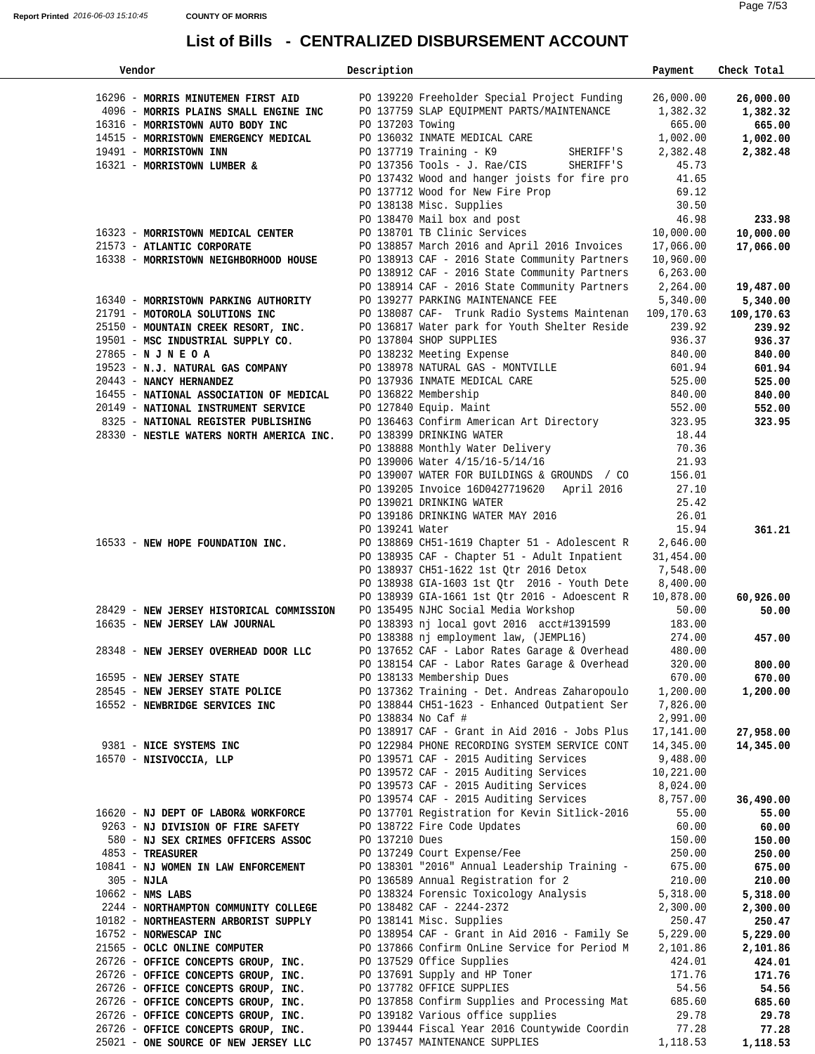| Vendor                                   | Description        |                                               | Payment    | Check Total |
|------------------------------------------|--------------------|-----------------------------------------------|------------|-------------|
| 16296 - MORRIS MINUTEMEN FIRST AID       |                    | PO 139220 Freeholder Special Project Funding  | 26,000.00  | 26,000.00   |
| 4096 - MORRIS PLAINS SMALL ENGINE INC    |                    | PO 137759 SLAP EQUIPMENT PARTS/MAINTENANCE    | 1,382.32   | 1,382.32    |
| 16316 - MORRISTOWN AUTO BODY INC         | PO 137203 Towing   |                                               | 665.00     | 665.00      |
| 14515 - MORRISTOWN EMERGENCY MEDICAL     |                    | PO 136032 INMATE MEDICAL CARE                 | 1,002.00   | 1,002.00    |
| 19491 - MORRISTOWN INN                   |                    | PO 137719 Training $-$ K9<br>SHERIFF'S        | 2,382.48   | 2,382.48    |
|                                          |                    |                                               | 45.73      |             |
| 16321 - MORRISTOWN LUMBER &              |                    | PO 137356 Tools - J. Rae/CIS<br>SHERIFF'S     |            |             |
|                                          |                    | PO 137432 Wood and hanger joists for fire pro | 41.65      |             |
|                                          |                    | PO 137712 Wood for New Fire Prop              | 69.12      |             |
|                                          |                    | PO 138138 Misc. Supplies                      | 30.50      |             |
|                                          |                    | PO 138470 Mail box and post                   | 46.98      | 233.98      |
| 16323 - MORRISTOWN MEDICAL CENTER        |                    | PO 138701 TB Clinic Services                  | 10,000.00  | 10,000.00   |
| 21573 - ATLANTIC CORPORATE               |                    | PO 138857 March 2016 and April 2016 Invoices  | 17,066.00  | 17,066.00   |
| 16338 - MORRISTOWN NEIGHBORHOOD HOUSE    |                    | PO 138913 CAF - 2016 State Community Partners | 10,960.00  |             |
|                                          |                    | PO 138912 CAF - 2016 State Community Partners | 6, 263.00  |             |
|                                          |                    | PO 138914 CAF - 2016 State Community Partners | 2,264.00   | 19,487.00   |
| 16340 - MORRISTOWN PARKING AUTHORITY     |                    | PO 139277 PARKING MAINTENANCE FEE             | 5,340.00   | 5,340.00    |
| 21791 - MOTOROLA SOLUTIONS INC           |                    | PO 138087 CAF- Trunk Radio Systems Maintenan  | 109,170.63 | 109,170.63  |
| 25150 - MOUNTAIN CREEK RESORT, INC.      |                    | PO 136817 Water park for Youth Shelter Reside | 239.92     | 239.92      |
| 19501 - MSC INDUSTRIAL SUPPLY CO.        |                    | PO 137804 SHOP SUPPLIES                       | 936.37     | 936.37      |
|                                          |                    |                                               | 840.00     |             |
| 27865 - N J N E O A                      |                    | PO 138232 Meeting Expense                     |            | 840.00      |
| 19523 - N.J. NATURAL GAS COMPANY         |                    | PO 138978 NATURAL GAS - MONTVILLE             | 601.94     | 601.94      |
| 20443 - NANCY HERNANDEZ                  |                    | PO 137936 INMATE MEDICAL CARE                 | 525.00     | 525.00      |
| 16455 - NATIONAL ASSOCIATION OF MEDICAL  |                    | PO 136822 Membership                          | 840.00     | 840.00      |
| 20149 - NATIONAL INSTRUMENT SERVICE      |                    | PO 127840 Equip. Maint                        | 552.00     | 552.00      |
| 8325 - NATIONAL REGISTER PUBLISHING      |                    | PO 136463 Confirm American Art Directory      | 323.95     | 323.95      |
| 28330 - NESTLE WATERS NORTH AMERICA INC. |                    | PO 138399 DRINKING WATER                      | 18.44      |             |
|                                          |                    | PO 138888 Monthly Water Delivery              | 70.36      |             |
|                                          |                    | PO 139006 Water 4/15/16-5/14/16               | 21.93      |             |
|                                          |                    | PO 139007 WATER FOR BUILDINGS & GROUNDS / CO  | 156.01     |             |
|                                          |                    | PO 139205 Invoice 16D0427719620 April 2016    | 27.10      |             |
|                                          |                    | PO 139021 DRINKING WATER                      | 25.42      |             |
|                                          |                    | PO 139186 DRINKING WATER MAY 2016             | 26.01      |             |
|                                          | PO 139241 Water    |                                               | 15.94      |             |
|                                          |                    |                                               |            | 361.21      |
| 16533 - NEW HOPE FOUNDATION INC.         |                    | PO 138869 CH51-1619 Chapter 51 - Adolescent R | 2,646.00   |             |
|                                          |                    | PO 138935 CAF - Chapter 51 - Adult Inpatient  | 31,454.00  |             |
|                                          |                    | PO 138937 CH51-1622 1st Qtr 2016 Detox        | 7,548.00   |             |
|                                          |                    | PO 138938 GIA-1603 1st Qtr 2016 - Youth Dete  | 8,400.00   |             |
|                                          |                    | PO 138939 GIA-1661 1st Otr 2016 - Adoescent R | 10,878.00  | 60,926.00   |
| 28429 - NEW JERSEY HISTORICAL COMMISSION |                    | PO 135495 NJHC Social Media Workshop          | 50.00      | 50.00       |
| 16635 - NEW JERSEY LAW JOURNAL           |                    | PO 138393 nj local govt 2016 acct#1391599     | 183.00     |             |
|                                          |                    | PO 138388 nj employment law, (JEMPL16)        | 274.00     | 457.00      |
| 28348 - NEW JERSEY OVERHEAD DOOR LLC     |                    | PO 137652 CAF - Labor Rates Garage & Overhead | 480.00     |             |
|                                          |                    | PO 138154 CAF - Labor Rates Garage & Overhead | 320.00     | 800.00      |
| 16595 - NEW JERSEY STATE                 |                    | PO 138133 Membership Dues                     | 670.00     | 670.00      |
| 28545 - NEW JERSEY STATE POLICE          |                    | PO 137362 Training - Det. Andreas Zaharopoulo | 1,200.00   | 1,200.00    |
|                                          |                    | PO 138844 CH51-1623 - Enhanced Outpatient Ser | 7,826.00   |             |
| 16552 - NEWBRIDGE SERVICES INC           |                    |                                               |            |             |
|                                          | PO 138834 No Caf # |                                               | 2,991.00   |             |
|                                          |                    | PO 138917 CAF - Grant in Aid 2016 - Jobs Plus | 17,141.00  | 27,958.00   |
| 9381 - NICE SYSTEMS INC                  |                    | PO 122984 PHONE RECORDING SYSTEM SERVICE CONT | 14,345.00  | 14,345.00   |
| 16570 - NISIVOCCIA, LLP                  |                    | PO 139571 CAF - 2015 Auditing Services        | 9,488.00   |             |
|                                          |                    | PO 139572 CAF - 2015 Auditing Services        | 10,221.00  |             |
|                                          |                    | PO 139573 CAF - 2015 Auditing Services        | 8,024.00   |             |
|                                          |                    | PO 139574 CAF - 2015 Auditing Services        | 8,757.00   | 36,490.00   |
| 16620 - NJ DEPT OF LABOR& WORKFORCE      |                    | PO 137701 Registration for Kevin Sitlick-2016 | 55.00      | 55.00       |
| 9263 - NJ DIVISION OF FIRE SAFETY        |                    | PO 138722 Fire Code Updates                   | 60.00      | 60.00       |
| 580 - NJ SEX CRIMES OFFICERS ASSOC       | PO 137210 Dues     |                                               | 150.00     | 150.00      |
| $4853$ - TREASURER                       |                    | PO 137249 Court Expense/Fee                   | 250.00     | 250.00      |
| 10841 - NJ WOMEN IN LAW ENFORCEMENT      |                    | PO 138301 "2016" Annual Leadership Training - | 675.00     | 675.00      |
| $305 - NJLA$                             |                    | PO 136589 Annual Registration for 2           | 210.00     | 210.00      |
| $10662 -$ NMS LABS                       |                    | PO 138324 Forensic Toxicology Analysis        | 5,318.00   | 5,318.00    |
|                                          |                    | PO 138482 CAF - 2244-2372                     |            |             |
| 2244 - NORTHAMPTON COMMUNITY COLLEGE     |                    | PO 138141 Misc. Supplies                      | 2,300.00   | 2,300.00    |
| 10182 - NORTHEASTERN ARBORIST SUPPLY     |                    |                                               | 250.47     | 250.47      |
| 16752 - NORWESCAP INC                    |                    | PO 138954 CAF - Grant in Aid 2016 - Family Se | 5,229.00   | 5,229.00    |
| 21565 - OCLC ONLINE COMPUTER             |                    | PO 137866 Confirm OnLine Service for Period M | 2,101.86   | 2,101.86    |
| 26726 - OFFICE CONCEPTS GROUP, INC.      |                    | PO 137529 Office Supplies                     | 424.01     | 424.01      |
| 26726 - OFFICE CONCEPTS GROUP, INC.      |                    | PO 137691 Supply and HP Toner                 | 171.76     | 171.76      |
| 26726 - OFFICE CONCEPTS GROUP, INC.      |                    | PO 137782 OFFICE SUPPLIES                     | 54.56      | 54.56       |
| 26726 - OFFICE CONCEPTS GROUP, INC.      |                    | PO 137858 Confirm Supplies and Processing Mat | 685.60     | 685.60      |
| 26726 - OFFICE CONCEPTS GROUP, INC.      |                    | PO 139182 Various office supplies             | 29.78      | 29.78       |
| 26726 - OFFICE CONCEPTS GROUP, INC.      |                    | PO 139444 Fiscal Year 2016 Countywide Coordin | 77.28      | 77.28       |
| 25021 - ONE SOURCE OF NEW JERSEY LLC     |                    | PO 137457 MAINTENANCE SUPPLIES                | 1,118.53   | 1,118.53    |
|                                          |                    |                                               |            |             |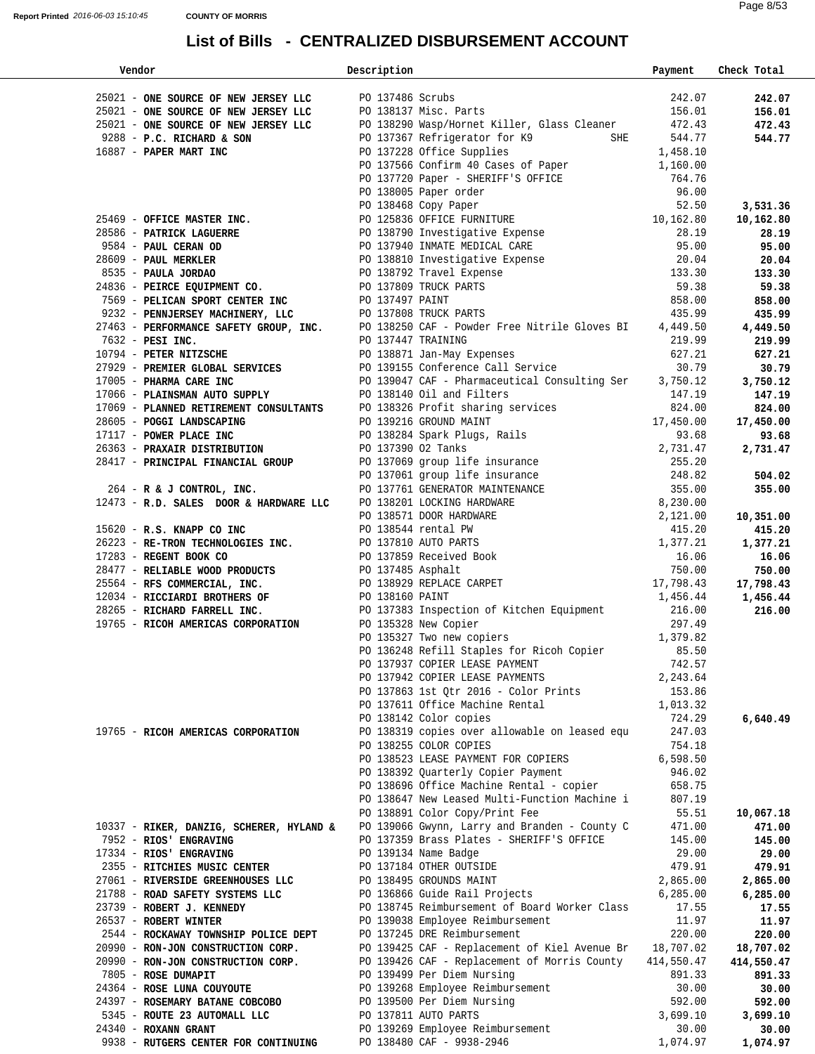| Vendor                                                                                                                                                                                                                                                              | Description |                                                                                                                 | Payment    | Check Total        |  |  |
|---------------------------------------------------------------------------------------------------------------------------------------------------------------------------------------------------------------------------------------------------------------------|-------------|-----------------------------------------------------------------------------------------------------------------|------------|--------------------|--|--|
|                                                                                                                                                                                                                                                                     |             |                                                                                                                 |            |                    |  |  |
| 25021 - ONE SOURCE OF NEW JERSEY LLC PO 137486 Scrubs<br>25021 - ONE SOURCE OF NEW JERSEY LLC PO 138137 Misc. Parts                                                                                                                                                 |             |                                                                                                                 | 242.07     | 242.07             |  |  |
|                                                                                                                                                                                                                                                                     |             |                                                                                                                 | 156.01     | 156.01             |  |  |
| 25021 - ONE SOURCE OF NEW JERSEY LLC                                                                                                                                                                                                                                |             | PO 138290 Wasp/Hornet Killer, Glass Cleaner 472.43                                                              |            | 472.43             |  |  |
|                                                                                                                                                                                                                                                                     |             | PO 137367 Refrigerator for K9 SHE 544.77                                                                        |            | 544.77             |  |  |
| 9288 - P.C. RICHARD & SON<br>16887 - PAPER MART INC<br>16887 - PAPER MART INC                                                                                                                                                                                       |             | PO 137228 Office Supplies 1,458.10<br>PO 137566 Confirm 40 Cases of Paper 1,160.00<br>PO 137228 Office Supplies |            |                    |  |  |
|                                                                                                                                                                                                                                                                     |             |                                                                                                                 |            |                    |  |  |
|                                                                                                                                                                                                                                                                     |             |                                                                                                                 |            |                    |  |  |
| 90 137566 Confirm 40 Cases of Paper<br>90 137566 Confirm 40 Cases of Paper<br>90 137500 Paper - SHERIFF'S OFFICE<br>96.00<br>96.00<br>9684 - <b>PATEICK LAGUERRE</b><br>9684 - <b>PATEICK LAGUERRE</b><br>9684 - <b>PATEICK LAGUERRE</b><br>9684 - <b>PATEICK L</b> |             |                                                                                                                 |            |                    |  |  |
|                                                                                                                                                                                                                                                                     |             |                                                                                                                 |            | 3,531.36           |  |  |
|                                                                                                                                                                                                                                                                     |             |                                                                                                                 |            | 10,162.80          |  |  |
|                                                                                                                                                                                                                                                                     |             |                                                                                                                 |            | 28.19              |  |  |
|                                                                                                                                                                                                                                                                     |             |                                                                                                                 |            | 95.00              |  |  |
|                                                                                                                                                                                                                                                                     |             |                                                                                                                 |            | 20.04              |  |  |
|                                                                                                                                                                                                                                                                     |             |                                                                                                                 |            | 133.30             |  |  |
|                                                                                                                                                                                                                                                                     |             |                                                                                                                 |            | 59.38              |  |  |
|                                                                                                                                                                                                                                                                     |             |                                                                                                                 |            | 858.00             |  |  |
|                                                                                                                                                                                                                                                                     |             |                                                                                                                 |            | 435.99             |  |  |
|                                                                                                                                                                                                                                                                     |             |                                                                                                                 |            |                    |  |  |
|                                                                                                                                                                                                                                                                     |             |                                                                                                                 |            | 4,449.50<br>219.99 |  |  |
|                                                                                                                                                                                                                                                                     |             |                                                                                                                 |            |                    |  |  |
|                                                                                                                                                                                                                                                                     |             |                                                                                                                 |            | 627.21             |  |  |
|                                                                                                                                                                                                                                                                     |             |                                                                                                                 |            | 30.79              |  |  |
|                                                                                                                                                                                                                                                                     |             |                                                                                                                 |            | 3,750.12           |  |  |
|                                                                                                                                                                                                                                                                     |             |                                                                                                                 |            | 147.19             |  |  |
|                                                                                                                                                                                                                                                                     |             |                                                                                                                 |            | 824.00             |  |  |
|                                                                                                                                                                                                                                                                     |             |                                                                                                                 |            | 17,450.00          |  |  |
|                                                                                                                                                                                                                                                                     |             |                                                                                                                 |            | 93.68              |  |  |
|                                                                                                                                                                                                                                                                     |             |                                                                                                                 |            | 2,731.47           |  |  |
|                                                                                                                                                                                                                                                                     |             |                                                                                                                 |            |                    |  |  |
|                                                                                                                                                                                                                                                                     |             |                                                                                                                 |            | 504.02             |  |  |
|                                                                                                                                                                                                                                                                     |             |                                                                                                                 |            | 355.00             |  |  |
|                                                                                                                                                                                                                                                                     |             |                                                                                                                 |            |                    |  |  |
|                                                                                                                                                                                                                                                                     |             |                                                                                                                 |            | 10,351.00          |  |  |
|                                                                                                                                                                                                                                                                     |             |                                                                                                                 |            | 415.20             |  |  |
|                                                                                                                                                                                                                                                                     |             |                                                                                                                 |            | 1,377.21           |  |  |
| 8355 - PAULA JORDA CORPORATION (2013)<br>2635 - PEIRCN SQUIPIRENT CO.<br>26346 - PEIRCN SQUIPIRENT CO.<br>27669 - PEIRCN SQUIPIRENT CO.<br>2766 - PEIRCN SONTY CROSS CORPORATION (2013)<br>2769 - PEIRCN NORTHERY (INC. PO 13749 TRUCK                              |             |                                                                                                                 |            | 16.06              |  |  |
|                                                                                                                                                                                                                                                                     |             |                                                                                                                 |            | 750.00             |  |  |
|                                                                                                                                                                                                                                                                     |             |                                                                                                                 |            | 17,798.43          |  |  |
|                                                                                                                                                                                                                                                                     |             |                                                                                                                 |            | 1,456.44           |  |  |
|                                                                                                                                                                                                                                                                     |             |                                                                                                                 |            | 216.00             |  |  |
| 19765 - RICOH AMERICAS CORPORATION                                                                                                                                                                                                                                  |             |                                                                                                                 | 297.49     |                    |  |  |
|                                                                                                                                                                                                                                                                     |             | PO 135328 New Copier<br>PO 135327 Two new copiers                                                               | 1,379.82   |                    |  |  |
|                                                                                                                                                                                                                                                                     |             | PO 136248 Refill Staples for Ricoh Copier                                                                       | 85.50      |                    |  |  |
|                                                                                                                                                                                                                                                                     |             | PO 137937 COPIER LEASE PAYMENT                                                                                  | 742.57     |                    |  |  |
|                                                                                                                                                                                                                                                                     |             | PO 137942 COPIER LEASE PAYMENTS                                                                                 | 2,243.64   |                    |  |  |
|                                                                                                                                                                                                                                                                     |             | PO 137863 1st Otr 2016 - Color Prints                                                                           | 153.86     |                    |  |  |
|                                                                                                                                                                                                                                                                     |             | PO 137611 Office Machine Rental                                                                                 | 1,013.32   |                    |  |  |
|                                                                                                                                                                                                                                                                     |             | PO 138142 Color copies                                                                                          | 724.29     | 6,640.49           |  |  |
| 19765 - RICOH AMERICAS CORPORATION                                                                                                                                                                                                                                  |             | PO 138319 copies over allowable on leased equ                                                                   | 247.03     |                    |  |  |
|                                                                                                                                                                                                                                                                     |             | PO 138255 COLOR COPIES                                                                                          | 754.18     |                    |  |  |
|                                                                                                                                                                                                                                                                     |             | PO 138523 LEASE PAYMENT FOR COPIERS                                                                             | 6,598.50   |                    |  |  |
|                                                                                                                                                                                                                                                                     |             | PO 138392 Quarterly Copier Payment                                                                              | 946.02     |                    |  |  |
|                                                                                                                                                                                                                                                                     |             | PO 138696 Office Machine Rental - copier                                                                        | 658.75     |                    |  |  |
|                                                                                                                                                                                                                                                                     |             | PO 138647 New Leased Multi-Function Machine i                                                                   | 807.19     |                    |  |  |
|                                                                                                                                                                                                                                                                     |             | PO 138891 Color Copy/Print Fee                                                                                  | 55.51      | 10,067.18          |  |  |
| 10337 - RIKER, DANZIG, SCHERER, HYLAND &                                                                                                                                                                                                                            |             | PO 139066 Gwynn, Larry and Branden - County C                                                                   | 471.00     | 471.00             |  |  |
| 7952 - RIOS' ENGRAVING                                                                                                                                                                                                                                              |             | PO 137359 Brass Plates - SHERIFF'S OFFICE                                                                       | 145.00     | 145.00             |  |  |
|                                                                                                                                                                                                                                                                     |             | PO 139134 Name Badge                                                                                            | 29.00      | 29.00              |  |  |
| 17334 - RIOS' ENGRAVING                                                                                                                                                                                                                                             |             |                                                                                                                 |            |                    |  |  |
| 2355 - RITCHIES MUSIC CENTER                                                                                                                                                                                                                                        |             | PO 137184 OTHER OUTSIDE                                                                                         | 479.91     | 479.91             |  |  |
| 27061 - RIVERSIDE GREENHOUSES LLC                                                                                                                                                                                                                                   |             | PO 138495 GROUNDS MAINT                                                                                         | 2,865.00   | 2,865.00           |  |  |
| 21788 - ROAD SAFETY SYSTEMS LLC                                                                                                                                                                                                                                     |             | PO 136866 Guide Rail Projects                                                                                   | 6, 285.00  | 6,285.00           |  |  |
| 23739 - ROBERT J. KENNEDY                                                                                                                                                                                                                                           |             | PO 138745 Reimbursement of Board Worker Class                                                                   | 17.55      | 17.55              |  |  |
| 26537 - ROBERT WINTER                                                                                                                                                                                                                                               |             | PO 139038 Employee Reimbursement                                                                                | 11.97      | 11.97              |  |  |
| 2544 - ROCKAWAY TOWNSHIP POLICE DEPT                                                                                                                                                                                                                                |             | PO 137245 DRE Reimbursement                                                                                     | 220.00     | 220.00             |  |  |
| 20990 - RON-JON CONSTRUCTION CORP.                                                                                                                                                                                                                                  |             | PO 139425 CAF - Replacement of Kiel Avenue Br                                                                   | 18,707.02  | 18,707.02          |  |  |
| 20990 - RON-JON CONSTRUCTION CORP.                                                                                                                                                                                                                                  |             | PO 139426 CAF - Replacement of Morris County                                                                    | 414,550.47 | 414,550.47         |  |  |
| 7805 - ROSE DUMAPIT                                                                                                                                                                                                                                                 |             | PO 139499 Per Diem Nursing                                                                                      | 891.33     | 891.33             |  |  |
| 24364 - ROSE LUNA COUYOUTE                                                                                                                                                                                                                                          |             | PO 139268 Employee Reimbursement                                                                                | 30.00      | 30.00              |  |  |
| 24397 - ROSEMARY BATANE COBCOBO                                                                                                                                                                                                                                     |             | PO 139500 Per Diem Nursing                                                                                      | 592.00     | 592.00             |  |  |
| 5345 - ROUTE 23 AUTOMALL LLC                                                                                                                                                                                                                                        |             | PO 137811 AUTO PARTS                                                                                            | 3,699.10   | 3,699.10           |  |  |
| 24340 - ROXANN GRANT                                                                                                                                                                                                                                                |             | PO 139269 Employee Reimbursement                                                                                | 30.00      | 30.00              |  |  |
| 9938 - RUTGERS CENTER FOR CONTINUING                                                                                                                                                                                                                                |             | PO 138480 CAF - 9938-2946                                                                                       | 1,074.97   | 1,074.97           |  |  |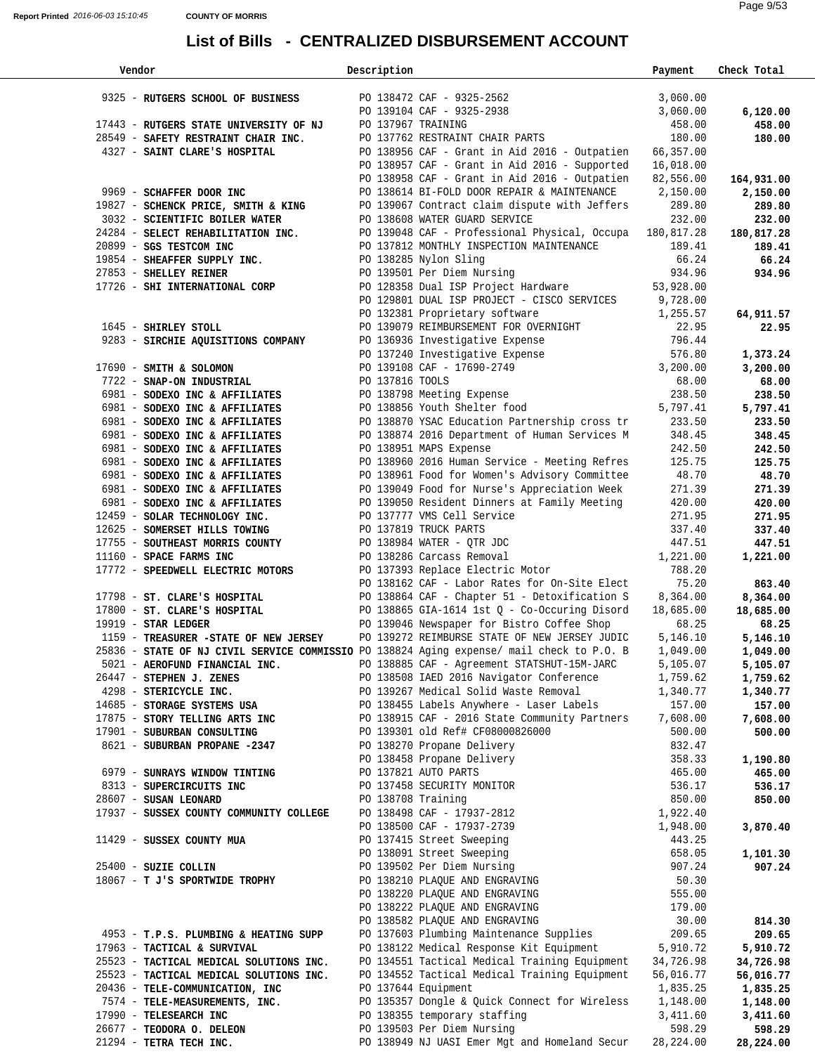| Vendor                                                                                    | Description     |                                                                                                                                                                                                                                          | Payment            | Check Total        |
|-------------------------------------------------------------------------------------------|-----------------|------------------------------------------------------------------------------------------------------------------------------------------------------------------------------------------------------------------------------------------|--------------------|--------------------|
|                                                                                           |                 |                                                                                                                                                                                                                                          |                    |                    |
| 9325 - RUTGERS SCHOOL OF BUSINESS                                                         |                 | PO 138472 CAF - 9325-2562<br>PO 139104 CAF - 9325-2938                                                                                                                                                                                   | 3,060.00           |                    |
|                                                                                           |                 |                                                                                                                                                                                                                                          | 3,060.00           | 6,120.00           |
| 17443 - RUTGERS STATE UNIVERSITY OF NJ                                                    |                 | PO 137967 TRAINING<br>PO 137762 RESTRAINT CHAIR PARTS                                                                                                                                                                                    | 458.00<br>180.00   | 458.00             |
| 28549 - SAFETY RESTRAINT CHAIR INC.<br>4327 - SAINT CLARE'S HOSPITAL                      |                 | PO 138956 CAF - Grant in Aid 2016 - Outpatien 66,357.00                                                                                                                                                                                  |                    | 180.00             |
|                                                                                           |                 | PO 138957 CAF - Grant in Aid 2016 - Supported                                                                                                                                                                                            | 16,018.00          |                    |
|                                                                                           |                 | PO 138958 CAF - Grant in Aid 2016 - Outpatien                                                                                                                                                                                            | 82,556.00          | 164,931.00         |
| 9969 - SCHAFFER DOOR INC                                                                  |                 | PO 138614 BI-FOLD DOOR REPAIR & MAINTENANCE 2,150.00                                                                                                                                                                                     |                    | 2,150.00           |
| 19827 - SCHENCK PRICE, SMITH & KING                                                       |                 | PO 139067 Contract claim dispute with Jeffers                                                                                                                                                                                            | 289.80             | 289.80             |
| 3032 - SCIENTIFIC BOILER WATER                                                            |                 | PO 138608 WATER GUARD SERVICE                                                                                                                                                                                                            | 232.00             | 232.00             |
| 24284 - SELECT REHABILITATION INC.                                                        |                 | PO 139048 CAF - Professional Physical, Occupa 180,817.28                                                                                                                                                                                 |                    | 180,817.28         |
| 20899 - SGS TESTCOM INC                                                                   |                 | PO 137812 MONTHLY INSPECTION MAINTENANCE                                                                                                                                                                                                 | 189.41             | 189.41             |
| 19854 - SHEAFFER SUPPLY INC.                                                              |                 | PO 138285 Nylon Sling                                                                                                                                                                                                                    | 66.24              | 66.24              |
| 27853 - SHELLEY REINER                                                                    |                 | PO 139501 Per Diem Nursing 1934.96<br>PO 128358 Dual ISP Project Hardware 53,928.00                                                                                                                                                      |                    | 934.96             |
| 17726 - SHI INTERNATIONAL CORP                                                            |                 |                                                                                                                                                                                                                                          |                    |                    |
|                                                                                           |                 | PO 129801 DUAL ISP PROJECT - CISCO SERVICES 9,728.00                                                                                                                                                                                     |                    |                    |
|                                                                                           |                 |                                                                                                                                                                                                                                          |                    | 64,911.57          |
| 1645 - SHIRLEY STOLL                                                                      |                 | PO 132381 Proprietary software 1,255.57<br>PO 139079 REIMBURSEMENT FOR OVERNIGHT 22.95<br>PO 136936 Investigative Expense 796.44<br>PO 137240 Investigative Expense 576.80<br>PO 139108 CAF - 17690-2749 3,200.00<br>PO 137816 TOOLS 68. |                    | 22.95              |
| 9283 - SIRCHIE AQUISITIONS COMPANY                                                        |                 |                                                                                                                                                                                                                                          |                    |                    |
|                                                                                           |                 |                                                                                                                                                                                                                                          |                    | 1,373.24           |
| $17690$ - SMITH & SOLOMON                                                                 |                 |                                                                                                                                                                                                                                          |                    | 3,200.00           |
| 7722 - SNAP-ON INDUSTRIAL                                                                 | PO 137816 TOOLS |                                                                                                                                                                                                                                          | 68.00              | 68.00              |
| 6981 - SODEXO INC & AFFILIATES<br>6981 - SODEXO INC & AFFILIATES                          |                 | PO 138798 Meeting Expense<br>PO 138856 Youth Shelter food                                                                                                                                                                                | 238.50<br>5,797.41 | 238.50<br>5,797.41 |
| 6981 - SODEXO INC & AFFILIATES                                                            |                 | PO 138870 YSAC Education Partnership cross tr                                                                                                                                                                                            | 233.50             | 233.50             |
| 6981 - SODEXO INC & AFFILIATES                                                            |                 | PO 138874 2016 Department of Human Services M                                                                                                                                                                                            | 348.45             | 348.45             |
| 6981 - SODEXO INC & AFFILIATES                                                            |                 | PO 138951 MAPS Expense                                                                                                                                                                                                                   | 242.50             | 242.50             |
| 6981 - SODEXO INC & AFFILIATES                                                            |                 | PO 138960 2016 Human Service - Meeting Refres                                                                                                                                                                                            | 125.75             | 125.75             |
| 6981 - SODEXO INC & AFFILIATES                                                            |                 | PO 138961 Food for Women's Advisory Committee                                                                                                                                                                                            | 48.70              | 48.70              |
| 6981 - SODEXO INC & AFFILIATES                                                            |                 | PO 139049 Food for Nurse's Appreciation Week                                                                                                                                                                                             | 271.39             | 271.39             |
| 6981 - SODEXO INC & AFFILIATES                                                            |                 | PO 139050 Resident Dinners at Family Meeting                                                                                                                                                                                             | 420.00             | 420.00             |
| 12459 - SOLAR TECHNOLOGY INC.                                                             |                 | PO 137777 VMS Cell Service                                                                                                                                                                                                               | 271.95             | 271.95             |
| 12625 - SOMERSET HILLS TOWING                                                             |                 | PO 137819 TRUCK PARTS                                                                                                                                                                                                                    | 337.40             | 337.40             |
| 17755 - SOUTHEAST MORRIS COUNTY                                                           |                 | PO 138984 WATER - QTR JDC                                                                                                                                                                                                                | 447.51             | 447.51             |
| 11160 - SPACE FARMS INC                                                                   |                 | PO 138286 Carcass Removal                                                                                                                                                                                                                | 1,221.00           | 1,221.00           |
| 17772 - SPEEDWELL ELECTRIC MOTORS                                                         |                 | PO 137393 Replace Electric Motor                                                                                                                                                                                                         | 788.20<br>75.20    |                    |
| 17798 - ST. CLARE'S HOSPITAL                                                              |                 | PO 138162 CAF - Labor Rates for On-Site Elect<br>PO 138864 CAF - Chapter 51 - Detoxification S                                                                                                                                           | 8,364.00           | 863.40<br>8,364.00 |
| 17800 - ST. CLARE'S HOSPITAL                                                              |                 | PO 138865 GIA-1614 1st Q - Co-Occuring Disord                                                                                                                                                                                            | 18,685.00          | 18,685.00          |
| $19919$ - STAR LEDGER                                                                     |                 | PO 139046 Newspaper for Bistro Coffee Shop                                                                                                                                                                                               | 68.25              | 68.25              |
| 1159 - TREASURER -STATE OF NEW JERSEY                                                     |                 | PO 139272 REIMBURSE STATE OF NEW JERSEY JUDIC                                                                                                                                                                                            | 5,146.10           | 5,146.10           |
| 25836 - STATE OF NJ CIVIL SERVICE COMMISSIO PO 138824 Aging expense/ mail check to P.O. B |                 |                                                                                                                                                                                                                                          | 1,049.00           | 1,049.00           |
| 5021 - AEROFUND FINANCIAL INC.                                                            |                 | PO 138885 CAF - Agreement STATSHUT-15M-JARC                                                                                                                                                                                              | 5,105.07           | 5,105.07           |
| 26447 - STEPHEN J. ZENES                                                                  |                 | PO 138508 IAED 2016 Navigator Conference                                                                                                                                                                                                 | 1,759.62           | 1,759.62           |
| 4298 - STERICYCLE INC.                                                                    |                 | PO 139267 Medical Solid Waste Removal                                                                                                                                                                                                    | 1,340.77           | 1,340.77           |
| 14685 - STORAGE SYSTEMS USA                                                               |                 | PO 138455 Labels Anywhere - Laser Labels                                                                                                                                                                                                 | 157.00             | 157.00             |
| 17875 - STORY TELLING ARTS INC                                                            |                 | PO 138915 CAF - 2016 State Community Partners                                                                                                                                                                                            | 7,608.00           | 7,608.00           |
| 17901 - SUBURBAN CONSULTING<br>8621 - SUBURBAN PROPANE -2347                              |                 | PO 139301 old Ref# CF08000826000<br>PO 138270 Propane Delivery                                                                                                                                                                           | 500.00<br>832.47   | 500.00             |
|                                                                                           |                 | PO 138458 Propane Delivery                                                                                                                                                                                                               | 358.33             | 1,190.80           |
| 6979 - SUNRAYS WINDOW TINTING                                                             |                 | PO 137821 AUTO PARTS                                                                                                                                                                                                                     | 465.00             | 465.00             |
| 8313 - SUPERCIRCUITS INC                                                                  |                 | PO 137458 SECURITY MONITOR                                                                                                                                                                                                               | 536.17             | 536.17             |
| 28607 - SUSAN LEONARD                                                                     |                 | PO 138708 Training                                                                                                                                                                                                                       | 850.00             | 850.00             |
| 17937 - SUSSEX COUNTY COMMUNITY COLLEGE                                                   |                 | PO 138498 CAF - 17937-2812                                                                                                                                                                                                               | 1,922.40           |                    |
|                                                                                           |                 | PO 138500 CAF - 17937-2739                                                                                                                                                                                                               | 1,948.00           | 3,870.40           |
| 11429 - SUSSEX COUNTY MUA                                                                 |                 | PO 137415 Street Sweeping                                                                                                                                                                                                                | 443.25             |                    |
|                                                                                           |                 | PO 138091 Street Sweeping                                                                                                                                                                                                                | 658.05             | 1,101.30           |
| 25400 - SUZIE COLLIN                                                                      |                 | PO 139502 Per Diem Nursing                                                                                                                                                                                                               | 907.24             | 907.24             |
| 18067 - T J'S SPORTWIDE TROPHY                                                            |                 | PO 138210 PLAQUE AND ENGRAVING                                                                                                                                                                                                           | 50.30              |                    |
|                                                                                           |                 | PO 138220 PLAQUE AND ENGRAVING                                                                                                                                                                                                           | 555.00             |                    |
|                                                                                           |                 | PO 138222 PLAQUE AND ENGRAVING<br>PO 138582 PLAQUE AND ENGRAVING                                                                                                                                                                         | 179.00<br>30.00    | 814.30             |
| 4953 - T.P.S. PLUMBING & HEATING SUPP                                                     |                 | PO 137603 Plumbing Maintenance Supplies                                                                                                                                                                                                  | 209.65             | 209.65             |
| 17963 - TACTICAL & SURVIVAL                                                               |                 | PO 138122 Medical Response Kit Equipment                                                                                                                                                                                                 | 5,910.72           | 5,910.72           |
| 25523 - TACTICAL MEDICAL SOLUTIONS INC.                                                   |                 | PO 134551 Tactical Medical Training Equipment                                                                                                                                                                                            | 34,726.98          | 34,726.98          |
| 25523 - TACTICAL MEDICAL SOLUTIONS INC.                                                   |                 | PO 134552 Tactical Medical Training Equipment                                                                                                                                                                                            | 56,016.77          | 56,016.77          |
| 20436 - TELE-COMMUNICATION, INC                                                           |                 | PO 137644 Equipment                                                                                                                                                                                                                      | 1,835.25           | 1,835.25           |
| 7574 - TELE-MEASUREMENTS, INC.                                                            |                 | PO 135357 Dongle & Quick Connect for Wireless                                                                                                                                                                                            | 1,148.00           | 1,148.00           |
| 17990 - TELESEARCH INC                                                                    |                 | PO 138355 temporary staffing                                                                                                                                                                                                             | 3,411.60           | 3,411.60           |
| 26677 - TEODORA O. DELEON                                                                 |                 | PO 139503 Per Diem Nursing                                                                                                                                                                                                               | 598.29             | 598.29             |
| 21294 - TETRA TECH INC.                                                                   |                 | PO 138949 NJ UASI Emer Mgt and Homeland Secur                                                                                                                                                                                            | 28, 224.00         | 28,224.00          |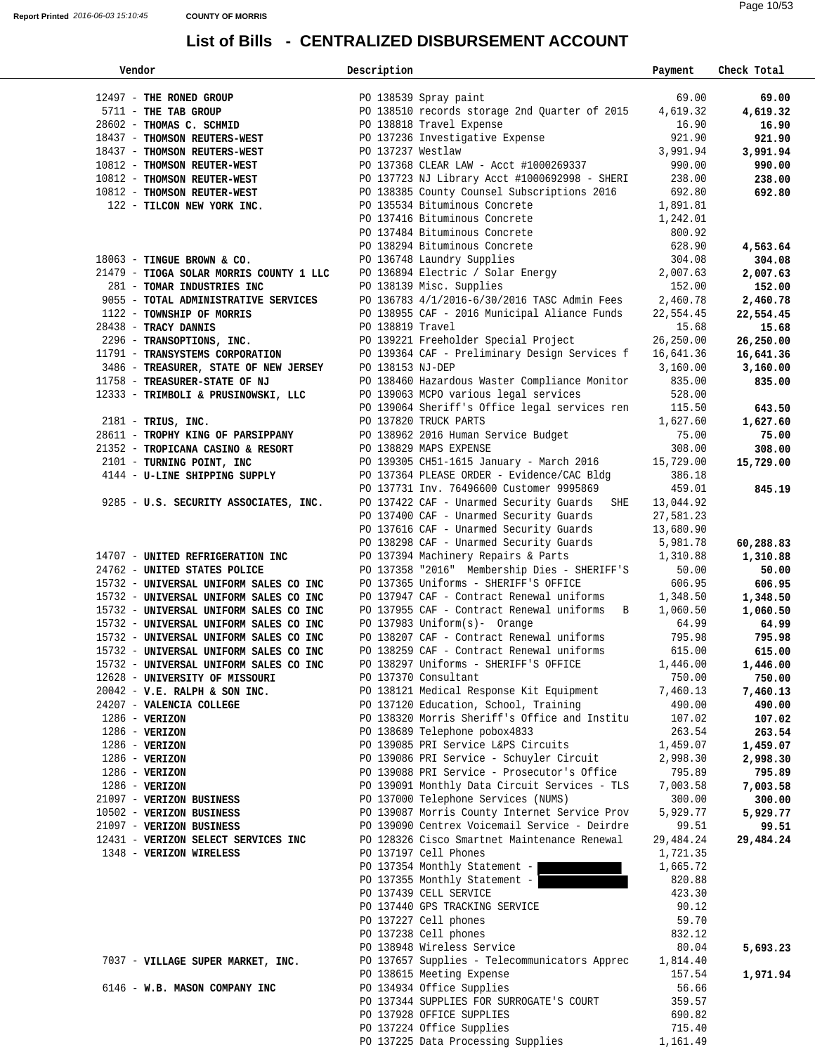| Vendor                                                               | Description       |                                                                                        | Payment            | Check Total       |  |
|----------------------------------------------------------------------|-------------------|----------------------------------------------------------------------------------------|--------------------|-------------------|--|
|                                                                      |                   |                                                                                        |                    |                   |  |
| 12497 - THE RONED GROUP                                              |                   | PO 138539 Spray paint                                                                  | 69.00              | 69.00             |  |
| 5711 - THE TAB GROUP                                                 |                   | PO 138510 records storage 2nd Quarter of 2015                                          | 4,619.32           | 4,619.32          |  |
| 28602 - THOMAS C. SCHMID                                             |                   | PO 138818 Travel Expense                                                               | 16.90              | 16.90             |  |
| 18437 - THOMSON REUTERS-WEST                                         |                   | PO 137236 Investigative Expense                                                        | 921.90             | 921.90            |  |
| 18437 - THOMSON REUTERS-WEST                                         | PO 137237 Westlaw |                                                                                        | 3,991.94           | 3,991.94          |  |
| 10812 - THOMSON REUTER-WEST                                          |                   | PO 137368 CLEAR LAW - Acct #1000269337                                                 | 990.00             | 990.00            |  |
| 10812 - THOMSON REUTER-WEST                                          |                   | PO 137723 NJ Library Acct #1000692998 - SHERI                                          | 238.00             | 238.00            |  |
| 10812 - THOMSON REUTER-WEST                                          |                   | PO 138385 County Counsel Subscriptions 2016                                            | 692.80             | 692.80            |  |
| 122 - TILCON NEW YORK INC.                                           |                   | PO 135534 Bituminous Concrete                                                          | 1,891.81           |                   |  |
|                                                                      |                   | PO 137416 Bituminous Concrete                                                          | 1,242.01           |                   |  |
|                                                                      |                   | PO 137484 Bituminous Concrete                                                          | 800.92             |                   |  |
|                                                                      |                   | PO 138294 Bituminous Concrete<br>PO 136748 Laundry Supplies                            | 628.90             | 4,563.64          |  |
| $18063$ - TINGUE BROWN & CO.                                         |                   | PO 136748 Laundry Supplies                                                             | 304.08             | 304.08            |  |
| 21479 - TIOGA SOLAR MORRIS COUNTY 1 LLC                              |                   | PO 136894 Electric / Solar Energy                                                      | 2,007.63           | 2,007.63          |  |
| 281 - TOMAR INDUSTRIES INC                                           |                   | PO 138139 Misc. Supplies<br>PO 136783 4/1/2016-6/30/2016 TASC Admin Fees 2,460.78      | 152.00             | 152.00            |  |
| 9055 - TOTAL ADMINISTRATIVE SERVICES                                 |                   |                                                                                        |                    | 2,460.78          |  |
| 1122 - TOWNSHIP OF MORRIS                                            |                   | PO 138955 CAF - 2016 Municipal Aliance Funds                                           | 22,554.45          | 22,554.45         |  |
| 28438 - TRACY DANNIS                                                 | PO 138819 Travel  |                                                                                        | 15.68              | 15.68             |  |
| 2296 - TRANSOPTIONS, INC.                                            |                   | PO 139221 Freeholder Special Project                                                   | 26,250.00          | 26,250.00         |  |
| 11791 - TRANSYSTEMS CORPORATION                                      |                   | PO 139364 CAF - Preliminary Design Services f                                          | 16,641.36          | 16,641.36         |  |
| 3486 - TREASURER, STATE OF NEW JERSEY                                | PO 138153 NJ-DEP  |                                                                                        | 3,160.00<br>835.00 | 3,160.00          |  |
| 11758 - TREASURER-STATE OF NJ<br>12333 - TRIMBOLI & PRUSINOWSKI, LLC |                   | PO 138460 Hazardous Waster Compliance Monitor<br>PO 139063 MCPO various legal services | 528.00             | 835.00            |  |
|                                                                      |                   | PO 139064 Sheriff's Office legal services ren                                          | 115.50             |                   |  |
| $2181$ - TRIUS, INC.                                                 |                   | PO 137820 TRUCK PARTS                                                                  | 1,627.60           | 643.50            |  |
| 28611 - TROPHY KING OF PARSIPPANY                                    |                   | PO 138962 2016 Human Service Budget                                                    | 75.00              | 1,627.60<br>75.00 |  |
| 21352 - TROPICANA CASINO & RESORT                                    |                   | PO 138829 MAPS EXPENSE                                                                 | 308.00             | 308.00            |  |
| 2101 - TURNING POINT, INC                                            |                   | PO 139305 CH51-1615 January - March 2016                                               | 15,729.00          | 15,729.00         |  |
| 4144 - U-LINE SHIPPING SUPPLY                                        |                   | PO 137364 PLEASE ORDER - Evidence/CAC Bldg                                             | 386.18             |                   |  |
|                                                                      |                   | PO 137731 Inv. 76496600 Customer 9995869                                               | 459.01             | 845.19            |  |
| 9285 - U.S. SECURITY ASSOCIATES, INC.                                |                   | PO 137422 CAF - Unarmed Security Guards SHE                                            | 13,044.92          |                   |  |
|                                                                      |                   | PO 137400 CAF - Unarmed Security Guards                                                | 27,581.23          |                   |  |
|                                                                      |                   | PO 137616 CAF - Unarmed Security Guards                                                | 13,680.90          |                   |  |
|                                                                      |                   | PO 138298 CAF - Unarmed Security Guards                                                | 5,981.78           | 60,288.83         |  |
| 14707 - UNITED REFRIGERATION INC                                     |                   | PO 137394 Machinery Repairs & Parts                                                    | 1,310.88           | 1,310.88          |  |
| 24762 - UNITED STATES POLICE                                         |                   | PO 137358 "2016" Membership Dies - SHERIFF'S                                           | 50.00              | 50.00             |  |
| 15732 - UNIVERSAL UNIFORM SALES CO INC                               |                   | PO 137365 Uniforms - SHERIFF'S OFFICE                                                  | 606.95             | 606.95            |  |
| 15732 - UNIVERSAL UNIFORM SALES CO INC                               |                   | PO 137947 CAF - Contract Renewal uniforms                                              | 1,348.50           | 1,348.50          |  |
| 15732 - UNIVERSAL UNIFORM SALES CO INC                               |                   | PO 137955 CAF - Contract Renewal uniforms B                                            | 1,060.50           | 1,060.50          |  |
| 15732 - UNIVERSAL UNIFORM SALES CO INC                               |                   | PO 137983 Uniform(s)- Orange                                                           | 64.99              | 64.99             |  |
| 15732 - UNIVERSAL UNIFORM SALES CO INC                               |                   | PO 138207 CAF - Contract Renewal uniforms                                              | 795.98             | 795.98            |  |
| 15732 - UNIVERSAL UNIFORM SALES CO INC                               |                   | PO 138259 CAF - Contract Renewal uniforms                                              | 615.00             | 615.00            |  |
| 15732 - UNIVERSAL UNIFORM SALES CO INC                               |                   | PO 138297 Uniforms - SHERIFF'S OFFICE                                                  | 1,446.00           | 1,446.00          |  |
| 12628 - UNIVERSITY OF MISSOURI                                       |                   | PO 137370 Consultant                                                                   | 750.00             | 750.00            |  |
| $20042 - V.E. RALPH & SON INC.$                                      |                   | PO 138121 Medical Response Kit Equipment                                               | 7,460.13           | 7,460.13          |  |
| 24207 - VALENCIA COLLEGE                                             |                   | PO 137120 Education, School, Training                                                  | 490.00             | 490.00            |  |
| $1286 - VERIZON$                                                     |                   | PO 138320 Morris Sheriff's Office and Institu                                          | 107.02             | 107.02            |  |
| $1286$ - VERIZON                                                     |                   | PO 138689 Telephone pobox4833                                                          | 263.54             | 263.54            |  |
| 1286 - VERIZON                                                       |                   | PO 139085 PRI Service L&PS Circuits                                                    | 1,459.07           | 1,459.07          |  |
| 1286 - VERIZON                                                       |                   | PO 139086 PRI Service - Schuyler Circuit                                               | 2,998.30           | 2,998.30          |  |
| 1286 - VERIZON                                                       |                   | PO 139088 PRI Service - Prosecutor's Office                                            | 795.89             | 795.89            |  |
| $1286 - VERIZON$                                                     |                   | PO 139091 Monthly Data Circuit Services - TLS                                          | 7,003.58           | 7,003.58          |  |
| 21097 - VERIZON BUSINESS                                             |                   | PO 137000 Telephone Services (NUMS)                                                    | 300.00             | 300.00            |  |
| 10502 - VERIZON BUSINESS                                             |                   | PO 139087 Morris County Internet Service Prov                                          | 5,929.77           | 5,929.77          |  |
| 21097 - VERIZON BUSINESS                                             |                   | PO 139090 Centrex Voicemail Service - Deirdre                                          | 99.51              | 99.51             |  |
| 12431 - VERIZON SELECT SERVICES INC                                  |                   | PO 128326 Cisco Smartnet Maintenance Renewal                                           | 29,484.24          | 29,484.24         |  |
| 1348 - VERIZON WIRELESS                                              |                   | PO 137197 Cell Phones                                                                  | 1,721.35           |                   |  |
|                                                                      |                   | PO 137354 Monthly Statement -                                                          | 1,665.72           |                   |  |
|                                                                      |                   | PO 137355 Monthly Statement -                                                          | 820.88             |                   |  |
|                                                                      |                   | PO 137439 CELL SERVICE                                                                 | 423.30             |                   |  |
|                                                                      |                   | PO 137440 GPS TRACKING SERVICE<br>PO 137227 Cell phones                                | 90.12<br>59.70     |                   |  |
|                                                                      |                   | PO 137238 Cell phones                                                                  | 832.12             |                   |  |
|                                                                      |                   | PO 138948 Wireless Service                                                             | 80.04              | 5,693.23          |  |
| 7037 - VILLAGE SUPER MARKET, INC.                                    |                   | PO 137657 Supplies - Telecommunicators Apprec                                          | 1,814.40           |                   |  |
|                                                                      |                   | PO 138615 Meeting Expense                                                              | 157.54             | 1,971.94          |  |
| 6146 - W.B. MASON COMPANY INC                                        |                   | PO 134934 Office Supplies                                                              | 56.66              |                   |  |
|                                                                      |                   | PO 137344 SUPPLIES FOR SURROGATE'S COURT                                               | 359.57             |                   |  |
|                                                                      |                   | PO 137928 OFFICE SUPPLIES                                                              | 690.82             |                   |  |
|                                                                      |                   | PO 137224 Office Supplies                                                              | 715.40             |                   |  |
|                                                                      |                   | PO 137225 Data Processing Supplies                                                     | 1,161.49           |                   |  |
|                                                                      |                   |                                                                                        |                    |                   |  |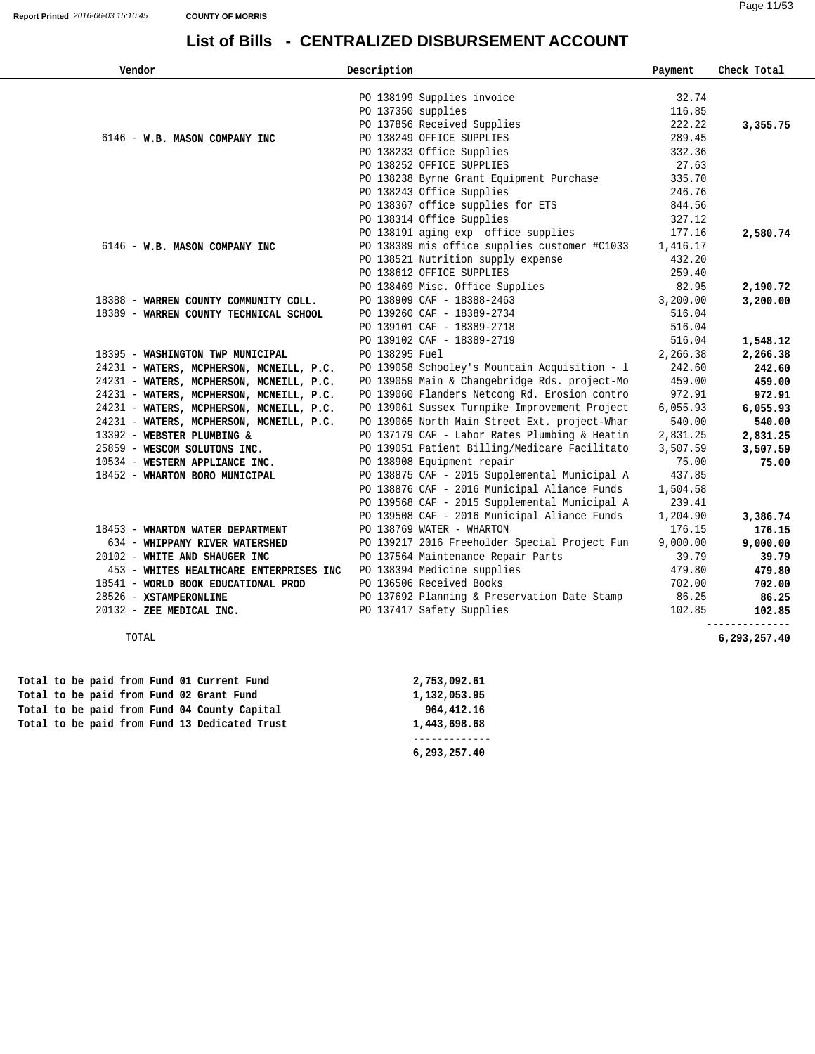| Vendor                                   | Description                                   | Payment  | Check Total    |
|------------------------------------------|-----------------------------------------------|----------|----------------|
|                                          | PO 138199 Supplies invoice                    | 32.74    |                |
|                                          | PO 137350 supplies                            | 116.85   |                |
|                                          | PO 137856 Received Supplies                   | 222.22   | 3,355.75       |
| 6146 - W.B. MASON COMPANY INC            | PO 138249 OFFICE SUPPLIES                     | 289.45   |                |
|                                          | PO 138233 Office Supplies                     | 332.36   |                |
|                                          | PO 138252 OFFICE SUPPLIES                     | 27.63    |                |
|                                          | PO 138238 Byrne Grant Equipment Purchase      | 335.70   |                |
|                                          | PO 138243 Office Supplies                     | 246.76   |                |
|                                          | PO 138367 office supplies for ETS             | 844.56   |                |
|                                          | PO 138314 Office Supplies                     | 327.12   |                |
|                                          | PO 138191 aging exp office supplies           | 177.16   | 2,580.74       |
| 6146 - W.B. MASON COMPANY INC            | PO 138389 mis office supplies customer #C1033 | 1,416.17 |                |
|                                          | PO 138521 Nutrition supply expense            | 432.20   |                |
|                                          | PO 138612 OFFICE SUPPLIES                     | 259.40   |                |
|                                          | PO 138469 Misc. Office Supplies               | 82.95    | 2,190.72       |
| 18388 - WARREN COUNTY COMMUNITY COLL.    | PO 138909 CAF - 18388-2463                    | 3,200.00 | 3,200.00       |
| 18389 - WARREN COUNTY TECHNICAL SCHOOL   | PO 139260 CAF - 18389-2734                    | 516.04   |                |
|                                          | PO 139101 CAF - 18389-2718                    | 516.04   |                |
|                                          | PO 139102 CAF - 18389-2719                    | 516.04   | 1,548.12       |
| 18395 - WASHINGTON TWP MUNICIPAL         | PO 138295 Fuel                                | 2,266.38 | 2,266.38       |
| 24231 - WATERS, MCPHERSON, MCNEILL, P.C. | PO 139058 Schooley's Mountain Acquisition - 1 | 242.60   | 242.60         |
| 24231 - WATERS, MCPHERSON, MCNEILL, P.C. | PO 139059 Main & Changebridge Rds. project-Mo | 459.00   | 459.00         |
| 24231 - WATERS, MCPHERSON, MCNEILL, P.C. | PO 139060 Flanders Netcong Rd. Erosion contro | 972.91   | 972.91         |
| 24231 - WATERS, MCPHERSON, MCNEILL, P.C. | PO 139061 Sussex Turnpike Improvement Project | 6,055.93 | 6,055.93       |
| 24231 - WATERS, MCPHERSON, MCNEILL, P.C. | PO 139065 North Main Street Ext. project-Whar | 540.00   | 540.00         |
| 13392 - WEBSTER PLUMBING &               | PO 137179 CAF - Labor Rates Plumbing & Heatin | 2,831.25 | 2,831.25       |
| 25859 - WESCOM SOLUTONS INC.             | PO 139051 Patient Billing/Medicare Facilitato | 3,507.59 | 3,507.59       |
| 10534 - WESTERN APPLIANCE INC.           | PO 138908 Equipment repair                    | 75.00    | 75.00          |
| 18452 - WHARTON BORO MUNICIPAL           | PO 138875 CAF - 2015 Supplemental Municipal A | 437.85   |                |
|                                          | PO 138876 CAF - 2016 Municipal Aliance Funds  | 1,504.58 |                |
|                                          | PO 139568 CAF - 2015 Supplemental Municipal A | 239.41   |                |
|                                          | PO 139508 CAF - 2016 Municipal Aliance Funds  | 1,204.90 | 3,386.74       |
| 18453 - WHARTON WATER DEPARTMENT         | PO 138769 WATER - WHARTON                     | 176.15   | 176.15         |
| 634 - WHIPPANY RIVER WATERSHED           | PO 139217 2016 Freeholder Special Project Fun | 9,000.00 | 9,000.00       |
| 20102 - WHITE AND SHAUGER INC            | PO 137564 Maintenance Repair Parts            | 39.79    | 39.79          |
| 453 - WHITES HEALTHCARE ENTERPRISES INC  | PO 138394 Medicine supplies                   | 479.80   | 479.80         |
| 18541 - WORLD BOOK EDUCATIONAL PROD      | PO 136506 Received Books                      | 702.00   | 702.00         |
| 28526 - XSTAMPERONLINE                   | PO 137692 Planning & Preservation Date Stamp  | 86.25    | 86.25          |
| 20132 - ZEE MEDICAL INC.                 | PO 137417 Safety Supplies                     | 102.85   | 102.85         |
|                                          |                                               |          | -------------- |

TOTAL **6,293,257.40**

|  |  |  | Total to be paid from Fund 01 Current Fund    | 2,753,092.61 |
|--|--|--|-----------------------------------------------|--------------|
|  |  |  | Total to be paid from Fund 02 Grant Fund      | 1,132,053.95 |
|  |  |  | Total to be paid from Fund 04 County Capital  | 964,412.16   |
|  |  |  | Total to be paid from Fund 13 Dedicated Trust | 1,443,698.68 |
|  |  |  |                                               |              |

 **Total to be paid from Fund 13 Dedicated Trust 1,443,698.68 ------------- 6,293,257.40**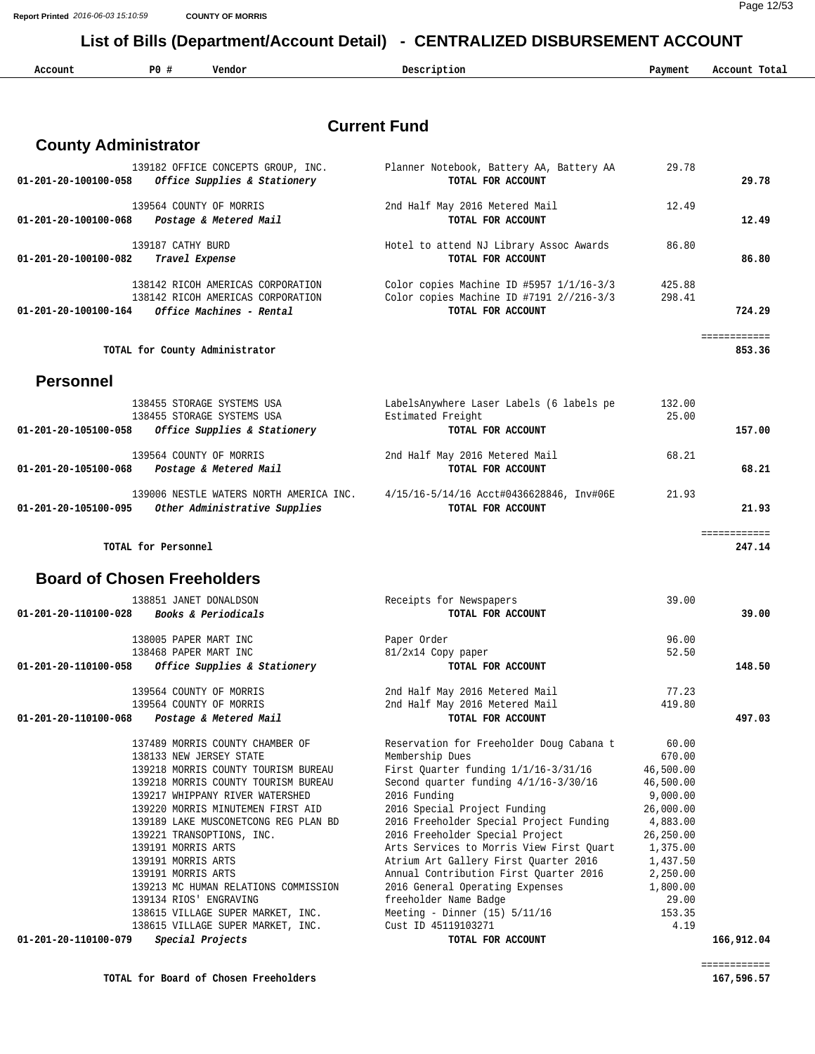Page 12/53 **Report Printed** *2016-06-03 15:10:59* **COUNTY OF MORRIS**

### **List of Bills (Department/Account Detail) - CENTRALIZED DISBURSEMENT ACCOUNT**

| Account<br>. | P0<br>$\sim$ | $77 - - - - - - -$<br>vendor | Description | Pavment | ecount.<br>Tota.<br>.<br>. |
|--------------|--------------|------------------------------|-------------|---------|----------------------------|
|              |              |                              |             |         |                            |

### **Current Fund**

| 01-201-20-100100-058           | 139182 OFFICE CONCEPTS GROUP, INC.<br>Office Supplies & Stationery | Planner Notebook, Battery AA, Battery AA<br>TOTAL FOR ACCOUNT | 29.78  | 29.78       |
|--------------------------------|--------------------------------------------------------------------|---------------------------------------------------------------|--------|-------------|
| 01-201-20-100100-068           | 139564 COUNTY OF MORRIS<br>Postage & Metered Mail                  | 2nd Half May 2016 Metered Mail<br>TOTAL FOR ACCOUNT           | 12.49  | 12.49       |
|                                | 139187 CATHY BURD                                                  | Hotel to attend NJ Library Assoc Awards                       | 86.80  |             |
| 01-201-20-100100-082           | Travel Expense                                                     | TOTAL FOR ACCOUNT                                             |        | 86.80       |
|                                | 138142 RICOH AMERICAS CORPORATION                                  | Color copies Machine ID #5957 1/1/16-3/3                      | 425.88 |             |
|                                | 138142 RICOH AMERICAS CORPORATION                                  | Color copies Machine ID #7191 2//216-3/3                      | 298.41 |             |
| $01 - 201 - 20 - 100100 - 164$ | Office Machines - Rental                                           | TOTAL FOR ACCOUNT                                             |        | 724.29      |
|                                |                                                                    |                                                               |        | eeeseeseese |
|                                | TOTAL for County Administrator                                     |                                                               |        | 853.36      |
| <b>Personnel</b>               |                                                                    |                                                               |        |             |
|                                | 138455 STORAGE SYSTEMS USA                                         | LabelsAnywhere Laser Labels (6 labels pe                      | 132.00 |             |
|                                | 138455 STORAGE SYSTEMS USA                                         | Estimated Freight                                             | 25.00  |             |
| 01-201-20-105100-058           | Office Supplies & Stationery                                       | TOTAL FOR ACCOUNT                                             |        | 157.00      |
|                                | 139564 COUNTY OF MORRIS                                            | 2nd Half May 2016 Metered Mail                                | 68.21  |             |
| 01-201-20-105100-068           | Postage & Metered Mail                                             | TOTAL FOR ACCOUNT                                             |        | 68.21       |
|                                | 139006 NESTLE WATERS NORTH AMERICA INC.                            | 4/15/16-5/14/16 Acct#0436628846, Inv#06E                      | 21.93  |             |
| 01-201-20-105100-095           | Other Administrative Supplies                                      | TOTAL FOR ACCOUNT                                             |        | 21.93       |
|                                |                                                                    |                                                               |        | eeeseeseese |
|                                | TOTAL for Personnel                                                |                                                               |        | 247.14      |
|                                | <b>Board of Chosen Freeholders</b>                                 |                                                               |        |             |
|                                | 138851 JANET DONALDSON                                             | Receipts for Newspapers                                       | 39.00  |             |
| $01 - 201 - 20 - 110100 - 028$ | Books & Periodicals                                                | TOTAL FOR ACCOUNT                                             |        | 39.00       |
|                                | 138005 PAPER MART INC                                              | Paper Order                                                   | 96.00  |             |
|                                | 138468 PAPER MART INC                                              | 81/2x14 Copy paper                                            | 52.50  |             |
| 01-201-20-110100-058           | Office Supplies & Stationery                                       | TOTAL FOR ACCOUNT                                             |        | 148.50      |
|                                | 139564 COUNTY OF MORRIS                                            | 2nd Half May 2016 Metered Mail                                | 77.23  |             |
|                                | 139564 COUNTY OF MORRIS                                            | 2nd Half May 2016 Metered Mail                                | 419.80 |             |
| 01-201-20-110100-068           | Postage & Metered Mail                                             | TOTAL FOR ACCOUNT                                             |        | 497.03      |

| 137489 MORRIS COUNTY CHAMBER OF          | Reservation for Freeholder Doug Cabana t | 60.00     |            |
|------------------------------------------|------------------------------------------|-----------|------------|
| 138133 NEW JERSEY STATE                  | Membership Dues                          | 670.00    |            |
| 139218 MORRIS COUNTY TOURISM BUREAU      | First Quarter funding $1/1/16-3/31/16$   | 46,500.00 |            |
| 139218 MORRIS COUNTY TOURISM BUREAU      | Second quarter funding $4/1/16-3/30/16$  | 46,500.00 |            |
| 139217 WHIPPANY RIVER WATERSHED          | 2016 Funding                             | 9,000.00  |            |
| 139220 MORRIS MINUTEMEN FIRST AID        | 2016 Special Project Funding             | 26,000.00 |            |
| 139189 LAKE MUSCONETCONG REG PLAN BD     | 2016 Freeholder Special Project Funding  | 4,883.00  |            |
| 139221 TRANSOPTIONS, INC.                | 2016 Freeholder Special Project          | 26,250.00 |            |
| 139191 MORRIS ARTS                       | Arts Services to Morris View First Ouart | 1,375.00  |            |
| 139191 MORRIS ARTS                       | Atrium Art Gallery First Ouarter 2016    | 1,437.50  |            |
| 139191 MORRIS ARTS                       | Annual Contribution First Ouarter 2016   | 2,250.00  |            |
| 139213 MC HUMAN RELATIONS COMMISSION     | 2016 General Operating Expenses          | 1,800.00  |            |
| 139134 RIOS' ENGRAVING                   | freeholder Name Badge                    | 29.00     |            |
| 138615 VILLAGE SUPER MARKET, INC.        | Meeting - Dinner $(15)$ 5/11/16          | 153.35    |            |
| 138615 VILLAGE SUPER MARKET, INC.        | Cust ID 45119103271                      | 4.19      |            |
| Special Projects<br>01-201-20-110100-079 | TOTAL FOR ACCOUNT                        |           | 166,912.04 |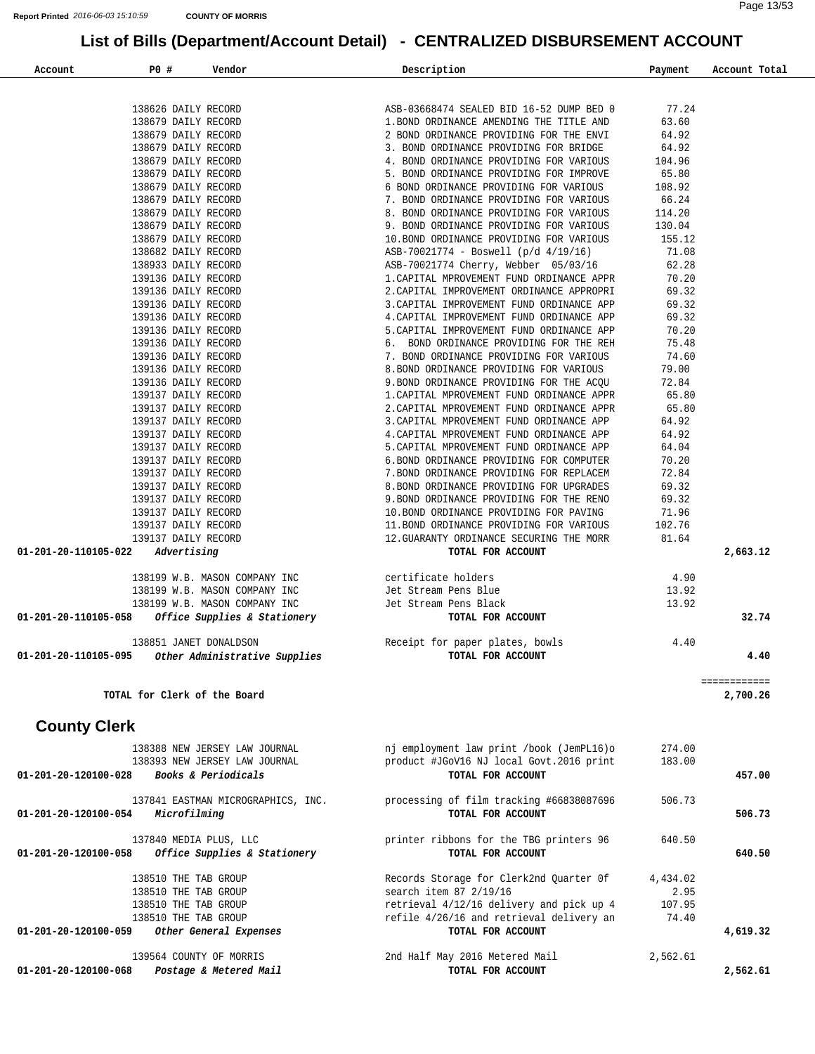| Account | P0#                                        | Vendor                                                                                                  | Description                                                                                                                                                                                                                                   | Payment | Account Total |
|---------|--------------------------------------------|---------------------------------------------------------------------------------------------------------|-----------------------------------------------------------------------------------------------------------------------------------------------------------------------------------------------------------------------------------------------|---------|---------------|
|         |                                            |                                                                                                         |                                                                                                                                                                                                                                               |         |               |
|         | 138626 DAILY RECORD                        |                                                                                                         | ASB-03668474 SEALED BID 16-52 DUMP BED 0                                                                                                                                                                                                      | 77.24   |               |
|         | 138679 DAILY RECORD                        |                                                                                                         | 1.BOND ORDINANCE AMENDING THE TITLE AND                                                                                                                                                                                                       | 63.60   |               |
|         | 138679 DAILY RECORD                        |                                                                                                         | 1. BOND ORDINANCE AMENDING THE TITLE AND<br>2 BOND ORDINANCE PROVIDING FOR THE ENVI<br>3. BOND ORDINANCE PROVIDING FOR THE ENVI<br>4. BOND ORDINANCE PROVIDING FOR VARIOUS<br>5. BOND ORDINANCE PROVIDING FOR VARIOUS<br>7. BOND ORDINANCE PR | 64.92   |               |
|         | 138679 DAILY RECORD                        |                                                                                                         |                                                                                                                                                                                                                                               | 64.92   |               |
|         | 138679 DAILY RECORD                        |                                                                                                         |                                                                                                                                                                                                                                               | 104.96  |               |
|         | 138679 DAILY RECORD                        |                                                                                                         |                                                                                                                                                                                                                                               | 65.80   |               |
|         | 138679 DAILY RECORD                        |                                                                                                         |                                                                                                                                                                                                                                               | 108.92  |               |
|         | 138679 DAILY RECORD                        |                                                                                                         |                                                                                                                                                                                                                                               | 66.24   |               |
|         | 138679 DAILY RECORD                        |                                                                                                         |                                                                                                                                                                                                                                               | 114.20  |               |
|         | 138679 DAILY RECORD                        |                                                                                                         |                                                                                                                                                                                                                                               | 130.04  |               |
|         | 138679 DAILY RECORD                        |                                                                                                         |                                                                                                                                                                                                                                               | 155.12  |               |
|         | 138682 DAILY RECORD                        |                                                                                                         | 9. BOND ORDINANCE PROVIDING FOR VARIOUS<br>10.BOND ORDINANCE PROVIDING FOR VARIOUS<br>ASB-70021774 - Boswell (p/d 4/19/16)<br>ASB-70021774 Cherry, Webber 05/03/16<br>1.CAPITAL MPROVEMENT FUND ORDINANCE 1-2.CAPITAL MPROVEMENT FUND ORDI    | 71.08   |               |
|         | 138933 DAILY RECORD                        |                                                                                                         |                                                                                                                                                                                                                                               | 62.28   |               |
|         | 139136 DAILY RECORD                        |                                                                                                         |                                                                                                                                                                                                                                               | 70.20   |               |
|         | 139136 DAILY RECORD                        |                                                                                                         |                                                                                                                                                                                                                                               | 69.32   |               |
|         | 139136 DAILY RECORD                        |                                                                                                         |                                                                                                                                                                                                                                               | 69.32   |               |
|         | 139136 DAILY RECORD                        |                                                                                                         |                                                                                                                                                                                                                                               | 69.32   |               |
|         | 139136 DAILY RECORD                        |                                                                                                         |                                                                                                                                                                                                                                               | 70.20   |               |
|         | 139136 DAILY RECORD                        |                                                                                                         |                                                                                                                                                                                                                                               | 75.48   |               |
|         | 139136 DAILY RECORD                        |                                                                                                         |                                                                                                                                                                                                                                               | 74.60   |               |
|         | 139136 DAILY RECORD                        |                                                                                                         |                                                                                                                                                                                                                                               | 79.00   |               |
|         | 139136 DAILY RECORD                        |                                                                                                         |                                                                                                                                                                                                                                               | 72.84   |               |
|         | 139137 DAILY RECORD                        |                                                                                                         |                                                                                                                                                                                                                                               | 65.80   |               |
|         | 139137 DAILY RECORD                        |                                                                                                         | 2. CAPITAL IMPROVEMENT FUND ORDINANCE APP<br>4. CAPITAL IMPROVEMENT FUND ORDINANCE APP<br>5. CAPITAL IMPROVEMENT FUND ORDINANCE APP<br>5. CAPITAL IMPROVEMENT FUND ORDINANCE APP<br>6. BOND ORDINANCE PROVIDING FOR THE REH<br>7. BOND O      | 65.80   |               |
|         | 139137 DAILY RECORD                        |                                                                                                         |                                                                                                                                                                                                                                               | 64.92   |               |
|         | 139137 DAILY RECORD                        |                                                                                                         |                                                                                                                                                                                                                                               | 64.92   |               |
|         | 139137 DAILY RECORD                        |                                                                                                         |                                                                                                                                                                                                                                               | 64.04   |               |
|         | 139137 DAILY RECORD                        |                                                                                                         |                                                                                                                                                                                                                                               | 70.20   |               |
|         | 139137 DAILY RECORD                        |                                                                                                         |                                                                                                                                                                                                                                               | 72.84   |               |
|         | 139137 DAILY RECORD                        |                                                                                                         |                                                                                                                                                                                                                                               | 69.32   |               |
|         | 139137 DAILY RECORD                        |                                                                                                         |                                                                                                                                                                                                                                               | 69.32   |               |
|         | 139137 DAILY RECORD                        |                                                                                                         |                                                                                                                                                                                                                                               | 71.96   |               |
|         | 139137 DAILY RECORD                        |                                                                                                         | 3. CAPITAL MPROVEMENT FUND ORDINANCE APP<br>4. CAPITAL MPROVEMENT FUND ORDINANCE APP<br>5. CAPITAL MPROVEMENT FUND ORDINANCE APP<br>6. BOND ORDINANCE PROVIDING FOR COMPUTER<br>7. BOND ORDINANCE PROVIDING FOR THE RENO<br>8. BOND ORDINANCE | 102.76  |               |
|         | 139137 DAILY RECORD                        |                                                                                                         |                                                                                                                                                                                                                                               | 81.64   |               |
|         | $01 - 201 - 20 - 110105 - 022$ Advertising |                                                                                                         | TOTAL FOR ACCOUNT                                                                                                                                                                                                                             |         | 2,663.12      |
|         |                                            |                                                                                                         |                                                                                                                                                                                                                                               | 4.90    |               |
|         |                                            | 138199 W.B. MASON COMPANY INC certificate holders<br>138199 W.B. MASON COMPANY INC Jet Stream Pens Blue |                                                                                                                                                                                                                                               | 13.92   |               |
|         |                                            | 138199 W.B. MASON COMPANY INC                                                                           | Jet Stream Pens Black                                                                                                                                                                                                                         | 13.92   |               |
|         |                                            | $01-201-20-110105-058$ Office Supplies & Stationery                                                     | TOTAL FOR ACCOUNT                                                                                                                                                                                                                             |         | 32.74         |
|         |                                            |                                                                                                         |                                                                                                                                                                                                                                               |         |               |
|         |                                            | 138851 JANET DONALDSON                                                                                  | Receipt for paper plates, bowls                                                                                                                                                                                                               | 4.40    |               |

 **01-201-20-110105-095** *Other Administrative Supplies* **TOTAL FOR ACCOUNT 4.40**

**TOTAL for Clerk of the Board 2,700.26**

### **County Clerk**

| 138388 NEW JERSEY LAW JOURNAL<br>138393 NEW JERSEY LAW JOURNAL | nj employment law print /book (JemPL16)o<br>product #JGoV16 NJ local Govt.2016 print | 274.00<br>183.00 |          |
|----------------------------------------------------------------|--------------------------------------------------------------------------------------|------------------|----------|
| <b>Books &amp; Periodicals</b><br>01-201-20-120100-028         | TOTAL FOR ACCOUNT                                                                    |                  | 457.00   |
| 137841 EASTMAN MICROGRAPHICS, INC.                             | processing of film tracking #66838087696                                             | 506.73           |          |
| Microfilming<br>01-201-20-120100-054                           | TOTAL FOR ACCOUNT                                                                    |                  | 506.73   |
| 137840 MEDIA PLUS, LLC                                         | printer ribbons for the TBG printers 96                                              | 640.50           |          |
| 01-201-20-120100-058<br>Office Supplies & Stationery           | TOTAL FOR ACCOUNT                                                                    |                  | 640.50   |
| 138510 THE TAB GROUP                                           | Records Storage for Clerk2nd Ouarter Of                                              | 4,434.02         |          |
| 138510 THE TAB GROUP                                           | search item 87 2/19/16                                                               | 2.95             |          |
| 138510 THE TAB GROUP                                           | retrieval 4/12/16 delivery and pick up 4                                             | 107.95           |          |
| 138510 THE TAB GROUP                                           | refile 4/26/16 and retrieval delivery an                                             | 74.40            |          |
| 01-201-20-120100-059<br>Other General Expenses                 | TOTAL FOR ACCOUNT                                                                    |                  | 4,619.32 |
| 139564 COUNTY OF MORRIS                                        | 2nd Half May 2016 Metered Mail                                                       | 2,562.61         |          |
| 01-201-20-120100-068<br>Postage & Metered Mail                 | TOTAL FOR ACCOUNT                                                                    |                  | 2,562.61 |

============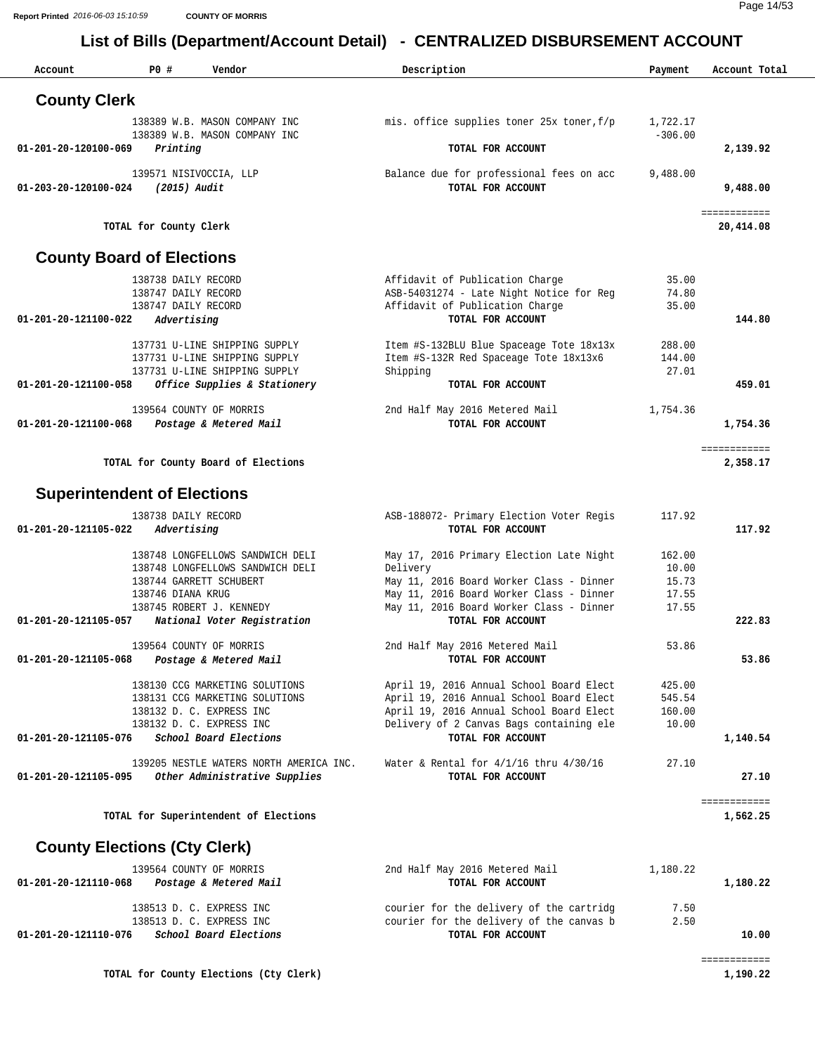| Account              | P0 #<br>Vendor                                                | Description                                                                          | Payment         | Account Total             |
|----------------------|---------------------------------------------------------------|--------------------------------------------------------------------------------------|-----------------|---------------------------|
| <b>County Clerk</b>  |                                                               |                                                                                      |                 |                           |
|                      | 138389 W.B. MASON COMPANY INC                                 | mis. office supplies toner 25x toner, f/p                                            | 1,722.17        |                           |
|                      | 138389 W.B. MASON COMPANY INC                                 |                                                                                      | $-306.00$       |                           |
| 01-201-20-120100-069 | Printing                                                      | TOTAL FOR ACCOUNT                                                                    |                 | 2,139.92                  |
| 01-203-20-120100-024 | 139571 NISIVOCCIA, LLP<br>(2015) Audit                        | Balance due for professional fees on acc<br>TOTAL FOR ACCOUNT                        | 9,488.00        | 9,488.00                  |
|                      | TOTAL for County Clerk                                        |                                                                                      |                 | ============<br>20,414.08 |
|                      | <b>County Board of Elections</b>                              |                                                                                      |                 |                           |
|                      | 138738 DAILY RECORD                                           | Affidavit of Publication Charge                                                      | 35.00           |                           |
|                      | 138747 DAILY RECORD                                           | ASB-54031274 - Late Night Notice for Reg                                             | 74.80           |                           |
| 01-201-20-121100-022 | 138747 DAILY RECORD<br>Advertising                            | Affidavit of Publication Charge<br>TOTAL FOR ACCOUNT                                 | 35.00           | 144.80                    |
|                      |                                                               |                                                                                      |                 |                           |
|                      | 137731 U-LINE SHIPPING SUPPLY                                 | Item #S-132BLU Blue Spaceage Tote 18x13x                                             | 288.00          |                           |
|                      | 137731 U-LINE SHIPPING SUPPLY                                 | Item #S-132R Red Spaceage Tote 18x13x6                                               | 144.00<br>27.01 |                           |
| 01-201-20-121100-058 | 137731 U-LINE SHIPPING SUPPLY<br>Office Supplies & Stationery | Shipping<br>TOTAL FOR ACCOUNT                                                        |                 | 459.01                    |
|                      |                                                               |                                                                                      |                 |                           |
|                      | 139564 COUNTY OF MORRIS                                       | 2nd Half May 2016 Metered Mail                                                       | 1,754.36        |                           |
| 01-201-20-121100-068 | Postage & Metered Mail                                        | TOTAL FOR ACCOUNT                                                                    |                 | 1,754.36                  |
|                      | TOTAL for County Board of Elections                           |                                                                                      |                 | ============<br>2,358.17  |
|                      |                                                               |                                                                                      |                 |                           |
|                      | <b>Superintendent of Elections</b>                            |                                                                                      |                 |                           |
|                      | 138738 DAILY RECORD                                           | ASB-188072- Primary Election Voter Regis                                             | 117.92          |                           |
| 01-201-20-121105-022 | Advertising                                                   | TOTAL FOR ACCOUNT                                                                    |                 | 117.92                    |
|                      | 138748 LONGFELLOWS SANDWICH DELI                              | May 17, 2016 Primary Election Late Night                                             | 162.00          |                           |
|                      | 138748 LONGFELLOWS SANDWICH DELI                              | Delivery                                                                             | 10.00           |                           |
|                      | 138744 GARRETT SCHUBERT                                       | May 11, 2016 Board Worker Class - Dinner                                             | 15.73           |                           |
|                      | 138746 DIANA KRUG<br>138745 ROBERT J. KENNEDY                 | May 11, 2016 Board Worker Class - Dinner<br>May 11, 2016 Board Worker Class - Dinner | 17.55<br>17.55  |                           |
| 01-201-20-121105-057 | National Voter Registration                                   | TOTAL FOR ACCOUNT                                                                    |                 | 222.83                    |
|                      |                                                               |                                                                                      |                 |                           |
| 01-201-20-121105-068 | 139564 COUNTY OF MORRIS<br>Postage & Metered Mail             | 2nd Half May 2016 Metered Mail<br>TOTAL FOR ACCOUNT                                  | 53.86           | 53.86                     |
|                      |                                                               |                                                                                      |                 |                           |
|                      | 138130 CCG MARKETING SOLUTIONS                                | April 19, 2016 Annual School Board Elect                                             | 425.00          |                           |
|                      | 138131 CCG MARKETING SOLUTIONS                                | April 19, 2016 Annual School Board Elect                                             | 545.54          |                           |
|                      | 138132 D. C. EXPRESS INC<br>138132 D. C. EXPRESS INC          | April 19, 2016 Annual School Board Elect<br>Delivery of 2 Canvas Bags containing ele | 160.00<br>10.00 |                           |
| 01-201-20-121105-076 | School Board Elections                                        | TOTAL FOR ACCOUNT                                                                    |                 | 1,140.54                  |
|                      | 139205 NESTLE WATERS NORTH AMERICA INC.                       | Water & Rental for $4/1/16$ thru $4/30/16$                                           | 27.10           |                           |
| 01-201-20-121105-095 | Other Administrative Supplies                                 | TOTAL FOR ACCOUNT                                                                    |                 | 27.10                     |
|                      |                                                               |                                                                                      |                 | ============              |
|                      | TOTAL for Superintendent of Elections                         |                                                                                      |                 | 1,562.25                  |
|                      | <b>County Elections (Cty Clerk)</b>                           |                                                                                      |                 |                           |
|                      | 139564 COUNTY OF MORRIS                                       | 2nd Half May 2016 Metered Mail                                                       | 1,180.22        |                           |
| 01-201-20-121110-068 | Postage & Metered Mail                                        | TOTAL FOR ACCOUNT                                                                    |                 | 1,180.22                  |
|                      |                                                               |                                                                                      |                 |                           |
|                      | 138513 D. C. EXPRESS INC<br>138513 D. C. EXPRESS INC          | courier for the delivery of the cartridg<br>courier for the delivery of the canvas b | 7.50<br>2.50    |                           |
| 01-201-20-121110-076 | School Board Elections                                        | TOTAL FOR ACCOUNT                                                                    |                 | 10.00                     |
|                      |                                                               |                                                                                      |                 | ============              |
|                      | TOTAL for County Elections (Cty Clerk)                        |                                                                                      |                 | 1,190.22                  |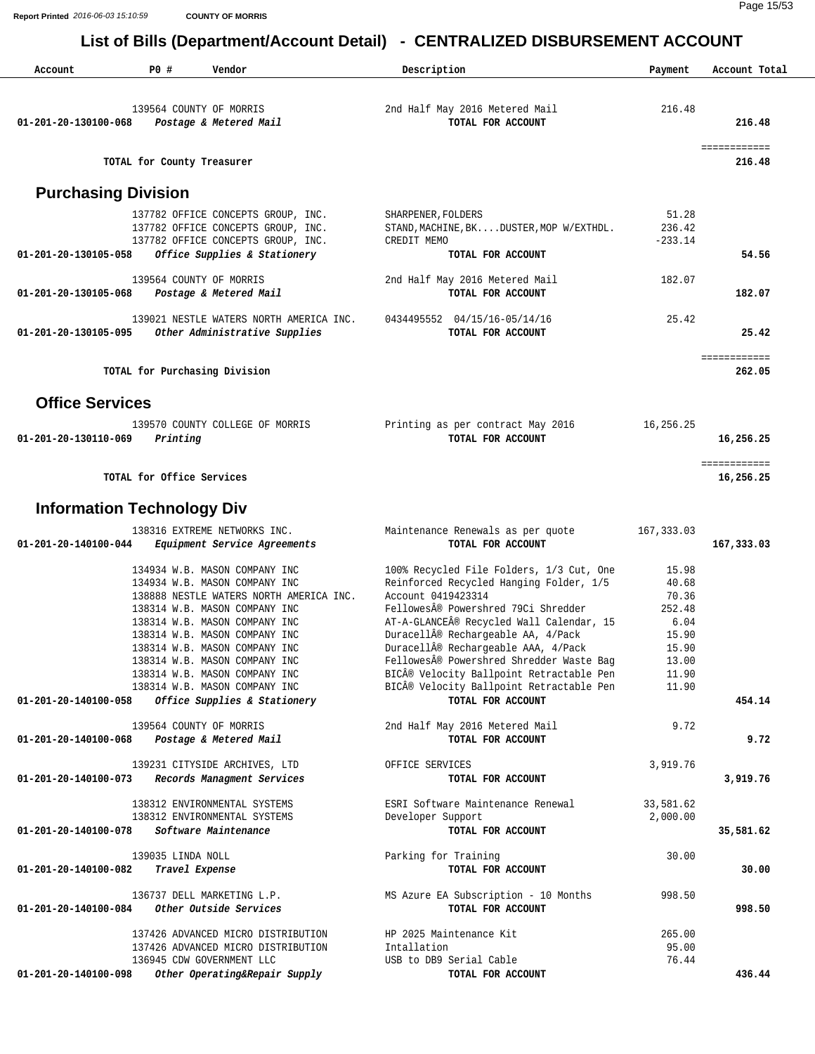| Account                    | P0 #<br>Vendor                                                                                                                                                                                                                                                                                                  | Description                                                                                                                                                                                                                                                                                                                                                  | Payment                                                                       | Account Total             |
|----------------------------|-----------------------------------------------------------------------------------------------------------------------------------------------------------------------------------------------------------------------------------------------------------------------------------------------------------------|--------------------------------------------------------------------------------------------------------------------------------------------------------------------------------------------------------------------------------------------------------------------------------------------------------------------------------------------------------------|-------------------------------------------------------------------------------|---------------------------|
| 01-201-20-130100-068       | 139564 COUNTY OF MORRIS<br>Postage & Metered Mail                                                                                                                                                                                                                                                               | 2nd Half May 2016 Metered Mail<br>TOTAL FOR ACCOUNT                                                                                                                                                                                                                                                                                                          | 216.48                                                                        | 216.48                    |
|                            | TOTAL for County Treasurer                                                                                                                                                                                                                                                                                      |                                                                                                                                                                                                                                                                                                                                                              |                                                                               | ============<br>216.48    |
| <b>Purchasing Division</b> |                                                                                                                                                                                                                                                                                                                 |                                                                                                                                                                                                                                                                                                                                                              |                                                                               |                           |
| 01-201-20-130105-058       | 137782 OFFICE CONCEPTS GROUP, INC.<br>137782 OFFICE CONCEPTS GROUP, INC.<br>137782 OFFICE CONCEPTS GROUP, INC.<br>Office Supplies & Stationery                                                                                                                                                                  | SHARPENER, FOLDERS<br>STAND, MACHINE, BKDUSTER, MOP W/EXTHDL.<br>CREDIT MEMO<br>TOTAL FOR ACCOUNT                                                                                                                                                                                                                                                            | 51.28<br>236.42<br>$-233.14$                                                  | 54.56                     |
|                            | 139564 COUNTY OF MORRIS                                                                                                                                                                                                                                                                                         | 2nd Half May 2016 Metered Mail                                                                                                                                                                                                                                                                                                                               | 182.07                                                                        |                           |
| 01-201-20-130105-068       | Postage & Metered Mail                                                                                                                                                                                                                                                                                          | TOTAL FOR ACCOUNT                                                                                                                                                                                                                                                                                                                                            |                                                                               | 182.07                    |
| 01-201-20-130105-095       | 139021 NESTLE WATERS NORTH AMERICA INC.<br>Other Administrative Supplies                                                                                                                                                                                                                                        | 0434495552 04/15/16-05/14/16<br>TOTAL FOR ACCOUNT                                                                                                                                                                                                                                                                                                            | 25.42                                                                         | 25.42                     |
|                            | TOTAL for Purchasing Division                                                                                                                                                                                                                                                                                   |                                                                                                                                                                                                                                                                                                                                                              |                                                                               | ============<br>262.05    |
| <b>Office Services</b>     |                                                                                                                                                                                                                                                                                                                 |                                                                                                                                                                                                                                                                                                                                                              |                                                                               |                           |
| 01-201-20-130110-069       | 139570 COUNTY COLLEGE OF MORRIS<br>Printing                                                                                                                                                                                                                                                                     | Printing as per contract May 2016<br>TOTAL FOR ACCOUNT                                                                                                                                                                                                                                                                                                       | 16,256.25                                                                     | 16,256.25                 |
|                            | TOTAL for Office Services                                                                                                                                                                                                                                                                                       |                                                                                                                                                                                                                                                                                                                                                              |                                                                               | ============<br>16,256.25 |
|                            | <b>Information Technology Div</b>                                                                                                                                                                                                                                                                               |                                                                                                                                                                                                                                                                                                                                                              |                                                                               |                           |
| 01-201-20-140100-044       | 138316 EXTREME NETWORKS INC.<br><i>Equipment Service Agreements</i>                                                                                                                                                                                                                                             | Maintenance Renewals as per quote<br>TOTAL FOR ACCOUNT                                                                                                                                                                                                                                                                                                       | 167,333.03                                                                    | 167,333.03                |
|                            | 134934 W.B. MASON COMPANY INC<br>134934 W.B. MASON COMPANY INC<br>138888 NESTLE WATERS NORTH AMERICA INC.<br>138314 W.B. MASON COMPANY INC<br>138314 W.B. MASON COMPANY INC<br>138314 W.B. MASON COMPANY INC<br>138314 W.B. MASON COMPANY INC<br>138314 W.B. MASON COMPANY INC<br>138314 W.B. MASON COMPANY INC | 100% Recycled File Folders, 1/3 Cut, One<br>Reinforced Recycled Hanging Folder, 1/5<br>Account 0419423314<br>FellowesA® Powershred 79Ci Shredder<br>AT-A-GLANCE® Recycled Wall Calendar, 15<br>Duracell® Rechargeable AA, 4/Pack<br>Duracell® Rechargeable AAA, 4/Pack<br>Fellowes® Powershred Shredder Waste Bag<br>BIC® Velocity Ballpoint Retractable Pen | 15.98<br>40.68<br>70.36<br>252.48<br>6.04<br>15.90<br>15.90<br>13.00<br>11.90 |                           |
| 01-201-20-140100-058       | 138314 W.B. MASON COMPANY INC<br>Office Supplies & Stationery                                                                                                                                                                                                                                                   | BIC® Velocity Ballpoint Retractable Pen<br>TOTAL FOR ACCOUNT                                                                                                                                                                                                                                                                                                 | 11.90                                                                         | 454.14                    |
| 01-201-20-140100-068       | 139564 COUNTY OF MORRIS<br>Postage & Metered Mail                                                                                                                                                                                                                                                               | 2nd Half May 2016 Metered Mail<br>TOTAL FOR ACCOUNT                                                                                                                                                                                                                                                                                                          | 9.72                                                                          | 9.72                      |
| 01-201-20-140100-073       | 139231 CITYSIDE ARCHIVES, LTD<br>Records Managment Services                                                                                                                                                                                                                                                     | OFFICE SERVICES<br>TOTAL FOR ACCOUNT                                                                                                                                                                                                                                                                                                                         | 3,919.76                                                                      | 3,919.76                  |
|                            | 138312 ENVIRONMENTAL SYSTEMS<br>138312 ENVIRONMENTAL SYSTEMS                                                                                                                                                                                                                                                    | ESRI Software Maintenance Renewal<br>Developer Support                                                                                                                                                                                                                                                                                                       | 33,581.62<br>2,000.00                                                         |                           |
| 01-201-20-140100-078       | Software Maintenance                                                                                                                                                                                                                                                                                            | TOTAL FOR ACCOUNT                                                                                                                                                                                                                                                                                                                                            |                                                                               | 35,581.62                 |
| 01-201-20-140100-082       | 139035 LINDA NOLL<br>Travel Expense                                                                                                                                                                                                                                                                             | Parking for Training<br>TOTAL FOR ACCOUNT                                                                                                                                                                                                                                                                                                                    | 30.00                                                                         | 30.00                     |
| 01-201-20-140100-084       | 136737 DELL MARKETING L.P.<br>Other Outside Services                                                                                                                                                                                                                                                            | MS Azure EA Subscription - 10 Months<br>TOTAL FOR ACCOUNT                                                                                                                                                                                                                                                                                                    | 998.50                                                                        | 998.50                    |
| 01-201-20-140100-098       | 137426 ADVANCED MICRO DISTRIBUTION<br>137426 ADVANCED MICRO DISTRIBUTION<br>136945 CDW GOVERNMENT LLC<br>Other Operating&Repair Supply                                                                                                                                                                          | HP 2025 Maintenance Kit<br>Intallation<br>USB to DB9 Serial Cable<br>TOTAL FOR ACCOUNT                                                                                                                                                                                                                                                                       | 265.00<br>95.00<br>76.44                                                      | 436.44                    |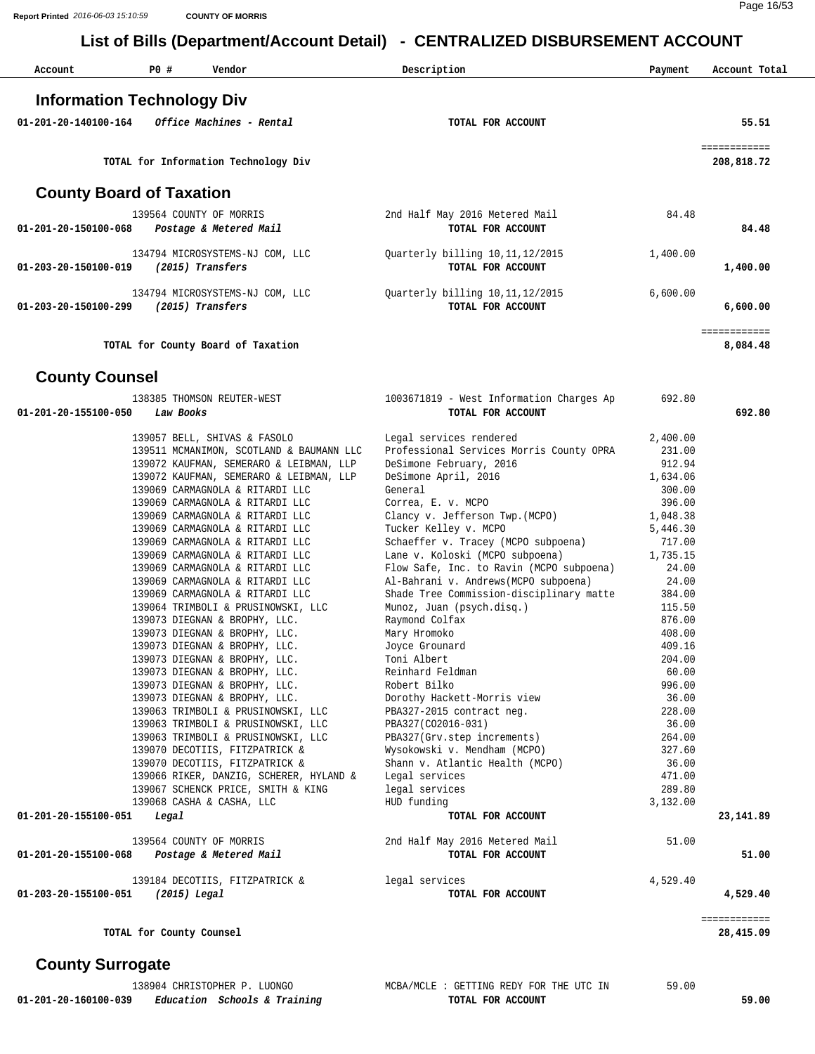| Account                           | P0 # | Vendor                                              | Description                                            | Payment  | Account Total              |
|-----------------------------------|------|-----------------------------------------------------|--------------------------------------------------------|----------|----------------------------|
| <b>Information Technology Div</b> |      |                                                     |                                                        |          |                            |
| 01-201-20-140100-164              |      | <i>Office Machines - Rental</i>                     | TOTAL FOR ACCOUNT                                      |          | 55.51                      |
|                                   |      | TOTAL for Information Technology Div                |                                                        |          | ============<br>208,818.72 |
| <b>County Board of Taxation</b>   |      |                                                     |                                                        |          |                            |
| 01-201-20-150100-068              |      | 139564 COUNTY OF MORRIS<br>Postage & Metered Mail   | 2nd Half May 2016 Metered Mail<br>TOTAL FOR ACCOUNT    | 84.48    | 84.48                      |
| 01-203-20-150100-019              |      | 134794 MICROSYSTEMS-NJ COM, LLC<br>(2015) Transfers | Quarterly billing 10, 11, 12/2015<br>TOTAL FOR ACCOUNT | 1,400.00 | 1,400.00                   |
| 01-203-20-150100-299              |      | 134794 MICROSYSTEMS-NJ COM, LLC<br>(2015) Transfers | Quarterly billing 10,11,12/2015<br>TOTAL FOR ACCOUNT   | 6,600.00 | 6,600.00                   |
|                                   |      | TOTAL for County Board of Taxation                  |                                                        |          | ------------<br>8,084.48   |

#### **County Counsel**

| 138385 THOMSON REUTER-WEST                     | 1003671819 - West Information Charges Ap | 692.80   |              |
|------------------------------------------------|------------------------------------------|----------|--------------|
| 01-201-20-155100-050<br>Law Books              | TOTAL FOR ACCOUNT                        |          | 692.80       |
| 139057 BELL, SHIVAS & FASOLO                   | Legal services rendered                  | 2,400.00 |              |
| 139511 MCMANIMON, SCOTLAND & BAUMANN LLC       | Professional Services Morris County OPRA | 231.00   |              |
| 139072 KAUFMAN, SEMERARO & LEIBMAN, LLP        | DeSimone February, 2016                  | 912.94   |              |
| 139072 KAUFMAN, SEMERARO & LEIBMAN, LLP        | DeSimone April, 2016                     | 1,634.06 |              |
| 139069 CARMAGNOLA & RITARDI LLC                | General                                  | 300.00   |              |
| 139069 CARMAGNOLA & RITARDI LLC                | Correa, E. v. MCPO                       | 396.00   |              |
| 139069 CARMAGNOLA & RITARDI LLC                | Clancy v. Jefferson Twp. (MCPO)          | 1,048.38 |              |
| 139069 CARMAGNOLA & RITARDI LLC                | Tucker Kelley v. MCPO                    | 5,446.30 |              |
| 139069 CARMAGNOLA & RITARDI LLC                | Schaeffer v. Tracey (MCPO subpoena)      | 717.00   |              |
| 139069 CARMAGNOLA & RITARDI LLC                | Lane v. Koloski (MCPO subpoena)          | 1,735.15 |              |
| 139069 CARMAGNOLA & RITARDI LLC                | Flow Safe, Inc. to Ravin (MCPO subpoena) | 24.00    |              |
| 139069 CARMAGNOLA & RITARDI LLC                | Al-Bahrani v. Andrews (MCPO subpoena)    | 24.00    |              |
| 139069 CARMAGNOLA & RITARDI LLC                | Shade Tree Commission-disciplinary matte | 384.00   |              |
| 139064 TRIMBOLI & PRUSINOWSKI, LLC             | Munoz, Juan (psych.disq.)                | 115.50   |              |
| 139073 DIEGNAN & BROPHY, LLC.                  | Raymond Colfax                           | 876.00   |              |
| 139073 DIEGNAN & BROPHY, LLC.                  | Mary Hromoko                             | 408.00   |              |
| 139073 DIEGNAN & BROPHY, LLC.                  | Joyce Grounard                           | 409.16   |              |
| 139073 DIEGNAN & BROPHY, LLC.                  | Toni Albert                              | 204.00   |              |
| 139073 DIEGNAN & BROPHY, LLC.                  | Reinhard Feldman                         | 60.00    |              |
| 139073 DIEGNAN & BROPHY, LLC.                  | Robert Bilko                             | 996.00   |              |
| 139073 DIEGNAN & BROPHY, LLC.                  | Dorothy Hackett-Morris view              | 36.00    |              |
| 139063 TRIMBOLI & PRUSINOWSKI, LLC             | PBA327-2015 contract neg.                | 228.00   |              |
| 139063 TRIMBOLI & PRUSINOWSKI, LLC             | PBA327(CO2016-031)                       | 36.00    |              |
| 139063 TRIMBOLI & PRUSINOWSKI, LLC             | PBA327(Grv.step increments)              | 264.00   |              |
| 139070 DECOTIIS, FITZPATRICK &                 | Wysokowski v. Mendham (MCPO)             | 327.60   |              |
| 139070 DECOTIIS, FITZPATRICK &                 | Shann v. Atlantic Health (MCPO)          | 36.00    |              |
| 139066 RIKER, DANZIG, SCHERER, HYLAND &        | Legal services                           | 471.00   |              |
| 139067 SCHENCK PRICE, SMITH & KING             | legal services                           | 289.80   |              |
| 139068 CASHA & CASHA, LLC                      | HUD funding                              | 3,132.00 |              |
| 01-201-20-155100-051<br>Legal                  | TOTAL FOR ACCOUNT                        |          | 23, 141.89   |
| 139564 COUNTY OF MORRIS                        | 2nd Half May 2016 Metered Mail           | 51.00    |              |
| Postage & Metered Mail<br>01-201-20-155100-068 | TOTAL FOR ACCOUNT                        |          | 51.00        |
| 139184 DECOTIIS, FITZPATRICK & legal services  |                                          | 4,529.40 |              |
| 01-203-20-155100-051 (2015) Legal              | TOTAL FOR ACCOUNT                        |          | 4,529.40     |
|                                                |                                          |          | ============ |
| TOTAL for County Counsel                       |                                          |          | 28,415.09    |

| 38904<br>T<br>$\sim$ TT<br>OPHEF<br>JINUTU.                            | $\cdot$ $\sim$ $R_{\Delta}$ .<br>THE<br>UTC IN<br>13.677<br>REDY FOR<br>TNG<br>the contract of the contract of the contract of the contract of the contract of the contract of the contract of | 50<br>OU.<br>. . u |
|------------------------------------------------------------------------|------------------------------------------------------------------------------------------------------------------------------------------------------------------------------------------------|--------------------|
| 1-20-160100-039.<br>- 001<br>Training<br>Education<br>Schools<br>- 21. | ACCOUNT<br>FOR<br>TOTAL                                                                                                                                                                        | .00<br>59.         |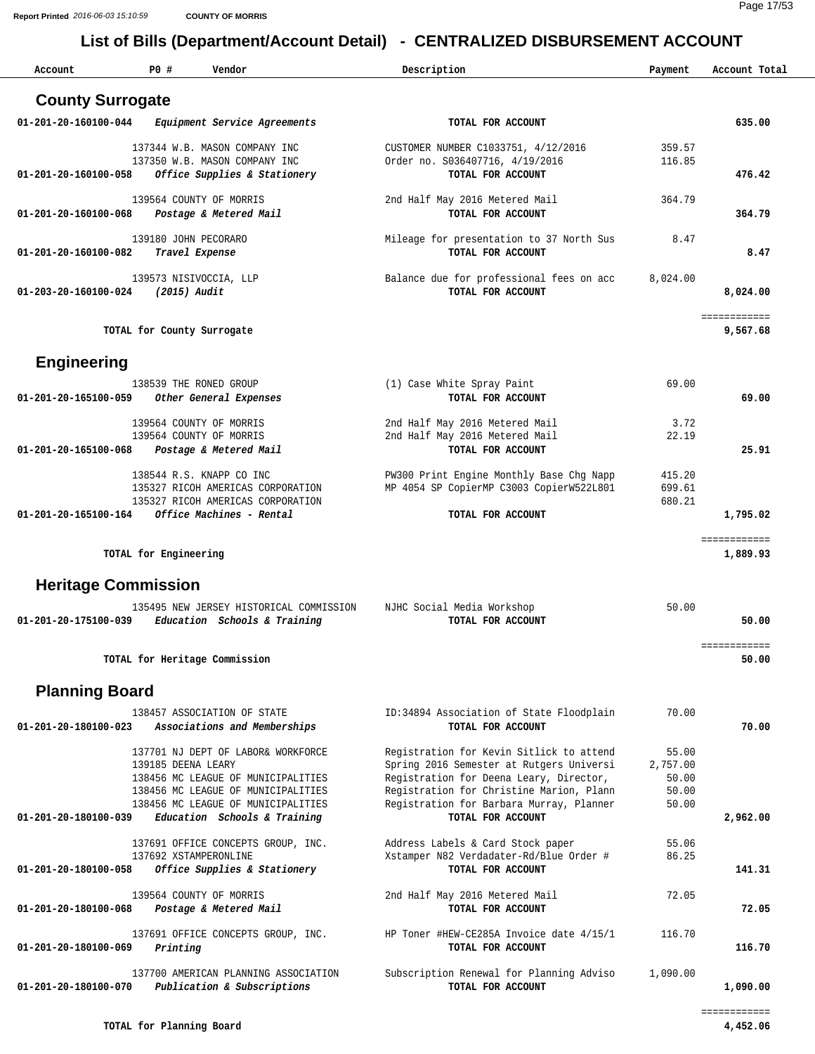| Account                    | P0 #<br>Vendor                                                           | Description                                                                          | Payment        | Account Total            |
|----------------------------|--------------------------------------------------------------------------|--------------------------------------------------------------------------------------|----------------|--------------------------|
| <b>County Surrogate</b>    |                                                                          |                                                                                      |                |                          |
| 01-201-20-160100-044       | Equipment Service Agreements                                             | TOTAL FOR ACCOUNT                                                                    |                | 635.00                   |
|                            | 137344 W.B. MASON COMPANY INC                                            | CUSTOMER NUMBER C1033751, 4/12/2016                                                  | 359.57         |                          |
|                            | 137350 W.B. MASON COMPANY INC                                            | Order no. S036407716, 4/19/2016                                                      | 116.85         |                          |
| 01-201-20-160100-058       | Office Supplies & Stationery                                             | TOTAL FOR ACCOUNT                                                                    |                | 476.42                   |
|                            | 139564 COUNTY OF MORRIS                                                  | 2nd Half May 2016 Metered Mail                                                       | 364.79         |                          |
| 01-201-20-160100-068       | Postage & Metered Mail                                                   | TOTAL FOR ACCOUNT                                                                    |                | 364.79                   |
|                            | 139180 JOHN PECORARO                                                     | Mileage for presentation to 37 North Sus                                             | 8.47           |                          |
| 01-201-20-160100-082       | Travel Expense                                                           | TOTAL FOR ACCOUNT                                                                    |                | 8.47                     |
|                            |                                                                          |                                                                                      |                |                          |
| 01-203-20-160100-024       | 139573 NISIVOCCIA, LLP<br>(2015) Audit                                   | Balance due for professional fees on acc<br>TOTAL FOR ACCOUNT                        | 8,024.00       | 8,024.00                 |
|                            |                                                                          |                                                                                      |                |                          |
|                            | TOTAL for County Surrogate                                               |                                                                                      |                | ============<br>9,567.68 |
|                            |                                                                          |                                                                                      |                |                          |
| <b>Engineering</b>         |                                                                          |                                                                                      |                |                          |
|                            | 138539 THE RONED GROUP                                                   | (1) Case White Spray Paint                                                           | 69.00          |                          |
| 01-201-20-165100-059       | Other General Expenses                                                   | TOTAL FOR ACCOUNT                                                                    |                | 69.00                    |
|                            | 139564 COUNTY OF MORRIS                                                  | 2nd Half May 2016 Metered Mail                                                       | 3.72           |                          |
|                            | 139564 COUNTY OF MORRIS                                                  | 2nd Half May 2016 Metered Mail                                                       | 22.19          |                          |
| 01-201-20-165100-068       | Postage & Metered Mail                                                   | TOTAL FOR ACCOUNT                                                                    |                | 25.91                    |
|                            | 138544 R.S. KNAPP CO INC                                                 | PW300 Print Engine Monthly Base Chg Napp                                             | 415.20         |                          |
|                            | 135327 RICOH AMERICAS CORPORATION                                        | MP 4054 SP CopierMP C3003 CopierW522L801                                             | 699.61         |                          |
| 01-201-20-165100-164       | 135327 RICOH AMERICAS CORPORATION<br>Office Machines - Rental            | TOTAL FOR ACCOUNT                                                                    | 680.21         | 1,795.02                 |
|                            |                                                                          |                                                                                      |                |                          |
|                            | TOTAL for Engineering                                                    |                                                                                      |                | ============<br>1,889.93 |
| <b>Heritage Commission</b> |                                                                          |                                                                                      |                |                          |
|                            | 135495 NEW JERSEY HISTORICAL COMMISSION                                  | NJHC Social Media Workshop                                                           | 50.00          |                          |
| 01-201-20-175100-039       | Education Schools & Training                                             | TOTAL FOR ACCOUNT                                                                    |                | 50.00                    |
|                            |                                                                          |                                                                                      |                | ============             |
|                            | TOTAL for Heritage Commission                                            |                                                                                      |                | 50.00                    |
| <b>Planning Board</b>      |                                                                          |                                                                                      |                |                          |
|                            | 138457 ASSOCIATION OF STATE                                              | ID:34894 Association of State Floodplain                                             | 70.00          |                          |
| 01-201-20-180100-023       | Associations and Memberships                                             | TOTAL FOR ACCOUNT                                                                    |                | 70.00                    |
|                            | 137701 NJ DEPT OF LABOR& WORKFORCE                                       | Registration for Kevin Sitlick to attend                                             | 55.00          |                          |
|                            | 139185 DEENA LEARY                                                       | Spring 2016 Semester at Rutgers Universi                                             | 2,757.00       |                          |
|                            | 138456 MC LEAGUE OF MUNICIPALITIES                                       | Registration for Deena Leary, Director,                                              | 50.00          |                          |
|                            | 138456 MC LEAGUE OF MUNICIPALITIES<br>138456 MC LEAGUE OF MUNICIPALITIES | Registration for Christine Marion, Plann<br>Registration for Barbara Murray, Planner | 50.00<br>50.00 |                          |
| 01-201-20-180100-039       | Education Schools & Training                                             | TOTAL FOR ACCOUNT                                                                    |                | 2,962.00                 |
|                            |                                                                          |                                                                                      |                |                          |
|                            | 137691 OFFICE CONCEPTS GROUP, INC.<br>137692 XSTAMPERONLINE              | Address Labels & Card Stock paper<br>Xstamper N82 Verdadater-Rd/Blue Order #         | 55.06<br>86.25 |                          |
| 01-201-20-180100-058       | Office Supplies & Stationery                                             | TOTAL FOR ACCOUNT                                                                    |                | 141.31                   |
|                            | 139564 COUNTY OF MORRIS                                                  | 2nd Half May 2016 Metered Mail                                                       | 72.05          |                          |
| 01-201-20-180100-068       | Postage & Metered Mail                                                   | TOTAL FOR ACCOUNT                                                                    |                | 72.05                    |
|                            | 137691 OFFICE CONCEPTS GROUP, INC.                                       | HP Toner #HEW-CE285A Invoice date 4/15/1                                             | 116.70         |                          |
| 01-201-20-180100-069       | Printing                                                                 | TOTAL FOR ACCOUNT                                                                    |                | 116.70                   |
|                            | 137700 AMERICAN PLANNING ASSOCIATION                                     | Subscription Renewal for Planning Adviso                                             | 1,090.00       |                          |
| 01-201-20-180100-070       | Publication & Subscriptions                                              | TOTAL FOR ACCOUNT                                                                    |                | 1,090.00                 |
|                            |                                                                          |                                                                                      |                | ============             |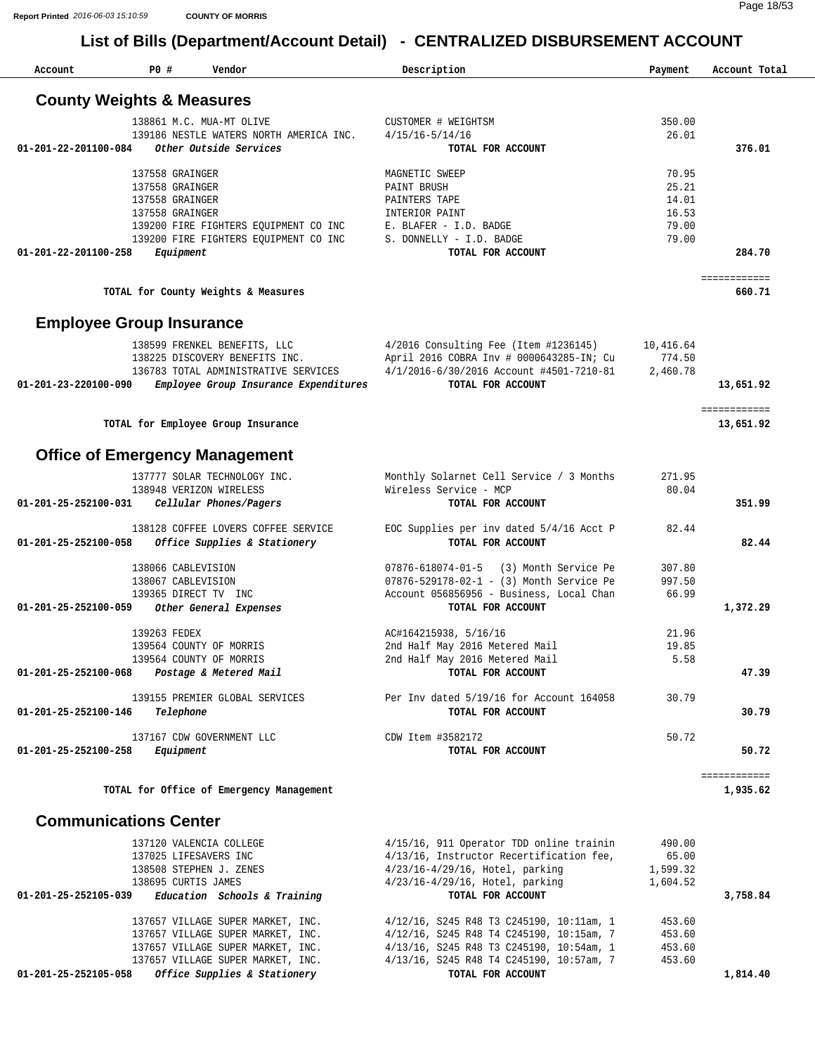| 137558 GRAINGER<br>137558 GRAINGER<br>137558 GRAINGER<br>137558 GRAINGER<br>Equipment | <b>County Weights &amp; Measures</b><br>138861 M.C. MUA-MT OLIVE<br>139186 NESTLE WATERS NORTH AMERICA INC.<br>Other Outside Services<br>139200 FIRE FIGHTERS EQUIPMENT CO INC | CUSTOMER # WEIGHTSM<br>$4/15/16 - 5/14/16$<br>TOTAL FOR ACCOUNT<br>MAGNETIC SWEEP<br>PAINT BRUSH<br>PAINTERS TAPE                                                                                                                                                                                                                                                                                                                                                                                                                                                                                                                                                                                                                                                                                                                                                                                                                                                                                                                                                                                                                                                 | 350.00<br>26.01<br>70.95                                                                                                                                                                                                                                                                                                                                                                                                                                                                               | 376.01                                                                  |
|---------------------------------------------------------------------------------------|--------------------------------------------------------------------------------------------------------------------------------------------------------------------------------|-------------------------------------------------------------------------------------------------------------------------------------------------------------------------------------------------------------------------------------------------------------------------------------------------------------------------------------------------------------------------------------------------------------------------------------------------------------------------------------------------------------------------------------------------------------------------------------------------------------------------------------------------------------------------------------------------------------------------------------------------------------------------------------------------------------------------------------------------------------------------------------------------------------------------------------------------------------------------------------------------------------------------------------------------------------------------------------------------------------------------------------------------------------------|--------------------------------------------------------------------------------------------------------------------------------------------------------------------------------------------------------------------------------------------------------------------------------------------------------------------------------------------------------------------------------------------------------------------------------------------------------------------------------------------------------|-------------------------------------------------------------------------|
|                                                                                       |                                                                                                                                                                                |                                                                                                                                                                                                                                                                                                                                                                                                                                                                                                                                                                                                                                                                                                                                                                                                                                                                                                                                                                                                                                                                                                                                                                   |                                                                                                                                                                                                                                                                                                                                                                                                                                                                                                        |                                                                         |
|                                                                                       |                                                                                                                                                                                |                                                                                                                                                                                                                                                                                                                                                                                                                                                                                                                                                                                                                                                                                                                                                                                                                                                                                                                                                                                                                                                                                                                                                                   |                                                                                                                                                                                                                                                                                                                                                                                                                                                                                                        |                                                                         |
|                                                                                       |                                                                                                                                                                                |                                                                                                                                                                                                                                                                                                                                                                                                                                                                                                                                                                                                                                                                                                                                                                                                                                                                                                                                                                                                                                                                                                                                                                   |                                                                                                                                                                                                                                                                                                                                                                                                                                                                                                        |                                                                         |
|                                                                                       |                                                                                                                                                                                |                                                                                                                                                                                                                                                                                                                                                                                                                                                                                                                                                                                                                                                                                                                                                                                                                                                                                                                                                                                                                                                                                                                                                                   |                                                                                                                                                                                                                                                                                                                                                                                                                                                                                                        |                                                                         |
|                                                                                       |                                                                                                                                                                                |                                                                                                                                                                                                                                                                                                                                                                                                                                                                                                                                                                                                                                                                                                                                                                                                                                                                                                                                                                                                                                                                                                                                                                   |                                                                                                                                                                                                                                                                                                                                                                                                                                                                                                        |                                                                         |
|                                                                                       |                                                                                                                                                                                |                                                                                                                                                                                                                                                                                                                                                                                                                                                                                                                                                                                                                                                                                                                                                                                                                                                                                                                                                                                                                                                                                                                                                                   | 25.21                                                                                                                                                                                                                                                                                                                                                                                                                                                                                                  |                                                                         |
|                                                                                       |                                                                                                                                                                                |                                                                                                                                                                                                                                                                                                                                                                                                                                                                                                                                                                                                                                                                                                                                                                                                                                                                                                                                                                                                                                                                                                                                                                   | 14.01                                                                                                                                                                                                                                                                                                                                                                                                                                                                                                  |                                                                         |
|                                                                                       |                                                                                                                                                                                | INTERIOR PAINT<br>E. BLAFER - I.D. BADGE                                                                                                                                                                                                                                                                                                                                                                                                                                                                                                                                                                                                                                                                                                                                                                                                                                                                                                                                                                                                                                                                                                                          | 16.53<br>79.00                                                                                                                                                                                                                                                                                                                                                                                                                                                                                         |                                                                         |
|                                                                                       | 139200 FIRE FIGHTERS EQUIPMENT CO INC                                                                                                                                          | S. DONNELLY - I.D. BADGE                                                                                                                                                                                                                                                                                                                                                                                                                                                                                                                                                                                                                                                                                                                                                                                                                                                                                                                                                                                                                                                                                                                                          | 79.00                                                                                                                                                                                                                                                                                                                                                                                                                                                                                                  |                                                                         |
|                                                                                       |                                                                                                                                                                                | TOTAL FOR ACCOUNT                                                                                                                                                                                                                                                                                                                                                                                                                                                                                                                                                                                                                                                                                                                                                                                                                                                                                                                                                                                                                                                                                                                                                 |                                                                                                                                                                                                                                                                                                                                                                                                                                                                                                        | 284.70                                                                  |
|                                                                                       |                                                                                                                                                                                |                                                                                                                                                                                                                                                                                                                                                                                                                                                                                                                                                                                                                                                                                                                                                                                                                                                                                                                                                                                                                                                                                                                                                                   |                                                                                                                                                                                                                                                                                                                                                                                                                                                                                                        | ============<br>660.71                                                  |
|                                                                                       |                                                                                                                                                                                |                                                                                                                                                                                                                                                                                                                                                                                                                                                                                                                                                                                                                                                                                                                                                                                                                                                                                                                                                                                                                                                                                                                                                                   |                                                                                                                                                                                                                                                                                                                                                                                                                                                                                                        |                                                                         |
|                                                                                       |                                                                                                                                                                                |                                                                                                                                                                                                                                                                                                                                                                                                                                                                                                                                                                                                                                                                                                                                                                                                                                                                                                                                                                                                                                                                                                                                                                   |                                                                                                                                                                                                                                                                                                                                                                                                                                                                                                        |                                                                         |
|                                                                                       |                                                                                                                                                                                |                                                                                                                                                                                                                                                                                                                                                                                                                                                                                                                                                                                                                                                                                                                                                                                                                                                                                                                                                                                                                                                                                                                                                                   | 10,416.64                                                                                                                                                                                                                                                                                                                                                                                                                                                                                              |                                                                         |
|                                                                                       |                                                                                                                                                                                |                                                                                                                                                                                                                                                                                                                                                                                                                                                                                                                                                                                                                                                                                                                                                                                                                                                                                                                                                                                                                                                                                                                                                                   |                                                                                                                                                                                                                                                                                                                                                                                                                                                                                                        |                                                                         |
|                                                                                       |                                                                                                                                                                                | TOTAL FOR ACCOUNT                                                                                                                                                                                                                                                                                                                                                                                                                                                                                                                                                                                                                                                                                                                                                                                                                                                                                                                                                                                                                                                                                                                                                 |                                                                                                                                                                                                                                                                                                                                                                                                                                                                                                        | 13,651.92                                                               |
|                                                                                       |                                                                                                                                                                                |                                                                                                                                                                                                                                                                                                                                                                                                                                                                                                                                                                                                                                                                                                                                                                                                                                                                                                                                                                                                                                                                                                                                                                   |                                                                                                                                                                                                                                                                                                                                                                                                                                                                                                        | ============                                                            |
|                                                                                       |                                                                                                                                                                                |                                                                                                                                                                                                                                                                                                                                                                                                                                                                                                                                                                                                                                                                                                                                                                                                                                                                                                                                                                                                                                                                                                                                                                   |                                                                                                                                                                                                                                                                                                                                                                                                                                                                                                        | 13,651.92                                                               |
|                                                                                       |                                                                                                                                                                                |                                                                                                                                                                                                                                                                                                                                                                                                                                                                                                                                                                                                                                                                                                                                                                                                                                                                                                                                                                                                                                                                                                                                                                   |                                                                                                                                                                                                                                                                                                                                                                                                                                                                                                        |                                                                         |
|                                                                                       |                                                                                                                                                                                |                                                                                                                                                                                                                                                                                                                                                                                                                                                                                                                                                                                                                                                                                                                                                                                                                                                                                                                                                                                                                                                                                                                                                                   | 271.95                                                                                                                                                                                                                                                                                                                                                                                                                                                                                                 |                                                                         |
|                                                                                       |                                                                                                                                                                                | Wireless Service - MCP                                                                                                                                                                                                                                                                                                                                                                                                                                                                                                                                                                                                                                                                                                                                                                                                                                                                                                                                                                                                                                                                                                                                            | 80.04                                                                                                                                                                                                                                                                                                                                                                                                                                                                                                  |                                                                         |
|                                                                                       |                                                                                                                                                                                | TOTAL FOR ACCOUNT                                                                                                                                                                                                                                                                                                                                                                                                                                                                                                                                                                                                                                                                                                                                                                                                                                                                                                                                                                                                                                                                                                                                                 |                                                                                                                                                                                                                                                                                                                                                                                                                                                                                                        | 351.99                                                                  |
|                                                                                       |                                                                                                                                                                                | EOC Supplies per inv dated 5/4/16 Acct P                                                                                                                                                                                                                                                                                                                                                                                                                                                                                                                                                                                                                                                                                                                                                                                                                                                                                                                                                                                                                                                                                                                          | 82.44                                                                                                                                                                                                                                                                                                                                                                                                                                                                                                  |                                                                         |
|                                                                                       |                                                                                                                                                                                | TOTAL FOR ACCOUNT                                                                                                                                                                                                                                                                                                                                                                                                                                                                                                                                                                                                                                                                                                                                                                                                                                                                                                                                                                                                                                                                                                                                                 |                                                                                                                                                                                                                                                                                                                                                                                                                                                                                                        | 82.44                                                                   |
|                                                                                       |                                                                                                                                                                                |                                                                                                                                                                                                                                                                                                                                                                                                                                                                                                                                                                                                                                                                                                                                                                                                                                                                                                                                                                                                                                                                                                                                                                   |                                                                                                                                                                                                                                                                                                                                                                                                                                                                                                        |                                                                         |
|                                                                                       |                                                                                                                                                                                | 07876-529178-02-1 - (3) Month Service Pe                                                                                                                                                                                                                                                                                                                                                                                                                                                                                                                                                                                                                                                                                                                                                                                                                                                                                                                                                                                                                                                                                                                          | 997.50                                                                                                                                                                                                                                                                                                                                                                                                                                                                                                 |                                                                         |
|                                                                                       |                                                                                                                                                                                | Account 056856956 - Business, Local Chan                                                                                                                                                                                                                                                                                                                                                                                                                                                                                                                                                                                                                                                                                                                                                                                                                                                                                                                                                                                                                                                                                                                          | 66.99                                                                                                                                                                                                                                                                                                                                                                                                                                                                                                  |                                                                         |
|                                                                                       |                                                                                                                                                                                | TOTAL FOR ACCOUNT                                                                                                                                                                                                                                                                                                                                                                                                                                                                                                                                                                                                                                                                                                                                                                                                                                                                                                                                                                                                                                                                                                                                                 |                                                                                                                                                                                                                                                                                                                                                                                                                                                                                                        | 1,372.29                                                                |
|                                                                                       |                                                                                                                                                                                | AC#164215938, 5/16/16                                                                                                                                                                                                                                                                                                                                                                                                                                                                                                                                                                                                                                                                                                                                                                                                                                                                                                                                                                                                                                                                                                                                             | 21.96                                                                                                                                                                                                                                                                                                                                                                                                                                                                                                  |                                                                         |
|                                                                                       |                                                                                                                                                                                | 2nd Half May 2016 Metered Mail                                                                                                                                                                                                                                                                                                                                                                                                                                                                                                                                                                                                                                                                                                                                                                                                                                                                                                                                                                                                                                                                                                                                    | 19.85                                                                                                                                                                                                                                                                                                                                                                                                                                                                                                  |                                                                         |
|                                                                                       |                                                                                                                                                                                | 2nd Half May 2016 Metered Mail                                                                                                                                                                                                                                                                                                                                                                                                                                                                                                                                                                                                                                                                                                                                                                                                                                                                                                                                                                                                                                                                                                                                    | 5.58                                                                                                                                                                                                                                                                                                                                                                                                                                                                                                   |                                                                         |
|                                                                                       |                                                                                                                                                                                |                                                                                                                                                                                                                                                                                                                                                                                                                                                                                                                                                                                                                                                                                                                                                                                                                                                                                                                                                                                                                                                                                                                                                                   |                                                                                                                                                                                                                                                                                                                                                                                                                                                                                                        | 47.39                                                                   |
|                                                                                       |                                                                                                                                                                                | Per Inv dated 5/19/16 for Account 164058                                                                                                                                                                                                                                                                                                                                                                                                                                                                                                                                                                                                                                                                                                                                                                                                                                                                                                                                                                                                                                                                                                                          | 30.79                                                                                                                                                                                                                                                                                                                                                                                                                                                                                                  |                                                                         |
|                                                                                       |                                                                                                                                                                                |                                                                                                                                                                                                                                                                                                                                                                                                                                                                                                                                                                                                                                                                                                                                                                                                                                                                                                                                                                                                                                                                                                                                                                   |                                                                                                                                                                                                                                                                                                                                                                                                                                                                                                        | 30.79                                                                   |
|                                                                                       |                                                                                                                                                                                | CDW Item #3582172                                                                                                                                                                                                                                                                                                                                                                                                                                                                                                                                                                                                                                                                                                                                                                                                                                                                                                                                                                                                                                                                                                                                                 | 50.72                                                                                                                                                                                                                                                                                                                                                                                                                                                                                                  |                                                                         |
|                                                                                       |                                                                                                                                                                                | TOTAL FOR ACCOUNT                                                                                                                                                                                                                                                                                                                                                                                                                                                                                                                                                                                                                                                                                                                                                                                                                                                                                                                                                                                                                                                                                                                                                 |                                                                                                                                                                                                                                                                                                                                                                                                                                                                                                        | 50.72                                                                   |
|                                                                                       |                                                                                                                                                                                |                                                                                                                                                                                                                                                                                                                                                                                                                                                                                                                                                                                                                                                                                                                                                                                                                                                                                                                                                                                                                                                                                                                                                                   |                                                                                                                                                                                                                                                                                                                                                                                                                                                                                                        | ============<br>1,935.62                                                |
|                                                                                       |                                                                                                                                                                                |                                                                                                                                                                                                                                                                                                                                                                                                                                                                                                                                                                                                                                                                                                                                                                                                                                                                                                                                                                                                                                                                                                                                                                   |                                                                                                                                                                                                                                                                                                                                                                                                                                                                                                        |                                                                         |
|                                                                                       |                                                                                                                                                                                |                                                                                                                                                                                                                                                                                                                                                                                                                                                                                                                                                                                                                                                                                                                                                                                                                                                                                                                                                                                                                                                                                                                                                                   |                                                                                                                                                                                                                                                                                                                                                                                                                                                                                                        |                                                                         |
|                                                                                       |                                                                                                                                                                                | 4/15/16, 911 Operator TDD online trainin                                                                                                                                                                                                                                                                                                                                                                                                                                                                                                                                                                                                                                                                                                                                                                                                                                                                                                                                                                                                                                                                                                                          | 490.00                                                                                                                                                                                                                                                                                                                                                                                                                                                                                                 |                                                                         |
|                                                                                       |                                                                                                                                                                                |                                                                                                                                                                                                                                                                                                                                                                                                                                                                                                                                                                                                                                                                                                                                                                                                                                                                                                                                                                                                                                                                                                                                                                   |                                                                                                                                                                                                                                                                                                                                                                                                                                                                                                        |                                                                         |
|                                                                                       |                                                                                                                                                                                |                                                                                                                                                                                                                                                                                                                                                                                                                                                                                                                                                                                                                                                                                                                                                                                                                                                                                                                                                                                                                                                                                                                                                                   |                                                                                                                                                                                                                                                                                                                                                                                                                                                                                                        |                                                                         |
|                                                                                       |                                                                                                                                                                                | TOTAL FOR ACCOUNT                                                                                                                                                                                                                                                                                                                                                                                                                                                                                                                                                                                                                                                                                                                                                                                                                                                                                                                                                                                                                                                                                                                                                 |                                                                                                                                                                                                                                                                                                                                                                                                                                                                                                        | 3,758.84                                                                |
|                                                                                       |                                                                                                                                                                                | 4/12/16, S245 R48 T3 C245190, 10:11am, 1                                                                                                                                                                                                                                                                                                                                                                                                                                                                                                                                                                                                                                                                                                                                                                                                                                                                                                                                                                                                                                                                                                                          | 453.60                                                                                                                                                                                                                                                                                                                                                                                                                                                                                                 |                                                                         |
|                                                                                       |                                                                                                                                                                                | 4/12/16, S245 R48 T4 C245190, 10:15am, 7                                                                                                                                                                                                                                                                                                                                                                                                                                                                                                                                                                                                                                                                                                                                                                                                                                                                                                                                                                                                                                                                                                                          | 453.60                                                                                                                                                                                                                                                                                                                                                                                                                                                                                                 |                                                                         |
|                                                                                       |                                                                                                                                                                                |                                                                                                                                                                                                                                                                                                                                                                                                                                                                                                                                                                                                                                                                                                                                                                                                                                                                                                                                                                                                                                                                                                                                                                   | 453.60                                                                                                                                                                                                                                                                                                                                                                                                                                                                                                 |                                                                         |
|                                                                                       |                                                                                                                                                                                |                                                                                                                                                                                                                                                                                                                                                                                                                                                                                                                                                                                                                                                                                                                                                                                                                                                                                                                                                                                                                                                                                                                                                                   |                                                                                                                                                                                                                                                                                                                                                                                                                                                                                                        | 1,814.40                                                                |
|                                                                                       |                                                                                                                                                                                |                                                                                                                                                                                                                                                                                                                                                                                                                                                                                                                                                                                                                                                                                                                                                                                                                                                                                                                                                                                                                                                                                                                                                                   |                                                                                                                                                                                                                                                                                                                                                                                                                                                                                                        |                                                                         |
|                                                                                       |                                                                                                                                                                                | TOTAL for County Weights & Measures<br><b>Employee Group Insurance</b><br>138599 FRENKEL BENEFITS, LLC<br>138225 DISCOVERY BENEFITS INC.<br>136783 TOTAL ADMINISTRATIVE SERVICES<br>Employee Group Insurance Expenditures<br>TOTAL for Employee Group Insurance<br><b>Office of Emergency Management</b><br>137777 SOLAR TECHNOLOGY INC.<br>138948 VERIZON WIRELESS<br>Cellular Phones/Pagers<br>138128 COFFEE LOVERS COFFEE SERVICE<br>Office Supplies & Stationery<br>138066 CABLEVISION<br>138067 CABLEVISION<br>139365 DIRECT TV INC<br>Other General Expenses<br>139263 FEDEX<br>139564 COUNTY OF MORRIS<br>139564 COUNTY OF MORRIS<br>Postage & Metered Mail<br>139155 PREMIER GLOBAL SERVICES<br>Telephone<br>137167 CDW GOVERNMENT LLC<br>Equipment<br>TOTAL for Office of Emergency Management<br><b>Communications Center</b><br>137120 VALENCIA COLLEGE<br>137025 LIFESAVERS INC<br>138508 STEPHEN J. ZENES<br>138695 CURTIS JAMES<br>Education Schools & Training<br>137657 VILLAGE SUPER MARKET, INC.<br>137657 VILLAGE SUPER MARKET, INC.<br>137657 VILLAGE SUPER MARKET, INC.<br>137657 VILLAGE SUPER MARKET, INC.<br>Office Supplies & Stationery | 4/2016 Consulting Fee (Item #1236145)<br>April 2016 COBRA Inv # 0000643285-IN; Cu<br>4/1/2016-6/30/2016 Account #4501-7210-81<br>Monthly Solarnet Cell Service / 3 Months<br>07876-618074-01-5 (3) Month Service Pe<br>TOTAL FOR ACCOUNT<br>TOTAL FOR ACCOUNT<br>4/13/16, Instructor Recertification fee,<br>$4/23/16 - 4/29/16$ , Hotel, parking<br>$4/23/16 - 4/29/16$ , Hotel, parking<br>4/13/16, S245 R48 T3 C245190, 10:54am, 1<br>4/13/16, S245 R48 T4 C245190, 10:57am, 7<br>TOTAL FOR ACCOUNT | 774.50<br>2,460.78<br>307.80<br>65.00<br>1,599.32<br>1,604.52<br>453.60 |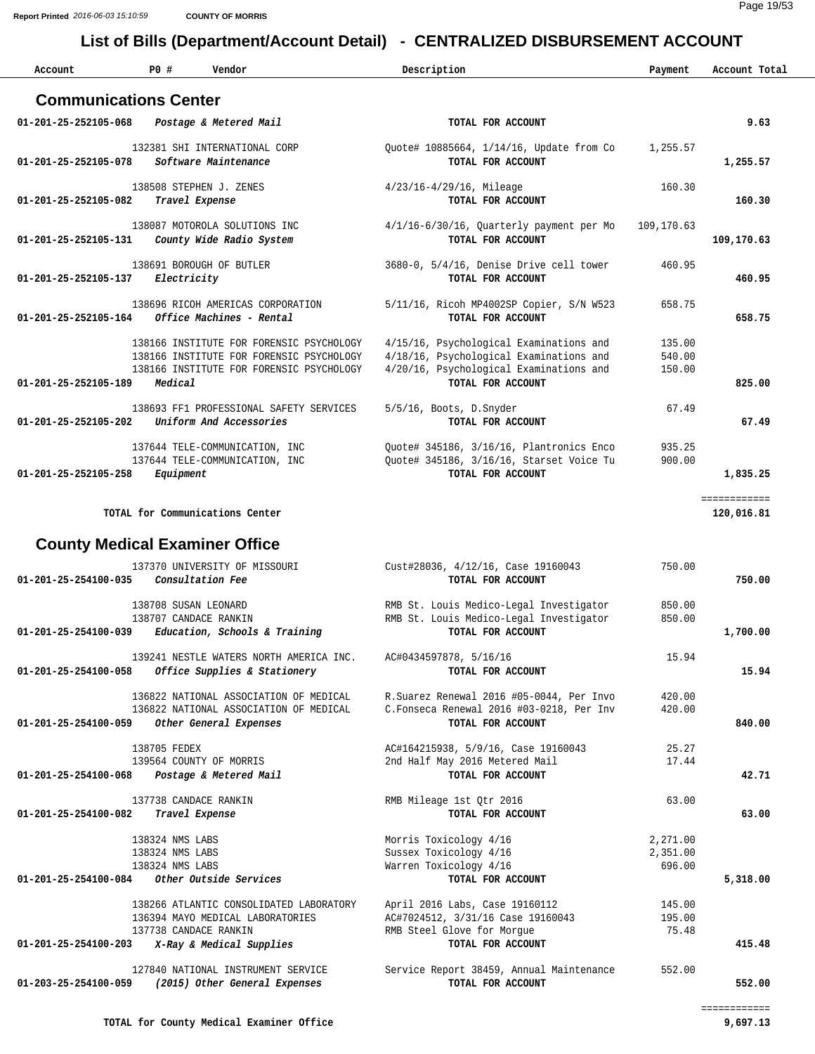| Account                               | P0#                                                   | Vendor                                                                                                                           | Description                                                                |                                                                                                                                                    | Payment                        | Account Total              |
|---------------------------------------|-------------------------------------------------------|----------------------------------------------------------------------------------------------------------------------------------|----------------------------------------------------------------------------|----------------------------------------------------------------------------------------------------------------------------------------------------|--------------------------------|----------------------------|
| <b>Communications Center</b>          |                                                       |                                                                                                                                  |                                                                            |                                                                                                                                                    |                                |                            |
| 01-201-25-252105-068                  |                                                       | Postage & Metered Mail                                                                                                           |                                                                            | TOTAL FOR ACCOUNT                                                                                                                                  |                                | 9.63                       |
| 01-201-25-252105-078                  |                                                       | 132381 SHI INTERNATIONAL CORP<br>Software Maintenance                                                                            |                                                                            | Quote# 10885664, 1/14/16, Update from Co<br>TOTAL FOR ACCOUNT                                                                                      | 1,255.57                       | 1,255.57                   |
| 01-201-25-252105-082                  |                                                       | 138508 STEPHEN J. ZENES<br>Travel Expense                                                                                        | $4/23/16 - 4/29/16$ , Mileage                                              | TOTAL FOR ACCOUNT                                                                                                                                  | 160.30                         | 160.30                     |
| 01-201-25-252105-131                  |                                                       | 138087 MOTOROLA SOLUTIONS INC<br>County Wide Radio System                                                                        |                                                                            | 4/1/16-6/30/16, Quarterly payment per Mo<br>TOTAL FOR ACCOUNT                                                                                      | 109,170.63                     | 109,170.63                 |
| 01-201-25-252105-137                  | Electricity                                           | 138691 BOROUGH OF BUTLER                                                                                                         |                                                                            | 3680-0, 5/4/16, Denise Drive cell tower<br>TOTAL FOR ACCOUNT                                                                                       | 460.95                         | 460.95                     |
| 01-201-25-252105-164                  |                                                       | 138696 RICOH AMERICAS CORPORATION<br>Office Machines - Rental                                                                    |                                                                            | 5/11/16, Ricoh MP4002SP Copier, S/N W523<br>TOTAL FOR ACCOUNT                                                                                      | 658.75                         | 658.75                     |
| 01-201-25-252105-189                  | Medical                                               | 138166 INSTITUTE FOR FORENSIC PSYCHOLOGY<br>138166 INSTITUTE FOR FORENSIC PSYCHOLOGY<br>138166 INSTITUTE FOR FORENSIC PSYCHOLOGY |                                                                            | 4/15/16, Psychological Examinations and<br>4/18/16, Psychological Examinations and<br>4/20/16, Psychological Examinations and<br>TOTAL FOR ACCOUNT | 135.00<br>540.00<br>150.00     | 825.00                     |
| 01-201-25-252105-202                  |                                                       | 138693 FF1 PROFESSIONAL SAFETY SERVICES<br>Uniform And Accessories                                                               | 5/5/16, Boots, D. Snyder                                                   | TOTAL FOR ACCOUNT                                                                                                                                  | 67.49                          | 67.49                      |
| 01-201-25-252105-258                  | Equipment                                             | 137644 TELE-COMMUNICATION, INC<br>137644 TELE-COMMUNICATION, INC                                                                 |                                                                            | Quote# 345186, 3/16/16, Plantronics Enco<br>Quote# 345186, 3/16/16, Starset Voice Tu<br>TOTAL FOR ACCOUNT                                          | 935.25<br>900.00               | 1,835.25                   |
|                                       |                                                       | TOTAL for Communications Center                                                                                                  |                                                                            |                                                                                                                                                    |                                | ============<br>120,016.81 |
| <b>County Medical Examiner Office</b> |                                                       |                                                                                                                                  |                                                                            |                                                                                                                                                    |                                |                            |
| 01-201-25-254100-035                  |                                                       | 137370 UNIVERSITY OF MISSOURI<br>Consultation Fee                                                                                |                                                                            | Cust#28036, 4/12/16, Case 19160043<br>TOTAL FOR ACCOUNT                                                                                            | 750.00                         | 750.00                     |
| $01 - 201 - 25 - 254100 - 039$        |                                                       | 138708 SUSAN LEONARD<br>138707 CANDACE RANKIN<br>Education, Schools & Training                                                   |                                                                            | RMB St. Louis Medico-Legal Investigator<br>RMB St. Louis Medico-Legal Investigator<br>TOTAL FOR ACCOUNT                                            | 850.00<br>850.00               | 1,700.00                   |
| 01-201-25-254100-058                  |                                                       | 139241 NESTLE WATERS NORTH AMERICA INC.<br>Office Supplies & Stationery                                                          | AC#0434597878, 5/16/16                                                     | TOTAL FOR ACCOUNT                                                                                                                                  | 15.94                          | 15.94                      |
| 01-201-25-254100-059                  |                                                       | 136822 NATIONAL ASSOCIATION OF MEDICAL<br>136822 NATIONAL ASSOCIATION OF MEDICAL<br>Other General Expenses                       |                                                                            | R.Suarez Renewal 2016 #05-0044, Per Invo<br>C.Fonseca Renewal 2016 #03-0218, Per Inv<br>TOTAL FOR ACCOUNT                                          | 420.00<br>420.00               | 840.00                     |
| 01-201-25-254100-068                  | 138705 FEDEX                                          | 139564 COUNTY OF MORRIS<br>Postage & Metered Mail                                                                                | 2nd Half May 2016 Metered Mail                                             | AC#164215938, 5/9/16, Case 19160043<br>TOTAL FOR ACCOUNT                                                                                           | 25.27<br>17.44                 | 42.71                      |
| 01-201-25-254100-082                  |                                                       | 137738 CANDACE RANKIN<br>Travel Expense                                                                                          | RMB Mileage 1st Otr 2016                                                   | TOTAL FOR ACCOUNT                                                                                                                                  | 63.00                          | 63.00                      |
| 01-201-25-254100-084                  | 138324 NMS LABS<br>138324 NMS LABS<br>138324 NMS LABS | Other Outside Services                                                                                                           | Morris Toxicology 4/16<br>Sussex Toxicology 4/16<br>Warren Toxicology 4/16 | TOTAL FOR ACCOUNT                                                                                                                                  | 2,271.00<br>2,351.00<br>696.00 | 5,318.00                   |
|                                       |                                                       | 138266 ATLANTIC CONSOLIDATED LABORATORY<br>136394 MAYO MEDICAL LABORATORIES<br>137738 CANDACE RANKIN                             | April 2016 Labs, Case 19160112<br>RMB Steel Glove for Morque               | AC#7024512, 3/31/16 Case 19160043                                                                                                                  | 145.00<br>195.00<br>75.48      |                            |
| 01-201-25-254100-203                  |                                                       | X-Ray & Medical Supplies                                                                                                         |                                                                            | TOTAL FOR ACCOUNT                                                                                                                                  |                                | 415.48                     |
| 01-203-25-254100-059                  |                                                       | 127840 NATIONAL INSTRUMENT SERVICE<br>(2015) Other General Expenses                                                              |                                                                            | Service Report 38459, Annual Maintenance<br>TOTAL FOR ACCOUNT                                                                                      | 552.00                         | 552.00                     |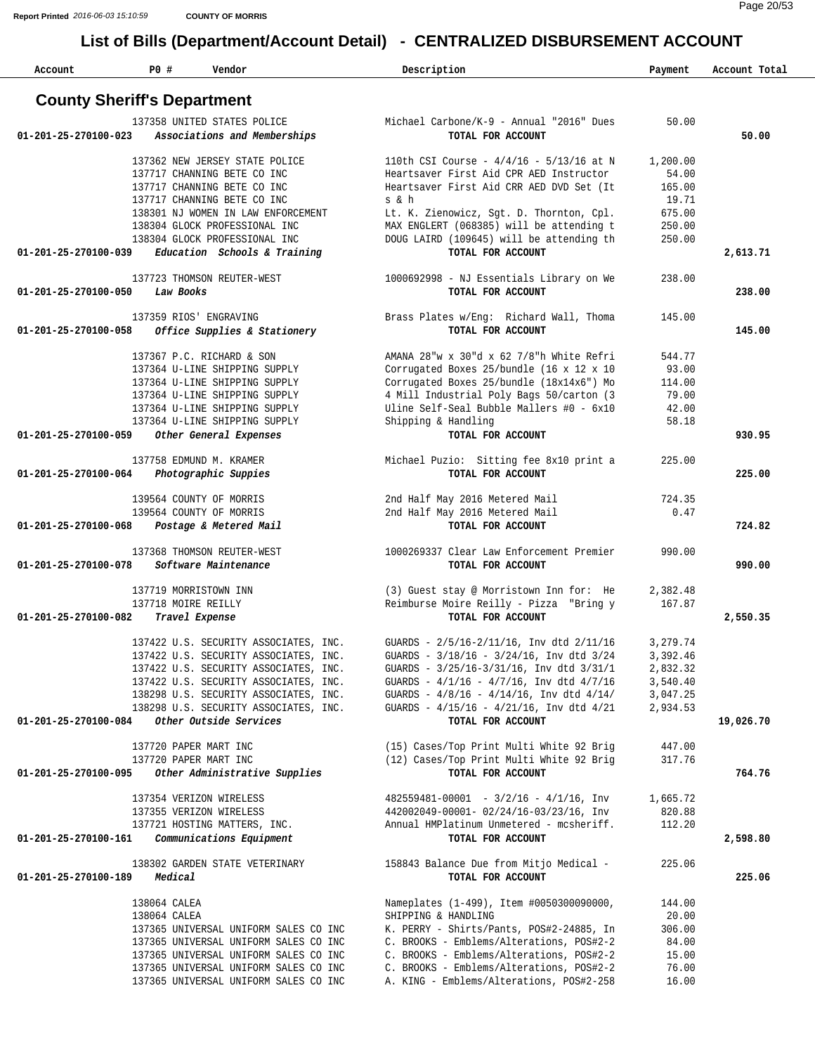| Account              | PO#                                | Vendor                                                      | Description                                                                         | Payment          | Account Total |
|----------------------|------------------------------------|-------------------------------------------------------------|-------------------------------------------------------------------------------------|------------------|---------------|
|                      | <b>County Sheriff's Department</b> |                                                             |                                                                                     |                  |               |
| 01-201-25-270100-023 |                                    | 137358 UNITED STATES POLICE<br>Associations and Memberships | Michael Carbone/K-9 - Annual "2016" Dues<br>TOTAL FOR ACCOUNT                       | 50.00            | 50.00         |
|                      |                                    |                                                             |                                                                                     |                  |               |
|                      |                                    | 137362 NEW JERSEY STATE POLICE                              | 110th CSI Course - $4/4/16$ - 5/13/16 at N                                          | 1,200.00         |               |
|                      |                                    | 137717 CHANNING BETE CO INC                                 | Heartsaver First Aid CPR AED Instructor                                             | 54.00            |               |
|                      |                                    | 137717 CHANNING BETE CO INC<br>137717 CHANNING BETE CO INC  | Heartsaver First Aid CRR AED DVD Set (It<br>s & h                                   | 165.00<br>19.71  |               |
|                      |                                    | 138301 NJ WOMEN IN LAW ENFORCEMENT                          | Lt. K. Zienowicz, Sqt. D. Thornton, Cpl.                                            | 675.00           |               |
|                      |                                    | 138304 GLOCK PROFESSIONAL INC                               | MAX ENGLERT (068385) will be attending t                                            | 250.00           |               |
|                      |                                    | 138304 GLOCK PROFESSIONAL INC                               | DOUG LAIRD (109645) will be attending th                                            | 250.00           |               |
| 01-201-25-270100-039 |                                    | Education Schools & Training                                | TOTAL FOR ACCOUNT                                                                   |                  | 2,613.71      |
|                      |                                    | 137723 THOMSON REUTER-WEST                                  | 1000692998 - NJ Essentials Library on We                                            | 238.00           |               |
| 01-201-25-270100-050 | Law Books                          |                                                             | TOTAL FOR ACCOUNT                                                                   |                  | 238.00        |
| 01-201-25-270100-058 |                                    | 137359 RIOS' ENGRAVING<br>Office Supplies & Stationery      | Brass Plates w/Eng: Richard Wall, Thoma<br>TOTAL FOR ACCOUNT                        | 145.00           | 145.00        |
|                      |                                    |                                                             |                                                                                     |                  |               |
|                      |                                    | 137367 P.C. RICHARD & SON                                   | AMANA 28"w x 30"d x 62 7/8"h White Refri                                            | 544.77           |               |
|                      |                                    | 137364 U-LINE SHIPPING SUPPLY                               | Corrugated Boxes 25/bundle (16 x 12 x 10                                            | 93.00            |               |
|                      |                                    | 137364 U-LINE SHIPPING SUPPLY                               | Corrugated Boxes 25/bundle (18x14x6") Mo                                            | 114.00           |               |
|                      |                                    | 137364 U-LINE SHIPPING SUPPLY                               | 4 Mill Industrial Poly Bags 50/carton (3                                            | 79.00            |               |
|                      |                                    | 137364 U-LINE SHIPPING SUPPLY                               | Uline Self-Seal Bubble Mallers #0 - 6x10                                            | 42.00            |               |
| 01-201-25-270100-059 |                                    | 137364 U-LINE SHIPPING SUPPLY                               | Shipping & Handling<br>TOTAL FOR ACCOUNT                                            | 58.18            | 930.95        |
|                      |                                    | Other General Expenses                                      |                                                                                     |                  |               |
|                      |                                    | 137758 EDMUND M. KRAMER                                     | Michael Puzio: Sitting fee 8x10 print a                                             | 225.00           |               |
| 01-201-25-270100-064 |                                    | Photographic Suppies                                        | TOTAL FOR ACCOUNT                                                                   |                  | 225.00        |
|                      |                                    | 139564 COUNTY OF MORRIS                                     | 2nd Half May 2016 Metered Mail                                                      | 724.35           |               |
|                      |                                    | 139564 COUNTY OF MORRIS                                     | 2nd Half May 2016 Metered Mail                                                      | 0.47             |               |
| 01-201-25-270100-068 |                                    | Postage & Metered Mail                                      | TOTAL FOR ACCOUNT                                                                   |                  | 724.82        |
|                      |                                    | 137368 THOMSON REUTER-WEST                                  | 1000269337 Clear Law Enforcement Premier                                            | 990.00           |               |
| 01-201-25-270100-078 |                                    | Software Maintenance                                        | TOTAL FOR ACCOUNT                                                                   |                  | 990.00        |
|                      |                                    | 137719 MORRISTOWN INN                                       | (3) Guest stay @ Morristown Inn for: He                                             | 2,382.48         |               |
|                      | 137718 MOIRE REILLY                |                                                             | Reimburse Moire Reilly - Pizza "Bring y                                             | 167.87           |               |
| 01-201-25-270100-082 |                                    | Travel Expense                                              | TOTAL FOR ACCOUNT                                                                   |                  | 2,550.35      |
|                      |                                    | 137422 U.S. SECURITY ASSOCIATES, INC.                       | GUARDS - 2/5/16-2/11/16, Inv dtd 2/11/16                                            | 3,279.74         |               |
|                      |                                    | 137422 U.S. SECURITY ASSOCIATES, INC.                       | GUARDS - 3/18/16 - 3/24/16, Inv dtd 3/24                                            | 3,392.46         |               |
|                      |                                    | 137422 U.S. SECURITY ASSOCIATES, INC.                       | GUARDS - 3/25/16-3/31/16, Inv dtd 3/31/1                                            | 2,832.32         |               |
|                      |                                    | 137422 U.S. SECURITY ASSOCIATES, INC.                       | GUARDS - $4/1/16$ - $4/7/16$ , Inv dtd $4/7/16$                                     | 3,540.40         |               |
|                      |                                    | 138298 U.S. SECURITY ASSOCIATES, INC.                       | GUARDS - $4/8/16$ - $4/14/16$ , Inv dtd $4/14/$                                     | 3,047.25         |               |
|                      |                                    | 138298 U.S. SECURITY ASSOCIATES, INC.                       | GUARDS - $4/15/16$ - $4/21/16$ , Inv dtd $4/21$                                     | 2,934.53         |               |
| 01-201-25-270100-084 |                                    | Other Outside Services                                      | TOTAL FOR ACCOUNT                                                                   |                  | 19,026.70     |
|                      |                                    | 137720 PAPER MART INC                                       | (15) Cases/Top Print Multi White 92 Brig                                            | 447.00           |               |
| 01-201-25-270100-095 |                                    | 137720 PAPER MART INC<br>Other Administrative Supplies      | (12) Cases/Top Print Multi White 92 Brig<br>TOTAL FOR ACCOUNT                       | 317.76           | 764.76        |
|                      |                                    |                                                             |                                                                                     |                  |               |
|                      |                                    | 137354 VERIZON WIRELESS                                     | $482559481 - 00001 - 3/2/16 - 4/1/16$ , Inv                                         | 1,665.72         |               |
|                      |                                    | 137355 VERIZON WIRELESS<br>137721 HOSTING MATTERS, INC.     | 442002049-00001- 02/24/16-03/23/16, Inv<br>Annual HMPlatinum Unmetered - mcsheriff. | 820.88<br>112.20 |               |
| 01-201-25-270100-161 |                                    | Communications Equipment                                    | TOTAL FOR ACCOUNT                                                                   |                  | 2,598.80      |
|                      |                                    |                                                             |                                                                                     |                  |               |
| 01-201-25-270100-189 | Medical                            | 138302 GARDEN STATE VETERINARY                              | 158843 Balance Due from Mitjo Medical -<br>TOTAL FOR ACCOUNT                        | 225.06           | 225.06        |
|                      | 138064 CALEA                       |                                                             | Nameplates (1-499), Item #0050300090000,                                            | 144.00           |               |
|                      | 138064 CALEA                       |                                                             | SHIPPING & HANDLING                                                                 | 20.00            |               |
|                      |                                    | 137365 UNIVERSAL UNIFORM SALES CO INC                       | K. PERRY - Shirts/Pants, POS#2-24885, In                                            | 306.00           |               |
|                      |                                    | 137365 UNIVERSAL UNIFORM SALES CO INC                       | C. BROOKS - Emblems/Alterations, POS#2-2                                            | 84.00            |               |
|                      |                                    | 137365 UNIVERSAL UNIFORM SALES CO INC                       | C. BROOKS - Emblems/Alterations, POS#2-2                                            | 15.00            |               |
|                      |                                    | 137365 UNIVERSAL UNIFORM SALES CO INC                       | C. BROOKS - Emblems/Alterations, POS#2-2                                            | 76.00            |               |
|                      |                                    | 137365 UNIVERSAL UNIFORM SALES CO INC                       | A. KING - Emblems/Alterations, POS#2-258                                            | 16.00            |               |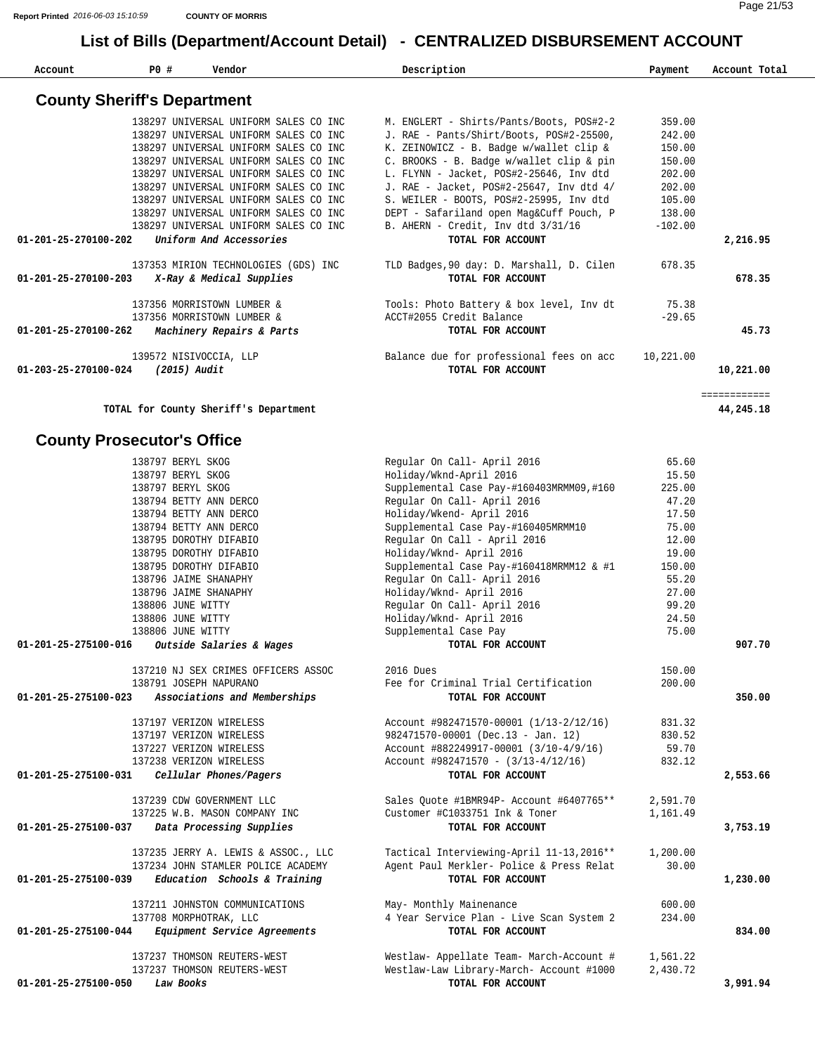**Account P0 # Vendor Description Payment Account Total**

| <b>County Sheriff's Department</b>                   |                                           |           |              |
|------------------------------------------------------|-------------------------------------------|-----------|--------------|
| 138297 UNIVERSAL UNIFORM SALES CO INC                | M. ENGLERT - Shirts/Pants/Boots, POS#2-2  | 359.00    |              |
| 138297 UNIVERSAL UNIFORM SALES CO INC                | J. RAE - Pants/Shirt/Boots, POS#2-25500,  | 242.00    |              |
| 138297 UNIVERSAL UNIFORM SALES CO INC                | K. ZEINOWICZ - B. Badge w/wallet clip &   | 150.00    |              |
| 138297 UNIVERSAL UNIFORM SALES CO INC                | C. BROOKS - B. Badge w/wallet clip & pin  | 150.00    |              |
| 138297 UNIVERSAL UNIFORM SALES CO INC                | L. FLYNN - Jacket, POS#2-25646, Inv dtd   | 202.00    |              |
| 138297 UNIVERSAL UNIFORM SALES CO INC                | J. RAE - Jacket, POS#2-25647, Inv dtd 4/  | 202.00    |              |
| 138297 UNIVERSAL UNIFORM SALES CO INC                | S. WEILER - BOOTS, POS#2-25995, Inv dtd   | 105.00    |              |
| 138297 UNIVERSAL UNIFORM SALES CO INC                | DEPT - Safariland open Mag&Cuff Pouch, P  | 138.00    |              |
| 138297 UNIVERSAL UNIFORM SALES CO INC                | B. AHERN - Credit, Inv dtd 3/31/16        | $-102.00$ |              |
| Uniform And Accessories<br>01-201-25-270100-202      | TOTAL FOR ACCOUNT                         |           | 2,216.95     |
| 137353 MIRION TECHNOLOGIES (GDS) INC                 | TLD Badges, 90 day: D. Marshall, D. Cilen | 678.35    |              |
| X-Ray & Medical Supplies<br>01-201-25-270100-203     | TOTAL FOR ACCOUNT                         |           | 678.35       |
| 137356 MORRISTOWN LUMBER &                           | Tools: Photo Battery & box level, Inv dt  | 75.38     |              |
| 137356 MORRISTOWN LUMBER &                           | ACCT#2055 Credit Balance                  | $-29.65$  |              |
| Machinery Repairs & Parts<br>01-201-25-270100-262    | TOTAL FOR ACCOUNT                         |           | 45.73        |
| 139572 NISIVOCCIA, LLP                               | Balance due for professional fees on acc  | 10,221.00 |              |
| (2015) Audit<br>01-203-25-270100-024                 | TOTAL FOR ACCOUNT                         |           | 10,221.00    |
|                                                      |                                           |           | ============ |
| TOTAL for County Sheriff's Department                |                                           |           | 44,245.18    |
| <b>County Prosecutor's Office</b>                    |                                           |           |              |
| 138797 BERYL SKOG                                    | Regular On Call- April 2016               | 65.60     |              |
| 138797 BERYL SKOG                                    | Holiday/Wknd-April 2016                   | 15.50     |              |
| 138797 BERYL SKOG                                    | Supplemental Case Pay-#160403MRMM09,#160  | 225.00    |              |
| 138794 BETTY ANN DERCO                               | Regular On Call- April 2016               | 47.20     |              |
| 138794 BETTY ANN DERCO                               | Holiday/Wkend- April 2016                 | 17.50     |              |
| 138794 BETTY ANN DERCO                               | Supplemental Case Pay-#160405MRMM10       | 75.00     |              |
| 138795 DOROTHY DIFABIO                               | Regular On Call - April 2016              | 12.00     |              |
| 138795 DOROTHY DIFABIO                               | Holiday/Wknd- April 2016                  | 19.00     |              |
| 138795 DOROTHY DIFABIO                               | Supplemental Case Pay-#160418MRMM12 & #1  | 150.00    |              |
| 138796 JAIME SHANAPHY                                | Regular On Call- April 2016               | 55.20     |              |
| 138796 JAIME SHANAPHY                                | Holiday/Wknd- April 2016                  | 27.00     |              |
| 138806 JUNE WITTY                                    | Regular On Call- April 2016               | 99.20     |              |
| 138806 JUNE WITTY                                    | Holiday/Wknd- April 2016                  | 24.50     |              |
| 138806 JUNE WITTY                                    | Supplemental Case Pay                     | 75.00     |              |
| 01-201-25-275100-016<br>Outside Salaries & Wages     | TOTAL FOR ACCOUNT                         |           | 907.70       |
| 137210 NJ SEX CRIMES OFFICERS ASSOC                  | 2016 Dues                                 | 150.00    |              |
| 138791 JOSEPH NAPURANO                               | Fee for Criminal Trial Certification      | 200.00    |              |
| Associations and Memberships<br>01-201-25-275100-023 | TOTAL FOR ACCOUNT                         |           | 350.00       |
| 137197 VERIZON WIRELESS                              | Account #982471570-00001 (1/13-2/12/16)   | 831.32    |              |
| 137197 VERIZON WIRELESS                              | 982471570-00001 (Dec.13 - Jan. 12)        | 830.52    |              |
| 137227 VERIZON WIRELESS                              | Account #882249917-00001 (3/10-4/9/16)    | 59.70     |              |
| 137238 VERIZON WIRELESS                              | $Account$ #982471570 - $(3/13-4/12/16)$   | 832.12    |              |
| 01-201-25-275100-031<br>Cellular Phones/Pagers       | TOTAL FOR ACCOUNT                         |           | 2,553.66     |
| 137239 CDW GOVERNMENT LLC                            | Sales Ouote #1BMR94P- Account #6407765**  | 2,591.70  |              |
| 137225 W.B. MASON COMPANY INC                        | Customer #C1033751 Ink & Toner            | 1,161.49  |              |
| Data Processing Supplies<br>01-201-25-275100-037     | TOTAL FOR ACCOUNT                         |           | 3,753.19     |
| 137235 JERRY A. LEWIS & ASSOC., LLC                  | Tactical Interviewing-April 11-13,2016**  | 1,200.00  |              |
| 137234 JOHN STAMLER POLICE ACADEMY                   | Agent Paul Merkler- Police & Press Relat  | 30.00     |              |
| Education Schools & Training<br>01-201-25-275100-039 | TOTAL FOR ACCOUNT                         |           | 1,230.00     |
|                                                      | May- Monthly Mainenance                   | 600.00    |              |
| 137211 JOHNSTON COMMUNICATIONS                       | 4 Year Service Plan - Live Scan System 2  | 234.00    |              |
| 137708 MORPHOTRAK, LLC                               | TOTAL FOR ACCOUNT                         |           | 834.00       |
| Equipment Service Agreements<br>01-201-25-275100-044 |                                           |           |              |
| 137237 THOMSON REUTERS-WEST                          | Westlaw- Appellate Team- March-Account #  | 1,561.22  |              |
| 137237 THOMSON REUTERS-WEST                          | Westlaw-Law Library-March- Account #1000  | 2,430.72  |              |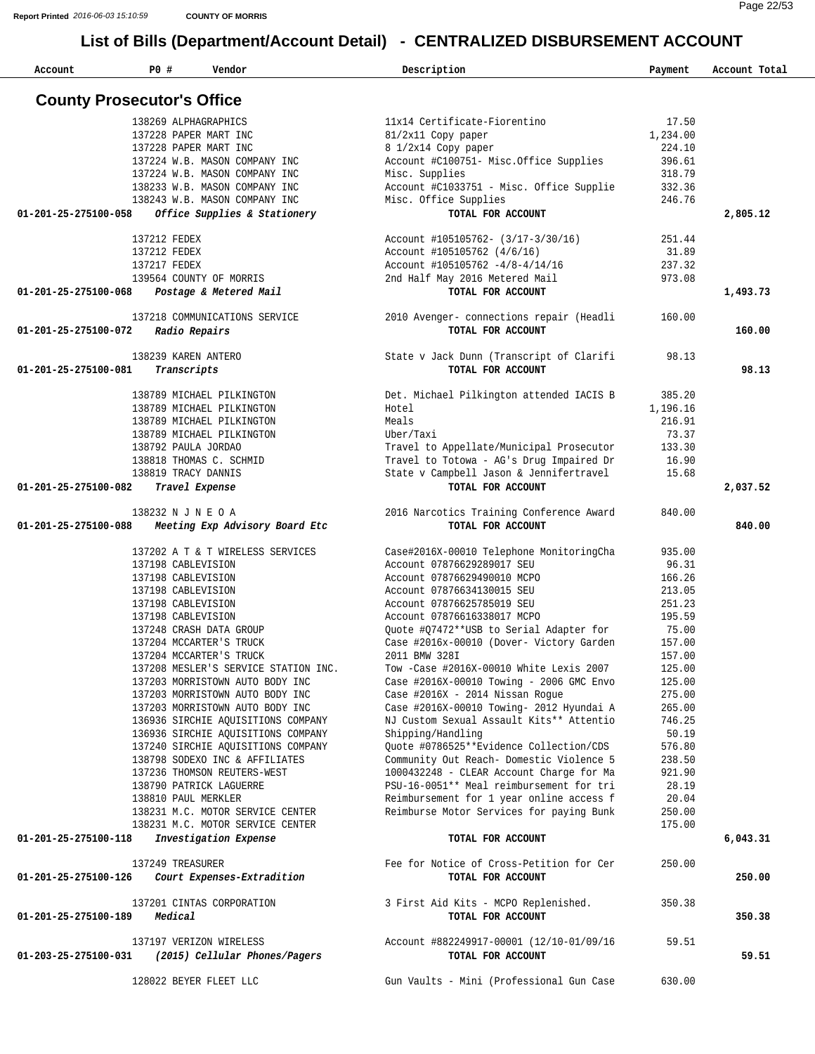| Account              | P0 #                               | Vendor                                                    | Description                                                                         | Payment         | Account Total |
|----------------------|------------------------------------|-----------------------------------------------------------|-------------------------------------------------------------------------------------|-----------------|---------------|
|                      | <b>County Prosecutor's Office</b>  |                                                           |                                                                                     |                 |               |
|                      |                                    | 138269 ALPHAGRAPHICS                                      | 11x14 Certificate-Fiorentino                                                        | 17.50           |               |
|                      |                                    | 137228 PAPER MART INC                                     | 81/2x11 Copy paper                                                                  | 1,234.00        |               |
|                      |                                    | 137228 PAPER MART INC                                     | 8 1/2x14 Copy paper                                                                 | 224.10          |               |
|                      |                                    | 137224 W.B. MASON COMPANY INC                             | Account #C100751- Misc.Office Supplies                                              | 396.61          |               |
|                      |                                    | 137224 W.B. MASON COMPANY INC                             | Misc. Supplies                                                                      | 318.79          |               |
|                      |                                    | 138233 W.B. MASON COMPANY INC                             | Account #C1033751 - Misc. Office Supplie                                            | 332.36          |               |
|                      |                                    | 138243 W.B. MASON COMPANY INC                             | Misc. Office Supplies                                                               | 246.76          |               |
| 01-201-25-275100-058 |                                    | Office Supplies & Stationery                              | TOTAL FOR ACCOUNT                                                                   |                 | 2,805.12      |
|                      | 137212 FEDEX                       |                                                           | Account #105105762- (3/17-3/30/16)                                                  | 251.44          |               |
|                      | 137212 FEDEX                       |                                                           | Account #105105762 (4/6/16)                                                         | 31.89           |               |
|                      | 137217 FEDEX                       |                                                           | Account #105105762 -4/8-4/14/16                                                     | 237.32          |               |
|                      |                                    | 139564 COUNTY OF MORRIS                                   | 2nd Half May 2016 Metered Mail                                                      | 973.08          |               |
| 01-201-25-275100-068 |                                    | Postage & Metered Mail                                    | TOTAL FOR ACCOUNT                                                                   |                 | 1,493.73      |
|                      |                                    | 137218 COMMUNICATIONS SERVICE                             | 2010 Avenger- connections repair (Headli                                            | 160.00          |               |
| 01-201-25-275100-072 |                                    | Radio Repairs                                             | TOTAL FOR ACCOUNT                                                                   |                 | 160.00        |
|                      |                                    |                                                           |                                                                                     |                 |               |
| 01-201-25-275100-081 | 138239 KAREN ANTERO<br>Transcripts |                                                           | State v Jack Dunn (Transcript of Clarifi<br>TOTAL FOR ACCOUNT                       | 98.13           | 98.13         |
|                      |                                    |                                                           |                                                                                     |                 |               |
|                      |                                    | 138789 MICHAEL PILKINGTON                                 | Det. Michael Pilkington attended IACIS B                                            | 385.20          |               |
|                      |                                    | 138789 MICHAEL PILKINGTON                                 | Hotel                                                                               | 1,196.16        |               |
|                      |                                    | 138789 MICHAEL PILKINGTON                                 | Meals                                                                               | 216.91          |               |
|                      |                                    | 138789 MICHAEL PILKINGTON                                 | Uber/Taxi                                                                           | 73.37           |               |
|                      | 138792 PAULA JORDAO                |                                                           | Travel to Appellate/Municipal Prosecutor                                            | 133.30          |               |
|                      | 138819 TRACY DANNIS                | 138818 THOMAS C. SCHMID                                   | Travel to Totowa - AG's Drug Impaired Dr<br>State v Campbell Jason & Jennifertravel | 16.90<br>15.68  |               |
| 01-201-25-275100-082 |                                    | Travel Expense                                            | TOTAL FOR ACCOUNT                                                                   |                 | 2,037.52      |
|                      |                                    |                                                           |                                                                                     |                 |               |
|                      | 138232 N J N E O A                 |                                                           | 2016 Narcotics Training Conference Award                                            | 840.00          |               |
| 01-201-25-275100-088 |                                    | Meeting Exp Advisory Board Etc                            | TOTAL FOR ACCOUNT                                                                   |                 | 840.00        |
|                      |                                    | 137202 A T & T WIRELESS SERVICES                          | Case#2016X-00010 Telephone MonitoringCha                                            | 935.00          |               |
|                      | 137198 CABLEVISION                 |                                                           | Account 07876629289017 SEU                                                          | 96.31           |               |
|                      | 137198 CABLEVISION                 |                                                           | Account 07876629490010 MCPO                                                         | 166.26          |               |
|                      | 137198 CABLEVISION                 |                                                           | Account 07876634130015 SEU                                                          | 213.05          |               |
|                      | 137198 CABLEVISION                 |                                                           | Account 07876625785019 SEU                                                          | 251.23          |               |
|                      | 137198 CABLEVISION                 |                                                           | Account 07876616338017 MCPO                                                         | 195.59          |               |
|                      |                                    | 137248 CRASH DATA GROUP                                   | Quote #Q7472**USB to Serial Adapter for<br>Case #2016x-00010 (Dover- Victory Garden | 75.00<br>157.00 |               |
|                      |                                    | 137204 MCCARTER'S TRUCK<br>137204 MCCARTER'S TRUCK        | 2011 BMW 328I                                                                       | 157.00          |               |
|                      |                                    | 137208 MESLER'S SERVICE STATION INC.                      | Tow -Case #2016X-00010 White Lexis 2007                                             | 125.00          |               |
|                      |                                    | 137203 MORRISTOWN AUTO BODY INC                           | Case #2016X-00010 Towing - 2006 GMC Envo                                            | 125.00          |               |
|                      |                                    | 137203 MORRISTOWN AUTO BODY INC                           | Case #2016X - 2014 Nissan Roque                                                     | 275.00          |               |
|                      |                                    | 137203 MORRISTOWN AUTO BODY INC                           | Case #2016X-00010 Towing- 2012 Hyundai A                                            | 265.00          |               |
|                      |                                    | 136936 SIRCHIE AQUISITIONS COMPANY                        | NJ Custom Sexual Assault Kits** Attentio                                            | 746.25          |               |
|                      |                                    | 136936 SIRCHIE AQUISITIONS COMPANY                        | Shipping/Handling                                                                   | 50.19           |               |
|                      |                                    | 137240 SIRCHIE AOUISITIONS COMPANY                        | Quote #0786525**Evidence Collection/CDS                                             | 576.80          |               |
|                      |                                    | 138798 SODEXO INC & AFFILIATES                            | Community Out Reach- Domestic Violence 5                                            | 238.50          |               |
|                      |                                    | 137236 THOMSON REUTERS-WEST                               | 1000432248 - CLEAR Account Charge for Ma                                            | 921.90          |               |
|                      |                                    | 138790 PATRICK LAGUERRE                                   | PSU-16-0051** Meal reimbursement for tri                                            | 28.19           |               |
|                      | 138810 PAUL MERKLER                |                                                           | Reimbursement for 1 year online access f                                            | 20.04           |               |
|                      |                                    | 138231 M.C. MOTOR SERVICE CENTER                          | Reimburse Motor Services for paying Bunk                                            | 250.00          |               |
| 01-201-25-275100-118 |                                    | 138231 M.C. MOTOR SERVICE CENTER<br>Investigation Expense | TOTAL FOR ACCOUNT                                                                   | 175.00          | 6,043.31      |
|                      |                                    |                                                           |                                                                                     |                 |               |
|                      | 137249 TREASURER                   |                                                           | Fee for Notice of Cross-Petition for Cer                                            | 250.00          |               |
| 01-201-25-275100-126 |                                    | Court Expenses-Extradition                                | TOTAL FOR ACCOUNT                                                                   |                 | 250.00        |
|                      |                                    | 137201 CINTAS CORPORATION                                 | 3 First Aid Kits - MCPO Replenished.                                                | 350.38          |               |
| 01-201-25-275100-189 | Medical                            |                                                           | TOTAL FOR ACCOUNT                                                                   |                 | 350.38        |
|                      |                                    |                                                           |                                                                                     |                 |               |
|                      |                                    | 137197 VERIZON WIRELESS                                   | Account #882249917-00001 (12/10-01/09/16                                            | 59.51           |               |
| 01-203-25-275100-031 |                                    | (2015) Cellular Phones/Pagers                             | TOTAL FOR ACCOUNT                                                                   |                 | 59.51         |
|                      |                                    |                                                           | Gun Vaults - Mini (Professional Gun Case                                            |                 |               |
|                      |                                    | 128022 BEYER FLEET LLC                                    |                                                                                     | 630.00          |               |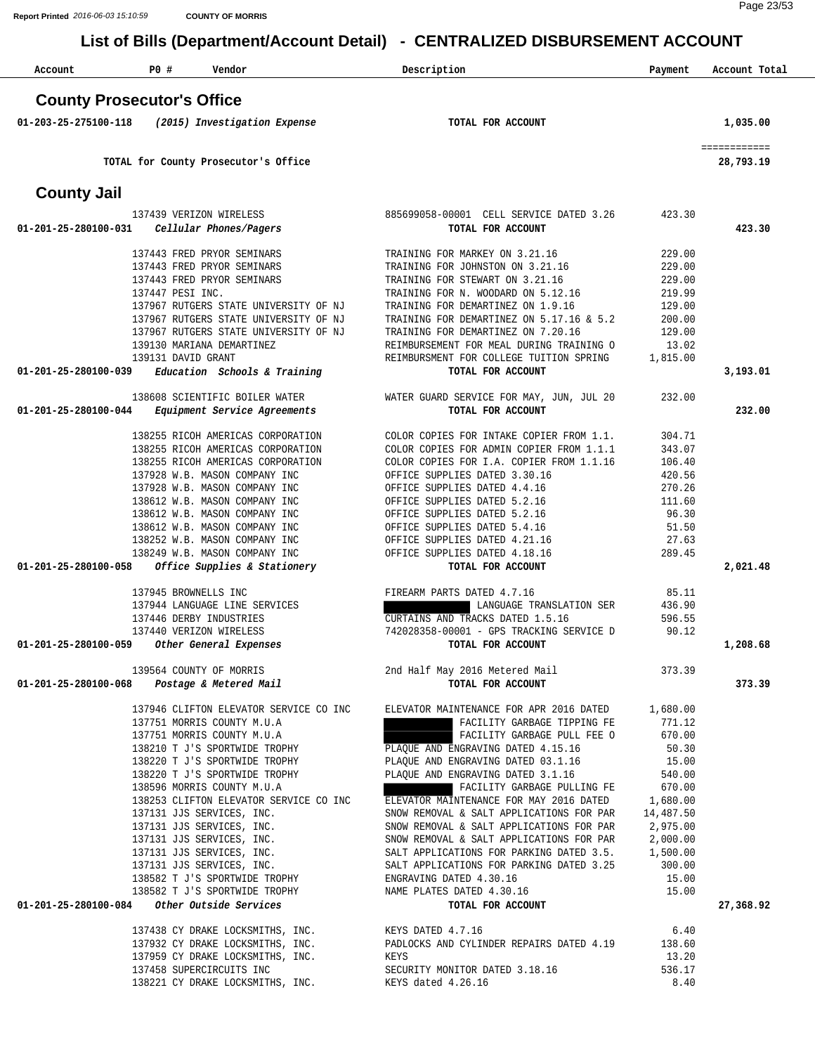| Account              | P0#                               | Vendor                                                                 | Description                                                                                                                                      | Payment          | Account Total             |
|----------------------|-----------------------------------|------------------------------------------------------------------------|--------------------------------------------------------------------------------------------------------------------------------------------------|------------------|---------------------------|
|                      | <b>County Prosecutor's Office</b> |                                                                        |                                                                                                                                                  |                  |                           |
| 01-203-25-275100-118 |                                   | (2015) Investigation Expense                                           | TOTAL FOR ACCOUNT                                                                                                                                |                  | 1,035.00                  |
|                      |                                   | TOTAL for County Prosecutor's Office                                   |                                                                                                                                                  |                  | ============<br>28,793.19 |
| <b>County Jail</b>   |                                   |                                                                        |                                                                                                                                                  |                  |                           |
|                      |                                   |                                                                        |                                                                                                                                                  |                  |                           |
| 01-201-25-280100-031 |                                   | 137439 VERIZON WIRELESS<br>Cellular Phones/Pagers                      | 885699058-00001 CELL SERVICE DATED 3.26<br>TOTAL FOR ACCOUNT                                                                                     | 423.30           | 423.30                    |
|                      |                                   | 137443 FRED PRYOR SEMINARS                                             | TRAINING FOR MARKEY ON 3.21.16                                                                                                                   | 229.00           |                           |
|                      |                                   | 137443 FRED PRYOR SEMINARS                                             | TRAINING FOR JOHNSTON ON 3.21.16                                                                                                                 | 229.00           |                           |
|                      |                                   | 137443 FRED PRYOR SEMINARS                                             | TRAINING FOR STEWART ON 3.21.16                                                                                                                  | 229.00           |                           |
|                      | 137447 PESI INC.                  | 137967 RUTGERS STATE UNIVERSITY OF NJ                                  | TRAINING FOR N. WOODARD ON 5.12.16<br>TRAINING FOR DEMARTINEZ ON 1.9.16                                                                          | 219.99<br>129.00 |                           |
|                      |                                   | 137967 RUTGERS STATE UNIVERSITY OF NJ                                  | TRAINING FOR DEMARTINEZ ON 5.17.16 & 5.2                                                                                                         | 200.00           |                           |
|                      |                                   | 137967 RUTGERS STATE UNIVERSITY OF NJ                                  | TRAINING FOR DEMARTINEZ ON 7.20.16                                                                                                               | 129.00           |                           |
|                      |                                   | 139130 MARIANA DEMARTINEZ                                              | REIMBURSEMENT FOR MEAL DURING TRAINING O                                                                                                         | 13.02            |                           |
|                      | 139131 DAVID GRANT                |                                                                        | REIMBURSMENT FOR COLLEGE TUITION SPRING                                                                                                          | 1,815.00         |                           |
| 01-201-25-280100-039 |                                   | Education Schools & Training                                           | TOTAL FOR ACCOUNT                                                                                                                                |                  | 3,193.01                  |
| 01-201-25-280100-044 |                                   | 138608 SCIENTIFIC BOILER WATER<br>Equipment Service Agreements         | WATER GUARD SERVICE FOR MAY, JUN, JUL 20<br>TOTAL FOR ACCOUNT                                                                                    | 232.00           | 232.00                    |
|                      |                                   |                                                                        |                                                                                                                                                  |                  |                           |
|                      |                                   | 138255 RICOH AMERICAS CORPORATION<br>138255 RICOH AMERICAS CORPORATION | COLOR COPIES FOR INTAKE COPIER FROM 1.1.                                                                                                         | 304.71<br>343.07 |                           |
|                      |                                   | 138255 RICOH AMERICAS CORPORATION                                      | COLOR COPIES FOR ADMIN COPIER FROM 1.1.1<br>COLOR COPIES FOR I.A. COPIER FROM 1.1.16                                                             | 106.40           |                           |
|                      |                                   | 137928 W.B. MASON COMPANY INC                                          | OFFICE SUPPLIES DATED 3.30.16                                                                                                                    | 420.56           |                           |
|                      |                                   | 137928 W.B. MASON COMPANY INC                                          | OFFICE SUPPLIES DATED 4.4.16                                                                                                                     | 270.26           |                           |
|                      |                                   | 138612 W.B. MASON COMPANY INC                                          | OFFICE SUPPLIES DATED 5.2.16                                                                                                                     | 111.60           |                           |
|                      |                                   | 138612 W.B. MASON COMPANY INC                                          | OFFICE SUPPLIES DATED 5.2.16                                                                                                                     | 96.30            |                           |
|                      |                                   | 138612 W.B. MASON COMPANY INC                                          | OFFICE SUPPLIES DATED 5.4.16                                                                                                                     | 51.50            |                           |
|                      |                                   | 138252 W.B. MASON COMPANY INC<br>138249 W.B. MASON COMPANY INC         | OFFICE SUPPLIES DATED 4.21.16<br>OFFICE SUPPLIES DATED 4.18.16                                                                                   | 27.63<br>289.45  |                           |
| 01-201-25-280100-058 |                                   | Office Supplies & Stationery                                           | TOTAL FOR ACCOUNT                                                                                                                                |                  | 2,021.48                  |
|                      |                                   |                                                                        |                                                                                                                                                  |                  |                           |
|                      | 137945 BROWNELLS INC              | 137944 LANGUAGE LINE SERVICES                                          | FIREARM PARTS DATED 4.7.16<br>LANGUAGE TRANSLATION SER                                                                                           | 85.11<br>436.90  |                           |
|                      |                                   | 137446 DERBY INDUSTRIES                                                | CURTAINS AND TRACKS DATED 1.5.16                                                                                                                 | 596.55           |                           |
|                      |                                   | 137440 VERIZON WIRELESS                                                | 742028358-00001 - GPS TRACKING SERVICE D                                                                                                         | 90.12            |                           |
|                      |                                   | 01-201-25-280100-059 Other General Expenses                            | TOTAL FOR ACCOUNT                                                                                                                                |                  | 1,208.68                  |
|                      |                                   |                                                                        | 139564 COUNTY OF MORRIS 2nd Half May 2016 Metered Mail 373.39                                                                                    |                  |                           |
|                      |                                   | 01-201-25-280100-068  Postage & Metered Mail                           | TOTAL FOR ACCOUNT                                                                                                                                |                  | 373.39                    |
|                      |                                   |                                                                        | 1,680.00 1,680.00 ELEVATOR SERVICE CO INC ELEVATOR MAINTENANCE FOR APR 2016 DATED                                                                |                  |                           |
|                      |                                   | 137751 MORRIS COUNTY M.U.A                                             | FACILITY GARBAGE TIPPING FE 771.12                                                                                                               |                  |                           |
|                      |                                   | 137751 MORRIS COUNTY M.U.A                                             | FACILITY GARBAGE PULL FEE O                                                                                                                      | 670.00           |                           |
|                      |                                   | 138210 T J'S SPORTWIDE TROPHY                                          | PLAQUE AND ENGRAVING DATED 4.15.16                                                                                                               | 50.30            |                           |
|                      |                                   |                                                                        | 138220 T J'S SPORTWIDE TROPHY<br>138220 T J'S SPORTWIDE TROPHY<br>PLAQUE AND ENGRAVING DATED 3.1.16                                              | 15.00            |                           |
|                      |                                   |                                                                        |                                                                                                                                                  | 540.00           |                           |
|                      |                                   | 138596 MORRIS COUNTY M.U.A                                             | FACILITY GARBAGE PULLING FE 670.00                                                                                                               |                  |                           |
|                      |                                   |                                                                        | 138253 CLIFTON ELEVATOR SERVICE CO INC<br>ELEVATOR MAINTENANCE FOR MAY 2016 DATED 1,680.00<br>SNOW REMOVAL & SALT APPLICATIONS FOR PAR 14,487.50 |                  |                           |
|                      |                                   | 137131 JJS SERVICES, INC.                                              | SNOW REMOVAL & SALT APPLICATIONS FOR PAR 2,975.00                                                                                                |                  |                           |
|                      |                                   |                                                                        |                                                                                                                                                  |                  |                           |
|                      |                                   |                                                                        |                                                                                                                                                  |                  |                           |
|                      |                                   |                                                                        |                                                                                                                                                  |                  |                           |
|                      |                                   |                                                                        |                                                                                                                                                  |                  |                           |
|                      |                                   | 01-201-25-280100-084     Other Outside Services                        | TOTAL FOR ACCOUNT                                                                                                                                |                  | 27,368.92                 |
|                      |                                   |                                                                        |                                                                                                                                                  |                  |                           |
|                      |                                   |                                                                        |                                                                                                                                                  |                  |                           |
|                      |                                   |                                                                        |                                                                                                                                                  |                  |                           |
|                      |                                   |                                                                        |                                                                                                                                                  |                  |                           |
|                      |                                   |                                                                        |                                                                                                                                                  |                  |                           |
|                      |                                   |                                                                        |                                                                                                                                                  |                  |                           |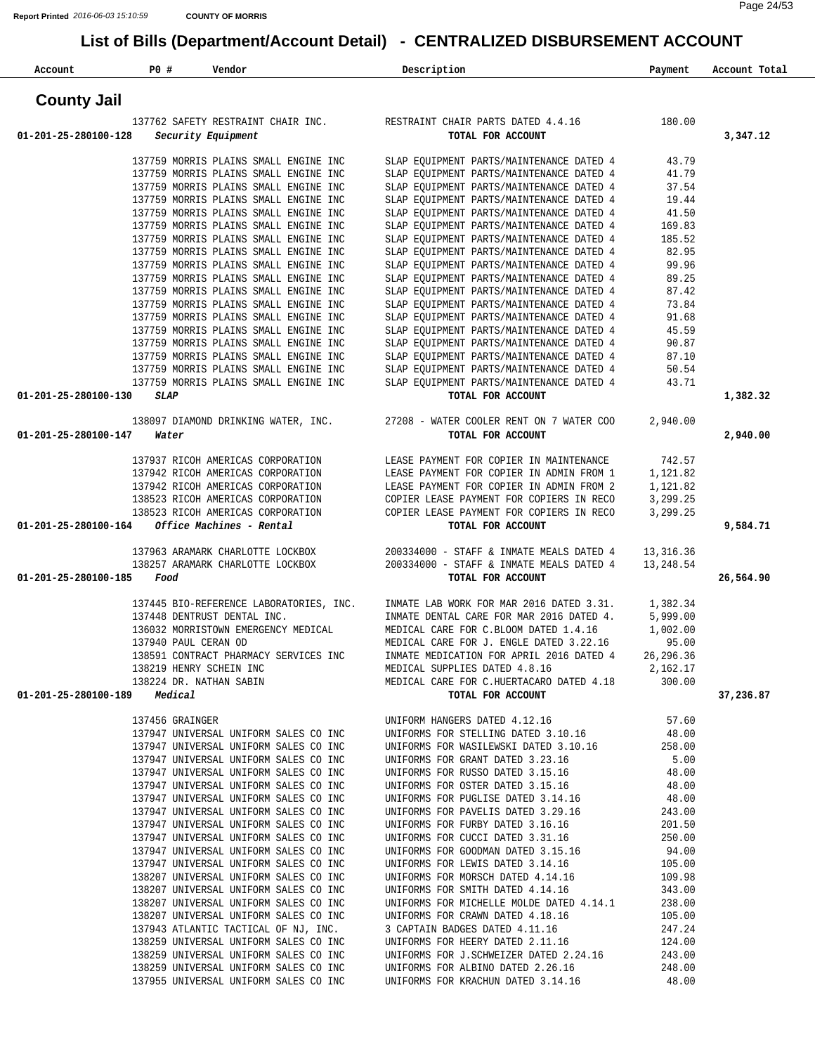| Account                      | <b>PO #</b>          | Vendor                                                                         | Description                                                                                                                                                                                                                                                                                                                                                                                                                                                                | Payment        | Account Total |
|------------------------------|----------------------|--------------------------------------------------------------------------------|----------------------------------------------------------------------------------------------------------------------------------------------------------------------------------------------------------------------------------------------------------------------------------------------------------------------------------------------------------------------------------------------------------------------------------------------------------------------------|----------------|---------------|
| <b>County Jail</b>           |                      |                                                                                |                                                                                                                                                                                                                                                                                                                                                                                                                                                                            |                |               |
|                              |                      |                                                                                | 137762 SAFETY RESTRAINT CHAIR INC. RESTRAINT CHAIR PARTS DATED 4.4.16                                                                                                                                                                                                                                                                                                                                                                                                      | 180.00         |               |
| 01-201-25-280100-128         |                      | Security Equipment                                                             | TOTAL FOR ACCOUNT                                                                                                                                                                                                                                                                                                                                                                                                                                                          |                | 3,347.12      |
|                              |                      | 137759 MORRIS PLAINS SMALL ENGINE INC                                          | SLAP EQUIPMENT PARTS/MAINTENANCE DATED 4                                                                                                                                                                                                                                                                                                                                                                                                                                   | 43.79          |               |
|                              |                      | 137759 MORRIS PLAINS SMALL ENGINE INC                                          | SLAP EQUIPMENT PARTS/MAINTENANCE DATED 4                                                                                                                                                                                                                                                                                                                                                                                                                                   | 41.79          |               |
|                              |                      | 137759 MORRIS PLAINS SMALL ENGINE INC                                          | SLAP EQUIPMENT PARTS/MAINTENANCE DATED 4                                                                                                                                                                                                                                                                                                                                                                                                                                   | 37.54          |               |
|                              |                      | 137759 MORRIS PLAINS SMALL ENGINE INC                                          | SLAP EQUIPMENT PARTS/MAINTENANCE DATED 4                                                                                                                                                                                                                                                                                                                                                                                                                                   | 19.44          |               |
|                              |                      | 137759 MORRIS PLAINS SMALL ENGINE INC                                          | SLAP EQUIPMENT PARTS/MAINTENANCE DATED 4                                                                                                                                                                                                                                                                                                                                                                                                                                   | 41.50          |               |
|                              |                      | 137759 MORRIS PLAINS SMALL ENGINE INC                                          | SLAP EQUIPMENT PARTS/MAINTENANCE DATED 4                                                                                                                                                                                                                                                                                                                                                                                                                                   | 169.83         |               |
|                              |                      | 137759 MORRIS PLAINS SMALL ENGINE INC                                          | SLAP EQUIPMENT PARTS/MAINTENANCE DATED 4                                                                                                                                                                                                                                                                                                                                                                                                                                   | 185.52         |               |
|                              |                      | 137759 MORRIS PLAINS SMALL ENGINE INC                                          | SLAP EQUIPMENT PARTS/MAINTENANCE DATED 4                                                                                                                                                                                                                                                                                                                                                                                                                                   | 82.95          |               |
|                              |                      | 137759 MORRIS PLAINS SMALL ENGINE INC                                          | SLAP EQUIPMENT PARTS/MAINTENANCE DATED 4                                                                                                                                                                                                                                                                                                                                                                                                                                   | 99.96          |               |
|                              |                      | 137759 MORRIS PLAINS SMALL ENGINE INC                                          | SLAP EQUIPMENT PARTS/MAINTENANCE DATED 4                                                                                                                                                                                                                                                                                                                                                                                                                                   | 89.25          |               |
|                              |                      | 137759 MORRIS PLAINS SMALL ENGINE INC                                          | SLAP EQUIPMENT PARTS/MAINTENANCE DATED 4                                                                                                                                                                                                                                                                                                                                                                                                                                   | 87.42          |               |
|                              |                      | 137759 MORRIS PLAINS SMALL ENGINE INC<br>137759 MORRIS PLAINS SMALL ENGINE INC | SLAP EQUIPMENT PARTS/MAINTENANCE DATED 4                                                                                                                                                                                                                                                                                                                                                                                                                                   | 73.84          |               |
|                              |                      | 137759 MORRIS PLAINS SMALL ENGINE INC                                          | SLAP EQUIPMENT PARTS/MAINTENANCE DATED 4<br>SLAP EQUIPMENT PARTS/MAINTENANCE DATED 4                                                                                                                                                                                                                                                                                                                                                                                       | 91.68<br>45.59 |               |
|                              |                      | 137759 MORRIS PLAINS SMALL ENGINE INC                                          | SLAP EQUIPMENT PARTS/MAINTENANCE DATED 4                                                                                                                                                                                                                                                                                                                                                                                                                                   | 90.87          |               |
|                              |                      | 137759 MORRIS PLAINS SMALL ENGINE INC                                          | SLAP EQUIPMENT PARTS/MAINTENANCE DATED 4                                                                                                                                                                                                                                                                                                                                                                                                                                   | 87.10          |               |
|                              |                      | 137759 MORRIS PLAINS SMALL ENGINE INC                                          | SLAP EQUIPMENT PARTS/MAINTENANCE DATED 4                                                                                                                                                                                                                                                                                                                                                                                                                                   | 50.54          |               |
|                              |                      | 137759 MORRIS PLAINS SMALL ENGINE INC                                          | SLAP EQUIPMENT PARTS/MAINTENANCE DATED 4                                                                                                                                                                                                                                                                                                                                                                                                                                   | 43.71          |               |
| 01-201-25-280100-130         | <b>SLAP</b>          |                                                                                | TOTAL FOR ACCOUNT                                                                                                                                                                                                                                                                                                                                                                                                                                                          |                | 1,382.32      |
|                              |                      | 138097 DIAMOND DRINKING WATER, INC.                                            | 27208 - WATER COOLER RENT ON 7 WATER COO                                                                                                                                                                                                                                                                                                                                                                                                                                   | 2,940.00       |               |
| 01-201-25-280100-147         | Water                |                                                                                | TOTAL FOR ACCOUNT                                                                                                                                                                                                                                                                                                                                                                                                                                                          |                | 2,940.00      |
|                              |                      | 137937 RICOH AMERICAS CORPORATION                                              | LEASE PAYMENT FOR COPIER IN MAINTENANCE                                                                                                                                                                                                                                                                                                                                                                                                                                    | 742.57         |               |
|                              |                      | 137942 RICOH AMERICAS CORPORATION                                              | LEASE PAYMENT FOR COPIER IN ADMIN FROM 1                                                                                                                                                                                                                                                                                                                                                                                                                                   | 1,121.82       |               |
|                              |                      | 137942 RICOH AMERICAS CORPORATION                                              | LEASE PAYMENT FOR COPIER IN ADMIN FROM 2                                                                                                                                                                                                                                                                                                                                                                                                                                   | 1,121.82       |               |
|                              |                      | 138523 RICOH AMERICAS CORPORATION                                              | COPIER LEASE PAYMENT FOR COPIERS IN RECO                                                                                                                                                                                                                                                                                                                                                                                                                                   | 3,299.25       |               |
|                              |                      | 138523 RICOH AMERICAS CORPORATION                                              | COPIER LEASE PAYMENT FOR COPIERS IN RECO                                                                                                                                                                                                                                                                                                                                                                                                                                   | 3,299.25       |               |
| 01-201-25-280100-164         |                      | Office Machines - Rental                                                       | TOTAL FOR ACCOUNT                                                                                                                                                                                                                                                                                                                                                                                                                                                          |                | 9,584.71      |
|                              |                      | 137963 ARAMARK CHARLOTTE LOCKBOX                                               | 200334000 - STAFF & INMATE MEALS DATED 4                                                                                                                                                                                                                                                                                                                                                                                                                                   | 13,316.36      |               |
|                              |                      | 138257 ARAMARK CHARLOTTE LOCKBOX                                               | 200334000 - STAFF & INMATE MEALS DATED 4                                                                                                                                                                                                                                                                                                                                                                                                                                   | 13,248.54      |               |
| 01-201-25-280100-185         | Food                 |                                                                                | TOTAL FOR ACCOUNT                                                                                                                                                                                                                                                                                                                                                                                                                                                          |                | 26,564.90     |
|                              |                      | 137445 BIO-REFERENCE LABORATORIES, INC.                                        | INMATE LAB WORK FOR MAR 2016 DATED 3.31.                                                                                                                                                                                                                                                                                                                                                                                                                                   | 1,382.34       |               |
|                              |                      | 137448 DENTRUST DENTAL INC.                                                    | INMATE DENTAL CARE FOR MAR 2016 DATED 4.                                                                                                                                                                                                                                                                                                                                                                                                                                   | 5,999.00       |               |
|                              |                      | 136032 MORRISTOWN EMERGENCY MEDICAL                                            | MEDICAL CARE FOR C.BLOOM DATED 1.4.16                                                                                                                                                                                                                                                                                                                                                                                                                                      | 1,002.00       |               |
|                              | 137940 PAUL CERAN OD |                                                                                | MEDICAL CARE FOR J. ENGLE DATED 3.22.16                                                                                                                                                                                                                                                                                                                                                                                                                                    | 95.00          |               |
|                              |                      |                                                                                |                                                                                                                                                                                                                                                                                                                                                                                                                                                                            |                |               |
|                              |                      |                                                                                |                                                                                                                                                                                                                                                                                                                                                                                                                                                                            |                |               |
|                              |                      |                                                                                | $\begin{array}{lllllllllllllllll} \textbf{138591}\textbf{CONTRACT} & \textbf{PHARMACY} & \textbf{SERVICES} & \textbf{INC} & \textbf{IMMATE} & \textbf{MEDICATION FOR APRIL} & \textbf{2016} & \textbf{DATED 4} & \textbf{26,296.36} \\ \textbf{138219 HENRY SCHEIN INC} & \textbf{MEDICAL SUPPLIES DATED 4.8.16} & \textbf{2,162.17} & \textbf{2,162.17} & \textbf{2,163.18} & \textbf{2,164.18} & \textbf{2,$                                                             |                |               |
| 01-201-25-280100-189 Medical |                      |                                                                                | TOTAL FOR ACCOUNT                                                                                                                                                                                                                                                                                                                                                                                                                                                          |                | 37,236.87     |
|                              |                      |                                                                                | $\textbf{UNIFORM HANGERS} \begin{minipage}{0.5cm} \begin{minipage}{0.5cm} \begin{minipage}{0.5cm} \begin{minipage}{0.5cm} \begin{minipage}{0.5cm} \begin{minipage}{0.5cm} \begin{minipage}{0.5cm} \begin{minipage}{0.5cm} \begin{minipage}{0.5cm} \begin{minipage}{0.5cm} \begin{minipage}{0.5cm} \begin{minipage}{0.5cm} \end{minipage} \end{minipage}} \end{minipage}} \end{minipage}} \end{minipage} \begin{minipage}{0.5cm} \begin{minipage}{0.5cm} \begin{minipage}{$ |                |               |
|                              |                      |                                                                                |                                                                                                                                                                                                                                                                                                                                                                                                                                                                            |                |               |
|                              |                      | 137947 UNIVERSAL UNIFORM SALES CO INC                                          | UNIFORMS FOR WASILEWSKI DATED 3.10.16 258.00                                                                                                                                                                                                                                                                                                                                                                                                                               |                |               |
|                              |                      | 137947 UNIVERSAL UNIFORM SALES CO INC                                          | UNIFORMS FOR GRANT DATED 3.23.16 5.00<br>UNIFORMS FOR RUSSO DATED 3.15.16 48.00<br>UNIFORMS FOR OSTER DATED 3.15.16 48.00                                                                                                                                                                                                                                                                                                                                                  |                |               |
|                              |                      | 137947 UNIVERSAL UNIFORM SALES CO INC                                          |                                                                                                                                                                                                                                                                                                                                                                                                                                                                            |                |               |
|                              |                      | 137947 UNIVERSAL UNIFORM SALES CO INC                                          |                                                                                                                                                                                                                                                                                                                                                                                                                                                                            |                |               |
|                              |                      | 137947 UNIVERSAL UNIFORM SALES CO INC                                          |                                                                                                                                                                                                                                                                                                                                                                                                                                                                            |                |               |
|                              |                      | 137947 UNIVERSAL UNIFORM SALES CO INC<br>137947 UNIVERSAL UNIFORM SALES CO INC |                                                                                                                                                                                                                                                                                                                                                                                                                                                                            |                |               |
|                              |                      | 137947 UNIVERSAL UNIFORM SALES CO INC                                          | UNIFORMS FOR OSTER DATED 3.13.1.0<br>UNIFORMS FOR PUGLISE DATED 3.14.16<br>UNIFORMS FOR PAVELIS DATED 3.29.16<br>UNIFORMS FOR FURBY DATED 3.16.16<br>201.50<br>201.50<br>200.00                                                                                                                                                                                                                                                                                            |                |               |
|                              |                      | 137947 UNIVERSAL UNIFORM SALES CO INC                                          | UNIFORMS FOR CUCCI DATED 3.31.16 250.00<br>UNIFORMS FOR GOODMAN DATED 3.15.16 250.00<br>UNIFORMS FOR GOODMAN DATED 3.14.16 105.00<br>UNIFORMS FOR MORSCH DATED 4.14.16 109.98<br>UNIFORMS FOR MUNITED ATED 4.14.16 343.00<br>UNIFORMS FO                                                                                                                                                                                                                                   |                |               |
|                              |                      | 137947 UNIVERSAL UNIFORM SALES CO INC                                          |                                                                                                                                                                                                                                                                                                                                                                                                                                                                            |                |               |
|                              |                      | 138207 UNIVERSAL UNIFORM SALES CO INC                                          |                                                                                                                                                                                                                                                                                                                                                                                                                                                                            |                |               |
|                              |                      | 138207 UNIVERSAL UNIFORM SALES CO INC                                          |                                                                                                                                                                                                                                                                                                                                                                                                                                                                            |                |               |
|                              |                      |                                                                                |                                                                                                                                                                                                                                                                                                                                                                                                                                                                            |                |               |
|                              |                      |                                                                                |                                                                                                                                                                                                                                                                                                                                                                                                                                                                            |                |               |
|                              |                      |                                                                                |                                                                                                                                                                                                                                                                                                                                                                                                                                                                            |                |               |
|                              |                      |                                                                                | 138207 UNIVERSAL UNIFORM SALES CO INC<br>138207 UNIVERSAL UNIFORM SALES CO INC<br>138207 UNIVERSAL UNIFORM SALES CO INC<br>137943 ATLANTIC TACTICAL OF NJ, INC.<br>138259 UNIVERSAL UNIFORM SALES CO INC<br>138259 UNIVERSAL UNIFORM SALES CO                                                                                                                                                                                                                              |                |               |
|                              |                      |                                                                                |                                                                                                                                                                                                                                                                                                                                                                                                                                                                            |                |               |
|                              |                      |                                                                                | $\begin{array}{lllllllllllllllllll} \text{138259 UNIVERSAL UNIFORM SALES CO INC} & \text{UNIFORMS FOR ALBINO DATED 2.26.16} & \text{248.00} \\ \text{137955 UNIVERSAL UNIFORM SALES CO INC} & \text{UNIFORMS FOR KRACTIUN DATED 3.14.16} & \text{48.00} \\ \end{array}$                                                                                                                                                                                                    |                |               |
|                              |                      |                                                                                |                                                                                                                                                                                                                                                                                                                                                                                                                                                                            |                |               |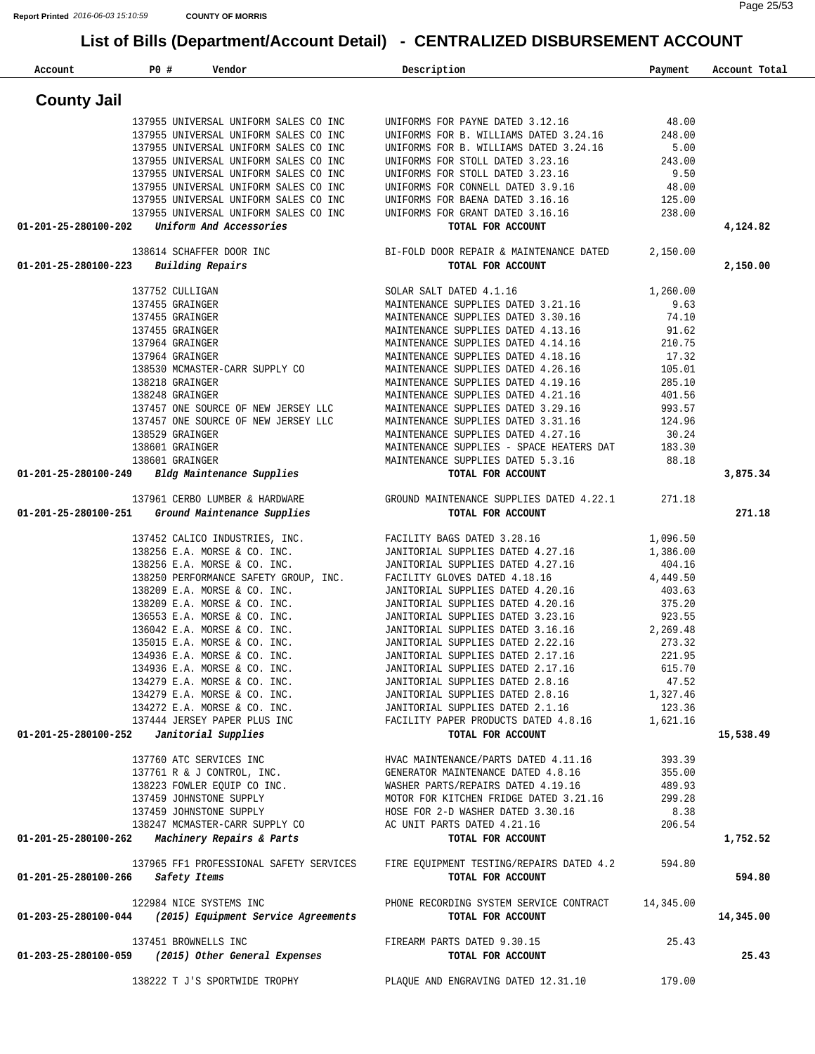| Account                                  | <b>PO #</b> | Vendor                                                   | Description                                | Payment   | Account Total |
|------------------------------------------|-------------|----------------------------------------------------------|--------------------------------------------|-----------|---------------|
| <b>County Jail</b>                       |             |                                                          |                                            |           |               |
|                                          |             | 137955 UNIVERSAL UNIFORM SALES CO INC                    | UNIFORMS FOR PAYNE DATED 3.12.16           | 48.00     |               |
|                                          |             | 137955 UNIVERSAL UNIFORM SALES CO INC                    | UNIFORMS FOR B. WILLIAMS DATED 3.24.16     | 248.00    |               |
|                                          |             | 137955 UNIVERSAL UNIFORM SALES CO INC                    | UNIFORMS FOR B. WILLIAMS DATED 3.24.16     | 5.00      |               |
|                                          |             | 137955 UNIVERSAL UNIFORM SALES CO INC                    | UNIFORMS FOR STOLL DATED 3.23.16           | 243.00    |               |
|                                          |             | 137955 UNIVERSAL UNIFORM SALES CO INC                    | UNIFORMS FOR STOLL DATED 3.23.16           | 9.50      |               |
|                                          |             | 137955 UNIVERSAL UNIFORM SALES CO INC                    | UNIFORMS FOR CONNELL DATED 3.9.16          | 48.00     |               |
|                                          |             | 137955 UNIVERSAL UNIFORM SALES CO INC                    | UNIFORMS FOR BAENA DATED 3.16.16           | 125.00    |               |
|                                          |             | 137955 UNIVERSAL UNIFORM SALES CO INC                    | UNIFORMS FOR GRANT DATED 3.16.16           | 238.00    |               |
| 01-201-25-280100-202                     |             | Uniform And Accessories                                  | TOTAL FOR ACCOUNT                          |           | 4,124.82      |
|                                          |             | 138614 SCHAFFER DOOR INC                                 | BI-FOLD DOOR REPAIR & MAINTENANCE DATED    | 2,150.00  |               |
| 01-201-25-280100-223                     |             | Building Repairs                                         | TOTAL FOR ACCOUNT                          |           | 2,150.00      |
|                                          |             | 137752 CULLIGAN                                          | SOLAR SALT DATED 4.1.16                    | 1,260.00  |               |
|                                          |             | 137455 GRAINGER                                          | MAINTENANCE SUPPLIES DATED 3.21.16         | 9.63      |               |
|                                          |             | 137455 GRAINGER                                          | MAINTENANCE SUPPLIES DATED 3.30.16         | 74.10     |               |
|                                          |             | 137455 GRAINGER                                          | MAINTENANCE SUPPLIES DATED 4.13.16         | 91.62     |               |
|                                          |             | 137964 GRAINGER                                          | MAINTENANCE SUPPLIES DATED 4.14.16         | 210.75    |               |
|                                          |             | 137964 GRAINGER                                          | MAINTENANCE SUPPLIES DATED 4.18.16         | 17.32     |               |
|                                          |             | 138530 MCMASTER-CARR SUPPLY CO                           | MAINTENANCE SUPPLIES DATED 4.26.16         | 105.01    |               |
|                                          |             | 138218 GRAINGER                                          | MAINTENANCE SUPPLIES DATED 4.19.16         | 285.10    |               |
|                                          |             | 138248 GRAINGER                                          | MAINTENANCE SUPPLIES DATED 4.21.16         | 401.56    |               |
|                                          |             | 137457 ONE SOURCE OF NEW JERSEY LLC                      | MAINTENANCE SUPPLIES DATED 3.29.16         | 993.57    |               |
|                                          |             | 137457 ONE SOURCE OF NEW JERSEY LLC                      | MAINTENANCE SUPPLIES DATED 3.31.16         | 124.96    |               |
|                                          |             | 138529 GRAINGER                                          | MAINTENANCE SUPPLIES DATED 4.27.16         | 30.24     |               |
|                                          |             | 138601 GRAINGER                                          | MAINTENANCE SUPPLIES - SPACE HEATERS DAT   | 183.30    |               |
|                                          |             | 138601 GRAINGER                                          | MAINTENANCE SUPPLIES DATED 5.3.16          | 88.18     |               |
| 01-201-25-280100-249                     |             | Bldg Maintenance Supplies                                | TOTAL FOR ACCOUNT                          |           | 3,875.34      |
|                                          |             | 137961 CERBO LUMBER & HARDWARE                           | GROUND MAINTENANCE SUPPLIES DATED 4.22.1   | 271.18    |               |
| 01-201-25-280100-251                     |             | Ground Maintenance Supplies                              | TOTAL FOR ACCOUNT                          |           | 271.18        |
|                                          |             | 137452 CALICO INDUSTRIES, INC.                           | FACILITY BAGS DATED 3.28.16                | 1,096.50  |               |
|                                          |             | 138256 E.A. MORSE & CO. INC.                             | JANITORIAL SUPPLIES DATED 4.27.16          | 1,386.00  |               |
|                                          |             | 138256 E.A. MORSE & CO. INC.                             | JANITORIAL SUPPLIES DATED 4.27.16          | 404.16    |               |
|                                          |             | 138250 PERFORMANCE SAFETY GROUP, INC.                    | FACILITY GLOVES DATED 4.18.16              | 4,449.50  |               |
|                                          |             | 138209 E.A. MORSE & CO. INC.                             | JANITORIAL SUPPLIES DATED 4.20.16          | 403.63    |               |
|                                          |             | 138209 E.A. MORSE & CO. INC.                             | JANITORIAL SUPPLIES DATED 4.20.16          | 375.20    |               |
|                                          |             | 136553 E.A. MORSE & CO. INC.                             | JANITORIAL SUPPLIES DATED 3.23.16          | 923.55    |               |
|                                          |             | 136042 E.A. MORSE & CO. INC.                             | JANITORIAL SUPPLIES DATED 3.16.16          | 2,269.48  |               |
|                                          |             | 135015 E.A. MORSE & CO. INC.                             | JANITORIAL SUPPLIES DATED 2.22.16          | 273.32    |               |
|                                          |             | 134936 E.A. MORSE & CO. INC.                             | JANITORIAL SUPPLIES DATED 2.17.16          | 221.95    |               |
|                                          |             | 134936 E.A. MORSE & CO. INC.                             | JANITORIAL SUPPLIES DATED 2.17.16          | 615.70    |               |
|                                          |             | 134279 E.A. MORSE & CO. INC.                             | JANITORIAL SUPPLIES DATED 2.8.16           | 47.52     |               |
|                                          |             | 134279 E.A. MORSE & CO. INC.                             | JANITORIAL SUPPLIES DATED 2.8.16           | 1,327.46  |               |
|                                          |             | 134272 E.A. MORSE & CO. INC.                             | JANITORIAL SUPPLIES DATED 2.1.16           | 123.36    |               |
|                                          |             | 137444 JERSEY PAPER PLUS INC                             | FACILITY PAPER PRODUCTS DATED 4.8.16       | 1,621.16  |               |
| 01-201-25-280100-252 Janitorial Supplies |             |                                                          | TOTAL FOR ACCOUNT                          |           | 15,538.49     |
|                                          |             | 137760 ATC SERVICES INC                                  | HVAC MAINTENANCE/PARTS DATED 4.11.16       | 393.39    |               |
|                                          |             | 137761 R & J CONTROL, INC.                               | GENERATOR MAINTENANCE DATED 4.8.16         | 355.00    |               |
|                                          |             | 138223 FOWLER EQUIP CO INC.                              | WASHER PARTS/REPAIRS DATED 4.19.16         | 489.93    |               |
|                                          |             | 137459 JOHNSTONE SUPPLY                                  | MOTOR FOR KITCHEN FRIDGE DATED 3.21.16     | 299.28    |               |
|                                          |             | 137459 JOHNSTONE SUPPLY                                  | HOSE FOR 2-D WASHER DATED 3.30.16          | 8.38      |               |
|                                          |             | 138247 MCMASTER-CARR SUPPLY CO                           | AC UNIT PARTS DATED 4.21.16                | 206.54    |               |
|                                          |             | 01-201-25-280100-262 Machinery Repairs & Parts           | TOTAL FOR ACCOUNT                          |           | 1,752.52      |
|                                          |             | 137965 FF1 PROFESSIONAL SAFETY SERVICES                  | FIRE EQUIPMENT TESTING/REPAIRS DATED 4.2   | 594.80    |               |
| 01-201-25-280100-266                     |             | Safety Items                                             | TOTAL FOR ACCOUNT                          |           | 594.80        |
|                                          |             | 122984 NICE SYSTEMS INC                                  | PHONE RECORDING SYSTEM SERVICE CONTRACT    | 14,345.00 |               |
|                                          |             | 01-203-25-280100-044 (2015) Equipment Service Agreements | TOTAL FOR ACCOUNT                          |           | 14,345.00     |
|                                          |             | 137451 BROWNELLS INC                                     | FIREARM PARTS DATED 9.30.15                | 25.43     |               |
|                                          |             | 01-203-25-280100-059 (2015) Other General Expenses       | TOTAL FOR ACCOUNT                          |           | 25.43         |
|                                          |             | 138222 T J'S SPORTWIDE TROPHY                            | PLAQUE AND ENGRAVING DATED 12.31.10 179.00 |           |               |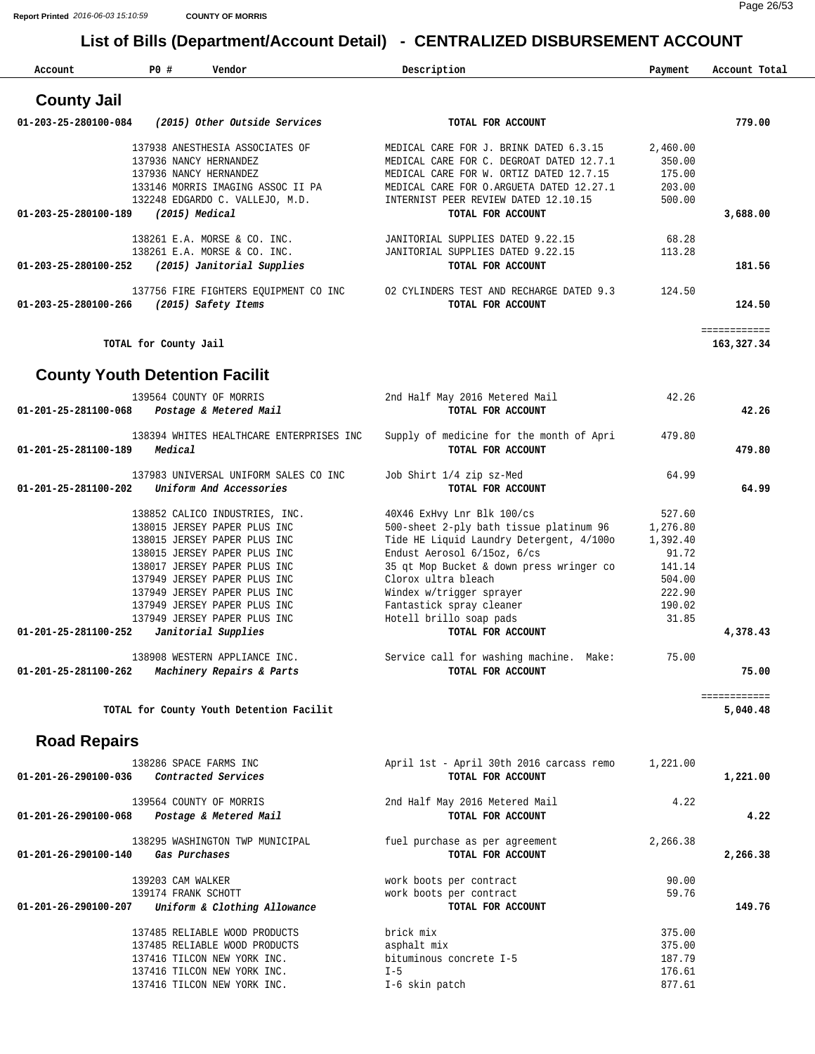| Account                               | PO #                                                         | Vendor                                   | Description                                                                         | Payment          | Account Total              |
|---------------------------------------|--------------------------------------------------------------|------------------------------------------|-------------------------------------------------------------------------------------|------------------|----------------------------|
| <b>County Jail</b>                    |                                                              |                                          |                                                                                     |                  |                            |
| 01-203-25-280100-084                  |                                                              | (2015) Other Outside Services            | TOTAL FOR ACCOUNT                                                                   |                  | 779.00                     |
|                                       | 137938 ANESTHESIA ASSOCIATES OF                              |                                          | MEDICAL CARE FOR J. BRINK DATED 6.3.15                                              | 2,460.00         |                            |
|                                       | 137936 NANCY HERNANDEZ                                       |                                          | MEDICAL CARE FOR C. DEGROAT DATED 12.7.1                                            | 350.00           |                            |
|                                       | 137936 NANCY HERNANDEZ                                       | 133146 MORRIS IMAGING ASSOC II PA        | MEDICAL CARE FOR W. ORTIZ DATED 12.7.15<br>MEDICAL CARE FOR O.ARGUETA DATED 12.27.1 | 175.00<br>203.00 |                            |
|                                       | 132248 EDGARDO C. VALLEJO, M.D.                              |                                          | INTERNIST PEER REVIEW DATED 12.10.15                                                | 500.00           |                            |
| 01-203-25-280100-189                  | $(2015)$ Medical                                             |                                          | TOTAL FOR ACCOUNT                                                                   |                  | 3,688.00                   |
|                                       | 138261 E.A. MORSE & CO. INC.                                 |                                          | JANITORIAL SUPPLIES DATED 9.22.15                                                   | 68.28            |                            |
|                                       | 138261 E.A. MORSE & CO. INC.                                 |                                          | JANITORIAL SUPPLIES DATED 9.22.15                                                   | 113.28           |                            |
| 01-203-25-280100-252                  |                                                              | (2015) Janitorial Supplies               | TOTAL FOR ACCOUNT                                                                   |                  | 181.56                     |
|                                       |                                                              | 137756 FIRE FIGHTERS EQUIPMENT CO INC    | 02 CYLINDERS TEST AND RECHARGE DATED 9.3                                            | 124.50           |                            |
| 01-203-25-280100-266                  | (2015) Safety Items                                          |                                          | TOTAL FOR ACCOUNT                                                                   |                  | 124.50                     |
|                                       | TOTAL for County Jail                                        |                                          |                                                                                     |                  | ============<br>163,327.34 |
|                                       |                                                              |                                          |                                                                                     |                  |                            |
| <b>County Youth Detention Facilit</b> |                                                              |                                          |                                                                                     |                  |                            |
|                                       | 139564 COUNTY OF MORRIS                                      |                                          | 2nd Half May 2016 Metered Mail                                                      | 42.26            |                            |
| 01-201-25-281100-068                  | Postage & Metered Mail                                       |                                          | TOTAL FOR ACCOUNT                                                                   |                  | 42.26                      |
|                                       |                                                              | 138394 WHITES HEALTHCARE ENTERPRISES INC | Supply of medicine for the month of Apri                                            | 479.80           |                            |
| 01-201-25-281100-189                  | Medical                                                      |                                          | TOTAL FOR ACCOUNT                                                                   |                  | 479.80                     |
|                                       |                                                              | 137983 UNIVERSAL UNIFORM SALES CO INC    | Job Shirt 1/4 zip sz-Med                                                            | 64.99            |                            |
| 01-201-25-281100-202                  | Uniform And Accessories                                      |                                          | TOTAL FOR ACCOUNT                                                                   |                  | 64.99                      |
|                                       | 138852 CALICO INDUSTRIES, INC.                               |                                          | 40X46 ExHvy Lnr Blk 100/cs                                                          | 527.60           |                            |
|                                       | 138015 JERSEY PAPER PLUS INC                                 |                                          | 500-sheet 2-ply bath tissue platinum 96                                             | 1,276.80         |                            |
|                                       | 138015 JERSEY PAPER PLUS INC                                 |                                          | Tide HE Liquid Laundry Detergent, 4/100o                                            | 1,392.40         |                            |
|                                       | 138015 JERSEY PAPER PLUS INC                                 |                                          | Endust Aerosol 6/15oz, 6/cs                                                         | 91.72            |                            |
|                                       | 138017 JERSEY PAPER PLUS INC<br>137949 JERSEY PAPER PLUS INC |                                          | 35 gt Mop Bucket & down press wringer co<br>Clorox ultra bleach                     | 141.14<br>504.00 |                            |
|                                       | 137949 JERSEY PAPER PLUS INC                                 |                                          | Windex w/trigger sprayer                                                            | 222.90           |                            |
|                                       | 137949 JERSEY PAPER PLUS INC                                 |                                          | Fantastick spray cleaner                                                            | 190.02           |                            |
|                                       | 137949 JERSEY PAPER PLUS INC                                 |                                          | Hotell brillo soap pads                                                             | 31.85            |                            |
| 01-201-25-281100-252                  | Janitorial Supplies                                          |                                          | TOTAL FOR ACCOUNT                                                                   |                  | 4,378.43                   |
|                                       | 138908 WESTERN APPLIANCE INC.                                |                                          | Service call for washing machine. Make:                                             | 75.00            |                            |
| 01-201-25-281100-262                  | Machinery Repairs & Parts                                    |                                          | TOTAL FOR ACCOUNT                                                                   |                  | 75.00                      |
|                                       |                                                              | TOTAL for County Youth Detention Facilit |                                                                                     |                  | ============<br>5,040.48   |
|                                       |                                                              |                                          |                                                                                     |                  |                            |
| <b>Road Repairs</b>                   |                                                              |                                          |                                                                                     |                  |                            |
|                                       | 138286 SPACE FARMS INC                                       |                                          | April 1st - April 30th 2016 carcass remo                                            | 1,221.00         |                            |
| 01-201-26-290100-036                  | Contracted Services                                          |                                          | TOTAL FOR ACCOUNT                                                                   |                  | 1,221.00                   |
|                                       | 139564 COUNTY OF MORRIS                                      |                                          | 2nd Half May 2016 Metered Mail                                                      | 4.22             |                            |
| 01-201-26-290100-068                  | Postage & Metered Mail                                       |                                          | TOTAL FOR ACCOUNT                                                                   |                  | 4.22                       |
|                                       | 138295 WASHINGTON TWP MUNICIPAL                              |                                          | fuel purchase as per agreement                                                      | 2,266.38         |                            |
| 01-201-26-290100-140                  | Gas Purchases                                                |                                          | TOTAL FOR ACCOUNT                                                                   |                  | 2,266.38                   |
|                                       | 139203 CAM WALKER                                            |                                          | work boots per contract                                                             | 90.00            |                            |
| 01-201-26-290100-207                  | 139174 FRANK SCHOTT                                          | Uniform & Clothing Allowance             | work boots per contract<br>TOTAL FOR ACCOUNT                                        | 59.76            | 149.76                     |
|                                       |                                                              |                                          |                                                                                     |                  |                            |
|                                       | 137485 RELIABLE WOOD PRODUCTS                                |                                          | brick mix                                                                           | 375.00           |                            |
|                                       | 137485 RELIABLE WOOD PRODUCTS<br>137416 TILCON NEW YORK INC. |                                          | asphalt mix<br>bituminous concrete I-5                                              | 375.00<br>187.79 |                            |
|                                       | 137416 TILCON NEW YORK INC.                                  |                                          | $I - 5$                                                                             | 176.61           |                            |
|                                       | 137416 TILCON NEW YORK INC.                                  |                                          | I-6 skin patch                                                                      | 877.61           |                            |
|                                       |                                                              |                                          |                                                                                     |                  |                            |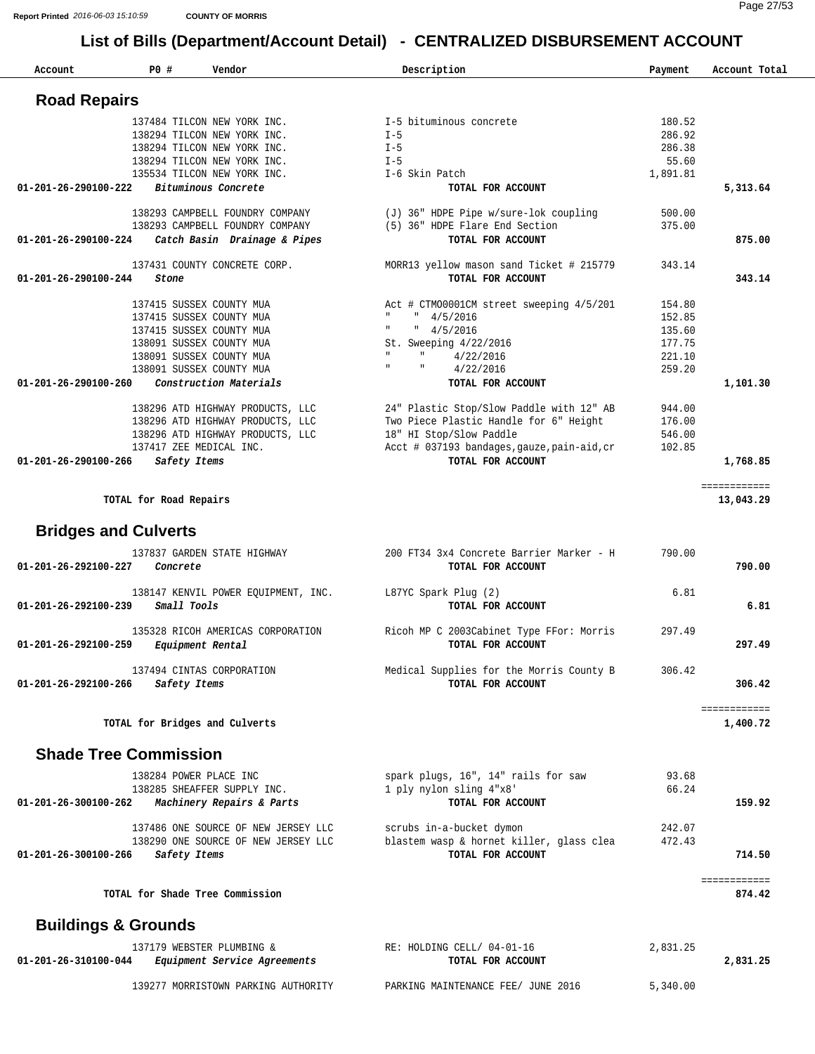| Account              | P0 #                                                 | Vendor                                             | Description                                                   | Payment          | Account Total             |
|----------------------|------------------------------------------------------|----------------------------------------------------|---------------------------------------------------------------|------------------|---------------------------|
| <b>Road Repairs</b>  |                                                      |                                                    |                                                               |                  |                           |
|                      |                                                      | 137484 TILCON NEW YORK INC.                        | I-5 bituminous concrete                                       | 180.52           |                           |
|                      |                                                      | 138294 TILCON NEW YORK INC.                        | $I - 5$                                                       | 286.92           |                           |
|                      |                                                      | 138294 TILCON NEW YORK INC.                        | $I - 5$                                                       | 286.38           |                           |
|                      |                                                      | 138294 TILCON NEW YORK INC.                        | $I - 5$                                                       | 55.60            |                           |
| 01-201-26-290100-222 |                                                      | 135534 TILCON NEW YORK INC.<br>Bituminous Concrete | I-6 Skin Patch<br>TOTAL FOR ACCOUNT                           | 1,891.81         | 5,313.64                  |
|                      |                                                      |                                                    |                                                               |                  |                           |
|                      |                                                      | 138293 CAMPBELL FOUNDRY COMPANY                    | (J) 36" HDPE Pipe w/sure-lok coupling                         | 500.00           |                           |
|                      |                                                      | 138293 CAMPBELL FOUNDRY COMPANY                    | (5) 36" HDPE Flare End Section                                | 375.00           |                           |
| 01-201-26-290100-224 |                                                      | Catch Basin Drainage & Pipes                       | TOTAL FOR ACCOUNT                                             |                  | 875.00                    |
|                      |                                                      | 137431 COUNTY CONCRETE CORP.                       | MORR13 yellow mason sand Ticket # 215779                      | 343.14           |                           |
| 01-201-26-290100-244 | Stone                                                |                                                    | TOTAL FOR ACCOUNT                                             |                  | 343.14                    |
|                      |                                                      |                                                    |                                                               |                  |                           |
|                      | 137415 SUSSEX COUNTY MUA                             |                                                    | Act # CTM00001CM street sweeping 4/5/201                      | 154.80           |                           |
|                      | 137415 SUSSEX COUNTY MUA<br>137415 SUSSEX COUNTY MUA |                                                    | " 4/5/2016<br>$\mathbf{H}$                                    | 152.85           |                           |
|                      | 138091 SUSSEX COUNTY MUA                             |                                                    | " 4/5/2016<br>St. Sweeping 4/22/2016                          | 135.60<br>177.75 |                           |
|                      | 138091 SUSSEX COUNTY MUA                             |                                                    | 4/22/2016                                                     | 221.10           |                           |
|                      | 138091 SUSSEX COUNTY MUA                             |                                                    | $\mathbf H$<br>4/22/2016                                      | 259.20           |                           |
| 01-201-26-290100-260 |                                                      | Construction Materials                             | TOTAL FOR ACCOUNT                                             |                  | 1,101.30                  |
|                      |                                                      |                                                    |                                                               |                  |                           |
|                      |                                                      | 138296 ATD HIGHWAY PRODUCTS, LLC                   | 24" Plastic Stop/Slow Paddle with 12" AB                      | 944.00           |                           |
|                      |                                                      | 138296 ATD HIGHWAY PRODUCTS, LLC                   | Two Piece Plastic Handle for 6" Height                        | 176.00           |                           |
|                      |                                                      | 138296 ATD HIGHWAY PRODUCTS, LLC                   | 18" HI Stop/Slow Paddle                                       | 546.00           |                           |
|                      | 137417 ZEE MEDICAL INC.                              |                                                    | Acct # 037193 bandages, gauze, pain-aid, cr                   | 102.85           |                           |
| 01-201-26-290100-266 | Safety Items                                         |                                                    | TOTAL FOR ACCOUNT                                             |                  | 1,768.85                  |
|                      | TOTAL for Road Repairs                               |                                                    |                                                               |                  | ============<br>13,043.29 |
|                      |                                                      |                                                    |                                                               |                  |                           |
|                      | <b>Bridges and Culverts</b>                          |                                                    |                                                               |                  |                           |
|                      |                                                      | 137837 GARDEN STATE HIGHWAY                        | 200 FT34 3x4 Concrete Barrier Marker - H                      | 790.00           |                           |
| 01-201-26-292100-227 | Concrete                                             |                                                    | TOTAL FOR ACCOUNT                                             |                  | 790.00                    |
|                      |                                                      |                                                    |                                                               |                  |                           |
| 01-201-26-292100-239 | Small Tools                                          | 138147 KENVIL POWER EQUIPMENT, INC.                | $L87YC$ Spark Plug (2)<br>TOTAL FOR ACCOUNT                   | 6.81             | 6.81                      |
|                      |                                                      |                                                    |                                                               |                  |                           |
|                      |                                                      | 135328 RICOH AMERICAS CORPORATION                  | Ricoh MP C 2003Cabinet Type FFor: Morris                      | 297.49           |                           |
| 01-201-26-292100-259 |                                                      | <i>Equipment Rental</i>                            | TOTAL FOR ACCOUNT                                             |                  | 297.49                    |
|                      |                                                      |                                                    |                                                               |                  |                           |
|                      |                                                      | 137494 CINTAS CORPORATION                          | Medical Supplies for the Morris County B<br>TOTAL FOR ACCOUNT | 306.42           |                           |
| 01-201-26-292100-266 | Safety Items                                         |                                                    |                                                               |                  | 306.42                    |
|                      |                                                      |                                                    |                                                               |                  | ============              |
|                      | TOTAL for Bridges and Culverts                       |                                                    |                                                               |                  | 1,400.72                  |
|                      |                                                      |                                                    |                                                               |                  |                           |
|                      | <b>Shade Tree Commission</b>                         |                                                    |                                                               |                  |                           |
|                      | 138284 POWER PLACE INC                               |                                                    | spark plugs, 16", 14" rails for saw                           | 93.68            |                           |
|                      |                                                      | 138285 SHEAFFER SUPPLY INC.                        | 1 ply nylon sling 4"x8"                                       | 66.24            |                           |
| 01-201-26-300100-262 |                                                      | Machinery Repairs & Parts                          | TOTAL FOR ACCOUNT                                             |                  | 159.92                    |
|                      |                                                      |                                                    |                                                               |                  |                           |
|                      |                                                      | 137486 ONE SOURCE OF NEW JERSEY LLC                | scrubs in-a-bucket dymon                                      | 242.07           |                           |
|                      |                                                      | 138290 ONE SOURCE OF NEW JERSEY LLC                | blastem wasp & hornet killer, glass clea                      | 472.43           |                           |
| 01-201-26-300100-266 | Safety Items                                         |                                                    | TOTAL FOR ACCOUNT                                             |                  | 714.50                    |
|                      |                                                      |                                                    |                                                               |                  | ============              |
|                      | TOTAL for Shade Tree Commission                      |                                                    |                                                               |                  | 874.42                    |
|                      | <b>Buildings &amp; Grounds</b>                       |                                                    |                                                               |                  |                           |
|                      |                                                      | 137179 WEBSTER PLUMBING &                          | RE: HOLDING CELL/ 04-01-16                                    | 2,831.25         |                           |
| 01-201-26-310100-044 |                                                      | Equipment Service Agreements                       | TOTAL FOR ACCOUNT                                             |                  | 2,831.25                  |
|                      |                                                      |                                                    |                                                               |                  |                           |
|                      |                                                      | 139277 MORRISTOWN PARKING AUTHORITY                | PARKING MAINTENANCE FEE/ JUNE 2016                            | 5,340.00         |                           |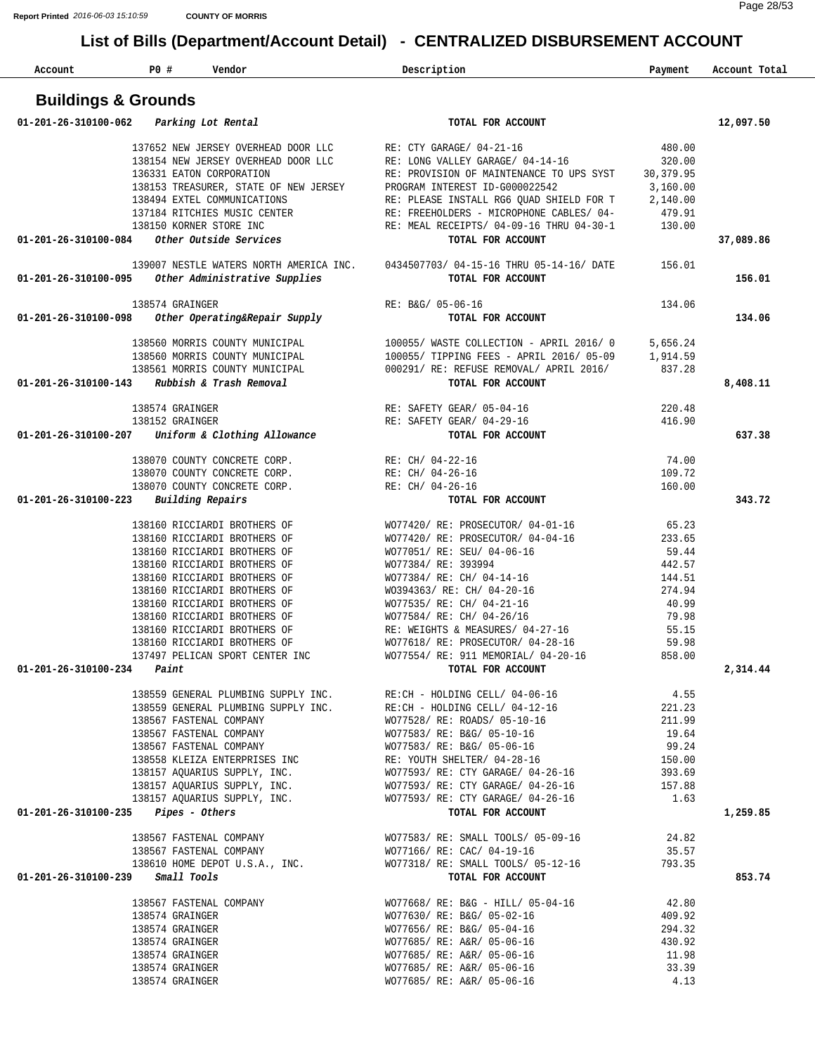| Account                              | P0 #<br>Vendor                                                                                      | Description                                                                                                                                                                                                                            | Payment          | Account Total |
|--------------------------------------|-----------------------------------------------------------------------------------------------------|----------------------------------------------------------------------------------------------------------------------------------------------------------------------------------------------------------------------------------------|------------------|---------------|
|                                      | <b>Buildings &amp; Grounds</b>                                                                      |                                                                                                                                                                                                                                        |                  |               |
| 01-201-26-310100-062                 | Parking Lot Rental                                                                                  | TOTAL FOR ACCOUNT                                                                                                                                                                                                                      |                  | 12,097.50     |
|                                      | 137652 NEW JERSEY OVERHEAD DOOR LLC RE: CTY GARAGE/ 04-21-16                                        |                                                                                                                                                                                                                                        | 480.00           |               |
|                                      |                                                                                                     | 138154 NEW JERSEY OVERHEAD DOOR LLC RE: LONG VALLEY GARAGE/ 04-14-16                                                                                                                                                                   | 320.00           |               |
|                                      | 136331 EATON CORPORATION                                                                            | RE: PROVISION OF MAINTENANCE TO UPS SYST                                                                                                                                                                                               | 30,379.95        |               |
|                                      | 138153 TREASURER, STATE OF NEW JERSEY                                                               | PROGRAM INTEREST ID-G000022542                                                                                                                                                                                                         | 3,160.00         |               |
|                                      | 138494 EXTEL COMMUNICATIONS                                                                         | RE: PLEASE INSTALL RG6 QUAD SHIELD FOR T                                                                                                                                                                                               | 2,140.00         |               |
|                                      | 137184 RITCHIES MUSIC CENTER<br>138150 KORNER STORE INC                                             | RE: FREEHOLDERS - MICROPHONE CABLES/ 04-<br>RE: MEAL RECEIPTS/ 04-09-16 THRU 04-30-1                                                                                                                                                   | 479.91<br>130.00 |               |
| 01-201-26-310100-084                 | Other Outside Services                                                                              | TOTAL FOR ACCOUNT                                                                                                                                                                                                                      |                  | 37,089.86     |
|                                      | 01-201-26-310100-095 Other Administrative Supplies                                                  | 139007 NESTLE WATERS NORTH AMERICA INC. 0434507703/04-15-16 THRU 05-14-16/DATE<br>TOTAL FOR ACCOUNT                                                                                                                                    | 156.01           | 156.01        |
|                                      |                                                                                                     |                                                                                                                                                                                                                                        |                  |               |
|                                      | 138574 GRAINGER                                                                                     | RE: B&G/ 05-06-16                                                                                                                                                                                                                      | 134.06           |               |
|                                      | 01-201-26-310100-098 Other Operating&Repair Supply                                                  | TOTAL FOR ACCOUNT                                                                                                                                                                                                                      |                  | 134.06        |
|                                      | 138560 MORRIS COUNTY MUNICIPAL                                                                      |                                                                                                                                                                                                                                        | 5,656.24         |               |
|                                      | 138560 MORRIS COUNTY MUNICIPAL                                                                      | 100055/ WASTE COLLECTION - APRIL 2016/ 0<br>100055/ TIPPING FEES - APRIL 2016/ 05-09                                                                                                                                                   | 1,914.59         |               |
|                                      |                                                                                                     | 138561 MORRIS COUNTY MUNICIPAL 000291/RE: REFUSE REMOVAL/ APRIL 2016/                                                                                                                                                                  | 837.28           |               |
| 01-201-26-310100-143                 | Rubbish & Trash Removal                                                                             | TOTAL FOR ACCOUNT                                                                                                                                                                                                                      |                  | 8,408.11      |
|                                      | 138574 GRAINGER                                                                                     | RE: SAFETY GEAR/ 05-04-16                                                                                                                                                                                                              | 220.48           |               |
|                                      | 138152 GRAINGER                                                                                     | RE: SAFETY GEAR/ 04-29-16                                                                                                                                                                                                              | 416.90           |               |
| 01-201-26-310100-207                 | Uniform & Clothing Allowance                                                                        | TOTAL FOR ACCOUNT                                                                                                                                                                                                                      |                  | 637.38        |
|                                      | 138070 COUNTY CONCRETE CORP.                                                                        | RE: CH/ 04-22-16                                                                                                                                                                                                                       | 74.00            |               |
|                                      | 138070 COUNTY CONCRETE CORP.                                                                        | RE: CH/ 04-26-16                                                                                                                                                                                                                       | 109.72           |               |
|                                      | 138070 COUNTY CONCRETE CORP.                                                                        | RE: CH/ 04-26-16                                                                                                                                                                                                                       | 160.00           |               |
| 01-201-26-310100-223                 | Building Repairs                                                                                    | TOTAL FOR ACCOUNT                                                                                                                                                                                                                      |                  | 343.72        |
|                                      | 138160 RICCIARDI BROTHERS OF                                                                        | WO77420/RE: PROSECUTOR/04-01-16                                                                                                                                                                                                        | 65.23            |               |
|                                      | 138160 RICCIARDI BROTHERS OF                                                                        | WO77420/ RE: PROSECUTOR/ 04-04-16                                                                                                                                                                                                      | 233.65           |               |
|                                      | 138160 RICCIARDI BROTHERS OF                                                                        | WO77051/ RE: SEU/ 04-06-16                                                                                                                                                                                                             | 59.44            |               |
|                                      | 138160 RICCIARDI BROTHERS OF                                                                        | WO77384/ RE: 393994                                                                                                                                                                                                                    | 442.57           |               |
|                                      | 138160 RICCIARDI BROTHERS OF<br>138160 RICCIARDI BROTHERS OF                                        | WO77384/ RE: CH/ 04-14-16<br>WO394363/ RE: CH/ 04-20-16                                                                                                                                                                                | 144.51<br>274.94 |               |
|                                      | 138160 RICCIARDI BROTHERS OF                                                                        | WO77535/ RE: CH/ 04-21-16                                                                                                                                                                                                              | 40.99            |               |
|                                      | 138160 RICCIARDI BROTHERS OF                                                                        | WO77584/ RE: CH/ 04-26/16                                                                                                                                                                                                              | 79.98            |               |
|                                      | 138160 RICCIARDI BROTHERS OF                                                                        | RE: WEIGHTS & MEASURES/ 04-27-16                                                                                                                                                                                                       | 55.15            |               |
|                                      | 138160 RICCIARDI BROTHERS OF                                                                        | WO77618/ RE: PROSECUTOR/ 04-28-16                                                                                                                                                                                                      | 59.98            |               |
|                                      |                                                                                                     | 137497 PELICAN SPORT CENTER INC WO77554/ RE: 911 MEMORIAL/ 04-20-16 858.00                                                                                                                                                             |                  |               |
| $01 - 201 - 26 - 310100 - 234$ Paint |                                                                                                     | TOTAL FOR ACCOUNT                                                                                                                                                                                                                      |                  | 2,314.44      |
|                                      |                                                                                                     |                                                                                                                                                                                                                                        | 4.55             |               |
|                                      |                                                                                                     | 138559 GENERAL PLUMBING SUPPLY INC. RE:CH - HOLDING CELL/ 04-06-16 $4.55$<br>138559 GENERAL PLUMBING SUPPLY INC. RE:CH - HOLDING CELL/ 04-12-16 221.23                                                                                 |                  |               |
|                                      | 138567 FASTENAL COMPANY                                                                             | WO77528/ RE: ROADS/ 05-10-16                                                                                                                                                                                                           | 211.99           |               |
|                                      | 138567 FASTENAL COMPANY                                                                             | WO77583/ RE: B&G/ 05-10-16                                                                                                                                                                                                             |                  |               |
|                                      |                                                                                                     |                                                                                                                                                                                                                                        |                  |               |
|                                      |                                                                                                     |                                                                                                                                                                                                                                        |                  |               |
|                                      |                                                                                                     |                                                                                                                                                                                                                                        |                  |               |
|                                      |                                                                                                     |                                                                                                                                                                                                                                        |                  |               |
|                                      | $01 - 201 - 26 - 310100 - 235$ Pipes - Others                                                       | 138567 FASTENAL COMPANY WOT7583/RE: B&G/05-10-16<br>138567 FASTENAL COMPANY WOT7583/RE: B&G/05-06-16<br>138558 KLEIZA ENTERPRISES INC<br>138558 KLEIZA ENTERPRISES INC<br>138157 AQUARIUS SUPPLY, INC. WOT7593/RE: CTY GARAGE/04-26-16 |                  | 1,259.85      |
|                                      |                                                                                                     |                                                                                                                                                                                                                                        |                  |               |
|                                      |                                                                                                     |                                                                                                                                                                                                                                        |                  |               |
|                                      |                                                                                                     | 138610 HOME DEPOT U.S.A., INC. WO77318/ RE: SMALL TOOLS/ 05-12-16 793.35                                                                                                                                                               |                  |               |
|                                      | $01 - 201 - 26 - 310100 - 239$ Small Tools                                                          | TOTAL FOR ACCOUNT                                                                                                                                                                                                                      |                  | 853.74        |
|                                      | 138567 FASTENAL COMPANY<br>138574 GRAINGER<br>138574 GRAINGER<br>138574 GRAINGER<br>138574 GRAINGER |                                                                                                                                                                                                                                        | 42.80            |               |
|                                      |                                                                                                     | WO77668/ RE: B&G - HILL/ 05-04-16<br>WO77630/ RE: B&G/ 05-02-16                                                                                                                                                                        | 409.92           |               |
|                                      |                                                                                                     | WO77656/ RE: B&G/ 05-04-16                                                                                                                                                                                                             | 294.32           |               |
|                                      |                                                                                                     | WO77685/ RE: A&R/ 05-06-16<br>WO77685/ RE: A&R/ 05-06-16                                                                                                                                                                               | 430.92           |               |
|                                      | 138574 GRAINGER                                                                                     |                                                                                                                                                                                                                                        | 11.98            |               |
|                                      | 138574 GRAINGER                                                                                     | WO77685/ RE: A&R/ 05-06-16<br>WO77685/ RE: A&R/ 05-06-16                                                                                                                                                                               | 33.39<br>4.13    |               |
|                                      | 138574 GRAINGER                                                                                     |                                                                                                                                                                                                                                        |                  |               |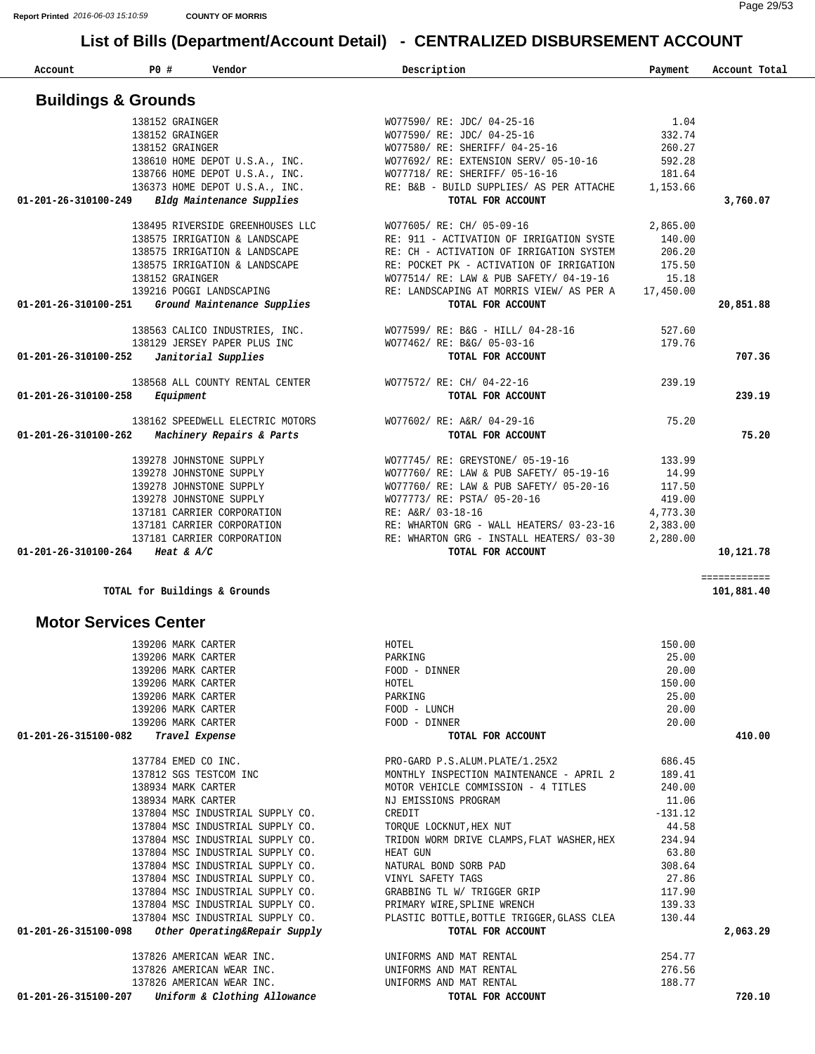| Account                        | PO #<br>Vendor                                                       | Description                                                   | Payment            | Account Total |
|--------------------------------|----------------------------------------------------------------------|---------------------------------------------------------------|--------------------|---------------|
|                                |                                                                      |                                                               |                    |               |
|                                | <b>Buildings &amp; Grounds</b>                                       |                                                               |                    |               |
|                                | 138152 GRAINGER                                                      | WO77590/ RE: JDC/ 04-25-16                                    | 1.04               |               |
|                                | 138152 GRAINGER                                                      | WO77590/ RE: JDC/ 04-25-16                                    | 332.74             |               |
|                                | 138152 GRAINGER                                                      | WO77580/ RE: SHERIFF/ 04-25-16                                | 260.27             |               |
|                                | 138610 HOME DEPOT U.S.A., INC.                                       | WO77692/ RE: EXTENSION SERV/ 05-10-16                         | 592.28             |               |
|                                | 138766 HOME DEPOT U.S.A., INC.                                       | WO77718/ RE: SHERIFF/ 05-16-16                                | 181.64             |               |
| 01-201-26-310100-249           | 136373 HOME DEPOT U.S.A., INC.<br>Bldg Maintenance Supplies          | RE: B&B - BUILD SUPPLIES/ AS PER ATTACHE<br>TOTAL FOR ACCOUNT | 1,153.66           | 3,760.07      |
|                                |                                                                      |                                                               |                    |               |
|                                | 138495 RIVERSIDE GREENHOUSES LLC                                     | WO77605/ RE: CH/ 05-09-16                                     | 2,865.00           |               |
|                                | 138575 IRRIGATION & LANDSCAPE                                        | RE: 911 - ACTIVATION OF IRRIGATION SYSTE                      | 140.00             |               |
|                                | 138575 IRRIGATION & LANDSCAPE                                        | RE: CH - ACTIVATION OF IRRIGATION SYSTEM                      | 206.20             |               |
|                                | 138575 IRRIGATION & LANDSCAPE                                        | RE: POCKET PK - ACTIVATION OF IRRIGATION                      | 175.50             |               |
|                                | 138152 GRAINGER                                                      | WO77514/ RE: LAW & PUB SAFETY/ 04-19-16                       | 15.18              |               |
|                                | 139216 POGGI LANDSCAPING                                             | RE: LANDSCAPING AT MORRIS VIEW/ AS PER A                      | 17,450.00          |               |
| 01-201-26-310100-251           | Ground Maintenance Supplies                                          | TOTAL FOR ACCOUNT                                             |                    | 20,851.88     |
|                                | 138563 CALICO INDUSTRIES, INC.                                       | WO77599/ RE: B&G - HILL/ 04-28-16                             | 527.60             |               |
|                                | 138129 JERSEY PAPER PLUS INC                                         | WO77462/ RE: B&G/ 05-03-16                                    | 179.76             |               |
| 01-201-26-310100-252           | Janitorial Supplies                                                  | TOTAL FOR ACCOUNT                                             |                    | 707.36        |
|                                |                                                                      |                                                               |                    |               |
|                                | 138568 ALL COUNTY RENTAL CENTER                                      | WO77572/ RE: CH/ 04-22-16                                     | 239.19             |               |
| 01-201-26-310100-258           | Equipment                                                            | TOTAL FOR ACCOUNT                                             |                    | 239.19        |
|                                | 138162 SPEEDWELL ELECTRIC MOTORS                                     | WO77602/ RE: A&R/ 04-29-16                                    | 75.20              |               |
| $01 - 201 - 26 - 310100 - 262$ | Machinery Repairs & Parts                                            | TOTAL FOR ACCOUNT                                             |                    | 75.20         |
|                                |                                                                      |                                                               |                    |               |
|                                | 139278 JOHNSTONE SUPPLY                                              | WO77745/ RE: GREYSTONE/ 05-19-16                              | 133.99             |               |
|                                | 139278 JOHNSTONE SUPPLY                                              | WO77760/ RE: LAW & PUB SAFETY/ 05-19-16                       | 14.99              |               |
|                                | 139278 JOHNSTONE SUPPLY                                              | WO77760/ RE: LAW & PUB SAFETY/ 05-20-16                       | 117.50             |               |
|                                | 139278 JOHNSTONE SUPPLY<br>137181 CARRIER CORPORATION                | WO77773/ RE: PSTA/ 05-20-16<br>RE: A&R/ 03-18-16              | 419.00<br>4,773.30 |               |
|                                | 137181 CARRIER CORPORATION                                           | RE: WHARTON GRG - WALL HEATERS/ 03-23-16                      | 2,383.00           |               |
|                                | 137181 CARRIER CORPORATION                                           | RE: WHARTON GRG - INSTALL HEATERS/ 03-30                      | 2,280.00           |               |
| 01-201-26-310100-264           | Heat & $A/C$                                                         | TOTAL FOR ACCOUNT                                             |                    | 10,121.78     |
|                                |                                                                      |                                                               |                    | ============  |
|                                | TOTAL for Buildings & Grounds                                        |                                                               |                    | 101,881.40    |
|                                | <b>Motor Services Center</b>                                         |                                                               |                    |               |
|                                | 139206 MARK CARTER                                                   | HOTEL                                                         | 150.00             |               |
|                                | 139206 MARK CARTER                                                   | PARKING                                                       | 25.00              |               |
|                                | 139206 MARK CARTER                                                   | FOOD - DINNER                                                 | 20.00              |               |
|                                | 139206 MARK CARTER                                                   | HOTEL                                                         | 150.00             |               |
|                                | 139206 MARK CARTER                                                   | PARKING                                                       | 25.00              |               |
|                                | 139206 MARK CARTER                                                   | FOOD - LUNCH                                                  | 20.00              |               |
|                                | 139206 MARK CARTER                                                   | FOOD - DINNER                                                 | 20.00              |               |
| 01-201-26-315100-082           | Travel Expense                                                       | TOTAL FOR ACCOUNT                                             |                    | 410.00        |
|                                | 137784 EMED CO INC.                                                  | PRO-GARD P.S.ALUM.PLATE/1.25X2                                | 686.45             |               |
|                                | 137812 SGS TESTCOM INC                                               | MONTHLY INSPECTION MAINTENANCE - APRIL 2                      | 189.41             |               |
|                                | 138934 MARK CARTER                                                   | MOTOR VEHICLE COMMISSION - 4 TITLES                           | 240.00             |               |
|                                | 138934 MARK CARTER                                                   | NJ EMISSIONS PROGRAM                                          | 11.06              |               |
|                                | 137804 MSC INDUSTRIAL SUPPLY CO.                                     | CREDIT                                                        | $-131.12$          |               |
|                                | 137804 MSC INDUSTRIAL SUPPLY CO.                                     | TORQUE LOCKNUT, HEX NUT                                       | 44.58              |               |
|                                | 137804 MSC INDUSTRIAL SUPPLY CO.                                     | TRIDON WORM DRIVE CLAMPS, FLAT WASHER, HEX                    | 234.94             |               |
|                                | 137804 MSC INDUSTRIAL SUPPLY CO.                                     | HEAT GUN                                                      | 63.80              |               |
|                                | 137804 MSC INDUSTRIAL SUPPLY CO.<br>137804 MSC INDUSTRIAL SUPPLY CO. | NATURAL BOND SORB PAD<br>VINYL SAFETY TAGS                    | 308.64<br>27.86    |               |
|                                | 137804 MSC INDUSTRIAL SUPPLY CO.                                     | GRABBING TL W/ TRIGGER GRIP                                   | 117.90             |               |
|                                | 137804 MSC INDUSTRIAL SUPPLY CO.                                     | PRIMARY WIRE, SPLINE WRENCH                                   | 139.33             |               |
|                                | 137804 MSC INDUSTRIAL SUPPLY CO.                                     | PLASTIC BOTTLE, BOTTLE TRIGGER, GLASS CLEA                    | 130.44             |               |
| 01-201-26-315100-098           | Other Operating&Repair Supply                                        | TOTAL FOR ACCOUNT                                             |                    | 2,063.29      |
|                                | 137826 AMERICAN WEAR INC.                                            | UNIFORMS AND MAT RENTAL                                       | 254.77             |               |
|                                | 137826 AMERICAN WEAR INC.                                            | UNIFORMS AND MAT RENTAL                                       | 276.56             |               |
|                                | 137826 AMERICAN WEAR INC.                                            | UNIFORMS AND MAT RENTAL                                       | 188.77             |               |
|                                | $01-201-26-315100-207$ Uniform & Clothing Allowance                  | TOTAL FOR ACCOUNT                                             |                    | 720.10        |
|                                |                                                                      |                                                               |                    |               |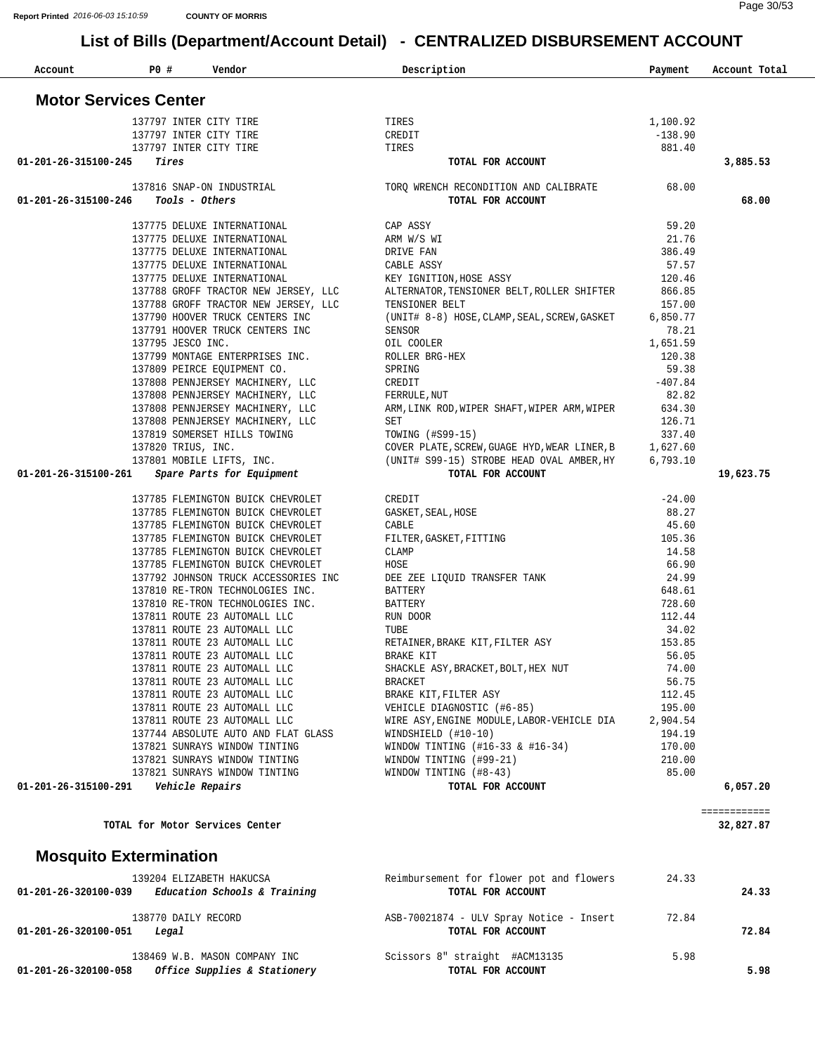| Account              | <b>PO #</b>                     | Vendor                                                               | Description                                                              | Payment            | Account Total |
|----------------------|---------------------------------|----------------------------------------------------------------------|--------------------------------------------------------------------------|--------------------|---------------|
|                      | <b>Motor Services Center</b>    |                                                                      |                                                                          |                    |               |
|                      | 137797 INTER CITY TIRE          |                                                                      | TIRES                                                                    | 1,100.92           |               |
|                      | 137797 INTER CITY TIRE          |                                                                      | CREDIT                                                                   | $-138.90$          |               |
|                      | 137797 INTER CITY TIRE          |                                                                      | TIRES                                                                    | 881.40             |               |
| 01-201-26-315100-245 | Tires                           |                                                                      | TOTAL FOR ACCOUNT                                                        |                    | 3,885.53      |
|                      |                                 | 137816 SNAP-ON INDUSTRIAL                                            | TORQ WRENCH RECONDITION AND CALIBRATE                                    | 68.00              |               |
| 01-201-26-315100-246 | Tools - Others                  |                                                                      | TOTAL FOR ACCOUNT                                                        |                    | 68.00         |
|                      |                                 | 137775 DELUXE INTERNATIONAL                                          | CAP ASSY                                                                 | 59.20              |               |
|                      |                                 | 137775 DELUXE INTERNATIONAL                                          | ARM W/S WI                                                               | 21.76              |               |
|                      |                                 | 137775 DELUXE INTERNATIONAL                                          | DRIVE FAN                                                                | 386.49             |               |
|                      |                                 | 137775 DELUXE INTERNATIONAL<br>137775 DELUXE INTERNATIONAL           | CABLE ASSY<br>KEY IGNITION, HOSE ASSY                                    | 57.57<br>120.46    |               |
|                      |                                 | 137788 GROFF TRACTOR NEW JERSEY, LLC                                 | ALTERNATOR, TENSIONER BELT, ROLLER SHIFTER                               | 866.85             |               |
|                      |                                 | 137788 GROFF TRACTOR NEW JERSEY, LLC                                 | TENSIONER BELT                                                           | 157.00             |               |
|                      |                                 | 137790 HOOVER TRUCK CENTERS INC                                      | (UNIT# 8-8) HOSE, CLAMP, SEAL, SCREW, GASKET                             | 6,850.77           |               |
|                      |                                 | 137791 HOOVER TRUCK CENTERS INC                                      | SENSOR                                                                   | 78.21              |               |
|                      | 137795 JESCO INC.               |                                                                      | OIL COOLER                                                               | 1,651.59           |               |
|                      |                                 | 137799 MONTAGE ENTERPRISES INC.                                      | ROLLER BRG-HEX                                                           | 120.38             |               |
|                      |                                 | 137809 PEIRCE EQUIPMENT CO.                                          | SPRING                                                                   | 59.38              |               |
|                      |                                 | 137808 PENNJERSEY MACHINERY, LLC                                     | CREDIT                                                                   | $-407.84$          |               |
|                      |                                 | 137808 PENNJERSEY MACHINERY, LLC<br>137808 PENNJERSEY MACHINERY, LLC | FERRULE, NUT<br>ARM, LINK ROD, WIPER SHAFT, WIPER ARM, WIPER             | 82.82<br>634.30    |               |
|                      |                                 | 137808 PENNJERSEY MACHINERY, LLC                                     | SET                                                                      | 126.71             |               |
|                      |                                 | 137819 SOMERSET HILLS TOWING                                         | TOWING (#S99-15)                                                         | 337.40             |               |
|                      | 137820 TRIUS, INC.              |                                                                      | COVER PLATE, SCREW, GUAGE HYD, WEAR LINER, B                             | 1,627.60           |               |
|                      |                                 | 137801 MOBILE LIFTS, INC.                                            | (UNIT# S99-15) STROBE HEAD OVAL AMBER, HY                                | 6,793.10           |               |
| 01-201-26-315100-261 |                                 | Spare Parts for Equipment                                            | TOTAL FOR ACCOUNT                                                        |                    | 19,623.75     |
|                      |                                 | 137785 FLEMINGTON BUICK CHEVROLET                                    | CREDIT                                                                   | $-24.00$           |               |
|                      |                                 | 137785 FLEMINGTON BUICK CHEVROLET                                    | GASKET, SEAL, HOSE                                                       | 88.27              |               |
|                      |                                 | 137785 FLEMINGTON BUICK CHEVROLET                                    | CABLE                                                                    | 45.60              |               |
|                      |                                 | 137785 FLEMINGTON BUICK CHEVROLET                                    | FILTER, GASKET, FITTING                                                  | 105.36             |               |
|                      |                                 | 137785 FLEMINGTON BUICK CHEVROLET                                    | CLAMP                                                                    | 14.58              |               |
|                      |                                 | 137785 FLEMINGTON BUICK CHEVROLET                                    | HOSE                                                                     | 66.90              |               |
|                      |                                 | 137792 JOHNSON TRUCK ACCESSORIES INC                                 | DEE ZEE LIQUID TRANSFER TANK                                             | 24.99              |               |
|                      |                                 | 137810 RE-TRON TECHNOLOGIES INC.<br>137810 RE-TRON TECHNOLOGIES INC. | BATTERY<br>BATTERY                                                       | 648.61<br>728.60   |               |
|                      |                                 | 137811 ROUTE 23 AUTOMALL LLC                                         | RUN DOOR                                                                 | 112.44             |               |
|                      |                                 | 137811 ROUTE 23 AUTOMALL LLC                                         | TUBE                                                                     | 34.02              |               |
|                      |                                 | 137811 ROUTE 23 AUTOMALL LLC                                         | RETAINER, BRAKE KIT, FILTER ASY                                          | 153.85             |               |
|                      |                                 | 137811 ROUTE 23 AUTOMALL LLC                                         | BRAKE KIT                                                                | 56.05              |               |
|                      |                                 | 137811 ROUTE 23 AUTOMALL LLC                                         | SHACKLE ASY, BRACKET, BOLT, HEX NUT                                      | 74.00              |               |
|                      |                                 | 137811 ROUTE 23 AUTOMALL LLC                                         | <b>BRACKET</b>                                                           | 56.75              |               |
|                      |                                 | 137811 ROUTE 23 AUTOMALL LLC                                         | BRAKE KIT, FILTER ASY                                                    | 112.45             |               |
|                      |                                 | 137811 ROUTE 23 AUTOMALL LLC                                         | VEHICLE DIAGNOSTIC (#6-85)<br>WIRE ASY, ENGINE MODULE, LABOR-VEHICLE DIA | 195.00             |               |
|                      |                                 | 137811 ROUTE 23 AUTOMALL LLC<br>137744 ABSOLUTE AUTO AND FLAT GLASS  | $WINDSHIELD$ (#10-10)                                                    | 2,904.54<br>194.19 |               |
|                      |                                 | 137821 SUNRAYS WINDOW TINTING                                        | WINDOW TINTING $(#16-33 \& #16-34)$                                      | 170.00             |               |
|                      |                                 | 137821 SUNRAYS WINDOW TINTING                                        | WINDOW TINTING (#99-21)                                                  | 210.00             |               |
|                      |                                 | 137821 SUNRAYS WINDOW TINTING                                        | WINDOW TINTING (#8-43)                                                   | 85.00              |               |
| 01-201-26-315100-291 | Vehicle Repairs                 |                                                                      | TOTAL FOR ACCOUNT                                                        |                    | 6,057.20      |
|                      |                                 |                                                                      |                                                                          |                    | ============  |
|                      | TOTAL for Motor Services Center |                                                                      |                                                                          |                    | 32,827.87     |
|                      | <b>Mosquito Extermination</b>   |                                                                      |                                                                          |                    |               |
|                      |                                 | 139204 ELIZABETH HAKUCSA                                             | Reimbursement for flower pot and flowers                                 | 24.33              |               |
| 01-201-26-320100-039 |                                 | Education Schools & Training                                         | TOTAL FOR ACCOUNT                                                        |                    | 24.33         |
|                      | 138770 DAILY RECORD             |                                                                      | ASB-70021874 - ULV Spray Notice - Insert                                 | 72.84              |               |
| 01-201-26-320100-051 | Legal                           |                                                                      | TOTAL FOR ACCOUNT                                                        |                    | 72.84         |
|                      |                                 |                                                                      |                                                                          |                    |               |
|                      |                                 | 138469 W.B. MASON COMPANY INC                                        | Scissors 8" straight #ACM13135                                           | 5.98               |               |
| 01-201-26-320100-058 |                                 | Office Supplies & Stationery                                         | TOTAL FOR ACCOUNT                                                        |                    | 5.98          |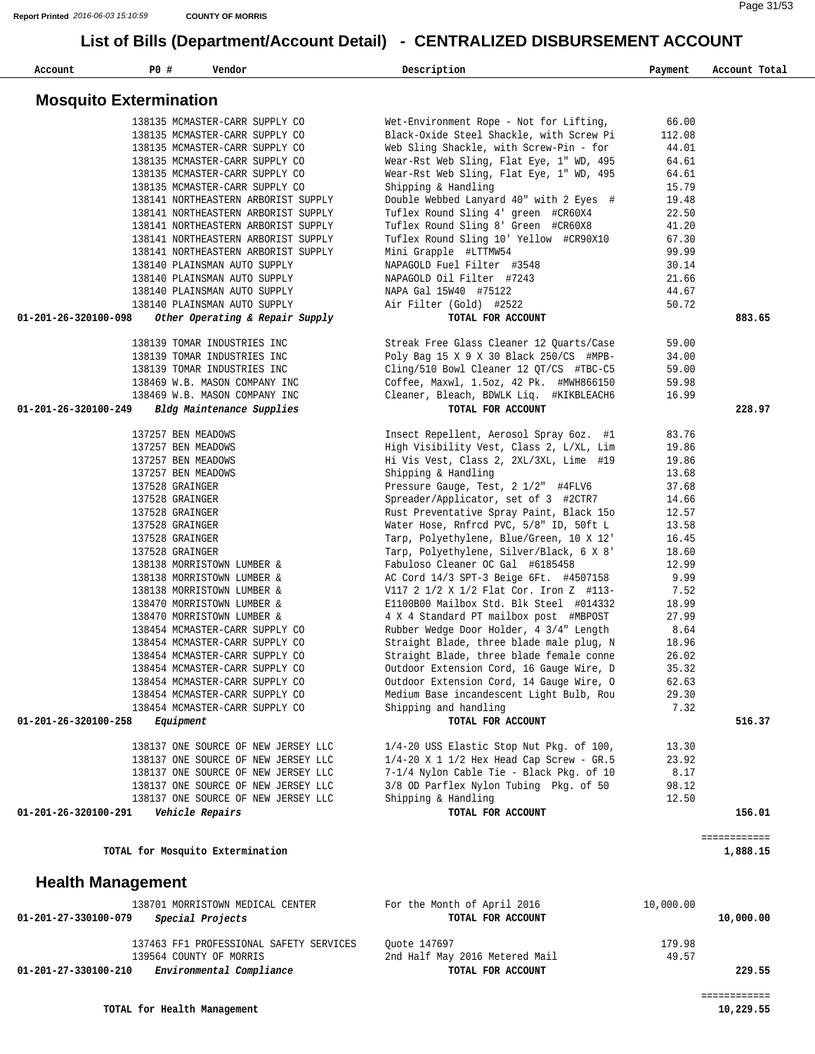| Account                       | PO#                | Vendor                                                           | Description                                                                         | Payment       | Account Total            |
|-------------------------------|--------------------|------------------------------------------------------------------|-------------------------------------------------------------------------------------|---------------|--------------------------|
| <b>Mosquito Extermination</b> |                    |                                                                  |                                                                                     |               |                          |
|                               |                    | 138135 MCMASTER-CARR SUPPLY CO                                   | Wet-Environment Rope - Not for Lifting,                                             | 66.00         |                          |
|                               |                    | 138135 MCMASTER-CARR SUPPLY CO                                   | Black-Oxide Steel Shackle, with Screw Pi                                            | 112.08        |                          |
|                               |                    | 138135 MCMASTER-CARR SUPPLY CO                                   | Web Sling Shackle, with Screw-Pin - for                                             | 44.01         |                          |
|                               |                    | 138135 MCMASTER-CARR SUPPLY CO                                   | Wear-Rst Web Sling, Flat Eye, 1" WD, 495                                            | 64.61         |                          |
|                               |                    | 138135 MCMASTER-CARR SUPPLY CO                                   | Wear-Rst Web Sling, Flat Eye, 1" WD, 495                                            | 64.61         |                          |
|                               |                    | 138135 MCMASTER-CARR SUPPLY CO                                   | Shipping & Handling                                                                 | 15.79         |                          |
|                               |                    | 138141 NORTHEASTERN ARBORIST SUPPLY                              | Double Webbed Lanyard 40" with 2 Eyes #                                             | 19.48         |                          |
|                               |                    | 138141 NORTHEASTERN ARBORIST SUPPLY                              | Tuflex Round Sling 4' green #CR60X4                                                 | 22.50         |                          |
|                               |                    | 138141 NORTHEASTERN ARBORIST SUPPLY                              | Tuflex Round Sling 8' Green #CR60X8                                                 | 41.20         |                          |
|                               |                    | 138141 NORTHEASTERN ARBORIST SUPPLY                              | Tuflex Round Sling 10' Yellow #CR90X10                                              | 67.30         |                          |
|                               |                    | 138141 NORTHEASTERN ARBORIST SUPPLY                              | Mini Grapple #LTTMW54                                                               | 99.99         |                          |
|                               |                    | 138140 PLAINSMAN AUTO SUPPLY                                     | NAPAGOLD Fuel Filter #3548                                                          | 30.14         |                          |
|                               |                    | 138140 PLAINSMAN AUTO SUPPLY                                     | NAPAGOLD Oil Filter #7243                                                           | 21.66         |                          |
|                               |                    | 138140 PLAINSMAN AUTO SUPPLY                                     | NAPA Gal 15W40 #75122                                                               | 44.67         |                          |
|                               |                    | 138140 PLAINSMAN AUTO SUPPLY                                     | Air Filter (Gold) #2522                                                             | 50.72         |                          |
| 01-201-26-320100-098          |                    | Other Operating & Repair Supply                                  | TOTAL FOR ACCOUNT                                                                   |               | 883.65                   |
|                               |                    | 138139 TOMAR INDUSTRIES INC                                      | Streak Free Glass Cleaner 12 Ouarts/Case                                            | 59.00         |                          |
|                               |                    | 138139 TOMAR INDUSTRIES INC                                      | Poly Bag 15 X 9 X 30 Black 250/CS #MPB-                                             | 34.00         |                          |
|                               |                    | 138139 TOMAR INDUSTRIES INC                                      | Cling/510 Bowl Cleaner 12 QT/CS #TBC-C5                                             | 59.00         |                          |
|                               |                    | 138469 W.B. MASON COMPANY INC                                    | Coffee, Maxwl, 1.5oz, 42 Pk. #MWH866150                                             | 59.98         |                          |
|                               |                    | 138469 W.B. MASON COMPANY INC                                    | Cleaner, Bleach, BDWLK Liq. #KIKBLEACH6                                             | 16.99         |                          |
| 01-201-26-320100-249          |                    | Bldg Maintenance Supplies                                        | TOTAL FOR ACCOUNT                                                                   |               | 228.97                   |
|                               | 137257 BEN MEADOWS |                                                                  | Insect Repellent, Aerosol Spray 6oz. #1                                             | 83.76         |                          |
|                               | 137257 BEN MEADOWS |                                                                  | High Visibility Vest, Class 2, L/XL, Lim                                            | 19.86         |                          |
|                               | 137257 BEN MEADOWS |                                                                  | Hi Vis Vest, Class 2, 2XL/3XL, Lime #19                                             | 19.86         |                          |
|                               | 137257 BEN MEADOWS |                                                                  | Shipping & Handling                                                                 | 13.68         |                          |
|                               | 137528 GRAINGER    |                                                                  | Pressure Gauge, Test, 2 1/2" #4FLV6                                                 | 37.68         |                          |
|                               | 137528 GRAINGER    |                                                                  | Spreader/Applicator, set of 3 #2CTR7                                                | 14.66         |                          |
|                               | 137528 GRAINGER    |                                                                  | Rust Preventative Spray Paint, Black 150                                            | 12.57         |                          |
|                               | 137528 GRAINGER    |                                                                  | Water Hose, Rnfrcd PVC, 5/8" ID, 50ft L                                             | 13.58         |                          |
|                               | 137528 GRAINGER    |                                                                  | Tarp, Polyethylene, Blue/Green, 10 X 12'                                            | 16.45         |                          |
|                               | 137528 GRAINGER    |                                                                  | Tarp, Polyethylene, Silver/Black, 6 X 8'                                            | 18.60         |                          |
|                               |                    | 138138 MORRISTOWN LUMBER &                                       | Fabuloso Cleaner OC Gal #6185458                                                    | 12.99         |                          |
|                               |                    | 138138 MORRISTOWN LUMBER &                                       | AC Cord 14/3 SPT-3 Beige 6Ft. #4507158                                              | 9.99          |                          |
|                               |                    | 138138 MORRISTOWN LUMBER &                                       | V117 2 1/2 X 1/2 Flat Cor. Iron Z #113-                                             | 7.52          |                          |
|                               |                    | 138470 MORRISTOWN LUMBER &                                       | E1100B00 Mailbox Std. Blk Steel #014332                                             | 18.99         |                          |
|                               |                    | 138470 MORRISTOWN LUMBER &                                       | 4 X 4 Standard PT mailbox post #MBPOST                                              | 27.99         |                          |
|                               |                    | 138454 MCMASTER-CARR SUPPLY CO<br>138454 MCMASTER-CARR SUPPLY CO | Rubber Wedge Door Holder, 4 3/4" Length<br>Straight Blade, three blade male plug, N | 8.64<br>18.96 |                          |
|                               |                    | 138454 MCMASTER-CARR SUPPLY CO                                   | Straight Blade, three blade female conne                                            | 26.02         |                          |
|                               |                    | 138454 MCMASTER-CARR SUPPLY CO                                   | Outdoor Extension Cord, 16 Gauge Wire, D                                            | 35.32         |                          |
|                               |                    | 138454 MCMASTER-CARR SUPPLY CO                                   | Outdoor Extension Cord, 14 Gauge Wire, O                                            | 62.63         |                          |
|                               |                    | 138454 MCMASTER-CARR SUPPLY CO                                   | Medium Base incandescent Light Bulb, Rou                                            | 29.30         |                          |
|                               |                    | 138454 MCMASTER-CARR SUPPLY CO                                   | Shipping and handling                                                               | 7.32          |                          |
| 01-201-26-320100-258          | <i>Equipment</i>   |                                                                  | TOTAL FOR ACCOUNT                                                                   |               | 516.37                   |
|                               |                    | 138137 ONE SOURCE OF NEW JERSEY LLC                              | 1/4-20 USS Elastic Stop Nut Pkg. of 100,                                            | 13.30         |                          |
|                               |                    | 138137 ONE SOURCE OF NEW JERSEY LLC                              | $1/4-20$ X 1 $1/2$ Hex Head Cap Screw - GR.5                                        | 23.92         |                          |
|                               |                    | 138137 ONE SOURCE OF NEW JERSEY LLC                              | 7-1/4 Nylon Cable Tie - Black Pkg. of 10                                            | 8.17          |                          |
|                               |                    | 138137 ONE SOURCE OF NEW JERSEY LLC                              | 3/8 OD Parflex Nylon Tubing Pkg. of 50                                              | 98.12         |                          |
|                               |                    | 138137 ONE SOURCE OF NEW JERSEY LLC                              | Shipping & Handling                                                                 | 12.50         |                          |
| 01-201-26-320100-291          |                    | Vehicle Repairs                                                  | TOTAL FOR ACCOUNT                                                                   |               | 156.01                   |
|                               |                    | TOTAL for Mosquito Extermination                                 |                                                                                     |               | ============<br>1,888.15 |
| <b>Health Management</b>      |                    |                                                                  |                                                                                     |               |                          |
|                               |                    | 138701 MORRISTOWN MEDICAL CENTER                                 | For the Month of April 2016                                                         | 10,000.00     |                          |
| 01-201-27-330100-079          |                    | Special Projects                                                 | TOTAL FOR ACCOUNT                                                                   |               | 10,000.00                |

137463 FF1 PROFESSIONAL SAFETY SERVICES Quote 147697 (179.98 179.98 179.98 179.98 179.98 179.98 179.98 179.98 2nd Half May 2016 Metered Mail  **01-201-27-330100-210** *Environmental Compliance* **TOTAL FOR ACCOUNT 229.55**

============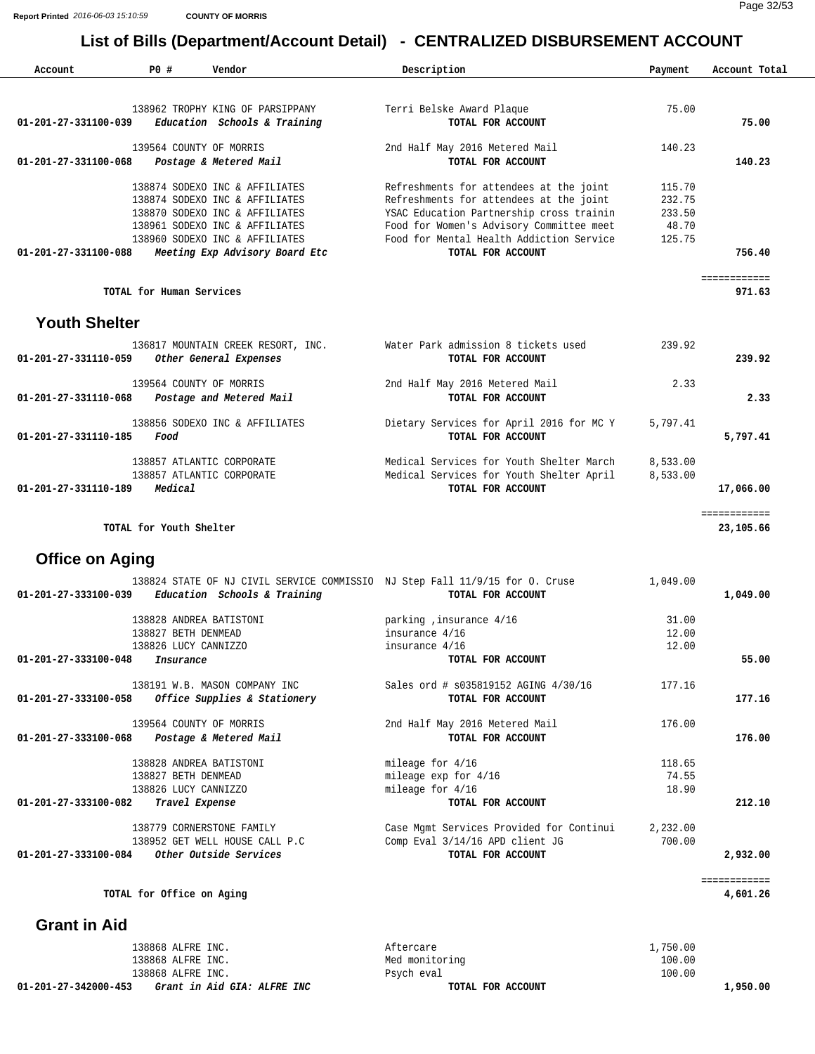| Account                | PO#                       | Vendor                             | Description                                                                  | Payment  | Account Total |
|------------------------|---------------------------|------------------------------------|------------------------------------------------------------------------------|----------|---------------|
|                        |                           |                                    |                                                                              |          |               |
|                        |                           | 138962 TROPHY KING OF PARSIPPANY   | Terri Belske Award Plaque                                                    | 75.00    |               |
| 01-201-27-331100-039   |                           | Education Schools & Training       | TOTAL FOR ACCOUNT                                                            |          | 75.00         |
|                        | 139564 COUNTY OF MORRIS   |                                    | 2nd Half May 2016 Metered Mail                                               | 140.23   |               |
| 01-201-27-331100-068   |                           | Postage & Metered Mail             | TOTAL FOR ACCOUNT                                                            |          | 140.23        |
|                        |                           | 138874 SODEXO INC & AFFILIATES     | Refreshments for attendees at the joint                                      | 115.70   |               |
|                        |                           | 138874 SODEXO INC & AFFILIATES     | Refreshments for attendees at the joint                                      | 232.75   |               |
|                        |                           | 138870 SODEXO INC & AFFILIATES     | YSAC Education Partnership cross trainin                                     | 233.50   |               |
|                        |                           | 138961 SODEXO INC & AFFILIATES     | Food for Women's Advisory Committee meet                                     | 48.70    |               |
|                        |                           | 138960 SODEXO INC & AFFILIATES     | Food for Mental Health Addiction Service                                     | 125.75   |               |
| 01-201-27-331100-088   |                           | Meeting Exp Advisory Board Etc     | TOTAL FOR ACCOUNT                                                            |          | 756.40        |
|                        |                           |                                    |                                                                              |          | ============  |
|                        | TOTAL for Human Services  |                                    |                                                                              |          | 971.63        |
| <b>Youth Shelter</b>   |                           |                                    |                                                                              |          |               |
|                        |                           | 136817 MOUNTAIN CREEK RESORT, INC. | Water Park admission 8 tickets used                                          | 239.92   |               |
| 01-201-27-331110-059   |                           | Other General Expenses             | TOTAL FOR ACCOUNT                                                            |          | 239.92        |
|                        | 139564 COUNTY OF MORRIS   |                                    | 2nd Half May 2016 Metered Mail                                               | 2.33     |               |
| 01-201-27-331110-068   |                           | Postage and Metered Mail           | TOTAL FOR ACCOUNT                                                            |          | 2.33          |
|                        |                           | 138856 SODEXO INC & AFFILIATES     | Dietary Services for April 2016 for MC Y                                     | 5,797.41 |               |
| 01-201-27-331110-185   | Food                      |                                    | TOTAL FOR ACCOUNT                                                            |          | 5,797.41      |
|                        | 138857 ATLANTIC CORPORATE |                                    | Medical Services for Youth Shelter March                                     | 8,533.00 |               |
|                        | 138857 ATLANTIC CORPORATE |                                    | Medical Services for Youth Shelter April                                     | 8,533.00 |               |
| 01-201-27-331110-189   | Medical                   |                                    | TOTAL FOR ACCOUNT                                                            |          | 17,066.00     |
|                        |                           |                                    |                                                                              |          | ============  |
|                        | TOTAL for Youth Shelter   |                                    |                                                                              |          | 23,105.66     |
| <b>Office on Aging</b> |                           |                                    |                                                                              |          |               |
|                        |                           |                                    | 138824 STATE OF NJ CIVIL SERVICE COMMISSIO NJ Step Fall 11/9/15 for O. Cruse | 1,049.00 |               |
| 01-201-27-333100-039   |                           | Education Schools & Training       | TOTAL FOR ACCOUNT                                                            |          | 1,049.00      |

| 138828 ANDREA BATISTONI                               | parking, insurance 4/16                  | 31.00    |          |
|-------------------------------------------------------|------------------------------------------|----------|----------|
| 138827 BETH DENMEAD                                   | insurance 4/16                           | 12.00    |          |
| 138826 LUCY CANNIZZO                                  | insurance 4/16                           | 12.00    |          |
| 01-201-27-333100-048<br>Insurance                     | TOTAL FOR ACCOUNT                        |          | 55.00    |
| 138191 W.B. MASON COMPANY INC                         | Sales ord # \$035819152 AGING 4/30/16    | 177.16   |          |
| 01-201-27-333100-058<br>Office Supplies & Stationery  | TOTAL FOR ACCOUNT                        |          | 177.16   |
| 139564 COUNTY OF MORRIS                               | 2nd Half May 2016 Metered Mail           | 176.00   |          |
| 01-201-27-333100-068<br>Postage & Metered Mail        | TOTAL FOR ACCOUNT                        |          | 176.00   |
| 138828 ANDREA BATISTONI                               | mileage for 4/16                         | 118.65   |          |
| 138827 BETH DENMEAD                                   | mileage $exp$ for $4/16$                 | 74.55    |          |
| 138826 LUCY CANNIZZO                                  | mileage for $4/16$                       | 18.90    |          |
| 01-201-27-333100-082<br>Travel Expense                | TOTAL FOR ACCOUNT                        |          | 212.10   |
| 138779 CORNERSTONE FAMILY                             | Case Mgmt Services Provided for Continui | 2,232.00 |          |
| 138952 GET WELL HOUSE CALL P.C                        | Comp Eval 3/14/16 APD client JG          | 700.00   |          |
| <i>Other Outside Services</i><br>01-201-27-333100-084 | TOTAL FOR ACCOUNT                        |          | 2,932.00 |
|                                                       |                                          |          |          |

TOTAL for Office on Aging 4,601.26

 **Grant in Aid** 

| Grant in Aid GIA: ALFRE INC<br>01-201-27-342000-453 | TOTAL FOR ACCOUNT | 1,950.00 |
|-----------------------------------------------------|-------------------|----------|
| 138868 ALFRE INC.                                   | Psych eval        | 100.00   |
| 138868 ALFRE INC.                                   | Med monitoring    | 100.00   |
| 138868 ALFRE INC.                                   | Attercare         | .,750.00 |

============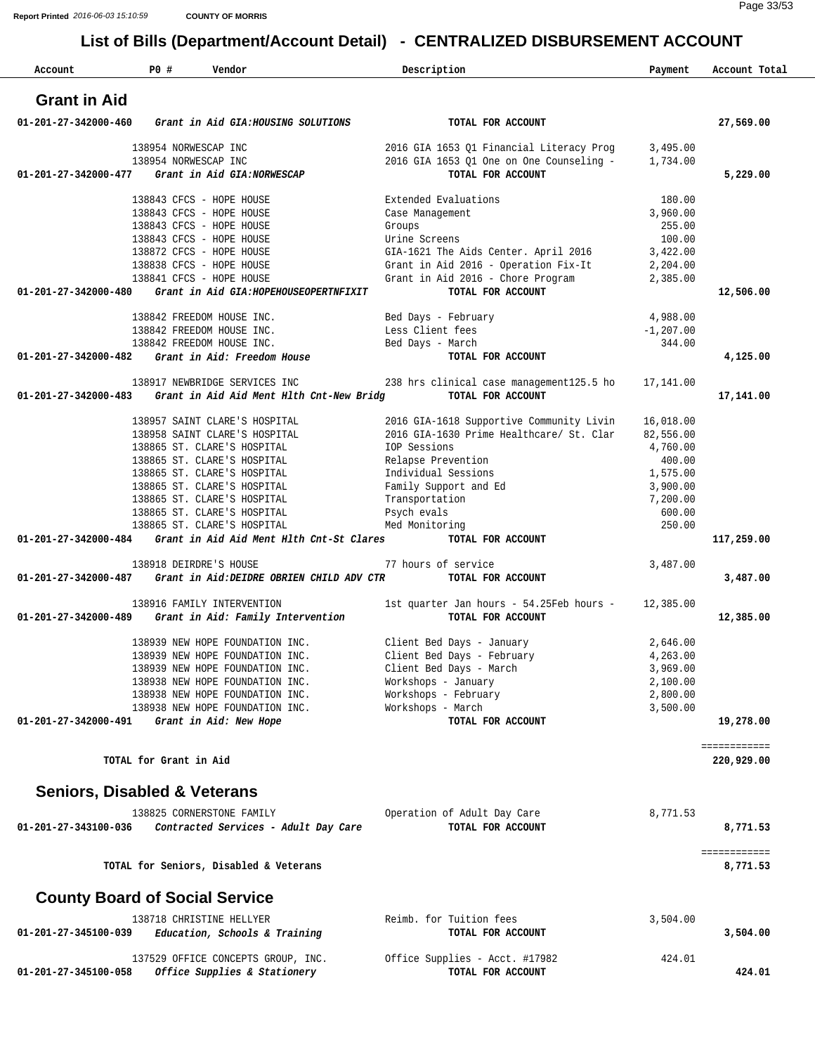| Account                                 | PO#                    | Vendor                                                     | Description                               |                                                       | Payment            | Account Total |
|-----------------------------------------|------------------------|------------------------------------------------------------|-------------------------------------------|-------------------------------------------------------|--------------------|---------------|
| <b>Grant in Aid</b>                     |                        |                                                            |                                           |                                                       |                    |               |
| 01-201-27-342000-460                    |                        | Grant in Aid GIA: HOUSING SOLUTIONS                        |                                           | TOTAL FOR ACCOUNT                                     |                    | 27,569.00     |
|                                         | 138954 NORWESCAP INC   |                                                            |                                           | 2016 GIA 1653 Q1 Financial Literacy Prog              | 3,495.00           |               |
|                                         | 138954 NORWESCAP INC   |                                                            |                                           | 2016 GIA 1653 Q1 One on One Counseling -              | 1,734.00           |               |
| 01-201-27-342000-477                    |                        | Grant in Aid GIA:NORWESCAP                                 |                                           | TOTAL FOR ACCOUNT                                     |                    | 5,229.00      |
|                                         |                        | 138843 CFCS - HOPE HOUSE                                   |                                           | Extended Evaluations                                  | 180.00             |               |
|                                         |                        | 138843 CFCS - HOPE HOUSE                                   | Case Management                           |                                                       | 3,960.00           |               |
|                                         |                        | 138843 CFCS - HOPE HOUSE                                   | Groups                                    |                                                       | 255.00             |               |
|                                         |                        | 138843 CFCS - HOPE HOUSE                                   | Urine Screens                             |                                                       | 100.00             |               |
|                                         |                        | 138872 CFCS - HOPE HOUSE                                   |                                           | GIA-1621 The Aids Center. April 2016                  | 3,422.00           |               |
|                                         |                        | 138838 CFCS - HOPE HOUSE                                   |                                           | Grant in Aid 2016 - Operation Fix-It                  | 2,204.00           |               |
|                                         |                        | 138841 CFCS - HOPE HOUSE                                   |                                           | Grant in Aid 2016 - Chore Program                     | 2,385.00           |               |
| 01-201-27-342000-480                    |                        | Grant in Aid GIA: HOPEHOUSEOPERTNFIXIT                     |                                           | TOTAL FOR ACCOUNT                                     |                    | 12,506.00     |
|                                         |                        | 138842 FREEDOM HOUSE INC.                                  | Bed Days - February                       |                                                       | 4,988.00           |               |
|                                         |                        | 138842 FREEDOM HOUSE INC.                                  | Less Client fees                          |                                                       | $-1, 207.00$       |               |
|                                         |                        | 138842 FREEDOM HOUSE INC.                                  | Bed Days - March                          |                                                       | 344.00             |               |
| 01-201-27-342000-482                    |                        | Grant in Aid: Freedom House                                |                                           | TOTAL FOR ACCOUNT                                     |                    | 4,125.00      |
|                                         |                        | 138917 NEWBRIDGE SERVICES INC                              |                                           | 238 hrs clinical case management125.5 ho 17,141.00    |                    |               |
| 01-201-27-342000-483                    |                        | Grant in Aid Aid Ment Hlth Cnt-New Bridg                   |                                           | TOTAL FOR ACCOUNT                                     |                    | 17,141.00     |
|                                         |                        |                                                            |                                           |                                                       |                    |               |
|                                         |                        | 138957 SAINT CLARE'S HOSPITAL                              |                                           | 2016 GIA-1618 Supportive Community Livin              | 16,018.00          |               |
|                                         |                        | 138958 SAINT CLARE'S HOSPITAL                              |                                           | 2016 GIA-1630 Prime Healthcare/ St. Clar              | 82,556.00          |               |
|                                         |                        | 138865 ST. CLARE'S HOSPITAL                                | IOP Sessions                              |                                                       | 4,760.00           |               |
|                                         |                        | 138865 ST. CLARE'S HOSPITAL<br>138865 ST. CLARE'S HOSPITAL | Relapse Prevention<br>Individual Sessions |                                                       | 400.00<br>1,575.00 |               |
|                                         |                        | 138865 ST. CLARE'S HOSPITAL                                |                                           | Family Support and Ed                                 | 3,900.00           |               |
|                                         |                        | 138865 ST. CLARE'S HOSPITAL                                | Transportation                            |                                                       | 7,200.00           |               |
|                                         |                        | 138865 ST. CLARE'S HOSPITAL                                | Psych evals                               |                                                       | 600.00             |               |
|                                         |                        | 138865 ST. CLARE'S HOSPITAL                                | Med Monitoring                            |                                                       | 250.00             |               |
| 01-201-27-342000-484                    |                        | Grant in Aid Aid Ment Hlth Cnt-St Clares                   |                                           | TOTAL FOR ACCOUNT                                     |                    | 117,259.00    |
|                                         |                        | 138918 DEIRDRE'S HOUSE                                     | 77 hours of service                       |                                                       | 3,487.00           |               |
| 01-201-27-342000-487                    |                        | Grant in Aid: DEIDRE OBRIEN CHILD ADV CTR                  |                                           | TOTAL FOR ACCOUNT                                     |                    | 3,487.00      |
|                                         |                        | 138916 FAMILY INTERVENTION                                 |                                           | 1st quarter Jan hours - $54.25$ Feb hours - 12,385.00 |                    |               |
| 01-201-27-342000-489                    |                        | Grant in Aid: Family Intervention                          |                                           | TOTAL FOR ACCOUNT                                     |                    | 12,385.00     |
|                                         |                        | 138939 NEW HOPE FOUNDATION INC.                            |                                           | Client Bed Days - January                             | 2,646.00           |               |
|                                         |                        | 138939 NEW HOPE FOUNDATION INC.                            |                                           | Client Bed Days - February                            | 4,263.00           |               |
|                                         |                        | 138939 NEW HOPE FOUNDATION INC.                            |                                           | Client Bed Days - March                               | 3,969.00           |               |
|                                         |                        | 138938 NEW HOPE FOUNDATION INC.                            | Workshops - January                       |                                                       | 2,100.00           |               |
|                                         |                        | 138938 NEW HOPE FOUNDATION INC.                            |                                           | Workshops - February                                  | 2,800.00           |               |
|                                         |                        | 138938 NEW HOPE FOUNDATION INC.                            | Workshops - March                         |                                                       | 3,500.00           |               |
| 01-201-27-342000-491                    |                        | Grant in Aid: New Hope                                     |                                           | TOTAL FOR ACCOUNT                                     |                    | 19,278.00     |
|                                         |                        |                                                            |                                           |                                                       |                    | ============  |
|                                         | TOTAL for Grant in Aid |                                                            |                                           |                                                       |                    | 220,929.00    |
| <b>Seniors, Disabled &amp; Veterans</b> |                        |                                                            |                                           |                                                       |                    |               |
|                                         |                        | 138825 CORNERSTONE FAMILY                                  |                                           | Operation of Adult Day Care                           | 8,771.53           |               |
| 01-201-27-343100-036                    |                        | Contracted Services - Adult Day Care                       |                                           | TOTAL FOR ACCOUNT                                     |                    | 8,771.53      |
|                                         |                        |                                                            |                                           |                                                       |                    | ============  |
|                                         |                        | TOTAL for Seniors, Disabled & Veterans                     |                                           |                                                       |                    | 8,771.53      |
| <b>County Board of Social Service</b>   |                        |                                                            |                                           |                                                       |                    |               |
|                                         |                        | 138718 CHRISTINE HELLYER                                   |                                           | Reimb. for Tuition fees                               | 3,504.00           |               |
| 01-201-27-345100-039                    |                        | Education, Schools & Training                              |                                           | TOTAL FOR ACCOUNT                                     |                    | 3,504.00      |
|                                         |                        | 137529 OFFICE CONCEPTS GROUP, INC.                         |                                           | Office Supplies - Acct. #17982                        | 424.01             |               |
| 01-201-27-345100-058                    |                        | Office Supplies & Stationery                               |                                           | TOTAL FOR ACCOUNT                                     |                    | 424.01        |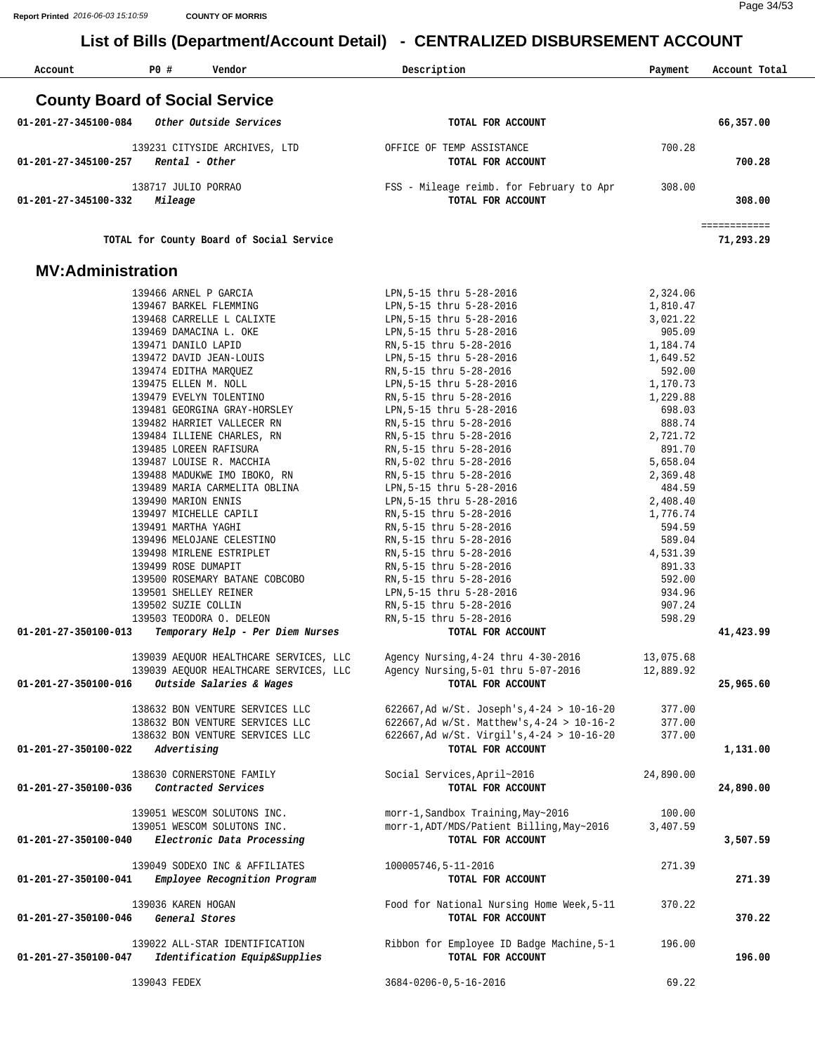| Account                        | PO#<br>Vendor                                              | Description                                         | Payment          | Account Total             |
|--------------------------------|------------------------------------------------------------|-----------------------------------------------------|------------------|---------------------------|
|                                | <b>County Board of Social Service</b>                      |                                                     |                  |                           |
| $01 - 201 - 27 - 345100 - 084$ | Other Outside Services                                     | TOTAL FOR ACCOUNT                                   |                  | 66,357.00                 |
| 01-201-27-345100-257           | 139231 CITYSIDE ARCHIVES, LTD<br>Rental - Other            | OFFICE OF TEMP ASSISTANCE<br>TOTAL FOR ACCOUNT      | 700.28           | 700.28                    |
| 01-201-27-345100-332           | 138717 JULIO PORRAO<br>Mileage                             | TOTAL FOR ACCOUNT                                   |                  | 308.00                    |
|                                | TOTAL for County Board of Social Service                   |                                                     |                  | ============<br>71,293.29 |
|                                | <b>MV:Administration</b>                                   |                                                     |                  |                           |
|                                | 139466 ARNEL P GARCIA                                      | LPN, 5-15 thru 5-28-2016                            | 2,324.06         |                           |
|                                | 139467 BARKEL FLEMMING                                     | LPN, 5-15 thru 5-28-2016                            | 1,810.47         |                           |
|                                | 139468 CARRELLE L CALIXTE                                  | LPN, 5-15 thru 5-28-2016                            | 3,021.22         |                           |
|                                | 139469 DAMACINA L. OKE                                     | LPN, 5-15 thru 5-28-2016                            | 905.09           |                           |
|                                | 139471 DANILO LAPID                                        | RN, 5-15 thru 5-28-2016                             | 1,184.74         |                           |
|                                | 139472 DAVID JEAN-LOUIS                                    | LPN, 5-15 thru 5-28-2016                            | 1,649.52         |                           |
|                                | 139474 EDITHA MARQUEZ                                      | RN, 5-15 thru 5-28-2016                             | 592.00           |                           |
|                                | 139475 ELLEN M. NOLL                                       | LPN, 5-15 thru 5-28-2016                            | 1,170.73         |                           |
|                                | 139479 EVELYN TOLENTINO                                    | RN, 5-15 thru 5-28-2016                             | 1,229.88         |                           |
|                                | 139481 GEORGINA GRAY-HORSLEY<br>139482 HARRIET VALLECER RN | LPN, 5-15 thru 5-28-2016<br>RN, 5-15 thru 5-28-2016 | 698.03<br>888.74 |                           |
|                                | 139484 ILLIENE CHARLES, RN                                 | RN, 5-15 thru 5-28-2016                             | 2,721.72         |                           |
|                                | 139485 LOREEN RAFISURA                                     | RN, 5-15 thru 5-28-2016                             | 891.70           |                           |
|                                | 139487 LOUISE R. MACCHIA                                   | RN, 5-02 thru 5-28-2016                             | 5,658.04         |                           |
|                                | 139488 MADUKWE IMO IBOKO, RN                               | RN, 5-15 thru 5-28-2016                             | 2,369.48         |                           |
|                                | 139489 MARIA CARMELITA OBLINA                              | LPN, 5-15 thru 5-28-2016                            | 484.59           |                           |
|                                | 139490 MARION ENNIS                                        | LPN, 5-15 thru 5-28-2016                            | 2,408.40         |                           |
|                                | 139497 MICHELLE CAPILI                                     | RN, 5-15 thru 5-28-2016                             | 1,776.74         |                           |
|                                | 139491 MARTHA YAGHI                                        | RN, 5-15 thru 5-28-2016                             | 594.59           |                           |
|                                | 139496 MELOJANE CELESTINO                                  | RN, 5-15 thru 5-28-2016                             | 589.04           |                           |
|                                | 139498 MIRLENE ESTRIPLET<br>139499 ROSE DUMAPIT            | RN, 5-15 thru 5-28-2016                             | 4,531.39         |                           |
|                                | 139500 ROSEMARY BATANE COBCOBO                             | RN, 5-15 thru 5-28-2016<br>RN, 5-15 thru 5-28-2016  | 891.33<br>592.00 |                           |
|                                | 139501 SHELLEY REINER                                      | LPN, 5-15 thru 5-28-2016                            | 934.96           |                           |
|                                | 139502 SUZIE COLLIN                                        | RN, 5-15 thru 5-28-2016                             | 907.24           |                           |
|                                | 139503 TEODORA O. DELEON                                   | RN, 5-15 thru 5-28-2016                             | 598.29           |                           |
| 01-201-27-350100-013           | Temporary Help - Per Diem Nurses                           | TOTAL FOR ACCOUNT                                   |                  | 41,423.99                 |
|                                | 139039 AEOUOR HEALTHCARE SERVICES, LLC                     | Agency Nursing, 4-24 thru 4-30-2016                 | 13,075.68        |                           |
|                                | 139039 AEQUOR HEALTHCARE SERVICES, LLC                     | Agency Nursing, 5-01 thru 5-07-2016                 | 12,889.92        |                           |
| 01-201-27-350100-016           | Outside Salaries & Wages                                   | TOTAL FOR ACCOUNT                                   |                  | 25,965.60                 |
|                                | 138632 BON VENTURE SERVICES LLC                            | 622667, Ad w/St. Joseph's, 4-24 > 10-16-20          | 377.00           |                           |
|                                | 138632 BON VENTURE SERVICES LLC                            | 622667, Ad w/St. Matthew's, $4-24 > 10-16-2$        | 377.00           |                           |
|                                | 138632 BON VENTURE SERVICES LLC                            | 622667, Ad w/St. Virgil's, 4-24 > 10-16-20          | 377.00           |                           |
| 01-201-27-350100-022           | Advertising                                                | TOTAL FOR ACCOUNT                                   |                  | 1,131.00                  |
|                                | 138630 CORNERSTONE FAMILY                                  | Social Services, April~2016                         | 24,890.00        |                           |
| 01-201-27-350100-036           | Contracted Services                                        | TOTAL FOR ACCOUNT                                   |                  | 24,890.00                 |
|                                |                                                            |                                                     |                  |                           |
|                                | 139051 WESCOM SOLUTONS INC.                                | morr-1, Sandbox Training, May~2016                  | 100.00           |                           |
|                                | 139051 WESCOM SOLUTONS INC.                                | morr-1, ADT/MDS/Patient Billing, May~2016           | 3,407.59         |                           |
| 01-201-27-350100-040           | Electronic Data Processing                                 | TOTAL FOR ACCOUNT                                   |                  | 3,507.59                  |
|                                | 139049 SODEXO INC & AFFILIATES                             | 100005746,5-11-2016                                 | 271.39           |                           |
| 01-201-27-350100-041           | Employee Recognition Program                               | TOTAL FOR ACCOUNT                                   |                  | 271.39                    |
|                                | 139036 KAREN HOGAN                                         | Food for National Nursing Home Week, 5-11           | 370.22           |                           |
| 01-201-27-350100-046           | General Stores                                             | TOTAL FOR ACCOUNT                                   |                  | 370.22                    |
|                                |                                                            |                                                     |                  |                           |
|                                | 139022 ALL-STAR IDENTIFICATION                             | Ribbon for Employee ID Badge Machine, 5-1           | 196.00           |                           |
| 01-201-27-350100-047           | Identification Equip&Supplies                              | TOTAL FOR ACCOUNT                                   |                  | 196.00                    |
|                                |                                                            |                                                     |                  |                           |
|                                | 139043 FEDEX                                               | $3684 - 0206 - 0, 5 - 16 - 2016$                    | 69.22            |                           |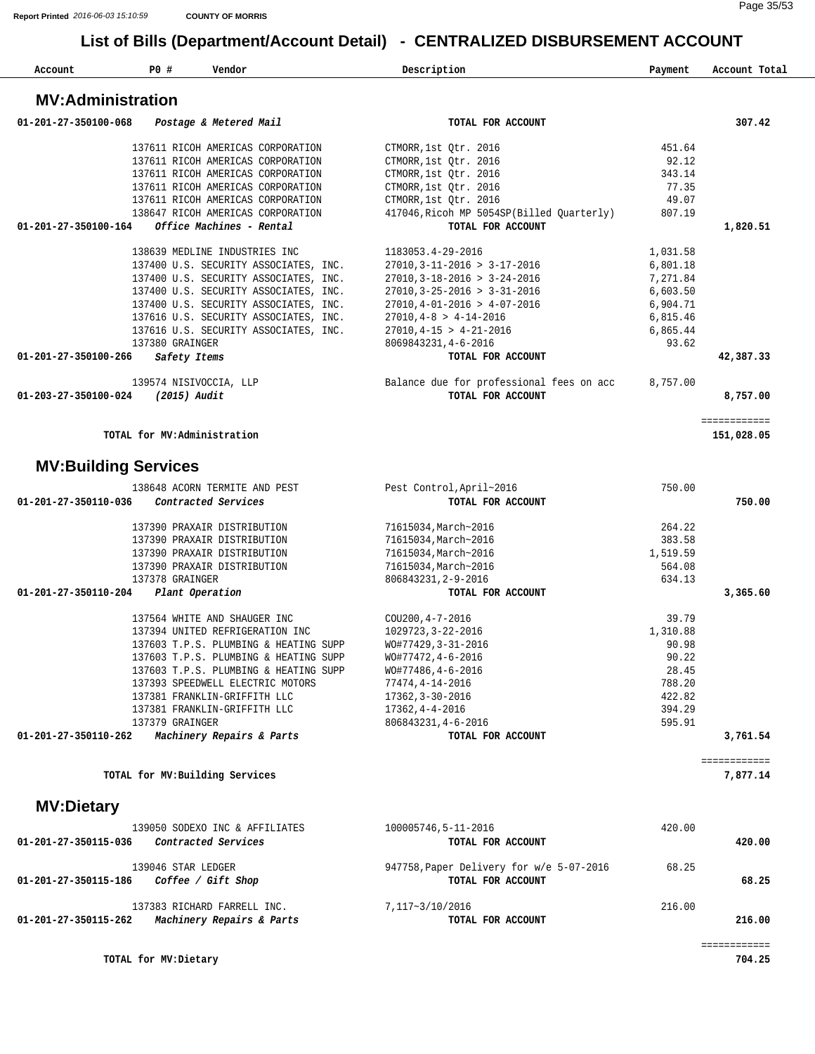| Account                     | P0 #                        | Vendor                                | Description                                                   | Payment  | Account Total |
|-----------------------------|-----------------------------|---------------------------------------|---------------------------------------------------------------|----------|---------------|
| <b>MV:Administration</b>    |                             |                                       |                                                               |          |               |
| 01-201-27-350100-068        |                             | Postage & Metered Mail                | TOTAL FOR ACCOUNT                                             |          | 307.42        |
|                             |                             | 137611 RICOH AMERICAS CORPORATION     | CTMORR, 1st Otr. 2016                                         | 451.64   |               |
|                             |                             | 137611 RICOH AMERICAS CORPORATION     | CTMORR, 1st Qtr. 2016                                         | 92.12    |               |
|                             |                             | 137611 RICOH AMERICAS CORPORATION     | CTMORR, 1st Qtr. 2016                                         | 343.14   |               |
|                             |                             | 137611 RICOH AMERICAS CORPORATION     | CTMORR, 1st Qtr. 2016                                         | 77.35    |               |
|                             |                             | 137611 RICOH AMERICAS CORPORATION     | CTMORR, 1st Qtr. 2016                                         | 49.07    |               |
|                             |                             | 138647 RICOH AMERICAS CORPORATION     | 417046, Ricoh MP 5054SP (Billed Quarterly)                    | 807.19   |               |
| 01-201-27-350100-164        |                             | Office Machines - Rental              | TOTAL FOR ACCOUNT                                             |          | 1,820.51      |
|                             |                             | 138639 MEDLINE INDUSTRIES INC         | 1183053.4-29-2016                                             | 1,031.58 |               |
|                             |                             | 137400 U.S. SECURITY ASSOCIATES, INC. | $27010, 3 - 11 - 2016 > 3 - 17 - 2016$                        | 6,801.18 |               |
|                             |                             | 137400 U.S. SECURITY ASSOCIATES, INC. | $27010, 3 - 18 - 2016 > 3 - 24 - 2016$                        | 7,271.84 |               |
|                             |                             | 137400 U.S. SECURITY ASSOCIATES, INC. | $27010, 3 - 25 - 2016 > 3 - 31 - 2016$                        | 6,603.50 |               |
|                             |                             | 137400 U.S. SECURITY ASSOCIATES, INC. | $27010, 4 - 01 - 2016 > 4 - 07 - 2016$                        | 6,904.71 |               |
|                             |                             | 137616 U.S. SECURITY ASSOCIATES, INC. | $27010, 4-8 > 4-14-2016$                                      | 6,815.46 |               |
|                             |                             | 137616 U.S. SECURITY ASSOCIATES, INC. | $27010, 4-15 > 4-21-2016$                                     | 6,865.44 |               |
|                             | 137380 GRAINGER             |                                       | 8069843231, 4-6-2016                                          | 93.62    |               |
| 01-201-27-350100-266        | Safety Items                |                                       | TOTAL FOR ACCOUNT                                             |          | 42,387.33     |
|                             | 139574 NISIVOCCIA, LLP      |                                       | Balance due for professional fees on acc                      | 8,757.00 |               |
| 01-203-27-350100-024        | (2015) Audit                |                                       | TOTAL FOR ACCOUNT                                             |          | 8,757.00      |
|                             |                             |                                       |                                                               |          | ============  |
|                             | TOTAL for MV:Administration |                                       |                                                               |          | 151,028.05    |
| <b>MV:Building Services</b> |                             |                                       |                                                               |          |               |
|                             |                             | 138648 ACORN TERMITE AND PEST         | Pest Control, April~2016                                      | 750.00   |               |
| 01-201-27-350110-036        |                             | Contracted Services                   | TOTAL FOR ACCOUNT                                             |          | 750.00        |
|                             |                             | 137390 PRAXAIR DISTRIBUTION           | 71615034, March~2016                                          | 264.22   |               |
|                             |                             | 137390 PRAXAIR DISTRIBUTION           | 71615034, March~2016                                          | 383.58   |               |
|                             |                             | 137390 PRAXAIR DISTRIBUTION           | 71615034, March~2016                                          | 1,519.59 |               |
|                             |                             | 137390 PRAXAIR DISTRIBUTION           | 71615034, March~2016                                          | 564.08   |               |
|                             | 137378 GRAINGER             |                                       | 806843231, 2-9-2016                                           | 634.13   |               |
| 01-201-27-350110-204        |                             | Plant Operation                       | TOTAL FOR ACCOUNT                                             |          | 3,365.60      |
|                             |                             | 137564 WHITE AND SHAUGER INC          | COU200, 4-7-2016                                              | 39.79    |               |
|                             |                             | 137394 UNITED REFRIGERATION INC       | 1029723, 3-22-2016                                            | 1,310.88 |               |
|                             |                             | 137603 T.P.S. PLUMBING & HEATING SUPP | WO#77429, 3-31-2016                                           | 90.98    |               |
|                             |                             | 137603 T.P.S. PLUMBING & HEATING SUPP | WO#77472, 4-6-2016                                            | 90.22    |               |
|                             |                             | 137603 T.P.S. PLUMBING & HEATING SUPP | WO#77486,4-6-2016                                             | 28.45    |               |
|                             |                             | 137393 SPEEDWELL ELECTRIC MOTORS      | $77474, 4 - 14 - 2016$                                        | 788.20   |               |
|                             |                             | 137381 FRANKLIN-GRIFFITH LLC          | 17362, 3-30-2016                                              | 422.82   |               |
|                             |                             | 137381 FRANKLIN-GRIFFITH LLC          | 17362, 4-4-2016                                               | 394.29   |               |
| 01-201-27-350110-262        | 137379 GRAINGER             | Machinery Repairs & Parts             | 806843231, 4-6-2016<br>TOTAL FOR ACCOUNT                      | 595.91   | 3,761.54      |
|                             |                             |                                       |                                                               |          | ============  |
|                             |                             | TOTAL for MV: Building Services       |                                                               |          | 7,877.14      |
| <b>MV:Dietary</b>           |                             |                                       |                                                               |          |               |
|                             |                             | 139050 SODEXO INC & AFFILIATES        | 100005746,5-11-2016                                           | 420.00   |               |
| 01-201-27-350115-036        |                             | Contracted Services                   | TOTAL FOR ACCOUNT                                             |          | 420.00        |
| 01-201-27-350115-186        | 139046 STAR LEDGER          |                                       | 947758, Paper Delivery for w/e 5-07-2016<br>TOTAL FOR ACCOUNT | 68.25    | 68.25         |
|                             |                             | Coffee / Gift Shop                    |                                                               |          |               |
|                             |                             | 137383 RICHARD FARRELL INC.           | 7,117~3/10/2016                                               | 216.00   |               |
| 01-201-27-350115-262        |                             | Machinery Repairs & Parts             | TOTAL FOR ACCOUNT                                             |          | 216.00        |
|                             |                             |                                       |                                                               |          | ============  |
|                             | TOTAL for MV: Dietary       |                                       |                                                               |          | 704.25        |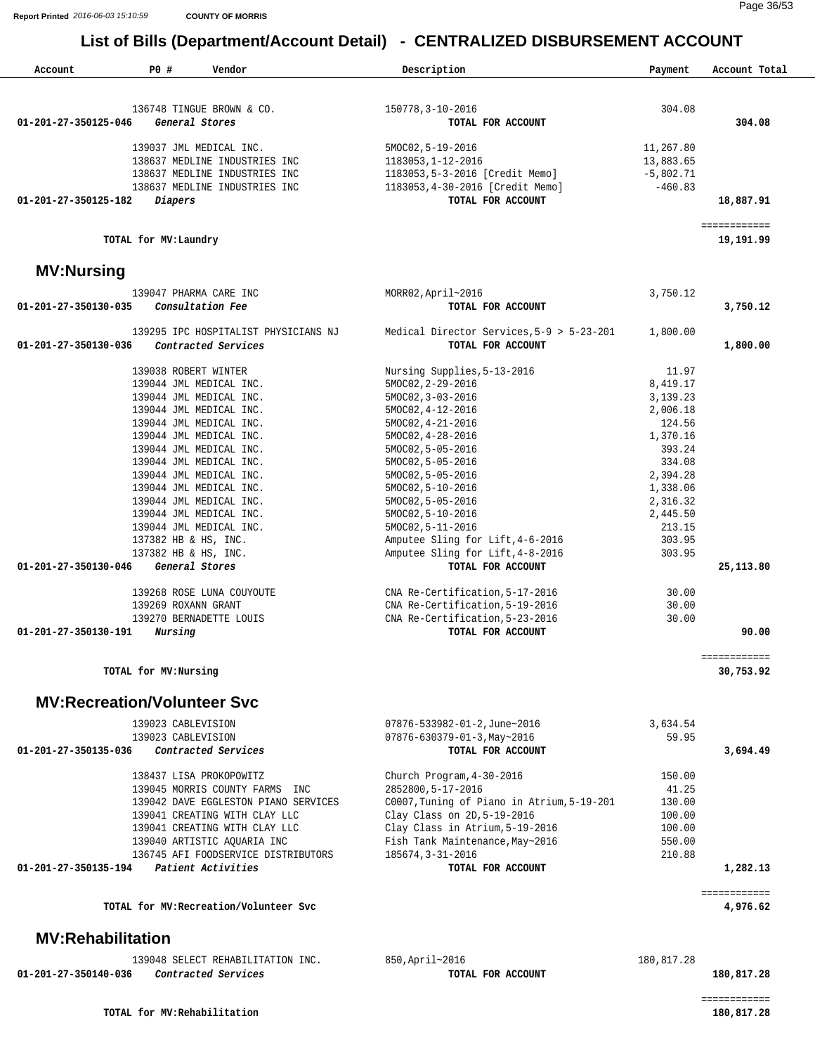| Account                  | PO#<br>Vendor                                      | Description                                                            | Payment           | Account Total             |
|--------------------------|----------------------------------------------------|------------------------------------------------------------------------|-------------------|---------------------------|
|                          | 136748 TINGUE BROWN & CO.                          | 150778, 3-10-2016                                                      | 304.08            |                           |
| 01-201-27-350125-046     | General Stores                                     | TOTAL FOR ACCOUNT                                                      |                   | 304.08                    |
|                          | 139037 JML MEDICAL INC.                            | 5MOC02, 5-19-2016                                                      | 11,267.80         |                           |
|                          | 138637 MEDLINE INDUSTRIES INC                      | 1183053, 1-12-2016                                                     | 13,883.65         |                           |
|                          | 138637 MEDLINE INDUSTRIES INC                      | 1183053,5-3-2016 [Credit Memo]                                         | $-5,802.71$       |                           |
|                          | 138637 MEDLINE INDUSTRIES INC                      | 1183053, 4-30-2016 [Credit Memo]                                       | $-460.83$         |                           |
| 01-201-27-350125-182     | Diapers                                            | TOTAL FOR ACCOUNT                                                      |                   | 18,887.91                 |
|                          | TOTAL for MV: Laundry                              |                                                                        |                   | ============<br>19,191.99 |
| <b>MV:Nursing</b>        |                                                    |                                                                        |                   |                           |
|                          | 139047 PHARMA CARE INC                             | MORR02, April~2016                                                     | 3,750.12          |                           |
| 01-201-27-350130-035     | Consultation Fee                                   | TOTAL FOR ACCOUNT                                                      |                   | 3,750.12                  |
|                          | 139295 IPC HOSPITALIST PHYSICIANS NJ               | Medical Director Services, 5-9 > 5-23-201                              | 1,800.00          |                           |
| 01-201-27-350130-036     | Contracted Services                                | TOTAL FOR ACCOUNT                                                      |                   | 1,800.00                  |
|                          | 139038 ROBERT WINTER                               | Nursing Supplies, 5-13-2016                                            | 11.97             |                           |
|                          | 139044 JML MEDICAL INC.                            | 5MOC02, 2-29-2016                                                      | 8,419.17          |                           |
|                          | 139044 JML MEDICAL INC.                            | 5MOC02, 3-03-2016                                                      | 3,139.23          |                           |
|                          | 139044 JML MEDICAL INC.                            | $5MOCO2, 4-12-2016$                                                    | 2,006.18          |                           |
|                          | 139044 JML MEDICAL INC.                            | $5MOCO2, 4-21-2016$                                                    | 124.56            |                           |
|                          | 139044 JML MEDICAL INC.                            | $5MOCO2, 4-28-2016$                                                    | 1,370.16          |                           |
|                          | 139044 JML MEDICAL INC.<br>139044 JML MEDICAL INC. | 5MOC02, 5-05-2016<br>5MOC02, 5-05-2016                                 | 393.24<br>334.08  |                           |
|                          | 139044 JML MEDICAL INC.                            | 5MOC02, 5-05-2016                                                      | 2,394.28          |                           |
|                          | 139044 JML MEDICAL INC.                            | $5MOCO2, 5-10-2016$                                                    | 1,338.06          |                           |
|                          | 139044 JML MEDICAL INC.                            | 5MOC02, 5-05-2016                                                      | 2,316.32          |                           |
|                          | 139044 JML MEDICAL INC.                            | 5MOC02, 5-10-2016                                                      | 2,445.50          |                           |
|                          | 139044 JML MEDICAL INC.                            | $5MOC02, 5-11-2016$                                                    | 213.15            |                           |
|                          | 137382 HB & HS, INC.                               | Amputee Sling for Lift, 4-6-2016                                       | 303.95            |                           |
|                          | 137382 HB & HS, INC.                               | Amputee Sling for Lift, 4-8-2016                                       | 303.95            |                           |
| 01-201-27-350130-046     | General Stores                                     | TOTAL FOR ACCOUNT                                                      |                   | 25, 113.80                |
|                          | 139268 ROSE LUNA COUYOUTE                          | CNA Re-Certification, 5-17-2016                                        | 30.00             |                           |
|                          | 139269 ROXANN GRANT                                | CNA Re-Certification, 5-19-2016                                        | 30.00             |                           |
|                          | 139270 BERNADETTE LOUIS                            | CNA Re-Certification, 5-23-2016                                        | 30.00             |                           |
| 01-201-27-350130-191     | Nursing                                            | TOTAL FOR ACCOUNT                                                      |                   | 90.00                     |
|                          | TOTAL for MV: Nursing                              |                                                                        |                   | ============<br>30,753.92 |
|                          | <b>MV:Recreation/Volunteer Svc</b>                 |                                                                        |                   |                           |
|                          | 139023 CABLEVISION                                 |                                                                        |                   |                           |
|                          | 139023 CABLEVISION                                 | 07876-533982-01-2, June~2016<br>$07876 - 630379 - 01 - 3$ , May ~ 2016 | 3,634.54<br>59.95 |                           |
| 01-201-27-350135-036     | Contracted Services                                | TOTAL FOR ACCOUNT                                                      |                   | 3,694.49                  |
|                          | 138437 LISA PROKOPOWITZ                            | Church Program, 4-30-2016                                              | 150.00            |                           |
|                          | 139045 MORRIS COUNTY FARMS INC                     | 2852800, 5-17-2016                                                     | 41.25             |                           |
|                          | 139042 DAVE EGGLESTON PIANO SERVICES               | C0007, Tuning of Piano in Atrium, 5-19-201                             | 130.00            |                           |
|                          | 139041 CREATING WITH CLAY LLC                      | Clay Class on 2D, 5-19-2016                                            | 100.00            |                           |
|                          | 139041 CREATING WITH CLAY LLC                      | Clay Class in Atrium, 5-19-2016                                        | 100.00            |                           |
|                          | 139040 ARTISTIC AQUARIA INC                        | Fish Tank Maintenance, May~2016                                        | 550.00            |                           |
|                          | 136745 AFI FOODSERVICE DISTRIBUTORS                | 185674, 3-31-2016                                                      | 210.88            |                           |
| 01-201-27-350135-194     | Patient Activities                                 | TOTAL FOR ACCOUNT                                                      |                   | 1,282.13                  |
|                          | TOTAL for MV: Recreation/Volunteer Svc             |                                                                        |                   | ============<br>4,976.62  |
| <b>MV:Rehabilitation</b> |                                                    |                                                                        |                   |                           |
|                          | 139048 SELECT REHABILITATION INC.                  | 850, April~2016                                                        | 180,817.28        |                           |
|                          |                                                    |                                                                        |                   |                           |

|                      | TARI NOTIETI KEURPITIITIKITON TNC' | OJU, APIII~ZUI0   | 100,017.40 |
|----------------------|------------------------------------|-------------------|------------|
| 01-201-27-350140-036 | Contracted Services                | TOTAL FOR ACCOUNT | 180,817.28 |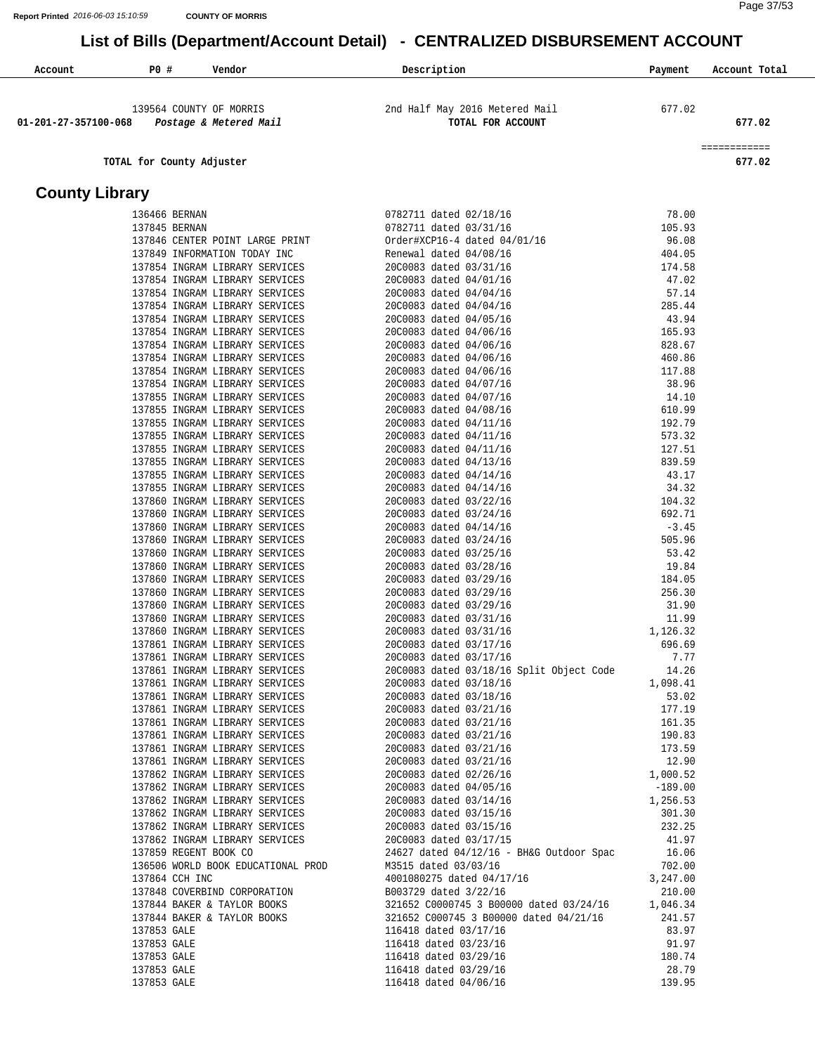#### Page 37/53

| Account               | P0 #                      | Vendor                                                           | <u>ULITITALILLU DIUDURULINLITTA</u><br>Description                                                           | Payment               | Account Total |
|-----------------------|---------------------------|------------------------------------------------------------------|--------------------------------------------------------------------------------------------------------------|-----------------------|---------------|
|                       |                           |                                                                  |                                                                                                              |                       |               |
|                       |                           |                                                                  |                                                                                                              |                       |               |
| 01-201-27-357100-068  |                           | 139564 COUNTY OF MORRIS<br>Postage & Metered Mail                | 2nd Half May 2016 Metered Mail<br>TOTAL FOR ACCOUNT                                                          | 677.02                | 677.02        |
|                       |                           |                                                                  |                                                                                                              |                       |               |
|                       |                           |                                                                  |                                                                                                              |                       | ============  |
|                       | TOTAL for County Adjuster |                                                                  |                                                                                                              |                       | 677.02        |
| <b>County Library</b> |                           |                                                                  |                                                                                                              |                       |               |
|                       | 136466 BERNAN             |                                                                  | 0782711 dated 02/18/16                                                                                       | 78.00                 |               |
|                       | 137845 BERNAN             |                                                                  | 0782711 dated 03/31/16                                                                                       | 105.93                |               |
|                       |                           | 137846 CENTER POINT LARGE PRINT                                  | Order#XCP16-4 dated 04/01/16                                                                                 | 96.08                 |               |
|                       |                           | 137849 INFORMATION TODAY INC                                     | Renewal dated 04/08/16                                                                                       | 404.05                |               |
|                       |                           | 137854 INGRAM LIBRARY SERVICES                                   | 20C0083 dated 03/31/16                                                                                       | 174.58                |               |
|                       |                           | 137854 INGRAM LIBRARY SERVICES<br>137854 INGRAM LIBRARY SERVICES | 20C0083 dated 04/01/16<br>20C0083 dated 04/04/16                                                             | 47.02<br>57.14        |               |
|                       |                           | 137854 INGRAM LIBRARY SERVICES                                   | 20C0083 dated 04/04/16                                                                                       | 285.44                |               |
|                       |                           | 137854 INGRAM LIBRARY SERVICES                                   | 20C0083 dated 04/05/16                                                                                       | 43.94                 |               |
|                       |                           | 137854 INGRAM LIBRARY SERVICES                                   | 20C0083 dated 04/06/16                                                                                       | 165.93                |               |
|                       |                           | 137854 INGRAM LIBRARY SERVICES                                   | 20C0083 dated 04/06/16                                                                                       | 828.67                |               |
|                       |                           | 137854 INGRAM LIBRARY SERVICES                                   | 20C0083 dated 04/06/16                                                                                       | 460.86                |               |
|                       |                           | 137854 INGRAM LIBRARY SERVICES                                   | 20C0083 dated 04/06/16                                                                                       | 117.88                |               |
|                       |                           | 137854 INGRAM LIBRARY SERVICES                                   | 20C0083 dated 04/07/16                                                                                       | 38.96                 |               |
|                       |                           | 137855 INGRAM LIBRARY SERVICES<br>137855 INGRAM LIBRARY SERVICES | 20C0083 dated 04/07/16<br>20C0083 dated 04/08/16                                                             | 14.10<br>610.99       |               |
|                       |                           | 137855 INGRAM LIBRARY SERVICES                                   | 20C0083 dated 04/11/16                                                                                       | 192.79                |               |
|                       |                           | 137855 INGRAM LIBRARY SERVICES                                   | 20C0083 dated 04/11/16                                                                                       | 573.32                |               |
|                       |                           | 137855 INGRAM LIBRARY SERVICES                                   | 20C0083 dated 04/11/16                                                                                       | 127.51                |               |
|                       |                           | 137855 INGRAM LIBRARY SERVICES                                   | 20C0083 dated 04/13/16                                                                                       | 839.59                |               |
|                       |                           | 137855 INGRAM LIBRARY SERVICES                                   | 20C0083 dated 04/14/16                                                                                       | 43.17                 |               |
|                       |                           | 137855 INGRAM LIBRARY SERVICES                                   | 20C0083 dated 04/14/16                                                                                       | 34.32                 |               |
|                       |                           | 137860 INGRAM LIBRARY SERVICES<br>137860 INGRAM LIBRARY SERVICES | 20C0083 dated 03/22/16<br>20C0083 dated 03/24/16                                                             | 104.32<br>692.71      |               |
|                       |                           | 137860 INGRAM LIBRARY SERVICES                                   | 20C0083 dated 04/14/16                                                                                       | $-3.45$               |               |
|                       |                           | 137860 INGRAM LIBRARY SERVICES                                   | 20C0083 dated 03/24/16                                                                                       | 505.96                |               |
|                       |                           | 137860 INGRAM LIBRARY SERVICES                                   | 20C0083 dated 03/25/16                                                                                       | 53.42                 |               |
|                       |                           | 137860 INGRAM LIBRARY SERVICES                                   | 20C0083 dated 03/28/16                                                                                       | 19.84                 |               |
|                       |                           | 137860 INGRAM LIBRARY SERVICES                                   | 20C0083 dated 03/29/16                                                                                       | 184.05                |               |
|                       |                           | 137860 INGRAM LIBRARY SERVICES<br>137860 INGRAM LIBRARY SERVICES | 20C0083 dated 03/29/16<br>20C0083 dated 03/29/16                                                             | 256.30<br>31.90       |               |
|                       |                           | 137860 INGRAM LIBRARY SERVICES                                   | 20C0083 dated 03/31/16                                                                                       | 11.99                 |               |
|                       |                           | 137860 INGRAM LIBRARY SERVICES                                   | 20C0083 dated 03/31/16                                                                                       | 1,126.32              |               |
|                       |                           | 137861 INGRAM LIBRARY SERVICES                                   | 20C0083 dated 03/17/16                                                                                       | 696.69                |               |
|                       |                           | 137861 INGRAM LIBRARY SERVICES                                   | 20C0083 dated 03/17/16                                                                                       | 7.77                  |               |
|                       |                           | 137861 INGRAM LIBRARY SERVICES                                   | 20C0083 dated 03/18/16 Split Object Code                                                                     | 14.26                 |               |
|                       |                           | 137861 INGRAM LIBRARY SERVICES                                   | 20C0083 dated 03/18/16                                                                                       | 1,098.41              |               |
|                       |                           | 137861 INGRAM LIBRARY SERVICES<br>137861 INGRAM LIBRARY SERVICES | 20C0083 dated 03/18/16<br>20C0083 dated 03/21/16                                                             | 53.02<br>177.19       |               |
|                       |                           | 137861 INGRAM LIBRARY SERVICES                                   | 20C0083 dated 03/21/16                                                                                       | 161.35                |               |
|                       |                           | 137861 INGRAM LIBRARY SERVICES                                   | 20C0083 dated 03/21/16                                                                                       | 190.83                |               |
|                       |                           | 137861 INGRAM LIBRARY SERVICES                                   | 20C0083 dated 03/21/16                                                                                       | 173.59                |               |
|                       |                           | 137861 INGRAM LIBRARY SERVICES                                   | 20C0083 dated 03/21/16                                                                                       | 12.90                 |               |
|                       |                           | 137862 INGRAM LIBRARY SERVICES                                   | 20C0083 dated 02/26/16                                                                                       | 1,000.52              |               |
|                       |                           | 137862 INGRAM LIBRARY SERVICES                                   | 20C0083 dated 04/05/16                                                                                       | $-189.00$<br>1,256.53 |               |
|                       |                           | 137862 INGRAM LIBRARY SERVICES<br>137862 INGRAM LIBRARY SERVICES | 20C0083 dated 03/14/16<br>20C0083 dated 03/15/16                                                             | 301.30                |               |
|                       |                           | 137862 INGRAM LIBRARY SERVICES                                   | 20C0083 dated 03/15/16                                                                                       | 232.25                |               |
|                       |                           | 137862 INGRAM LIBRARY SERVICES                                   | 20C0083 dated 03/17/15                                                                                       | 41.97                 |               |
|                       | 137859 REGENT BOOK CO     |                                                                  | 24627 dated 04/12/16 - BH&G Outdoor Spac 16.06                                                               |                       |               |
|                       |                           |                                                                  | 136506 WORLD BOOK EDUCATIONAL PROD M3515 dated 03/03/16<br>M3515 dated 03/03/16<br>4001080275 dated 04/17/16 | 702.00                |               |
|                       | 137864 CCH INC            |                                                                  |                                                                                                              | 3,247.00              |               |
|                       |                           | 137848 COVERBIND CORPORATION                                     | B003729 dated 3/22/16                                                                                        | 210.00                |               |
|                       |                           | 137844 BAKER & TAYLOR BOOKS<br>137844 BAKER & TAYLOR BOOKS       | 321652 C0000745 3 B00000 dated 03/24/16                                                                      | 1,046.34              |               |
|                       | 137853 GALE               |                                                                  | 321652 C000745 3 B00000 dated 04/21/16 241.57<br>116418 dated 03/17/16                                       | 83.97                 |               |
|                       | 137853 GALE               |                                                                  | 116418 dated 03/23/16                                                                                        | 91.97                 |               |
|                       | 137853 GALE               |                                                                  | 116418 dated 03/29/16                                                                                        | 180.74                |               |
|                       | 137853 GALE               |                                                                  | 116418 dated 03/29/16                                                                                        | 28.79                 |               |
|                       | 137853 GALE               |                                                                  | 116418 dated 04/06/16                                                                                        | 139.95                |               |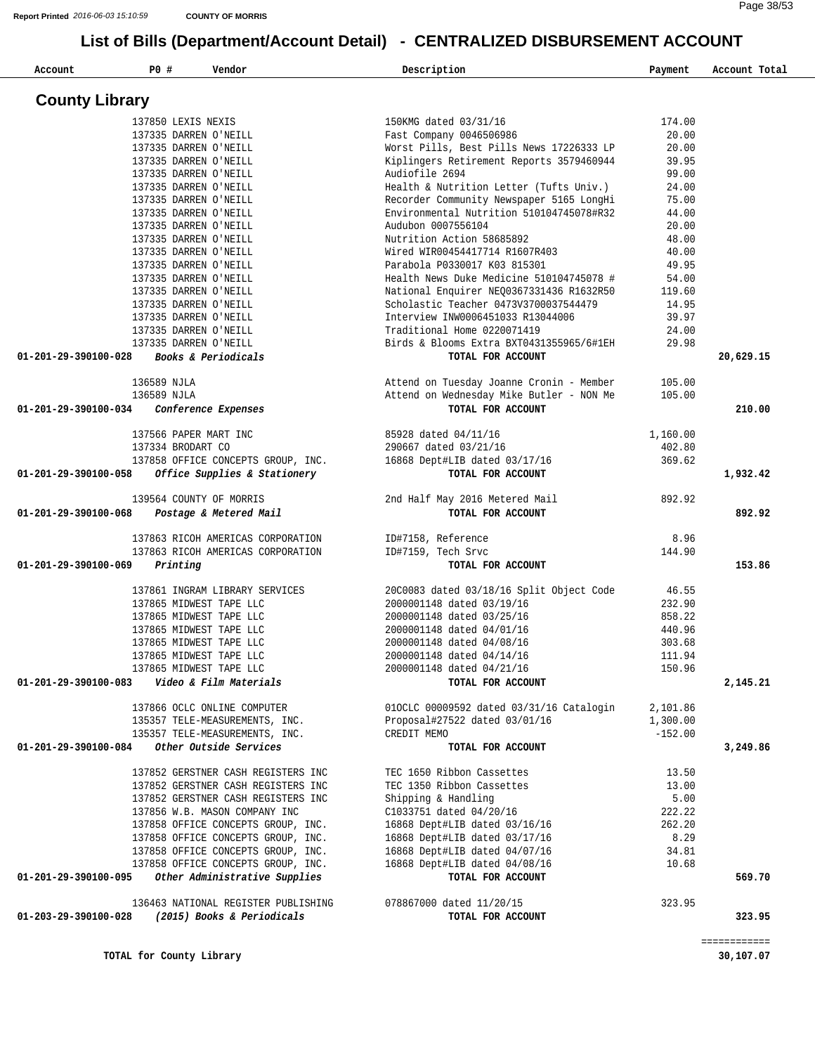| Account               | P0 #                  | Vendor                                            | Description                                         | Payment   | Account Total |
|-----------------------|-----------------------|---------------------------------------------------|-----------------------------------------------------|-----------|---------------|
| <b>County Library</b> |                       |                                                   |                                                     |           |               |
|                       | 137850 LEXIS NEXIS    |                                                   | 150KMG dated 03/31/16                               | 174.00    |               |
|                       | 137335 DARREN O'NEILL |                                                   | Fast Company 0046506986                             | 20.00     |               |
|                       | 137335 DARREN O'NEILL |                                                   | Worst Pills, Best Pills News 17226333 LP            | 20.00     |               |
|                       | 137335 DARREN O'NEILL |                                                   | Kiplingers Retirement Reports 3579460944            | 39.95     |               |
|                       | 137335 DARREN O'NEILL |                                                   | Audiofile 2694                                      | 99.00     |               |
|                       | 137335 DARREN O'NEILL |                                                   | Health & Nutrition Letter (Tufts Univ.)             | 24.00     |               |
|                       | 137335 DARREN O'NEILL |                                                   | Recorder Community Newspaper 5165 LongHi            | 75.00     |               |
|                       | 137335 DARREN O'NEILL |                                                   | Environmental Nutrition 510104745078#R32            | 44.00     |               |
|                       | 137335 DARREN O'NEILL |                                                   | Audubon 0007556104                                  | 20.00     |               |
|                       | 137335 DARREN O'NEILL |                                                   | Nutrition Action 58685892                           | 48.00     |               |
|                       | 137335 DARREN O'NEILL |                                                   | Wired WIR00454417714 R1607R403                      | 40.00     |               |
|                       | 137335 DARREN O'NEILL |                                                   | Parabola P0330017 K03 815301                        | 49.95     |               |
|                       | 137335 DARREN O'NEILL |                                                   | Health News Duke Medicine 510104745078 #            | 54.00     |               |
|                       | 137335 DARREN O'NEILL |                                                   | National Enquirer NEQ0367331436 R1632R50            | 119.60    |               |
|                       | 137335 DARREN O'NEILL |                                                   | Scholastic Teacher 0473V3700037544479               | 14.95     |               |
|                       | 137335 DARREN O'NEILL |                                                   | Interview INW0006451033 R13044006                   | 39.97     |               |
|                       | 137335 DARREN O'NEILL |                                                   | Traditional Home 0220071419                         | 24.00     |               |
|                       | 137335 DARREN O'NEILL |                                                   | Birds & Blooms Extra BXT0431355965/6#1EH            | 29.98     |               |
| 01-201-29-390100-028  |                       | Books & Periodicals                               | TOTAL FOR ACCOUNT                                   |           | 20,629.15     |
|                       | 136589 NJLA           |                                                   | Attend on Tuesday Joanne Cronin - Member            | 105.00    |               |
|                       | 136589 NJLA           |                                                   | Attend on Wednesday Mike Butler - NON Me            | 105.00    |               |
| 01-201-29-390100-034  |                       | Conference Expenses                               | TOTAL FOR ACCOUNT                                   |           | 210.00        |
|                       | 137566 PAPER MART INC |                                                   | 85928 dated 04/11/16                                | 1,160.00  |               |
|                       | 137334 BRODART CO     |                                                   | 290667 dated 03/21/16                               | 402.80    |               |
|                       |                       | 137858 OFFICE CONCEPTS GROUP, INC.                | 16868 Dept#LIB dated 03/17/16                       | 369.62    |               |
| 01-201-29-390100-058  |                       | Office Supplies & Stationery                      | TOTAL FOR ACCOUNT                                   |           | 1,932.42      |
| 01-201-29-390100-068  |                       | 139564 COUNTY OF MORRIS<br>Postage & Metered Mail | 2nd Half May 2016 Metered Mail<br>TOTAL FOR ACCOUNT | 892.92    | 892.92        |
|                       |                       |                                                   |                                                     |           |               |
|                       |                       | 137863 RICOH AMERICAS CORPORATION                 | ID#7158, Reference                                  | 8.96      |               |
|                       |                       | 137863 RICOH AMERICAS CORPORATION                 | ID#7159, Tech Srvc                                  | 144.90    |               |
| 01-201-29-390100-069  | Printing              |                                                   | TOTAL FOR ACCOUNT                                   |           | 153.86        |
|                       |                       | 137861 INGRAM LIBRARY SERVICES                    | 20C0083 dated 03/18/16 Split Object Code            | 46.55     |               |
|                       |                       | 137865 MIDWEST TAPE LLC                           | 2000001148 dated 03/19/16                           | 232.90    |               |
|                       |                       | 137865 MIDWEST TAPE LLC                           | 2000001148 dated 03/25/16                           | 858.22    |               |
|                       |                       | 137865 MIDWEST TAPE LLC                           | 2000001148 dated 04/01/16                           | 440.96    |               |
|                       |                       | 137865 MIDWEST TAPE LLC                           | 2000001148 dated 04/08/16                           | 303.68    |               |
|                       |                       | 137865 MIDWEST TAPE LLC                           | 2000001148 dated 04/14/16                           | 111.94    |               |
|                       |                       | 137865 MIDWEST TAPE LLC                           | 2000001148 dated 04/21/16                           | 150.96    |               |
| 01-201-29-390100-083  |                       | Video & Film Materials                            | TOTAL FOR ACCOUNT                                   |           | 2,145.21      |
|                       |                       | 137866 OCLC ONLINE COMPUTER                       | 010CLC 00009592 dated 03/31/16 Catalogin            | 2,101.86  |               |
|                       |                       | 135357 TELE-MEASUREMENTS, INC.                    | Proposal#27522 dated 03/01/16                       | 1,300.00  |               |
|                       |                       | 135357 TELE-MEASUREMENTS, INC.                    | CREDIT MEMO                                         | $-152.00$ |               |
| 01-201-29-390100-084  |                       | Other Outside Services                            | TOTAL FOR ACCOUNT                                   |           | 3,249.86      |
|                       |                       | 137852 GERSTNER CASH REGISTERS INC                | TEC 1650 Ribbon Cassettes                           | 13.50     |               |
|                       |                       | 137852 GERSTNER CASH REGISTERS INC                | TEC 1350 Ribbon Cassettes                           | 13.00     |               |
|                       |                       | 137852 GERSTNER CASH REGISTERS INC                | Shipping & Handling                                 | 5.00      |               |
|                       |                       | 137856 W.B. MASON COMPANY INC                     | C1033751 dated 04/20/16                             | 222.22    |               |
|                       |                       | 137858 OFFICE CONCEPTS GROUP, INC.                | 16868 Dept#LIB dated 03/16/16                       | 262.20    |               |
|                       |                       | 137858 OFFICE CONCEPTS GROUP, INC.                | 16868 Dept#LIB dated 03/17/16                       | 8.29      |               |
|                       |                       | 137858 OFFICE CONCEPTS GROUP, INC.                | 16868 Dept#LIB dated 04/07/16                       | 34.81     |               |
|                       |                       | 137858 OFFICE CONCEPTS GROUP, INC.                | 16868 Dept#LIB dated 04/08/16                       | 10.68     |               |
| 01-201-29-390100-095  |                       | Other Administrative Supplies                     | TOTAL FOR ACCOUNT                                   |           | 569.70        |
|                       |                       | 136463 NATIONAL REGISTER PUBLISHING               | 078867000 dated 11/20/15                            | 323.95    |               |
| 01-203-29-390100-028  |                       | (2015) Books & Periodicals                        | TOTAL FOR ACCOUNT                                   |           | 323.95        |

============

**TOTAL for County Library 30,107.07**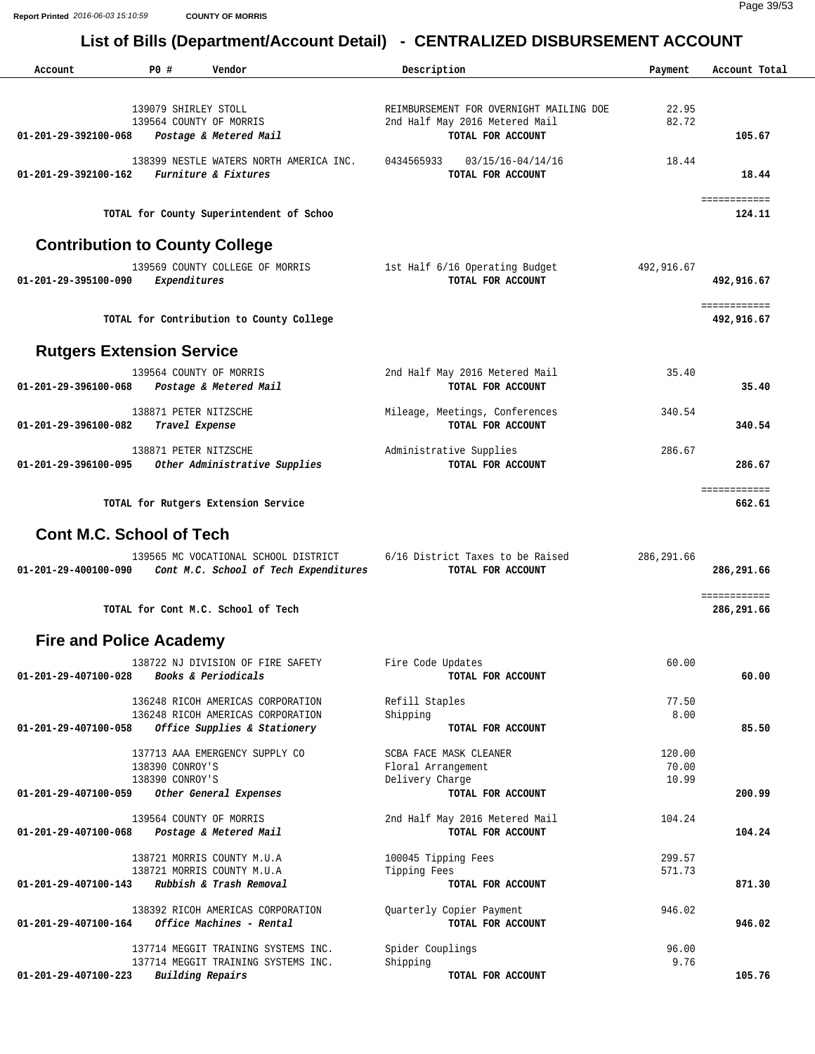**Report Printed** *2016-06-03 15:10:59* **COUNTY OF MORRIS**

Page 39/53

| Account                               | P0 #                                            | Vendor                                                                        | Description                                                               | Payment         | Account Total                    |
|---------------------------------------|-------------------------------------------------|-------------------------------------------------------------------------------|---------------------------------------------------------------------------|-----------------|----------------------------------|
|                                       | 139079 SHIRLEY STOLL<br>139564 COUNTY OF MORRIS |                                                                               | REIMBURSEMENT FOR OVERNIGHT MAILING DOE<br>2nd Half May 2016 Metered Mail | 22.95<br>82.72  |                                  |
| 01-201-29-392100-068                  |                                                 | Postage & Metered Mail                                                        | TOTAL FOR ACCOUNT                                                         |                 | 105.67                           |
| 01-201-29-392100-162                  |                                                 | 138399 NESTLE WATERS NORTH AMERICA INC.<br>Furniture & Fixtures               | 0434565933<br>03/15/16-04/14/16<br>TOTAL FOR ACCOUNT                      | 18.44           | 18.44                            |
|                                       |                                                 | TOTAL for County Superintendent of Schoo                                      |                                                                           |                 | ============<br>124.11           |
| <b>Contribution to County College</b> |                                                 |                                                                               |                                                                           |                 |                                  |
| 01-201-29-395100-090                  | Expenditures                                    | 139569 COUNTY COLLEGE OF MORRIS                                               | 1st Half 6/16 Operating Budget<br>TOTAL FOR ACCOUNT                       | 492,916.67      | 492,916.67                       |
|                                       |                                                 | TOTAL for Contribution to County College                                      |                                                                           |                 | ============<br>492,916.67       |
| <b>Rutgers Extension Service</b>      |                                                 |                                                                               |                                                                           |                 |                                  |
| 01-201-29-396100-068                  | 139564 COUNTY OF MORRIS                         | Postage & Metered Mail                                                        | 2nd Half May 2016 Metered Mail<br>TOTAL FOR ACCOUNT                       | 35.40           | 35.40                            |
| 01-201-29-396100-082                  | 138871 PETER NITZSCHE<br>Travel Expense         |                                                                               | Mileage, Meetings, Conferences<br>TOTAL FOR ACCOUNT                       | 340.54          | 340.54                           |
| 01-201-29-396100-095                  | 138871 PETER NITZSCHE                           | Other Administrative Supplies                                                 | Administrative Supplies<br>TOTAL FOR ACCOUNT                              | 286.67          | 286.67                           |
|                                       |                                                 | TOTAL for Rutgers Extension Service                                           |                                                                           |                 | ============<br>662.61           |
| <b>Cont M.C. School of Tech</b>       |                                                 |                                                                               |                                                                           |                 |                                  |
| 01-201-29-400100-090                  |                                                 | 139565 MC VOCATIONAL SCHOOL DISTRICT<br>Cont M.C. School of Tech Expenditures | 6/16 District Taxes to be Raised<br>TOTAL FOR ACCOUNT                     | 286, 291.66     | 286,291.66                       |
|                                       |                                                 | TOTAL for Cont M.C. School of Tech                                            |                                                                           |                 | <b>ESSESSESSES</b><br>286,291.66 |
| <b>Fire and Police Academy</b>        |                                                 |                                                                               |                                                                           |                 |                                  |
| 01-201-29-407100-028                  |                                                 | 138722 NJ DIVISION OF FIRE SAFETY<br>Books & Periodicals                      | Fire Code Updates<br>TOTAL FOR ACCOUNT                                    | 60.00           | 60.00                            |
|                                       |                                                 | 136248 RICOH AMERICAS CORPORATION                                             | Refill Staples                                                            | 77.50           |                                  |
| 01-201-29-407100-058                  |                                                 | 136248 RICOH AMERICAS CORPORATION<br>Office Supplies & Stationery             | Shipping<br>TOTAL FOR ACCOUNT                                             | 8.00            | 85.50                            |
|                                       | 138390 CONROY'S                                 | 137713 AAA EMERGENCY SUPPLY CO                                                | SCBA FACE MASK CLEANER<br>Floral Arrangement                              | 120.00<br>70.00 |                                  |
| 01-201-29-407100-059                  | 138390 CONROY'S                                 | Other General Expenses                                                        | Delivery Charge<br>TOTAL FOR ACCOUNT                                      | 10.99           | 200.99                           |
| 01-201-29-407100-068                  | 139564 COUNTY OF MORRIS                         | Postage & Metered Mail                                                        | 2nd Half May 2016 Metered Mail<br>TOTAL FOR ACCOUNT                       | 104.24          | 104.24                           |
|                                       |                                                 | 138721 MORRIS COUNTY M.U.A                                                    | 100045 Tipping Fees                                                       | 299.57          |                                  |
| 01-201-29-407100-143                  |                                                 | 138721 MORRIS COUNTY M.U.A<br>Rubbish & Trash Removal                         | Tipping Fees<br>TOTAL FOR ACCOUNT                                         | 571.73          | 871.30                           |
| 01-201-29-407100-164                  |                                                 | 138392 RICOH AMERICAS CORPORATION<br>Office Machines - Rental                 | Quarterly Copier Payment<br>TOTAL FOR ACCOUNT                             | 946.02          | 946.02                           |
|                                       |                                                 | 137714 MEGGIT TRAINING SYSTEMS INC.<br>137714 MEGGIT TRAINING SYSTEMS INC.    | Spider Couplings<br>Shipping                                              | 96.00<br>9.76   |                                  |
| 01-201-29-407100-223                  | <b>Building Repairs</b>                         |                                                                               | TOTAL FOR ACCOUNT                                                         |                 | 105.76                           |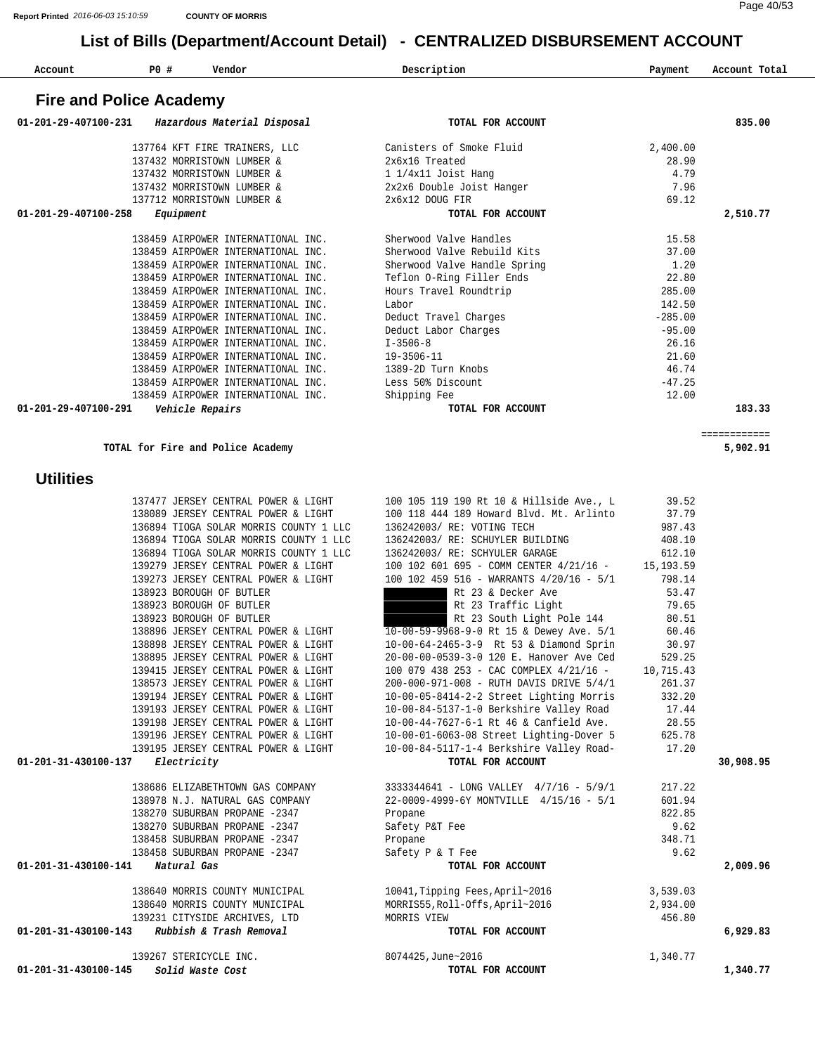| Account | P <sub>0</sub> | Vendor | Description | Payment | Account<br>Tota. |
|---------|----------------|--------|-------------|---------|------------------|

### **Fire and Police Academy**

| 01-201-29-407100-231<br>Hazardous Material Disposal | TOTAL FOR ACCOUNT            |           | 835.00   |
|-----------------------------------------------------|------------------------------|-----------|----------|
| 137764 KFT FIRE TRAINERS, LLC                       | Canisters of Smoke Fluid     | 2,400.00  |          |
| 137432 MORRISTOWN LUMBER &                          | 2x6x16 Treated               | 28.90     |          |
| 137432 MORRISTOWN LUMBER &                          | 1 1/4x11 Joist Hang          | 4.79      |          |
| 137432 MORRISTOWN LUMBER &                          | 2x2x6 Double Joist Hanger    | 7.96      |          |
| 137712 MORRISTOWN LUMBER &                          | 2x6x12 DOUG FIR              | 69.12     |          |
| 01-201-29-407100-258<br>Equipment                   | TOTAL FOR ACCOUNT            |           | 2,510.77 |
| 138459 AIRPOWER INTERNATIONAL INC.                  | Sherwood Valve Handles       | 15.58     |          |
| 138459 AIRPOWER INTERNATIONAL INC.                  | Sherwood Valve Rebuild Kits  | 37.00     |          |
| 138459 AIRPOWER INTERNATIONAL INC.                  | Sherwood Valve Handle Spring | 1.20      |          |
| 138459 AIRPOWER INTERNATIONAL INC.                  | Teflon O-Ring Filler Ends    | 22.80     |          |
| 138459 AIRPOWER INTERNATIONAL INC.                  | Hours Travel Roundtrip       | 285.00    |          |
| 138459 AIRPOWER INTERNATIONAL INC.                  | Labor                        | 142.50    |          |
| 138459 AIRPOWER INTERNATIONAL INC.                  | Deduct Travel Charges        | $-285.00$ |          |
| 138459 AIRPOWER INTERNATIONAL INC.                  | Deduct Labor Charges         | $-95.00$  |          |
| 138459 AIRPOWER INTERNATIONAL INC.                  | $I - 3506 - 8$               | 26.16     |          |
| 138459 AIRPOWER INTERNATIONAL INC.                  | 19-3506-11                   | 21.60     |          |
| 138459 AIRPOWER INTERNATIONAL INC.                  | 1389-2D Turn Knobs           | 46.74     |          |
| 138459 AIRPOWER INTERNATIONAL INC.                  | Less 50% Discount            | $-47.25$  |          |
| 138459 AIRPOWER INTERNATIONAL INC.                  | Shipping Fee                 | 12.00     |          |
| 01-201-29-407100-291<br>Vehicle Repairs             | TOTAL FOR ACCOUNT            |           | 183.33   |

============

**TOTAL for Fire and Police Academy 5,902.91**

#### **Utilities**

|                                                | 137477 JERSEY CENTRAL POWER & LIGHT    | 100 105 119 190 Rt 10 & Hillside Ave., L                                     | 39.52    |           |
|------------------------------------------------|----------------------------------------|------------------------------------------------------------------------------|----------|-----------|
|                                                | 138089 JERSEY CENTRAL POWER & LIGHT    | 100 118 444 189 Howard Blvd. Mt. Arlinto                                     | 37.79    |           |
|                                                | 136894 TIOGA SOLAR MORRIS COUNTY 1 LLC | 136242003/ RE: VOTING TECH                                                   | 987.43   |           |
|                                                | 136894 TIOGA SOLAR MORRIS COUNTY 1 LLC | 136242003/ RE: SCHUYLER BUILDING                                             | 408.10   |           |
|                                                | 136894 TIOGA SOLAR MORRIS COUNTY 1 LLC | 136242003/ RE: SCHYULER GARAGE                                               | 612.10   |           |
|                                                | 139279 JERSEY CENTRAL POWER & LIGHT    | 100 102 601 695 - COMM CENTER 4/21/16 - 15,193.59                            |          |           |
|                                                | 139273 JERSEY CENTRAL POWER & LIGHT    | 100 102 459 516 - WARRANTS 4/20/16 - 5/1                                     | 798.14   |           |
|                                                | 138923 BOROUGH OF BUTLER               | Rt 23 & Decker Ave                                                           | 53.47    |           |
|                                                | 138923 BOROUGH OF BUTLER               | Rt 23 Traffic Light                                                          | 79.65    |           |
|                                                | 138923 BOROUGH OF BUTLER               | Rt 23 South Light Pole 144                                                   | 80.51    |           |
|                                                | 138896 JERSEY CENTRAL POWER & LIGHT    | 10-00-59-9968-9-0 Rt 15 & Dewey Ave. 5/1                                     | 60.46    |           |
|                                                | 138898 JERSEY CENTRAL POWER & LIGHT    | 10-00-64-2465-3-9 Rt 53 & Diamond Sprin                                      | 30.97    |           |
|                                                | 138895 JERSEY CENTRAL POWER & LIGHT    | 20-00-00-0539-3-0 120 E. Hanover Ave Ced                                     | 529.25   |           |
|                                                | 139415 JERSEY CENTRAL POWER & LIGHT    | 100 079 438 253 - CAC COMPLEX 4/21/16 - 10,715.43                            |          |           |
|                                                | 138573 JERSEY CENTRAL POWER & LIGHT    | 200-000-971-008 - RUTH DAVIS DRIVE 5/4/1                                     | 261.37   |           |
|                                                | 139194 JERSEY CENTRAL POWER & LIGHT    | 10-00-05-8414-2-2 Street Lighting Morris                                     | 332.20   |           |
|                                                | 139193 JERSEY CENTRAL POWER & LIGHT    | 10-00-84-5137-1-0 Berkshire Valley Road                                      | 17.44    |           |
|                                                | 139198 JERSEY CENTRAL POWER & LIGHT    | 10-00-44-7627-6-1 Rt 46 & Canfield Ave.                                      | 28.55    |           |
|                                                |                                        | 139196 JERSEY CENTRAL POWER & LIGHT 10-00-01-6063-08 Street Lighting-Dover 5 | 625.78   |           |
|                                                |                                        | 139195 JERSEY CENTRAL POWER & LIGHT 10-00-84-5117-1-4 Berkshire Valley Road- | 17.20    |           |
| 01-201-31-430100-137                           | Electricity                            | TOTAL FOR ACCOUNT                                                            |          | 30,908.95 |
|                                                |                                        | 138686 ELIZABETHTOWN GAS COMPANY 3333344641 - LONG VALLEY 4/7/16 - 5/9/1     | 217.22   |           |
|                                                | 138978 N.J. NATURAL GAS COMPANY        | 22-0009-4999-6Y MONTVILLE 4/15/16 - 5/1                                      | 601.94   |           |
|                                                | 138270 SUBURBAN PROPANE -2347          | Propane                                                                      | 822.85   |           |
|                                                | 138270 SUBURBAN PROPANE -2347          | Safety P&T Fee                                                               | 9.62     |           |
|                                                | 138458 SUBURBAN PROPANE -2347          | Propane                                                                      | 348.71   |           |
|                                                | 138458 SUBURBAN PROPANE -2347          | Safety P & T Fee                                                             | 9.62     |           |
| 01-201-31-430100-141 Natural Gas               |                                        | TOTAL FOR ACCOUNT                                                            |          | 2,009.96  |
|                                                | 138640 MORRIS COUNTY MUNICIPAL         | 10041, Tipping Fees, April~2016                                              | 3,539.03 |           |
|                                                | 138640 MORRIS COUNTY MUNICIPAL         | MORRIS55, Roll-Offs, April~2016                                              | 2,934.00 |           |
|                                                | 139231 CITYSIDE ARCHIVES, LTD          | MORRIS VIEW                                                                  | 456.80   |           |
| $01-201-31-430100-143$ Rubbish & Trash Removal |                                        | TOTAL FOR ACCOUNT                                                            |          | 6,929.83  |
|                                                | 139267 STERICYCLE INC.                 | 8074425, June~2016                                                           | 1,340.77 |           |
| 01-201-31-430100-145                           | Solid Waste Cost                       | TOTAL FOR ACCOUNT                                                            |          | 1,340.77  |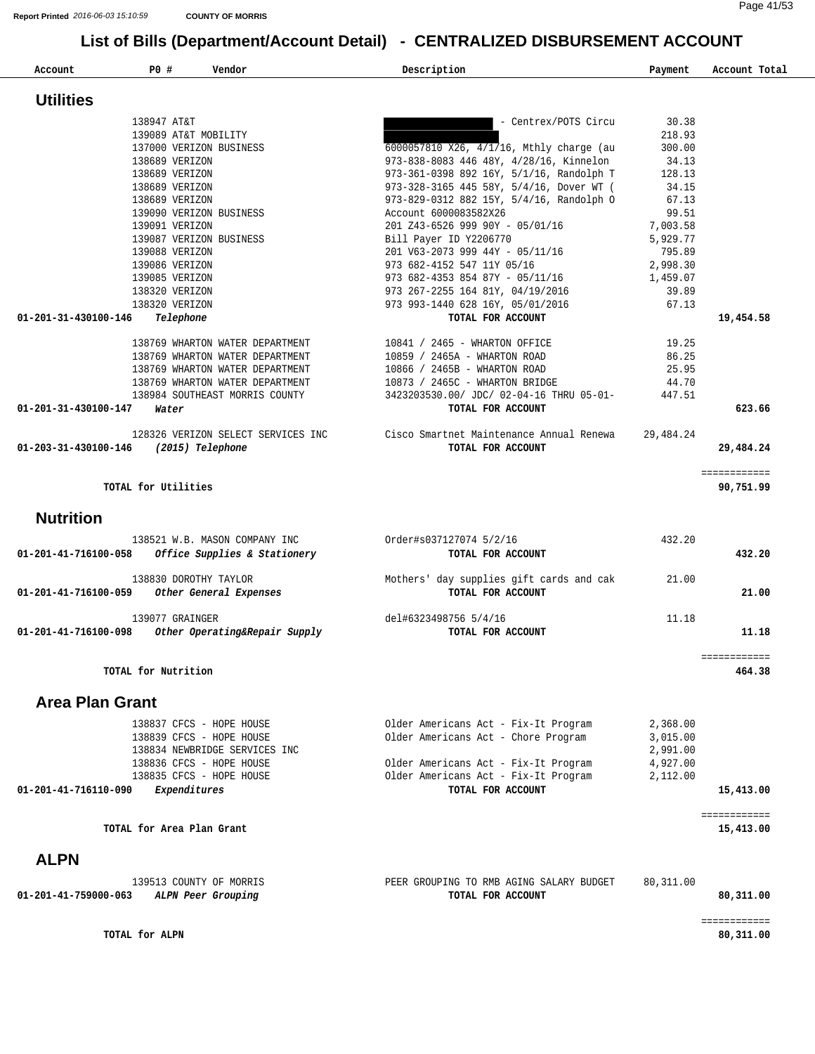| Account | P0 | Vendor | Description | Payment | Account Total |
|---------|----|--------|-------------|---------|---------------|

| <b>Utilities</b>                                                                      |                                                               |           |              |
|---------------------------------------------------------------------------------------|---------------------------------------------------------------|-----------|--------------|
| 138947 AT&T                                                                           | - Centrex/POTS Circu                                          | 30.38     |              |
| 139089 AT&T MOBILITY                                                                  |                                                               | 218.93    |              |
| 137000 VERIZON BUSINESS                                                               | 6000057810 X26, 4/1/16, Mthly charge (au                      | 300.00    |              |
| 138689 VERIZON                                                                        | 973-838-8083 446 48Y, 4/28/16, Kinnelon                       | 34.13     |              |
| 138689 VERIZON                                                                        | 973-361-0398 892 16Y, 5/1/16, Randolph T                      | 128.13    |              |
| 138689 VERIZON                                                                        | 973-328-3165 445 58Y, 5/4/16, Dover WT (                      | 34.15     |              |
| 138689 VERIZON                                                                        | 973-829-0312 882 15Y, 5/4/16, Randolph O                      | 67.13     |              |
| 139090 VERIZON BUSINESS                                                               | Account 6000083582X26                                         | 99.51     |              |
| 139091 VERIZON                                                                        | 201 Z43-6526 999 90Y - 05/01/16                               | 7,003.58  |              |
| 139087 VERIZON BUSINESS                                                               | Bill Payer ID Y2206770                                        | 5,929.77  |              |
| 139088 VERIZON                                                                        | 201 V63-2073 999 44Y - 05/11/16                               | 795.89    |              |
| 139086 VERIZON                                                                        | 973 682-4152 547 11Y 05/16                                    | 2,998.30  |              |
| 139085 VERIZON                                                                        | 973 682-4353 854 87Y - 05/11/16                               | 1,459.07  |              |
| 138320 VERIZON                                                                        | 973 267-2255 164 81Y, 04/19/2016                              | 39.89     |              |
| 138320 VERIZON                                                                        | 973 993-1440 628 16Y, 05/01/2016                              | 67.13     |              |
| 01-201-31-430100-146<br>Telephone                                                     | TOTAL FOR ACCOUNT                                             |           | 19,454.58    |
| 138769 WHARTON WATER DEPARTMENT                                                       | 10841 / 2465 - WHARTON OFFICE                                 | 19.25     |              |
| 138769 WHARTON WATER DEPARTMENT                                                       | 10859 / 2465A - WHARTON ROAD                                  | 86.25     |              |
| 138769 WHARTON WATER DEPARTMENT                                                       | 10866 / 2465B - WHARTON ROAD                                  | 25.95     |              |
| 138769 WHARTON WATER DEPARTMENT                                                       | 10873 / 2465C - WHARTON BRIDGE                                | 44.70     |              |
| 138984 SOUTHEAST MORRIS COUNTY                                                        | 3423203530.00/ JDC/ 02-04-16 THRU 05-01-                      | 447.51    |              |
| 01-201-31-430100-147<br>Water                                                         | TOTAL FOR ACCOUNT                                             |           | 623.66       |
| 128326 VERIZON SELECT SERVICES INC                                                    | Cisco Smartnet Maintenance Annual Renewa                      | 29,484.24 |              |
| 01-203-31-430100-146 (2015) Telephone                                                 | TOTAL FOR ACCOUNT                                             |           | 29,484.24    |
|                                                                                       |                                                               |           | ============ |
| TOTAL for Utilities                                                                   |                                                               |           | 90,751.99    |
| <b>Nutrition</b>                                                                      |                                                               |           |              |
| 138521 W.B. MASON COMPANY INC<br>Office Supplies & Stationery<br>01-201-41-716100-058 | Order#s037127074 5/2/16<br>TOTAL FOR ACCOUNT                  | 432.20    | 432.20       |
| 138830 DOROTHY TAYLOR<br>Other General Expenses<br>01-201-41-716100-059               | Mothers' day supplies gift cards and cak<br>TOTAL FOR ACCOUNT | 21.00     | 21.00        |
| 139077 GRAINGER                                                                       | del#6323498756 5/4/16                                         | 11.18     |              |
| 01-201-41-716100-098<br>Other Operating&Repair Supply                                 | TOTAL FOR ACCOUNT                                             |           | 11.18        |
|                                                                                       |                                                               |           |              |

**TOTAL for Nutrition 464.38**

#### **Area Plan Grant**

| Expenditures<br>01-201-41-716110-090 | TOTAL FOR ACCOUNT                    | 15,413.00 |
|--------------------------------------|--------------------------------------|-----------|
| 138835 CFCS - HOPE HOUSE             | Older Americans Act - Fix-It Program | 2,112.00  |
| 138836 CFCS - HOPE HOUSE             | Older Americans Act - Fix-It Program | 4,927.00  |
| 138834 NEWBRIDGE SERVICES INC        |                                      | 2,991.00  |
| 138839 CFCS - HOPE HOUSE             | Older Americans Act - Chore Program  | 3,015.00  |
| 138837 CFCS - HOPE HOUSE             | Older Americans Act - Fix-It Program | 2,368.00  |
|                                      |                                      |           |

============

============

**TOTAL for Area Plan Grant 15,413.00 15,413.00** 

#### **ALPN**

|                                         | 139513 COUNTY OF MORRIS | PEER GROUPING TO RMB AGING SALARY BUDGET | 80,311.00 |
|-----------------------------------------|-------------------------|------------------------------------------|-----------|
| 01-201-41-759000-063 ALPN Peer Grouping |                         | TOTAL FOR ACCOUNT                        | 80,311.00 |

**TOTAL for ALPN** 80,311.00

============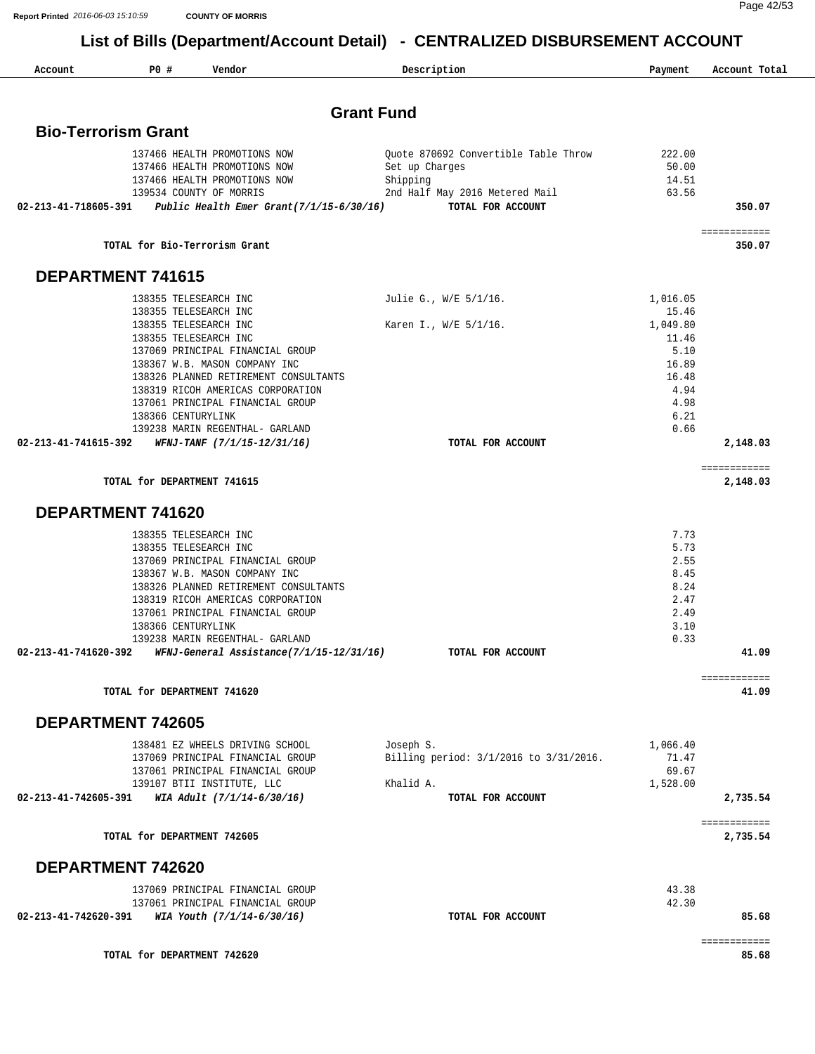Page 42/53

| Account                    | PO#                                            | Vendor                                                       | Description                            | Payment           | Account Total            |
|----------------------------|------------------------------------------------|--------------------------------------------------------------|----------------------------------------|-------------------|--------------------------|
|                            |                                                |                                                              |                                        |                   |                          |
|                            |                                                |                                                              | <b>Grant Fund</b>                      |                   |                          |
| <b>Bio-Terrorism Grant</b> |                                                |                                                              |                                        |                   |                          |
|                            |                                                | 137466 HEALTH PROMOTIONS NOW                                 | Quote 870692 Convertible Table Throw   | 222.00            |                          |
|                            |                                                | 137466 HEALTH PROMOTIONS NOW<br>137466 HEALTH PROMOTIONS NOW | Set up Charges<br>Shipping             | 50.00<br>14.51    |                          |
|                            |                                                | 139534 COUNTY OF MORRIS                                      | 2nd Half May 2016 Metered Mail         | 63.56             |                          |
| 02-213-41-718605-391       |                                                | Public Health Emer Grant $(7/1/15-6/30/16)$                  | TOTAL FOR ACCOUNT                      |                   | 350.07                   |
|                            |                                                | TOTAL for Bio-Terrorism Grant                                |                                        |                   | ============<br>350.07   |
|                            |                                                |                                                              |                                        |                   |                          |
| DEPARTMENT 741615          |                                                |                                                              |                                        |                   |                          |
|                            | 138355 TELESEARCH INC                          |                                                              | Julie G., W/E 5/1/16.                  | 1,016.05          |                          |
|                            | 138355 TELESEARCH INC<br>138355 TELESEARCH INC |                                                              |                                        | 15.46<br>1,049.80 |                          |
|                            | 138355 TELESEARCH INC                          |                                                              | Karen I., W/E 5/1/16.                  | 11.46             |                          |
|                            |                                                | 137069 PRINCIPAL FINANCIAL GROUP                             |                                        | 5.10              |                          |
|                            |                                                | 138367 W.B. MASON COMPANY INC                                |                                        | 16.89             |                          |
|                            |                                                | 138326 PLANNED RETIREMENT CONSULTANTS                        |                                        | 16.48             |                          |
|                            |                                                | 138319 RICOH AMERICAS CORPORATION                            |                                        | 4.94<br>4.98      |                          |
|                            | 138366 CENTURYLINK                             | 137061 PRINCIPAL FINANCIAL GROUP                             |                                        | 6.21              |                          |
|                            |                                                | 139238 MARIN REGENTHAL- GARLAND                              |                                        | 0.66              |                          |
| 02-213-41-741615-392       |                                                | WFNJ-TANF (7/1/15-12/31/16)                                  | TOTAL FOR ACCOUNT                      |                   | 2,148.03                 |
|                            | TOTAL for DEPARTMENT 741615                    |                                                              |                                        |                   | ============<br>2,148.03 |
| DEPARTMENT 741620          |                                                |                                                              |                                        |                   |                          |
|                            |                                                |                                                              |                                        |                   |                          |
|                            | 138355 TELESEARCH INC<br>138355 TELESEARCH INC |                                                              |                                        | 7.73<br>5.73      |                          |
|                            |                                                | 137069 PRINCIPAL FINANCIAL GROUP                             |                                        | 2.55              |                          |
|                            |                                                | 138367 W.B. MASON COMPANY INC                                |                                        | 8.45              |                          |
|                            |                                                | 138326 PLANNED RETIREMENT CONSULTANTS                        |                                        | 8.24              |                          |
|                            |                                                | 138319 RICOH AMERICAS CORPORATION                            |                                        | 2.47              |                          |
|                            | 138366 CENTURYLINK                             | 137061 PRINCIPAL FINANCIAL GROUP                             |                                        | 2.49              |                          |
|                            |                                                | 139238 MARIN REGENTHAL- GARLAND                              |                                        | 3.10<br>0.33      |                          |
| 02-213-41-741620-392       |                                                | WFNJ-General Assistance(7/1/15-12/31/16)                     | TOTAL FOR ACCOUNT                      |                   | 41.09                    |
|                            |                                                |                                                              |                                        |                   | ============             |
|                            | TOTAL for DEPARTMENT 741620                    |                                                              |                                        |                   | 41.09                    |
| DEPARTMENT 742605          |                                                |                                                              |                                        |                   |                          |
|                            |                                                | 138481 EZ WHEELS DRIVING SCHOOL                              | Joseph S.                              | 1,066.40          |                          |
|                            |                                                | 137069 PRINCIPAL FINANCIAL GROUP                             | Billing period: 3/1/2016 to 3/31/2016. | 71.47             |                          |
|                            |                                                | 137061 PRINCIPAL FINANCIAL GROUP                             |                                        | 69.67             |                          |
| 02-213-41-742605-391       |                                                | 139107 BTII INSTITUTE, LLC<br>WIA Adult (7/1/14-6/30/16)     | Khalid A.<br>TOTAL FOR ACCOUNT         | 1,528.00          | 2,735.54                 |
|                            |                                                |                                                              |                                        |                   | ============             |
|                            | TOTAL for DEPARTMENT 742605                    |                                                              |                                        |                   | 2,735.54                 |
| DEPARTMENT 742620          |                                                |                                                              |                                        |                   |                          |
|                            |                                                | 137069 PRINCIPAL FINANCIAL GROUP                             |                                        | 43.38             |                          |
|                            |                                                | 137061 PRINCIPAL FINANCIAL GROUP                             |                                        | 42.30             |                          |
| 02-213-41-742620-391       |                                                | WIA Youth (7/1/14-6/30/16)                                   | TOTAL FOR ACCOUNT                      |                   | 85.68                    |
|                            | TOTAL for DEPARTMENT 742620                    |                                                              |                                        |                   | ============<br>85.68    |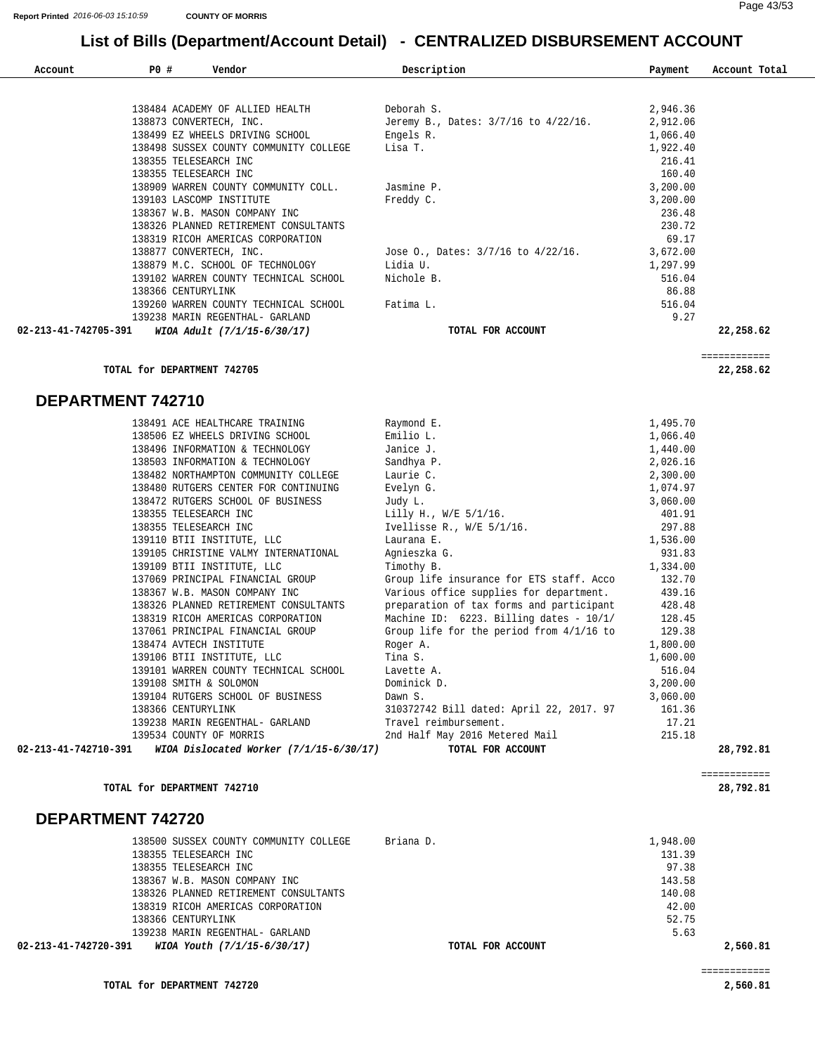| Account              | PO # | Vendor                                 | Description                             | Payment  | Account Total |
|----------------------|------|----------------------------------------|-----------------------------------------|----------|---------------|
|                      |      |                                        |                                         |          |               |
|                      |      | 138484 ACADEMY OF ALLIED HEALTH        | Deborah S.                              | 2,946.36 |               |
|                      |      | 138873 CONVERTECH, INC.                | Jeremy B., Dates: 3/7/16 to 4/22/16.    | 2,912.06 |               |
|                      |      | 138499 EZ WHEELS DRIVING SCHOOL        | Engels R.                               | 1,066.40 |               |
|                      |      | 138498 SUSSEX COUNTY COMMUNITY COLLEGE | Lisa T.                                 | 1,922.40 |               |
|                      |      | 138355 TELESEARCH INC                  |                                         | 216.41   |               |
|                      |      | 138355 TELESEARCH INC                  |                                         | 160.40   |               |
|                      |      | 138909 WARREN COUNTY COMMUNITY COLL.   | Jasmine P.                              | 3,200.00 |               |
|                      |      | 139103 LASCOMP INSTITUTE               | Freddy C.                               | 3,200.00 |               |
|                      |      | 138367 W.B. MASON COMPANY INC          |                                         | 236.48   |               |
|                      |      | 138326 PLANNED RETIREMENT CONSULTANTS  |                                         | 230.72   |               |
|                      |      | 138319 RICOH AMERICAS CORPORATION      |                                         | 69.17    |               |
|                      |      | 138877 CONVERTECH, INC.                | Jose O., Dates: $3/7/16$ to $4/22/16$ . | 3,672.00 |               |
|                      |      | 138879 M.C. SCHOOL OF TECHNOLOGY       | Lidia U.                                | 1,297.99 |               |
|                      |      | 139102 WARREN COUNTY TECHNICAL SCHOOL  | Nichole B.                              | 516.04   |               |
|                      |      | 138366 CENTURYLINK                     |                                         | 86.88    |               |
|                      |      | 139260 WARREN COUNTY TECHNICAL SCHOOL  | Fatima L.                               | 516.04   |               |
|                      |      | 139238 MARIN REGENTHAL- GARLAND        |                                         | 9.27     |               |
| 02-213-41-742705-391 |      | WIOA Adult (7/1/15-6/30/17)            | TOTAL FOR ACCOUNT                       |          | 22,258.62     |

============

**TOTAL for DEPARTMENT 742705 22,258.62**

#### **DEPARTMENT 742710**

|                      | 138491 ACE HEALTHCARE TRAINING                        | Raymond E.                                                                       | 1,495.70 |           |
|----------------------|-------------------------------------------------------|----------------------------------------------------------------------------------|----------|-----------|
|                      | 138506 EZ WHEELS DRIVING SCHOOL Builio L.             |                                                                                  | 1,066.40 |           |
|                      | 138496 INFORMATION & TECHNOLOGY                       | Janice J.                                                                        | 1,440.00 |           |
|                      | 138503 INFORMATION & TECHNOLOGY Sandhya P.            |                                                                                  | 2,026.16 |           |
|                      | 138482 NORTHAMPTON COMMUNITY COLLEGE                  | Laurie C.                                                                        | 2,300.00 |           |
|                      | 138480 RUTGERS CENTER FOR CONTINUING                  | Evelyn G.                                                                        | 1,074.97 |           |
|                      | 138472 RUTGERS SCHOOL OF BUSINESS                     | Judy L.                                                                          | 3,060.00 |           |
|                      | 138355 TELESEARCH INC                                 | Lilly H., W/E 5/1/16.                                                            | 401.91   |           |
|                      |                                                       |                                                                                  | 297.88   |           |
|                      | 139110 BTII INSTITUTE, LLC Laurana E.                 |                                                                                  | 1,536.00 |           |
|                      | 139105 CHRISTINE VALMY INTERNATIONAL                  | Agnieszka G.                                                                     | 931.83   |           |
|                      | 139109 BTII INSTITUTE, LLC Timothy B.                 | 1,334.00                                                                         |          |           |
|                      |                                                       | 137069 PRINCIPAL FINANCIAL GROUP Group life insurance for ETS staff. Acco 132.70 |          |           |
|                      |                                                       | 138367 W.B. MASON COMPANY INC Various office supplies for department.            | 439.16   |           |
|                      | 138326 PLANNED RETIREMENT CONSULTANTS                 | preparation of tax forms and participant                                         | 428.48   |           |
|                      | 138319 RICOH AMERICAS CORPORATION                     | Machine ID: 6223. Billing dates - 10/1/                                          | 128.45   |           |
|                      | 137061 PRINCIPAL FINANCIAL GROUP                      | Group life for the period from $4/1/16$ to 129.38                                |          |           |
|                      | 138474 AVTECH INSTITUTE Roger A.                      |                                                                                  | 1,800.00 |           |
|                      | 139106 BTII INSTITUTE, LLC Tina S.                    |                                                                                  | 1,600.00 |           |
|                      | 139101 WARREN COUNTY TECHNICAL SCHOOL Lavette A.      |                                                                                  | 516.04   |           |
|                      | 139108 SMITH & SOLOMON<br>Dominick D.                 |                                                                                  | 3,200.00 |           |
|                      | 139104 RUTGERS SCHOOL OF BUSINESS                     | Dawn S.                                                                          | 3,060.00 |           |
|                      | 138366 CENTURYLINK                                    | 310372742 Bill dated: April 22, 2017. 97 161.36                                  |          |           |
|                      | 139238 MARIN REGENTHAL- GARLAND Travel reimbursement. |                                                                                  | 17.21    |           |
|                      |                                                       | 139534 COUNTY OF MORRIS 2nd Half May 2016 Metered Mail                           | 215.18   |           |
| 02-213-41-742710-391 | WIOA Dislocated Worker (7/1/15-6/30/17)               | TOTAL FOR ACCOUNT                                                                |          | 28,792.81 |

**TOTAL for DEPARTMENT 742710 28,792.81**

#### **DEPARTMENT 742720**

| 138500 SUSSEX COUNTY COMMUNITY COLLEGE              | Briana D.         | 1,948.00 |          |
|-----------------------------------------------------|-------------------|----------|----------|
| 138355 TELESEARCH INC                               |                   | 131.39   |          |
| 138355 TELESEARCH INC                               |                   | 97.38    |          |
| 138367 W.B. MASON COMPANY INC                       |                   | 143.58   |          |
| 138326 PLANNED RETIREMENT CONSULTANTS               |                   | 140.08   |          |
| 138319 RICOH AMERICAS CORPORATION                   |                   | 42.00    |          |
| 138366 CENTURYLINK                                  |                   | 52.75    |          |
| 139238 MARIN REGENTHAL- GARLAND                     |                   | 5.63     |          |
| WIOA Youth (7/1/15-6/30/17)<br>02-213-41-742720-391 | TOTAL FOR ACCOUNT |          | 2,560.81 |

============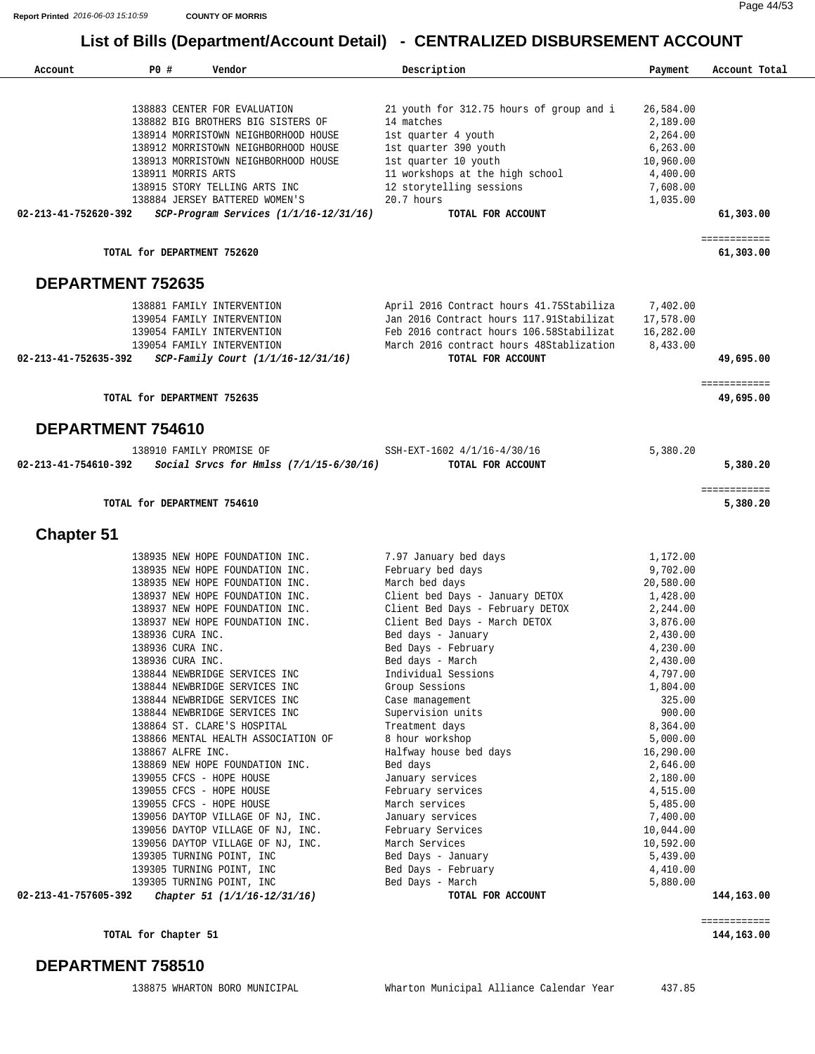| Account                  | PO#                                                                           | Vendor                                                                                                                                                                                                                                                                                                                                                                                                                                                                                                                                                                                                                                                                                                                                                                                | Description                                                                                                                                                                                                                                                                                                                                                                                                                                                                                                                                                                                                   | Payment                                                                                                                                                                                                                                                                                                              | Account Total             |
|--------------------------|-------------------------------------------------------------------------------|---------------------------------------------------------------------------------------------------------------------------------------------------------------------------------------------------------------------------------------------------------------------------------------------------------------------------------------------------------------------------------------------------------------------------------------------------------------------------------------------------------------------------------------------------------------------------------------------------------------------------------------------------------------------------------------------------------------------------------------------------------------------------------------|---------------------------------------------------------------------------------------------------------------------------------------------------------------------------------------------------------------------------------------------------------------------------------------------------------------------------------------------------------------------------------------------------------------------------------------------------------------------------------------------------------------------------------------------------------------------------------------------------------------|----------------------------------------------------------------------------------------------------------------------------------------------------------------------------------------------------------------------------------------------------------------------------------------------------------------------|---------------------------|
|                          | 138911 MORRIS ARTS                                                            | 138883 CENTER FOR EVALUATION<br>138882 BIG BROTHERS BIG SISTERS OF<br>138914 MORRISTOWN NEIGHBORHOOD HOUSE<br>138912 MORRISTOWN NEIGHBORHOOD HOUSE<br>138913 MORRISTOWN NEIGHBORHOOD HOUSE<br>138915 STORY TELLING ARTS INC<br>138884 JERSEY BATTERED WOMEN'S                                                                                                                                                                                                                                                                                                                                                                                                                                                                                                                         | 21 youth for 312.75 hours of group and i<br>14 matches<br>1st quarter 4 youth<br>1st quarter 390 youth<br>1st quarter 10 youth<br>11 workshops at the high school<br>12 storytelling sessions<br>$20.7$ hours                                                                                                                                                                                                                                                                                                                                                                                                 | 26,584.00<br>2,189.00<br>2,264.00<br>6,263.00<br>10,960.00<br>4,400.00<br>7,608.00<br>1,035.00                                                                                                                                                                                                                       |                           |
| 02-213-41-752620-392     |                                                                               | SCP-Program Services (1/1/16-12/31/16)                                                                                                                                                                                                                                                                                                                                                                                                                                                                                                                                                                                                                                                                                                                                                | TOTAL FOR ACCOUNT                                                                                                                                                                                                                                                                                                                                                                                                                                                                                                                                                                                             |                                                                                                                                                                                                                                                                                                                      | 61,303.00                 |
|                          | TOTAL for DEPARTMENT 752620                                                   |                                                                                                                                                                                                                                                                                                                                                                                                                                                                                                                                                                                                                                                                                                                                                                                       |                                                                                                                                                                                                                                                                                                                                                                                                                                                                                                                                                                                                               |                                                                                                                                                                                                                                                                                                                      | ============<br>61,303.00 |
| <b>DEPARTMENT 752635</b> |                                                                               |                                                                                                                                                                                                                                                                                                                                                                                                                                                                                                                                                                                                                                                                                                                                                                                       |                                                                                                                                                                                                                                                                                                                                                                                                                                                                                                                                                                                                               |                                                                                                                                                                                                                                                                                                                      |                           |
| 02-213-41-752635-392     |                                                                               | 138881 FAMILY INTERVENTION<br>139054 FAMILY INTERVENTION<br>139054 FAMILY INTERVENTION<br>139054 FAMILY INTERVENTION<br>SCP-Family Court (1/1/16-12/31/16)                                                                                                                                                                                                                                                                                                                                                                                                                                                                                                                                                                                                                            | April 2016 Contract hours 41.75Stabiliza<br>Jan 2016 Contract hours 117.91Stabilizat<br>Feb 2016 contract hours 106.58Stabilizat<br>March 2016 contract hours 48Stablization<br>TOTAL FOR ACCOUNT                                                                                                                                                                                                                                                                                                                                                                                                             | 7,402.00<br>17,578.00<br>16,282.00<br>8,433.00                                                                                                                                                                                                                                                                       | 49,695.00                 |
|                          | TOTAL for DEPARTMENT 752635                                                   |                                                                                                                                                                                                                                                                                                                                                                                                                                                                                                                                                                                                                                                                                                                                                                                       |                                                                                                                                                                                                                                                                                                                                                                                                                                                                                                                                                                                                               |                                                                                                                                                                                                                                                                                                                      | ============<br>49,695.00 |
| DEPARTMENT 754610        |                                                                               |                                                                                                                                                                                                                                                                                                                                                                                                                                                                                                                                                                                                                                                                                                                                                                                       |                                                                                                                                                                                                                                                                                                                                                                                                                                                                                                                                                                                                               |                                                                                                                                                                                                                                                                                                                      |                           |
| 02-213-41-754610-392     |                                                                               | 138910 FAMILY PROMISE OF<br>Social Srvcs for Hmlss $(7/1/15-6/30/16)$                                                                                                                                                                                                                                                                                                                                                                                                                                                                                                                                                                                                                                                                                                                 | SSH-EXT-1602 4/1/16-4/30/16<br>TOTAL FOR ACCOUNT                                                                                                                                                                                                                                                                                                                                                                                                                                                                                                                                                              | 5,380.20                                                                                                                                                                                                                                                                                                             | 5,380.20                  |
|                          | TOTAL for DEPARTMENT 754610                                                   |                                                                                                                                                                                                                                                                                                                                                                                                                                                                                                                                                                                                                                                                                                                                                                                       |                                                                                                                                                                                                                                                                                                                                                                                                                                                                                                                                                                                                               |                                                                                                                                                                                                                                                                                                                      | ============<br>5,380.20  |
| <b>Chapter 51</b>        |                                                                               |                                                                                                                                                                                                                                                                                                                                                                                                                                                                                                                                                                                                                                                                                                                                                                                       |                                                                                                                                                                                                                                                                                                                                                                                                                                                                                                                                                                                                               |                                                                                                                                                                                                                                                                                                                      |                           |
| 02-213-41-757605-392     | 138936 CURA INC.<br>138936 CURA INC.<br>138936 CURA INC.<br>138867 ALFRE INC. | 138935 NEW HOPE FOUNDATION INC.<br>138935 NEW HOPE FOUNDATION INC.<br>138935 NEW HOPE FOUNDATION INC.<br>138937 NEW HOPE FOUNDATION INC.<br>138937 NEW HOPE FOUNDATION INC.<br>138937 NEW HOPE FOUNDATION INC.<br>138844 NEWBRIDGE SERVICES INC<br>138844 NEWBRIDGE SERVICES INC<br>138844 NEWBRIDGE SERVICES INC<br>138844 NEWBRIDGE SERVICES INC<br>138864 ST. CLARE'S HOSPITAL<br>138866 MENTAL HEALTH ASSOCIATION OF<br>138869 NEW HOPE FOUNDATION INC.<br>139055 CFCS - HOPE HOUSE<br>139055 CFCS - HOPE HOUSE<br>139055 CFCS - HOPE HOUSE<br>139056 DAYTOP VILLAGE OF NJ, INC.<br>139056 DAYTOP VILLAGE OF NJ, INC.<br>139056 DAYTOP VILLAGE OF NJ, INC.<br>139305 TURNING POINT, INC<br>139305 TURNING POINT, INC<br>139305 TURNING POINT, INC<br>Chapter 51 (1/1/16-12/31/16) | 7.97 January bed days<br>February bed days<br>March bed days<br>Client bed Days - January DETOX<br>Client Bed Days - February DETOX<br>Client Bed Days - March DETOX<br>Bed days - January<br>Bed Days - February<br>Bed days - March<br>Individual Sessions<br>Group Sessions<br>Case management<br>Supervision units<br>Treatment days<br>8 hour workshop<br>Halfway house bed days<br>Bed days<br>January services<br>February services<br>March services<br>January services<br>February Services<br>March Services<br>Bed Days - January<br>Bed Days - February<br>Bed Days - March<br>TOTAL FOR ACCOUNT | 1,172.00<br>9,702.00<br>20,580.00<br>1,428.00<br>2,244.00<br>3,876.00<br>2,430.00<br>4,230.00<br>2,430.00<br>4,797.00<br>1,804.00<br>325.00<br>900.00<br>8,364.00<br>5,000.00<br>16,290.00<br>2,646.00<br>2,180.00<br>4,515.00<br>5,485.00<br>7,400.00<br>10,044.00<br>10,592.00<br>5,439.00<br>4,410.00<br>5,880.00 | 144,163.00                |

**TOTAL for Chapter 51 144,163.00**

#### **DEPARTMENT 758510**

============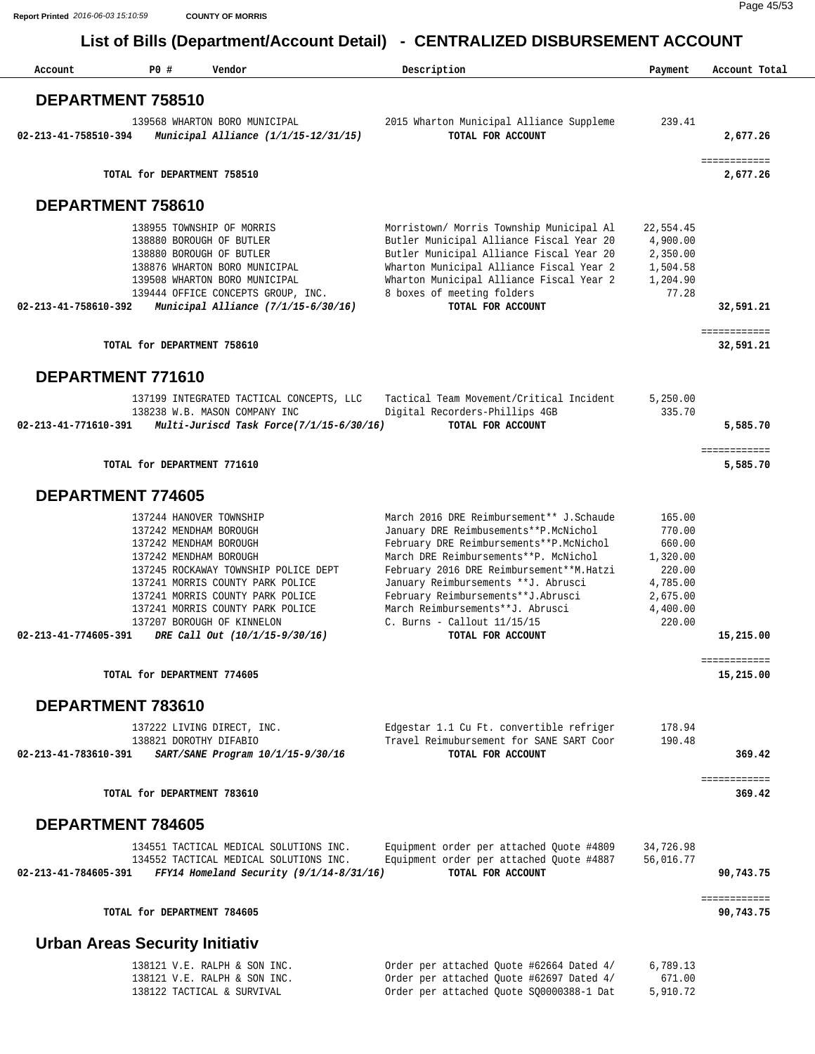| Account                               | PO#                         | Vendor                                                                                                                                                                                                                                                                                                                    | Description                                                                                                                                                                                                                                                                                                                                                                                        | Payment                                                                                        | Account Total             |
|---------------------------------------|-----------------------------|---------------------------------------------------------------------------------------------------------------------------------------------------------------------------------------------------------------------------------------------------------------------------------------------------------------------------|----------------------------------------------------------------------------------------------------------------------------------------------------------------------------------------------------------------------------------------------------------------------------------------------------------------------------------------------------------------------------------------------------|------------------------------------------------------------------------------------------------|---------------------------|
| DEPARTMENT 758510                     |                             |                                                                                                                                                                                                                                                                                                                           |                                                                                                                                                                                                                                                                                                                                                                                                    |                                                                                                |                           |
| 02-213-41-758510-394                  |                             | 139568 WHARTON BORO MUNICIPAL<br>Municipal Alliance (1/1/15-12/31/15)                                                                                                                                                                                                                                                     | 2015 Wharton Municipal Alliance Suppleme<br>TOTAL FOR ACCOUNT                                                                                                                                                                                                                                                                                                                                      | 239.41                                                                                         | 2,677.26                  |
|                                       | TOTAL for DEPARTMENT 758510 |                                                                                                                                                                                                                                                                                                                           |                                                                                                                                                                                                                                                                                                                                                                                                    |                                                                                                | ============<br>2,677.26  |
| DEPARTMENT 758610                     |                             |                                                                                                                                                                                                                                                                                                                           |                                                                                                                                                                                                                                                                                                                                                                                                    |                                                                                                |                           |
| 02-213-41-758610-392                  |                             | 138955 TOWNSHIP OF MORRIS<br>138880 BOROUGH OF BUTLER<br>138880 BOROUGH OF BUTLER<br>138876 WHARTON BORO MUNICIPAL<br>139508 WHARTON BORO MUNICIPAL<br>139444 OFFICE CONCEPTS GROUP, INC.<br>Municipal Alliance (7/1/15-6/30/16)                                                                                          | Morristown/ Morris Township Municipal Al<br>Butler Municipal Alliance Fiscal Year 20<br>Butler Municipal Alliance Fiscal Year 20<br>Wharton Municipal Alliance Fiscal Year 2<br>Wharton Municipal Alliance Fiscal Year 2<br>8 boxes of meeting folders<br>TOTAL FOR ACCOUNT                                                                                                                        | 22,554.45<br>4,900.00<br>2,350.00<br>1,504.58<br>1,204.90<br>77.28                             | 32,591.21                 |
|                                       | TOTAL for DEPARTMENT 758610 |                                                                                                                                                                                                                                                                                                                           |                                                                                                                                                                                                                                                                                                                                                                                                    |                                                                                                | ============<br>32,591.21 |
| DEPARTMENT 771610                     |                             |                                                                                                                                                                                                                                                                                                                           |                                                                                                                                                                                                                                                                                                                                                                                                    |                                                                                                |                           |
| 02-213-41-771610-391                  |                             | 137199 INTEGRATED TACTICAL CONCEPTS, LLC<br>138238 W.B. MASON COMPANY INC<br>Multi-Juriscd Task Force(7/1/15-6/30/16)                                                                                                                                                                                                     | Tactical Team Movement/Critical Incident<br>Digital Recorders-Phillips 4GB<br>TOTAL FOR ACCOUNT                                                                                                                                                                                                                                                                                                    | 5,250.00<br>335.70                                                                             | 5,585.70                  |
|                                       | TOTAL for DEPARTMENT 771610 |                                                                                                                                                                                                                                                                                                                           |                                                                                                                                                                                                                                                                                                                                                                                                    |                                                                                                | ============<br>5,585.70  |
| DEPARTMENT 774605                     |                             |                                                                                                                                                                                                                                                                                                                           |                                                                                                                                                                                                                                                                                                                                                                                                    |                                                                                                |                           |
| 02-213-41-774605-391                  |                             | 137244 HANOVER TOWNSHIP<br>137242 MENDHAM BOROUGH<br>137242 MENDHAM BOROUGH<br>137242 MENDHAM BOROUGH<br>137245 ROCKAWAY TOWNSHIP POLICE DEPT<br>137241 MORRIS COUNTY PARK POLICE<br>137241 MORRIS COUNTY PARK POLICE<br>137241 MORRIS COUNTY PARK POLICE<br>137207 BOROUGH OF KINNELON<br>DRE Call Out (10/1/15-9/30/16) | March 2016 DRE Reimbursement** J.Schaude<br>January DRE Reimbusements**P.McNichol<br>February DRE Reimbursements**P.McNichol<br>March DRE Reimbursements ** P. McNichol<br>February 2016 DRE Reimbursement ** M. Hatzi<br>January Reimbursements ** J. Abrusci<br>February Reimbursements**J.Abrusci<br>March Reimbursements ** J. Abrusci<br>$C.$ Burns - Callout $11/15/15$<br>TOTAL FOR ACCOUNT | 165.00<br>770.00<br>660.00<br>1,320.00<br>220.00<br>4,785.00<br>2,675.00<br>4,400.00<br>220.00 | 15,215.00                 |
|                                       | TOTAL for DEPARTMENT 774605 |                                                                                                                                                                                                                                                                                                                           |                                                                                                                                                                                                                                                                                                                                                                                                    |                                                                                                | ============<br>15,215.00 |
| DEPARTMENT 783610                     |                             |                                                                                                                                                                                                                                                                                                                           |                                                                                                                                                                                                                                                                                                                                                                                                    |                                                                                                |                           |
| 02-213-41-783610-391                  |                             | 137222 LIVING DIRECT, INC.<br>138821 DOROTHY DIFABIO<br>SART/SANE Program 10/1/15-9/30/16                                                                                                                                                                                                                                 | Edgestar 1.1 Cu Ft. convertible refriger<br>Travel Reimubursement for SANE SART Coor<br>TOTAL FOR ACCOUNT                                                                                                                                                                                                                                                                                          | 178.94<br>190.48                                                                               | 369.42                    |
|                                       | TOTAL for DEPARTMENT 783610 |                                                                                                                                                                                                                                                                                                                           |                                                                                                                                                                                                                                                                                                                                                                                                    |                                                                                                | ============<br>369.42    |
| <b>DEPARTMENT 784605</b>              |                             |                                                                                                                                                                                                                                                                                                                           |                                                                                                                                                                                                                                                                                                                                                                                                    |                                                                                                |                           |
| 02-213-41-784605-391                  |                             | 134551 TACTICAL MEDICAL SOLUTIONS INC.<br>134552 TACTICAL MEDICAL SOLUTIONS INC.<br>FFY14 Homeland Security $(9/1/14-8/31/16)$                                                                                                                                                                                            | Equipment order per attached Quote #4809<br>Equipment order per attached Quote #4887<br>TOTAL FOR ACCOUNT                                                                                                                                                                                                                                                                                          | 34,726.98<br>56,016.77                                                                         | 90,743.75                 |
|                                       | TOTAL for DEPARTMENT 784605 |                                                                                                                                                                                                                                                                                                                           |                                                                                                                                                                                                                                                                                                                                                                                                    |                                                                                                | ============<br>90,743.75 |
| <b>Urban Areas Security Initiativ</b> |                             |                                                                                                                                                                                                                                                                                                                           |                                                                                                                                                                                                                                                                                                                                                                                                    |                                                                                                |                           |
|                                       |                             | 138121 V.E. RALPH & SON INC.<br>138121 V.E. RALPH & SON INC.<br>138122 TACTICAL & SURVIVAL                                                                                                                                                                                                                                | Order per attached Quote #62664 Dated 4/<br>Order per attached Quote #62697 Dated 4/<br>Order per attached Quote SQ0000388-1 Dat                                                                                                                                                                                                                                                                   | 6,789.13<br>671.00<br>5,910.72                                                                 |                           |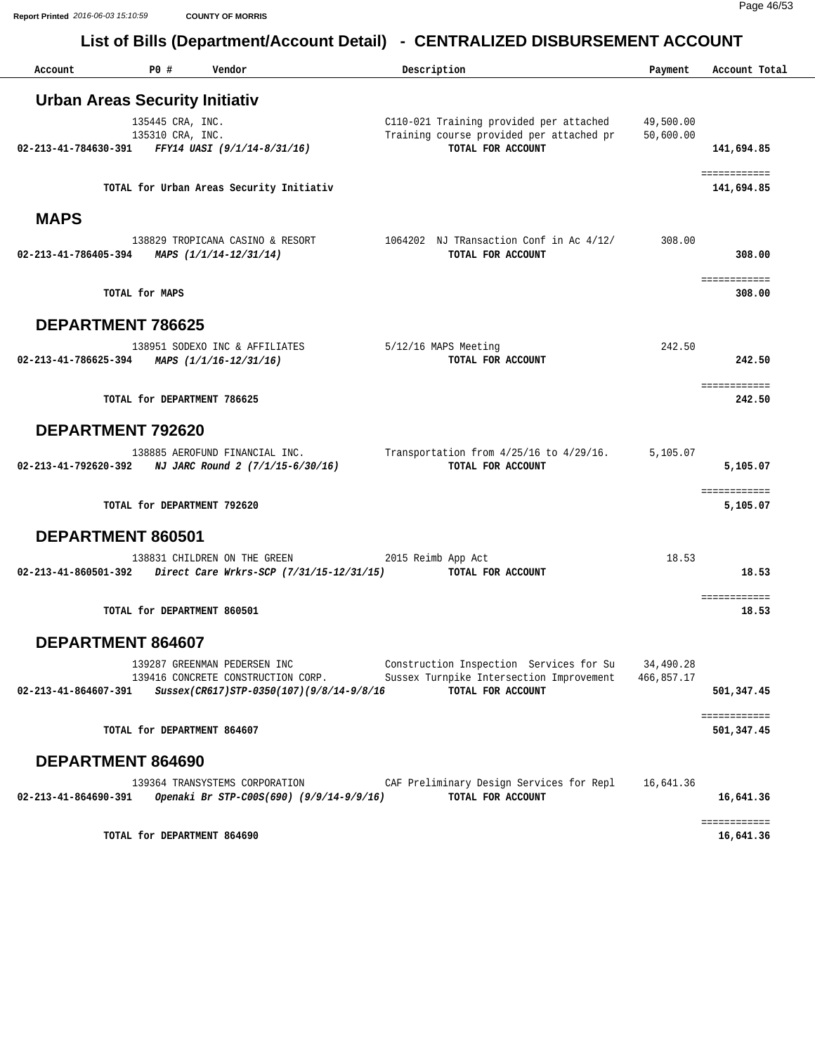Page 46/53 **Report Printed** *2016-06-03 15:10:59* **COUNTY OF MORRIS**

| Account                                                   | PO#                                  | Vendor                                                                         | Description        |                                                                                                                    | Payment                 | Account Total              |
|-----------------------------------------------------------|--------------------------------------|--------------------------------------------------------------------------------|--------------------|--------------------------------------------------------------------------------------------------------------------|-------------------------|----------------------------|
| <b>Urban Areas Security Initiativ</b>                     |                                      |                                                                                |                    |                                                                                                                    |                         |                            |
| 02-213-41-784630-391 FFY14 UASI (9/1/14-8/31/16)          | 135445 CRA, INC.<br>135310 CRA, INC. |                                                                                |                    | C110-021 Training provided per attached 49,500.00<br>Training course provided per attached pr<br>TOTAL FOR ACCOUNT | 50,600.00               | 141,694.85                 |
|                                                           |                                      | TOTAL for Urban Areas Security Initiativ                                       |                    |                                                                                                                    |                         | ============<br>141,694.85 |
| <b>MAPS</b>                                               |                                      |                                                                                |                    |                                                                                                                    |                         |                            |
| 02-213-41-786405-394 MAPS $(1/1/14-12/31/14)$             |                                      | 138829 TROPICANA CASINO & RESORT                                               |                    | 1064202 NJ TRansaction Conf in Ac 4/12/<br>TOTAL FOR ACCOUNT                                                       | 308.00                  | 308,00                     |
| TOTAL for MAPS                                            |                                      |                                                                                |                    |                                                                                                                    |                         | ============<br>308,00     |
| <b>DEPARTMENT 786625</b>                                  |                                      |                                                                                |                    |                                                                                                                    |                         |                            |
| $02 - 213 - 41 - 786625 - 394$ MAPS $(1/1/16 - 12/31/16)$ | 138951 SODEXO INC & AFFILIATES       |                                                                                |                    | 5/12/16 MAPS Meeting<br>TOTAL FOR ACCOUNT                                                                          | 242.50                  | 242.50                     |
|                                                           | TOTAL for DEPARTMENT 786625          |                                                                                |                    |                                                                                                                    |                         | ============<br>242.50     |
| DEPARTMENT 792620                                         |                                      |                                                                                |                    |                                                                                                                    |                         |                            |
| 02-213-41-792620-392                                      | 138885 AEROFUND FINANCIAL INC.       | NJ JARC Round 2 (7/1/15-6/30/16)                                               |                    | Transportation from $4/25/16$ to $4/29/16$ .<br>TOTAL FOR ACCOUNT                                                  | 5,105.07                | 5,105.07                   |
|                                                           | TOTAL for DEPARTMENT 792620          |                                                                                |                    |                                                                                                                    |                         | ============<br>5,105.07   |
| DEPARTMENT 860501                                         |                                      |                                                                                |                    |                                                                                                                    |                         |                            |
|                                                           | 138831 CHILDREN ON THE GREEN         | 02-213-41-860501-392 Direct Care Wrkrs-SCP (7/31/15-12/31/15)                  | 2015 Reimb App Act | TOTAL FOR ACCOUNT                                                                                                  | 18.53                   | 18.53                      |
|                                                           | TOTAL for DEPARTMENT 860501          |                                                                                |                    |                                                                                                                    |                         | ============<br>18.53      |
| DEPARTMENT 864607                                         |                                      |                                                                                |                    |                                                                                                                    |                         |                            |
| 02-213-41-864607-391                                      | 139287 GREENMAN PEDERSEN INC         | 139416 CONCRETE CONSTRUCTION CORP.<br>Sussex(CR617)STP-0350(107)(9/8/14-9/8/16 |                    | Construction Inspection Services for Su<br>Sussex Turnpike Intersection Improvement<br>TOTAL FOR ACCOUNT           | 34,490.28<br>466,857.17 | 501,347.45                 |
|                                                           | TOTAL for DEPARTMENT 864607          |                                                                                |                    |                                                                                                                    |                         | ============<br>501,347.45 |
| DEPARTMENT 864690                                         |                                      |                                                                                |                    |                                                                                                                    |                         |                            |
| $02 - 213 - 41 - 864690 - 391$                            | 139364 TRANSYSTEMS CORPORATION       | Openaki Br STP-C00S(690) (9/9/14-9/9/16)                                       |                    | CAF Preliminary Design Services for Repl<br>TOTAL FOR ACCOUNT                                                      | 16,641.36               | 16,641.36                  |
|                                                           | TOTAL for DEPARTMENT 864690          |                                                                                |                    |                                                                                                                    |                         | ============<br>16,641.36  |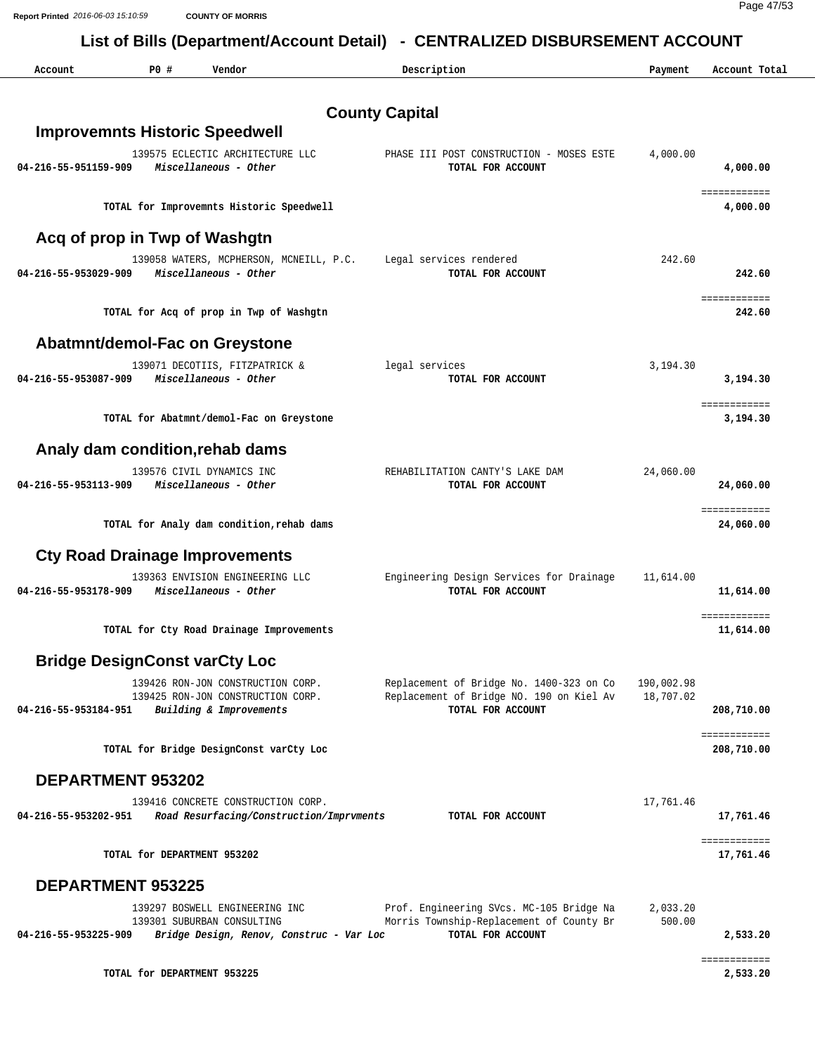**Report Printed** *2016-06-03 15:10:59* **COUNTY OF MORRIS**

Page 47/53

| Account              | PO#                                  | Vendor                                                                                                   | Description                                                                                               | Payment                 | Account Total                  |
|----------------------|--------------------------------------|----------------------------------------------------------------------------------------------------------|-----------------------------------------------------------------------------------------------------------|-------------------------|--------------------------------|
|                      |                                      |                                                                                                          | <b>County Capital</b>                                                                                     |                         |                                |
|                      |                                      | <b>Improvemnts Historic Speedwell</b>                                                                    |                                                                                                           |                         |                                |
| 04-216-55-951159-909 |                                      | 139575 ECLECTIC ARCHITECTURE LLC<br>Miscellaneous - Other                                                | PHASE III POST CONSTRUCTION - MOSES ESTE<br>TOTAL FOR ACCOUNT                                             | 4,000.00                | 4,000.00                       |
|                      |                                      | TOTAL for Improvemnts Historic Speedwell                                                                 |                                                                                                           |                         | <b>EDDOCHDOCHD</b><br>4,000.00 |
|                      | Acq of prop in Twp of Washgtn        |                                                                                                          |                                                                                                           |                         |                                |
| 04-216-55-953029-909 |                                      | 139058 WATERS, MCPHERSON, MCNEILL, P.C.<br>Miscellaneous - Other                                         | Legal services rendered<br>TOTAL FOR ACCOUNT                                                              | 242.60                  | 242.60                         |
|                      |                                      | TOTAL for Acq of prop in Twp of Washgtn                                                                  |                                                                                                           |                         | ============<br>242.60         |
|                      |                                      | Abatmnt/demol-Fac on Greystone                                                                           |                                                                                                           |                         |                                |
| 04-216-55-953087-909 |                                      | 139071 DECOTIIS, FITZPATRICK &<br>Miscellaneous - Other                                                  | legal services<br>TOTAL FOR ACCOUNT                                                                       | 3,194.30                | 3,194.30                       |
|                      |                                      | TOTAL for Abatmnt/demol-Fac on Greystone                                                                 |                                                                                                           |                         | ============<br>3,194.30       |
|                      |                                      | Analy dam condition, rehab dams                                                                          |                                                                                                           |                         |                                |
| 04-216-55-953113-909 |                                      | 139576 CIVIL DYNAMICS INC<br>Miscellaneous - Other                                                       | REHABILITATION CANTY'S LAKE DAM<br>TOTAL FOR ACCOUNT                                                      | 24,060.00               | 24,060.00                      |
|                      |                                      | TOTAL for Analy dam condition, rehab dams                                                                |                                                                                                           |                         | ============<br>24,060.00      |
|                      |                                      | <b>Cty Road Drainage Improvements</b>                                                                    |                                                                                                           |                         |                                |
| 04-216-55-953178-909 |                                      | 139363 ENVISION ENGINEERING LLC<br>Miscellaneous - Other                                                 | Engineering Design Services for Drainage<br>TOTAL FOR ACCOUNT                                             | 11,614.00               | 11,614.00                      |
|                      |                                      | TOTAL for Cty Road Drainage Improvements                                                                 |                                                                                                           |                         | ============<br>11,614.00      |
|                      | <b>Bridge DesignConst varCty Loc</b> |                                                                                                          |                                                                                                           |                         |                                |
| 04-216-55-953184-951 |                                      | 139426 RON-JON CONSTRUCTION CORP.<br>139425 RON-JON CONSTRUCTION CORP.<br>Building & Improvements        | Replacement of Bridge No. 1400-323 on Co<br>Replacement of Bridge NO. 190 on Kiel Av<br>TOTAL FOR ACCOUNT | 190,002.98<br>18,707.02 | 208,710.00                     |
|                      |                                      | TOTAL for Bridge DesignConst varCty Loc                                                                  |                                                                                                           |                         | ============<br>208,710.00     |
|                      | DEPARTMENT 953202                    |                                                                                                          |                                                                                                           |                         |                                |
| 04-216-55-953202-951 |                                      | 139416 CONCRETE CONSTRUCTION CORP.<br>Road Resurfacing/Construction/Imprvments                           | TOTAL FOR ACCOUNT                                                                                         | 17,761.46               | 17,761.46                      |
|                      | TOTAL for DEPARTMENT 953202          |                                                                                                          |                                                                                                           |                         | ============<br>17,761.46      |
|                      | <b>DEPARTMENT 953225</b>             |                                                                                                          |                                                                                                           |                         |                                |
| 04-216-55-953225-909 |                                      | 139297 BOSWELL ENGINEERING INC<br>139301 SUBURBAN CONSULTING<br>Bridge Design, Renov, Construc - Var Loc | Prof. Engineering SVcs. MC-105 Bridge Na<br>Morris Township-Replacement of County Br<br>TOTAL FOR ACCOUNT | 2,033.20<br>500.00      | 2,533.20                       |
|                      |                                      |                                                                                                          |                                                                                                           |                         | ============                   |
|                      | TOTAL for DEPARTMENT 953225          |                                                                                                          |                                                                                                           |                         | 2,533.20                       |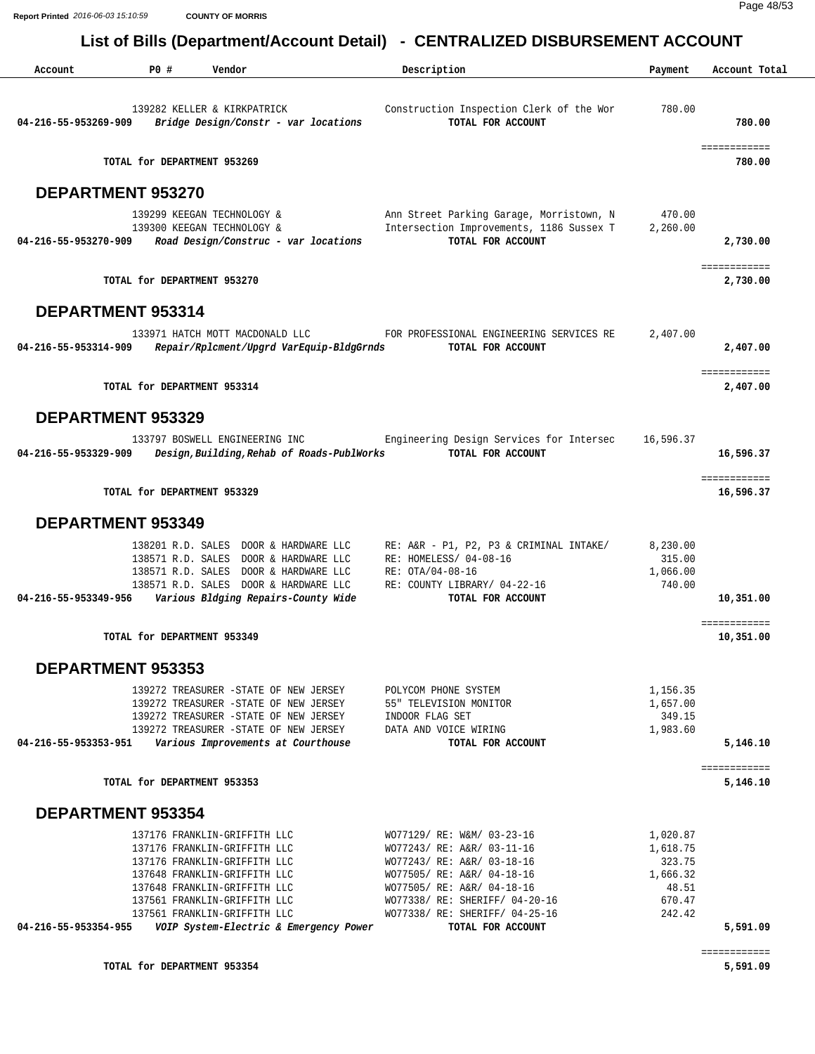| Account                  | PO#                         | Vendor                                                                                                                                                                                                                                                                 | Description                                                                                                                                                                                                                                 | Payment                                                                 | Account Total             |
|--------------------------|-----------------------------|------------------------------------------------------------------------------------------------------------------------------------------------------------------------------------------------------------------------------------------------------------------------|---------------------------------------------------------------------------------------------------------------------------------------------------------------------------------------------------------------------------------------------|-------------------------------------------------------------------------|---------------------------|
| 04-216-55-953269-909     |                             | 139282 KELLER & KIRKPATRICK<br>Bridge Design/Constr - var locations                                                                                                                                                                                                    | Construction Inspection Clerk of the Wor<br>TOTAL FOR ACCOUNT                                                                                                                                                                               | 780.00                                                                  | 780.00                    |
|                          | TOTAL for DEPARTMENT 953269 |                                                                                                                                                                                                                                                                        |                                                                                                                                                                                                                                             |                                                                         | ============<br>780.00    |
| DEPARTMENT 953270        |                             |                                                                                                                                                                                                                                                                        |                                                                                                                                                                                                                                             |                                                                         |                           |
| 04-216-55-953270-909     |                             | 139299 KEEGAN TECHNOLOGY &<br>139300 KEEGAN TECHNOLOGY &<br>Road Design/Construc - var locations                                                                                                                                                                       | Ann Street Parking Garage, Morristown, N<br>Intersection Improvements, 1186 Sussex T<br>TOTAL FOR ACCOUNT                                                                                                                                   | 470.00<br>2,260.00                                                      | 2,730.00                  |
|                          | TOTAL for DEPARTMENT 953270 |                                                                                                                                                                                                                                                                        |                                                                                                                                                                                                                                             |                                                                         | ============<br>2,730.00  |
| <b>DEPARTMENT 953314</b> |                             |                                                                                                                                                                                                                                                                        |                                                                                                                                                                                                                                             |                                                                         |                           |
| 04-216-55-953314-909     |                             | 133971 HATCH MOTT MACDONALD LLC<br>Repair/Rplcment/Upgrd VarEquip-BldgGrnds                                                                                                                                                                                            | FOR PROFESSIONAL ENGINEERING SERVICES RE<br>TOTAL FOR ACCOUNT                                                                                                                                                                               | 2,407.00                                                                | 2,407.00                  |
|                          | TOTAL for DEPARTMENT 953314 |                                                                                                                                                                                                                                                                        |                                                                                                                                                                                                                                             |                                                                         | ============<br>2,407.00  |
| <b>DEPARTMENT 953329</b> |                             |                                                                                                                                                                                                                                                                        |                                                                                                                                                                                                                                             |                                                                         |                           |
| 04-216-55-953329-909     |                             | 133797 BOSWELL ENGINEERING INC<br>Design, Building, Rehab of Roads-PublWorks                                                                                                                                                                                           | Engineering Design Services for Intersec<br>TOTAL FOR ACCOUNT                                                                                                                                                                               | 16,596.37                                                               | 16,596.37                 |
|                          | TOTAL for DEPARTMENT 953329 |                                                                                                                                                                                                                                                                        |                                                                                                                                                                                                                                             |                                                                         | ============<br>16,596.37 |
| <b>DEPARTMENT 953349</b> |                             |                                                                                                                                                                                                                                                                        |                                                                                                                                                                                                                                             |                                                                         |                           |
|                          |                             | 138201 R.D. SALES DOOR & HARDWARE LLC<br>138571 R.D. SALES DOOR & HARDWARE LLC<br>138571 R.D. SALES DOOR & HARDWARE LLC<br>138571 R.D. SALES DOOR & HARDWARE LLC                                                                                                       | RE: A&R - P1, P2, P3 & CRIMINAL INTAKE/<br>RE: HOMELESS/ 04-08-16<br>RE: OTA/04-08-16<br>RE: COUNTY LIBRARY/ 04-22-16                                                                                                                       | 8,230.00<br>315.00<br>1,066.00<br>740.00                                |                           |
| 04-216-55-953349-956     |                             | Various Bldging Repairs-County Wide                                                                                                                                                                                                                                    | TOTAL FOR ACCOUNT                                                                                                                                                                                                                           |                                                                         | 10,351.00<br>============ |
|                          | TOTAL for DEPARTMENT 953349 |                                                                                                                                                                                                                                                                        |                                                                                                                                                                                                                                             |                                                                         | 10,351.00                 |
| <b>DEPARTMENT 953353</b> |                             |                                                                                                                                                                                                                                                                        |                                                                                                                                                                                                                                             |                                                                         |                           |
| 04-216-55-953353-951     |                             | 139272 TREASURER -STATE OF NEW JERSEY<br>139272 TREASURER -STATE OF NEW JERSEY<br>139272 TREASURER -STATE OF NEW JERSEY<br>139272 TREASURER -STATE OF NEW JERSEY<br>Various Improvements at Courthouse                                                                 | POLYCOM PHONE SYSTEM<br>55" TELEVISION MONITOR<br>INDOOR FLAG SET<br>DATA AND VOICE WIRING<br>TOTAL FOR ACCOUNT                                                                                                                             | 1,156.35<br>1,657.00<br>349.15<br>1,983.60                              | 5,146.10                  |
|                          | TOTAL for DEPARTMENT 953353 |                                                                                                                                                                                                                                                                        |                                                                                                                                                                                                                                             |                                                                         | ============<br>5,146.10  |
| <b>DEPARTMENT 953354</b> |                             |                                                                                                                                                                                                                                                                        |                                                                                                                                                                                                                                             |                                                                         |                           |
| 04-216-55-953354-955     |                             | 137176 FRANKLIN-GRIFFITH LLC<br>137176 FRANKLIN-GRIFFITH LLC<br>137176 FRANKLIN-GRIFFITH LLC<br>137648 FRANKLIN-GRIFFITH LLC<br>137648 FRANKLIN-GRIFFITH LLC<br>137561 FRANKLIN-GRIFFITH LLC<br>137561 FRANKLIN-GRIFFITH LLC<br>VOIP System-Electric & Emergency Power | WO77129/ RE: W&M/ 03-23-16<br>WO77243/ RE: A&R/ 03-11-16<br>WO77243/ RE: A&R/ 03-18-16<br>WO77505/ RE: A&R/ 04-18-16<br>WO77505/ RE: A&R/ 04-18-16<br>WO77338/ RE: SHERIFF/ 04-20-16<br>WO77338/ RE: SHERIFF/ 04-25-16<br>TOTAL FOR ACCOUNT | 1,020.87<br>1,618.75<br>323.75<br>1,666.32<br>48.51<br>670.47<br>242.42 | 5,591.09                  |
|                          | TOTAL for DEPARTMENT 953354 |                                                                                                                                                                                                                                                                        |                                                                                                                                                                                                                                             |                                                                         | ============<br>5,591.09  |
|                          |                             |                                                                                                                                                                                                                                                                        |                                                                                                                                                                                                                                             |                                                                         |                           |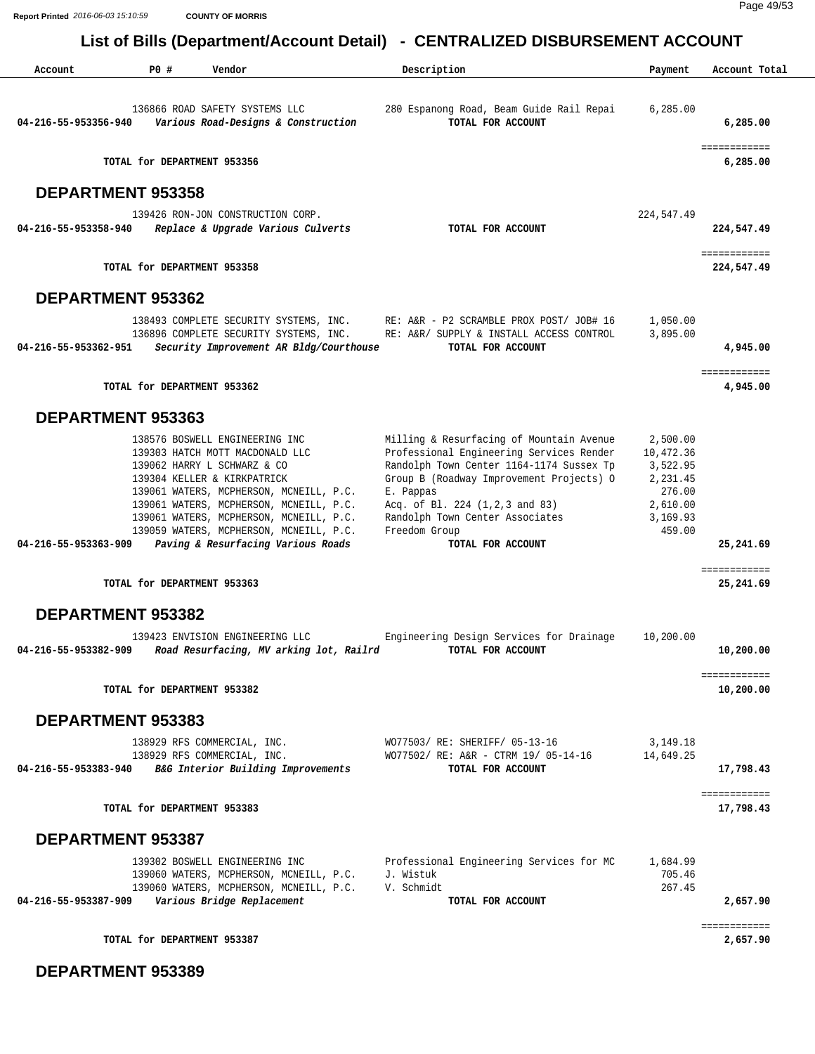| Account              | PO#                         | Vendor                                                                                                                                                                                                                                                                                                                                            | Description                                                                                                                                                                                                                                                                                          | Payment                                                                                   | Account Total              |
|----------------------|-----------------------------|---------------------------------------------------------------------------------------------------------------------------------------------------------------------------------------------------------------------------------------------------------------------------------------------------------------------------------------------------|------------------------------------------------------------------------------------------------------------------------------------------------------------------------------------------------------------------------------------------------------------------------------------------------------|-------------------------------------------------------------------------------------------|----------------------------|
| 04-216-55-953356-940 |                             | 136866 ROAD SAFETY SYSTEMS LLC<br>Various Road-Designs & Construction                                                                                                                                                                                                                                                                             | 280 Espanong Road, Beam Guide Rail Repai<br>TOTAL FOR ACCOUNT                                                                                                                                                                                                                                        | 6,285.00                                                                                  | 6,285.00                   |
|                      | TOTAL for DEPARTMENT 953356 |                                                                                                                                                                                                                                                                                                                                                   |                                                                                                                                                                                                                                                                                                      |                                                                                           | ============<br>6,285.00   |
| DEPARTMENT 953358    |                             |                                                                                                                                                                                                                                                                                                                                                   |                                                                                                                                                                                                                                                                                                      |                                                                                           |                            |
| 04-216-55-953358-940 |                             | 139426 RON-JON CONSTRUCTION CORP.<br>Replace & Upgrade Various Culverts                                                                                                                                                                                                                                                                           | TOTAL FOR ACCOUNT                                                                                                                                                                                                                                                                                    | 224,547.49                                                                                | 224,547.49                 |
|                      | TOTAL for DEPARTMENT 953358 |                                                                                                                                                                                                                                                                                                                                                   |                                                                                                                                                                                                                                                                                                      |                                                                                           | ============<br>224,547.49 |
| DEPARTMENT 953362    |                             |                                                                                                                                                                                                                                                                                                                                                   |                                                                                                                                                                                                                                                                                                      |                                                                                           |                            |
| 04-216-55-953362-951 |                             | 138493 COMPLETE SECURITY SYSTEMS, INC.<br>136896 COMPLETE SECURITY SYSTEMS, INC.<br>Security Improvement AR Bldg/Courthouse                                                                                                                                                                                                                       | RE: A&R - P2 SCRAMBLE PROX POST/ JOB# 16<br>RE: A&R/ SUPPLY & INSTALL ACCESS CONTROL<br>TOTAL FOR ACCOUNT                                                                                                                                                                                            | 1,050.00<br>3,895.00                                                                      | 4,945.00                   |
|                      | TOTAL for DEPARTMENT 953362 |                                                                                                                                                                                                                                                                                                                                                   |                                                                                                                                                                                                                                                                                                      |                                                                                           | ============<br>4,945.00   |
| DEPARTMENT 953363    |                             |                                                                                                                                                                                                                                                                                                                                                   |                                                                                                                                                                                                                                                                                                      |                                                                                           |                            |
| 04-216-55-953363-909 |                             | 138576 BOSWELL ENGINEERING INC<br>139303 HATCH MOTT MACDONALD LLC<br>139062 HARRY L SCHWARZ & CO<br>139304 KELLER & KIRKPATRICK<br>139061 WATERS, MCPHERSON, MCNEILL, P.C.<br>139061 WATERS, MCPHERSON, MCNEILL, P.C.<br>139061 WATERS, MCPHERSON, MCNEILL, P.C.<br>139059 WATERS, MCPHERSON, MCNEILL, P.C.<br>Paving & Resurfacing Various Roads | Milling & Resurfacing of Mountain Avenue<br>Professional Engineering Services Render<br>Randolph Town Center 1164-1174 Sussex Tp<br>Group B (Roadway Improvement Projects) O<br>E. Pappas<br>Acq. of Bl. 224 (1,2,3 and 83)<br>Randolph Town Center Associates<br>Freedom Group<br>TOTAL FOR ACCOUNT | 2,500.00<br>10,472.36<br>3,522.95<br>2,231.45<br>276.00<br>2,610.00<br>3,169.93<br>459.00 | 25,241.69                  |
|                      | TOTAL for DEPARTMENT 953363 |                                                                                                                                                                                                                                                                                                                                                   |                                                                                                                                                                                                                                                                                                      |                                                                                           | ============<br>25,241.69  |
| DEPARTMENT 953382    |                             |                                                                                                                                                                                                                                                                                                                                                   |                                                                                                                                                                                                                                                                                                      |                                                                                           |                            |
| 04-216-55-953382-909 |                             | 139423 ENVISION ENGINEERING LLC<br>Road Resurfacing, MV arking lot, Railrd                                                                                                                                                                                                                                                                        | Engineering Design Services for Drainage<br>TOTAL FOR ACCOUNT                                                                                                                                                                                                                                        | 10,200.00                                                                                 | 10,200.00                  |
|                      | TOTAL for DEPARTMENT 953382 |                                                                                                                                                                                                                                                                                                                                                   |                                                                                                                                                                                                                                                                                                      |                                                                                           | ============<br>10,200.00  |
| DEPARTMENT 953383    |                             |                                                                                                                                                                                                                                                                                                                                                   |                                                                                                                                                                                                                                                                                                      |                                                                                           |                            |
| 04-216-55-953383-940 |                             | 138929 RFS COMMERCIAL, INC.<br>138929 RFS COMMERCIAL, INC.<br>B&G Interior Building Improvements                                                                                                                                                                                                                                                  | WO77503/ RE: SHERIFF/ 05-13-16<br>WO77502/ RE: A&R - CTRM 19/ 05-14-16<br>TOTAL FOR ACCOUNT                                                                                                                                                                                                          | 3, 149. 18<br>14,649.25                                                                   | 17,798.43                  |
|                      | TOTAL for DEPARTMENT 953383 |                                                                                                                                                                                                                                                                                                                                                   |                                                                                                                                                                                                                                                                                                      |                                                                                           | ============<br>17,798.43  |
| DEPARTMENT 953387    |                             |                                                                                                                                                                                                                                                                                                                                                   |                                                                                                                                                                                                                                                                                                      |                                                                                           |                            |
| 04-216-55-953387-909 |                             | 139302 BOSWELL ENGINEERING INC<br>139060 WATERS, MCPHERSON, MCNEILL, P.C.<br>139060 WATERS, MCPHERSON, MCNEILL, P.C.<br>Various Bridge Replacement                                                                                                                                                                                                | Professional Engineering Services for MC<br>J. Wistuk<br>V. Schmidt<br>TOTAL FOR ACCOUNT                                                                                                                                                                                                             | 1,684.99<br>705.46<br>267.45                                                              | 2,657.90                   |
|                      |                             |                                                                                                                                                                                                                                                                                                                                                   |                                                                                                                                                                                                                                                                                                      |                                                                                           | ============               |
|                      | TOTAL for DEPARTMENT 953387 |                                                                                                                                                                                                                                                                                                                                                   |                                                                                                                                                                                                                                                                                                      |                                                                                           | 2,657.90                   |

 **DEPARTMENT 953389**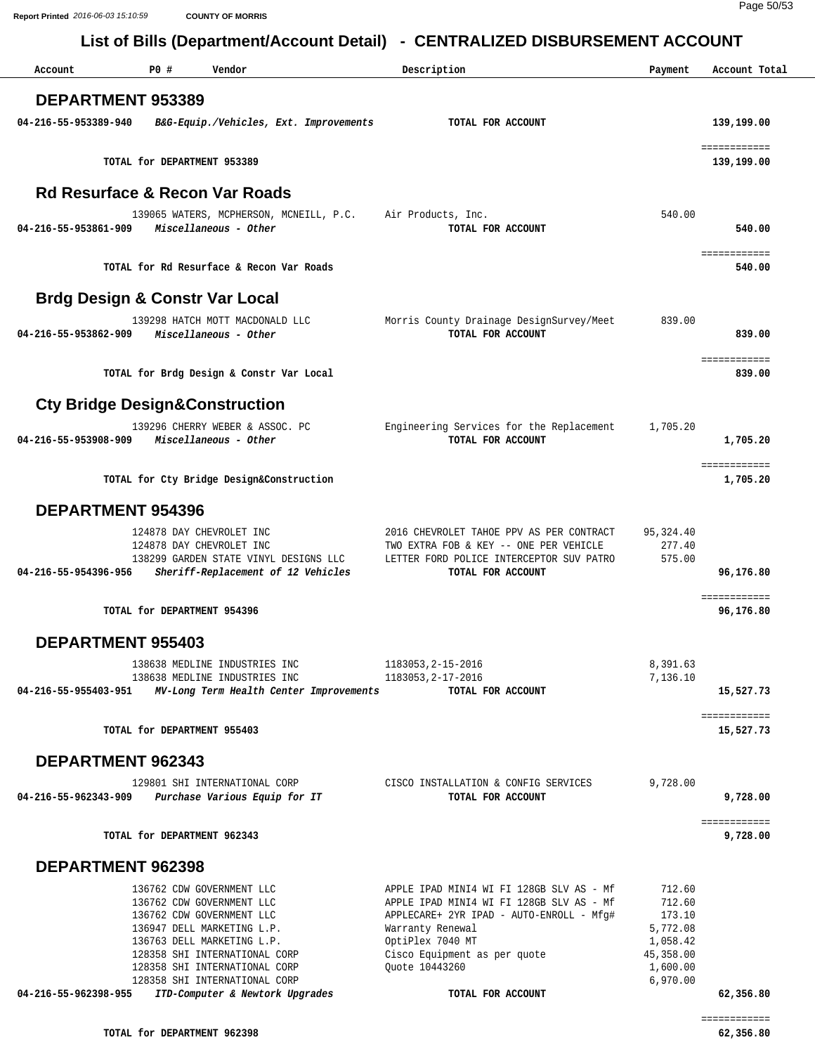| Account                                   | P0 #                                                                                                                                            | Vendor                                                                                                    | Description                                                                                                                                                                                                                | Payment                                                                     | Account Total             |
|-------------------------------------------|-------------------------------------------------------------------------------------------------------------------------------------------------|-----------------------------------------------------------------------------------------------------------|----------------------------------------------------------------------------------------------------------------------------------------------------------------------------------------------------------------------------|-----------------------------------------------------------------------------|---------------------------|
| <b>DEPARTMENT 953389</b>                  |                                                                                                                                                 |                                                                                                           |                                                                                                                                                                                                                            |                                                                             |                           |
| 04-216-55-953389-940                      |                                                                                                                                                 | B&G-Equip./Vehicles, Ext. Improvements                                                                    | TOTAL FOR ACCOUNT                                                                                                                                                                                                          |                                                                             | 139,199.00                |
|                                           |                                                                                                                                                 |                                                                                                           |                                                                                                                                                                                                                            |                                                                             | ============              |
|                                           | TOTAL for DEPARTMENT 953389                                                                                                                     |                                                                                                           |                                                                                                                                                                                                                            |                                                                             | 139,199.00                |
| <b>Rd Resurface &amp; Recon Var Roads</b> |                                                                                                                                                 |                                                                                                           |                                                                                                                                                                                                                            |                                                                             |                           |
| 04-216-55-953861-909                      |                                                                                                                                                 | 139065 WATERS, MCPHERSON, MCNEILL, P.C.<br>Miscellaneous - Other                                          | Air Products, Inc.<br>TOTAL FOR ACCOUNT                                                                                                                                                                                    | 540.00                                                                      | 540.00                    |
|                                           |                                                                                                                                                 | TOTAL for Rd Resurface & Recon Var Roads                                                                  |                                                                                                                                                                                                                            |                                                                             | ============<br>540.00    |
| <b>Brdg Design &amp; Constr Var Local</b> |                                                                                                                                                 |                                                                                                           |                                                                                                                                                                                                                            |                                                                             |                           |
| 04-216-55-953862-909                      |                                                                                                                                                 | 139298 HATCH MOTT MACDONALD LLC<br>Miscellaneous - Other                                                  | Morris County Drainage DesignSurvey/Meet<br>TOTAL FOR ACCOUNT                                                                                                                                                              | 839.00                                                                      | 839.00                    |
|                                           |                                                                                                                                                 | TOTAL for Brdg Design & Constr Var Local                                                                  |                                                                                                                                                                                                                            |                                                                             | ============<br>839.00    |
| <b>Cty Bridge Design&amp;Construction</b> |                                                                                                                                                 |                                                                                                           |                                                                                                                                                                                                                            |                                                                             |                           |
| 04-216-55-953908-909                      |                                                                                                                                                 | 139296 CHERRY WEBER & ASSOC. PC<br>Miscellaneous - Other                                                  | Engineering Services for the Replacement<br>TOTAL FOR ACCOUNT                                                                                                                                                              | 1,705.20                                                                    | 1,705.20                  |
|                                           |                                                                                                                                                 | TOTAL for Cty Bridge Design&Construction                                                                  |                                                                                                                                                                                                                            |                                                                             | ============<br>1,705.20  |
| <b>DEPARTMENT 954396</b>                  |                                                                                                                                                 |                                                                                                           |                                                                                                                                                                                                                            |                                                                             |                           |
| 04-216-55-954396-956                      | 124878 DAY CHEVROLET INC<br>124878 DAY CHEVROLET INC                                                                                            | 138299 GARDEN STATE VINYL DESIGNS LLC<br>Sheriff-Replacement of 12 Vehicles                               | 2016 CHEVROLET TAHOE PPV AS PER CONTRACT<br>TWO EXTRA FOB & KEY -- ONE PER VEHICLE<br>LETTER FORD POLICE INTERCEPTOR SUV PATRO<br>TOTAL FOR ACCOUNT                                                                        | 95,324.40<br>277.40<br>575.00                                               | 96,176.80                 |
|                                           |                                                                                                                                                 |                                                                                                           |                                                                                                                                                                                                                            |                                                                             | ============              |
|                                           | TOTAL for DEPARTMENT 954396                                                                                                                     |                                                                                                           |                                                                                                                                                                                                                            |                                                                             | 96,176.80                 |
| <b>DEPARTMENT 955403</b>                  |                                                                                                                                                 |                                                                                                           |                                                                                                                                                                                                                            |                                                                             |                           |
| 04-216-55-955403-951                      |                                                                                                                                                 | 138638 MEDLINE INDUSTRIES INC<br>138638 MEDLINE INDUSTRIES INC<br>MV-Long Term Health Center Improvements | 1183053, 2-15-2016<br>1183053, 2-17-2016<br>TOTAL FOR ACCOUNT                                                                                                                                                              | 8,391.63<br>7,136.10                                                        | 15,527.73                 |
|                                           | TOTAL for DEPARTMENT 955403                                                                                                                     |                                                                                                           |                                                                                                                                                                                                                            |                                                                             | ============<br>15,527.73 |
| <b>DEPARTMENT 962343</b>                  |                                                                                                                                                 |                                                                                                           |                                                                                                                                                                                                                            |                                                                             |                           |
| 04-216-55-962343-909                      |                                                                                                                                                 | 129801 SHI INTERNATIONAL CORP<br>Purchase Various Equip for IT                                            | CISCO INSTALLATION & CONFIG SERVICES<br>TOTAL FOR ACCOUNT                                                                                                                                                                  | 9,728.00                                                                    | 9,728.00                  |
|                                           | TOTAL for DEPARTMENT 962343                                                                                                                     |                                                                                                           |                                                                                                                                                                                                                            |                                                                             | ============<br>9,728.00  |
|                                           |                                                                                                                                                 |                                                                                                           |                                                                                                                                                                                                                            |                                                                             |                           |
| DEPARTMENT 962398                         |                                                                                                                                                 |                                                                                                           |                                                                                                                                                                                                                            |                                                                             |                           |
|                                           | 136762 CDW GOVERNMENT LLC<br>136762 CDW GOVERNMENT LLC<br>136762 CDW GOVERNMENT LLC<br>136947 DELL MARKETING L.P.<br>136763 DELL MARKETING L.P. | 128358 SHI INTERNATIONAL CORP<br>128358 SHI INTERNATIONAL CORP<br>128358 SHI INTERNATIONAL CORP           | APPLE IPAD MINI4 WI FI 128GB SLV AS - Mf<br>APPLE IPAD MINI4 WI FI 128GB SLV AS - Mf<br>APPLECARE+ 2YR IPAD - AUTO-ENROLL - Mfg#<br>Warranty Renewal<br>OptiPlex 7040 MT<br>Cisco Equipment as per quote<br>Quote 10443260 | 712.60<br>712.60<br>173.10<br>5,772.08<br>1,058.42<br>45,358.00<br>1,600.00 |                           |
| 04-216-55-962398-955                      |                                                                                                                                                 | ITD-Computer & Newtork Upgrades                                                                           | TOTAL FOR ACCOUNT                                                                                                                                                                                                          | 6,970.00                                                                    | 62,356.80                 |
|                                           |                                                                                                                                                 |                                                                                                           |                                                                                                                                                                                                                            |                                                                             |                           |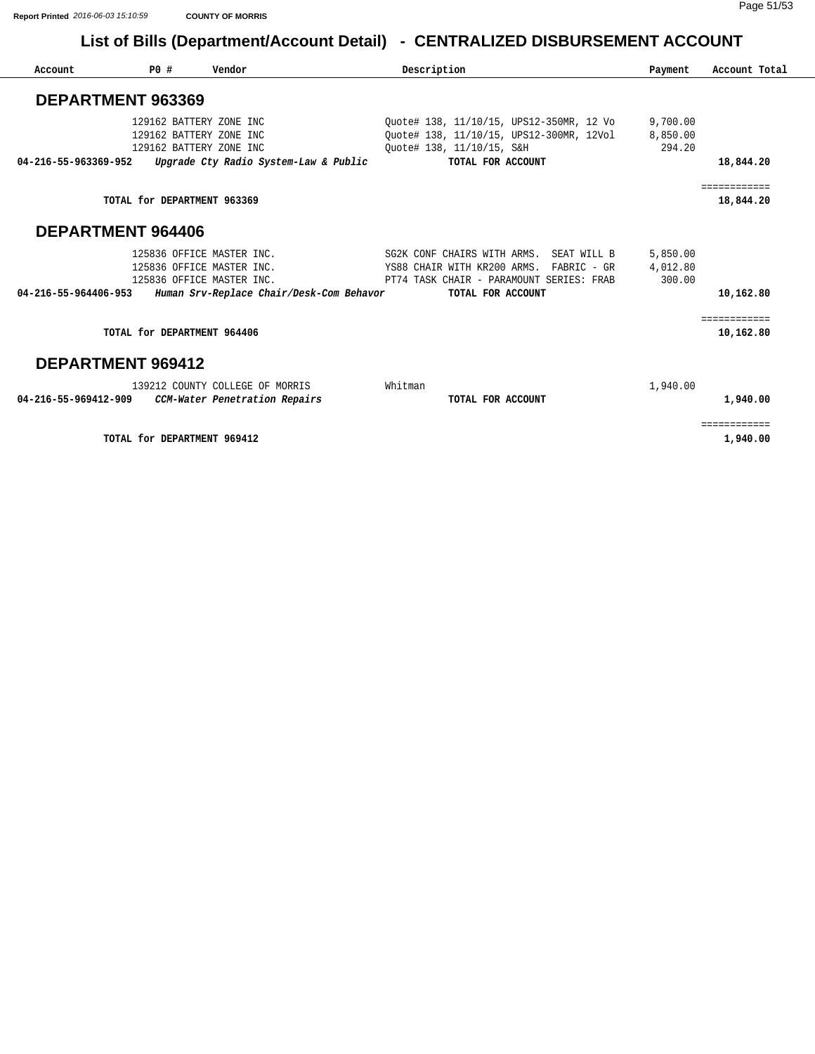| Account                  | PO#                         | Vendor                                             | Description                                       | Payment  | Account Total |
|--------------------------|-----------------------------|----------------------------------------------------|---------------------------------------------------|----------|---------------|
| DEPARTMENT 963369        |                             |                                                    |                                                   |          |               |
|                          |                             | 129162 BATTERY ZONE INC                            | Quote# 138, 11/10/15, UPS12-350MR, 12 Vo          | 9,700.00 |               |
|                          |                             | 129162 BATTERY ZONE INC                            | Ouote# 138, 11/10/15, UPS12-300MR, 12Vol 8,850.00 |          |               |
|                          |                             | 129162 BATTERY ZONE INC                            | Ouote# 138, 11/10/15, S&H                         | 294.20   |               |
| 04-216-55-963369-952     |                             | Upgrade Cty Radio System-Law & Public              | TOTAL FOR ACCOUNT                                 |          | 18,844.20     |
|                          |                             |                                                    |                                                   |          | ============  |
|                          | TOTAL for DEPARTMENT 963369 |                                                    |                                                   |          | 18,844.20     |
| <b>DEPARTMENT 964406</b> |                             |                                                    |                                                   |          |               |
|                          |                             | 125836 OFFICE MASTER INC.                          | SG2K CONF CHAIRS WITH ARMS. SEAT WILL B           | 5,850.00 |               |
|                          |                             | 125836 OFFICE MASTER INC.                          | YS88 CHAIR WITH KR200 ARMS. FABRIC - GR 4,012.80  |          |               |
|                          |                             | 125836 OFFICE MASTER INC.                          | PT74 TASK CHAIR - PARAMOUNT SERIES: FRAB          | 300.00   |               |
| 04-216-55-964406-953     |                             | Human Srv-Replace Chair/Desk-Com Behavor           | TOTAL FOR ACCOUNT                                 |          | 10,162.80     |
|                          |                             |                                                    |                                                   |          | ============  |
|                          | TOTAL for DEPARTMENT 964406 |                                                    |                                                   |          | 10,162.80     |
| DEPARTMENT 969412        |                             |                                                    |                                                   |          |               |
|                          |                             | 139212 COUNTY COLLEGE OF MORRIS                    | Whitman                                           | 1,940.00 |               |
|                          |                             | 04-216-55-969412-909 CCM-Water Penetration Repairs | TOTAL FOR ACCOUNT                                 |          | 1,940.00      |
|                          |                             |                                                    |                                                   |          | ============  |

**TOTAL for DEPARTMENT 969412** 1,940.00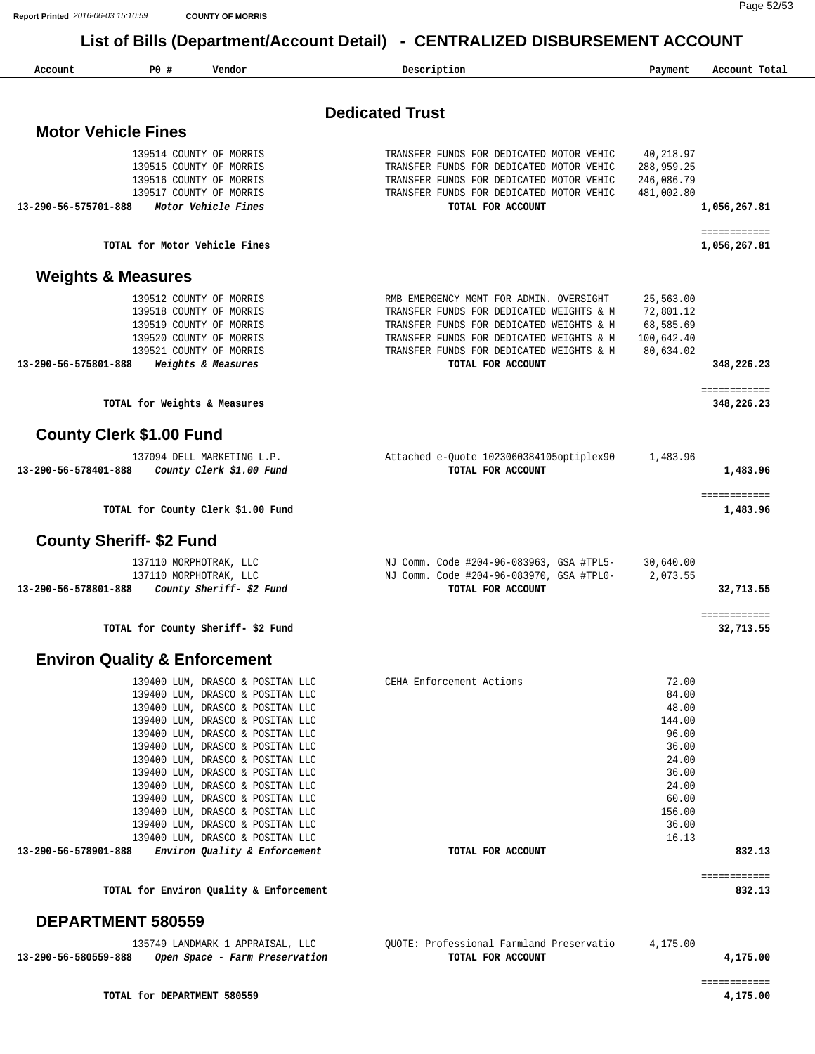Page 52/53

 **List of Bills (Department/Account Detail) - CENTRALIZED DISBURSEMENT ACCOUNT**

| Account                    | PO#                                                | Vendor                                                               | Description                                                   | Payment        | Account Total                |
|----------------------------|----------------------------------------------------|----------------------------------------------------------------------|---------------------------------------------------------------|----------------|------------------------------|
|                            |                                                    |                                                                      | <b>Dedicated Trust</b>                                        |                |                              |
| <b>Motor Vehicle Fines</b> |                                                    |                                                                      |                                                               |                |                              |
|                            | 139514 COUNTY OF MORRIS                            |                                                                      | TRANSFER FUNDS FOR DEDICATED MOTOR VEHIC                      | 40,218.97      |                              |
|                            | 139515 COUNTY OF MORRIS                            |                                                                      | TRANSFER FUNDS FOR DEDICATED MOTOR VEHIC                      | 288,959.25     |                              |
|                            | 139516 COUNTY OF MORRIS                            |                                                                      | TRANSFER FUNDS FOR DEDICATED MOTOR VEHIC                      | 246,086.79     |                              |
| 13-290-56-575701-888       | 139517 COUNTY OF MORRIS<br>Motor Vehicle Fines     |                                                                      | TRANSFER FUNDS FOR DEDICATED MOTOR VEHIC<br>TOTAL FOR ACCOUNT | 481,002.80     | 1,056,267.81                 |
|                            |                                                    |                                                                      |                                                               |                |                              |
|                            | TOTAL for Motor Vehicle Fines                      |                                                                      |                                                               |                | ============<br>1,056,267.81 |
|                            | <b>Weights &amp; Measures</b>                      |                                                                      |                                                               |                |                              |
|                            | 139512 COUNTY OF MORRIS                            |                                                                      | RMB EMERGENCY MGMT FOR ADMIN. OVERSIGHT                       | 25,563.00      |                              |
|                            | 139518 COUNTY OF MORRIS                            |                                                                      | TRANSFER FUNDS FOR DEDICATED WEIGHTS & M                      | 72,801.12      |                              |
|                            | 139519 COUNTY OF MORRIS                            |                                                                      | TRANSFER FUNDS FOR DEDICATED WEIGHTS & M                      | 68,585.69      |                              |
|                            | 139520 COUNTY OF MORRIS<br>139521 COUNTY OF MORRIS |                                                                      | TRANSFER FUNDS FOR DEDICATED WEIGHTS & M                      | 100,642.40     |                              |
| 13-290-56-575801-888       | Weights & Measures                                 |                                                                      | TRANSFER FUNDS FOR DEDICATED WEIGHTS & M<br>TOTAL FOR ACCOUNT | 80,634.02      | 348,226.23                   |
|                            |                                                    |                                                                      |                                                               |                | ============                 |
|                            | TOTAL for Weights & Measures                       |                                                                      |                                                               |                | 348,226.23                   |
|                            | <b>County Clerk \$1.00 Fund</b>                    |                                                                      |                                                               |                |                              |
|                            | 137094 DELL MARKETING L.P.                         |                                                                      | Attached e-Quote 1023060384105optiplex90                      | 1,483.96       |                              |
| 13-290-56-578401-888       |                                                    | County Clerk \$1.00 Fund                                             | TOTAL FOR ACCOUNT                                             |                | 1,483.96                     |
|                            |                                                    |                                                                      |                                                               |                | ============                 |
|                            | TOTAL for County Clerk \$1.00 Fund                 |                                                                      |                                                               |                | 1,483.96                     |
|                            | <b>County Sheriff- \$2 Fund</b>                    |                                                                      |                                                               |                |                              |
|                            | 137110 MORPHOTRAK, LLC                             |                                                                      | NJ Comm. Code #204-96-083963, GSA #TPL5-                      | 30,640.00      |                              |
|                            | 137110 MORPHOTRAK, LLC                             |                                                                      | NJ Comm. Code #204-96-083970, GSA #TPL0-                      | 2,073.55       |                              |
| 13-290-56-578801-888       |                                                    | County Sheriff- \$2 Fund                                             | TOTAL FOR ACCOUNT                                             |                | 32,713.55                    |
|                            | TOTAL for County Sheriff-\$2 Fund                  |                                                                      |                                                               |                | ============<br>32,713.55    |
|                            | <b>Environ Quality &amp; Enforcement</b>           |                                                                      |                                                               |                |                              |
|                            |                                                    | 139400 LUM, DRASCO & POSITAN LLC                                     | CEHA Enforcement Actions                                      | 72.00          |                              |
|                            |                                                    | 139400 LUM, DRASCO & POSITAN LLC                                     |                                                               | 84.00          |                              |
|                            |                                                    | 139400 LUM, DRASCO & POSITAN LLC                                     |                                                               | 48.00          |                              |
|                            |                                                    | 139400 LUM, DRASCO & POSITAN LLC                                     |                                                               | 144.00         |                              |
|                            |                                                    | 139400 LUM, DRASCO & POSITAN LLC<br>139400 LUM, DRASCO & POSITAN LLC |                                                               | 96.00<br>36.00 |                              |
|                            |                                                    | 139400 LUM, DRASCO & POSITAN LLC                                     |                                                               | 24.00          |                              |
|                            |                                                    | 139400 LUM, DRASCO & POSITAN LLC                                     |                                                               | 36.00          |                              |
|                            |                                                    | 139400 LUM, DRASCO & POSITAN LLC                                     |                                                               | 24.00          |                              |
|                            |                                                    | 139400 LUM, DRASCO & POSITAN LLC                                     |                                                               | 60.00          |                              |
|                            |                                                    | 139400 LUM, DRASCO & POSITAN LLC                                     |                                                               | 156.00         |                              |
|                            |                                                    | 139400 LUM, DRASCO & POSITAN LLC                                     |                                                               | 36.00          |                              |
| 13-290-56-578901-888       |                                                    | 139400 LUM, DRASCO & POSITAN LLC<br>Environ Quality & Enforcement    | TOTAL FOR ACCOUNT                                             | 16.13          | 832.13                       |
|                            |                                                    |                                                                      |                                                               |                |                              |
|                            |                                                    | TOTAL for Environ Quality & Enforcement                              |                                                               |                | ============<br>832.13       |
|                            | <b>DEPARTMENT 580559</b>                           |                                                                      |                                                               |                |                              |
|                            |                                                    | 135749 LANDMARK 1 APPRAISAL, LLC                                     | QUOTE: Professional Farmland Preservatio                      | 4,175.00       |                              |
| 13-290-56-580559-888       |                                                    | Open Space - Farm Preservation                                       | TOTAL FOR ACCOUNT                                             |                | 4,175.00                     |

============